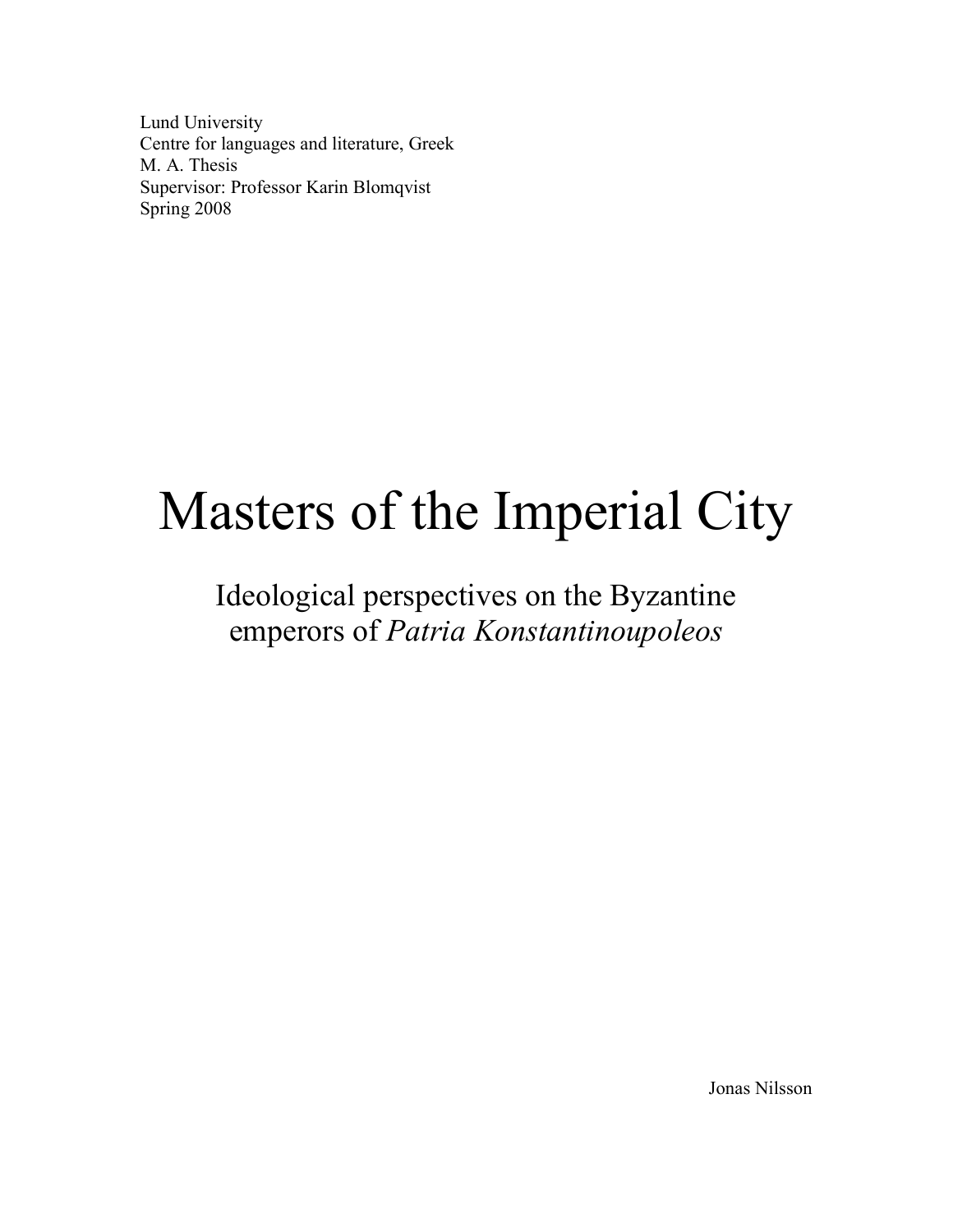Lund University Centre for languages and literature, Greek M. A. Thesis Supervisor: Professor Karin Blomqvist Spring 2008

# Masters of the Imperial City

## Ideological perspectives on the Byzantine emperors of Patria Konstantinoupoleos

Jonas Nilsson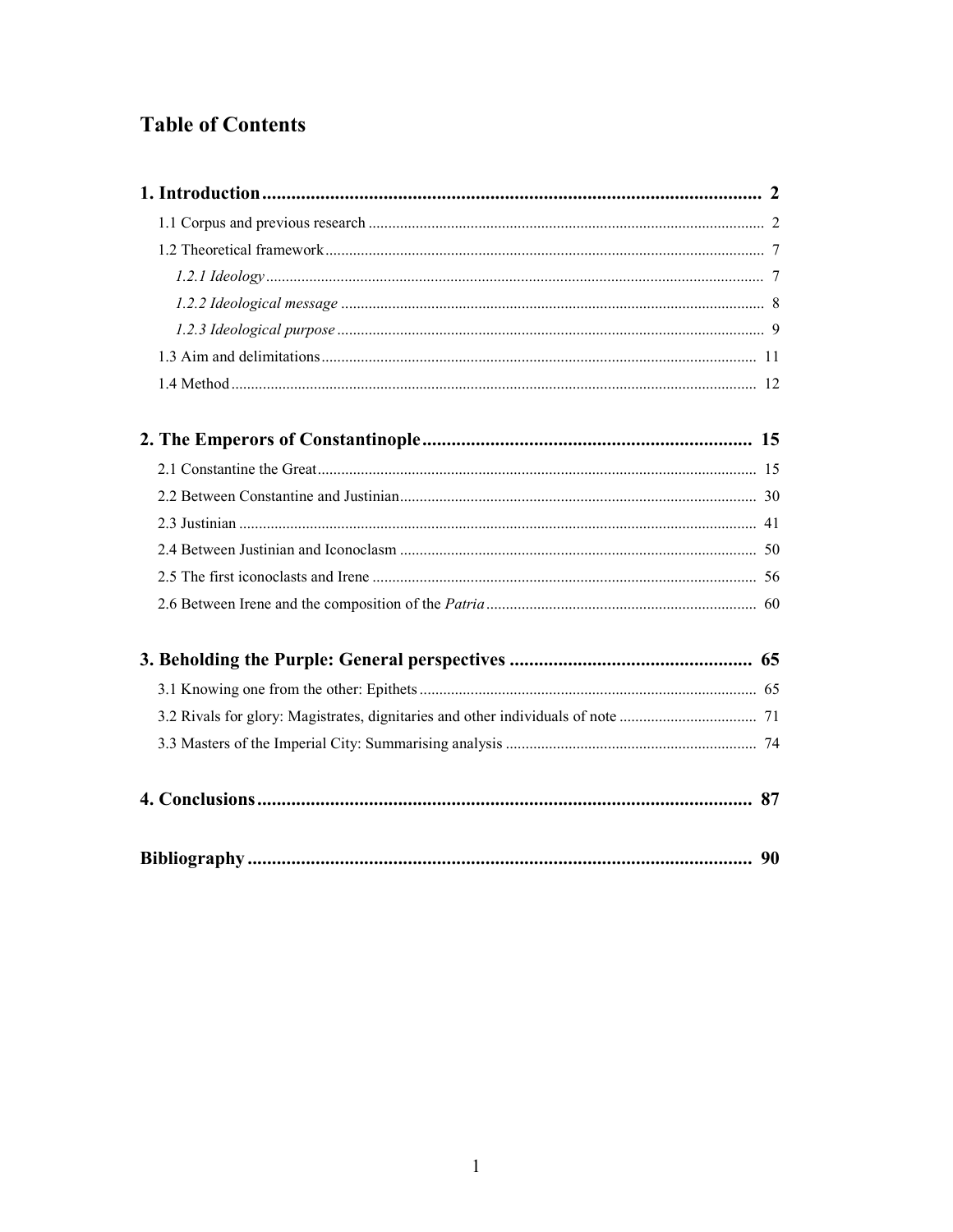### **Table of Contents**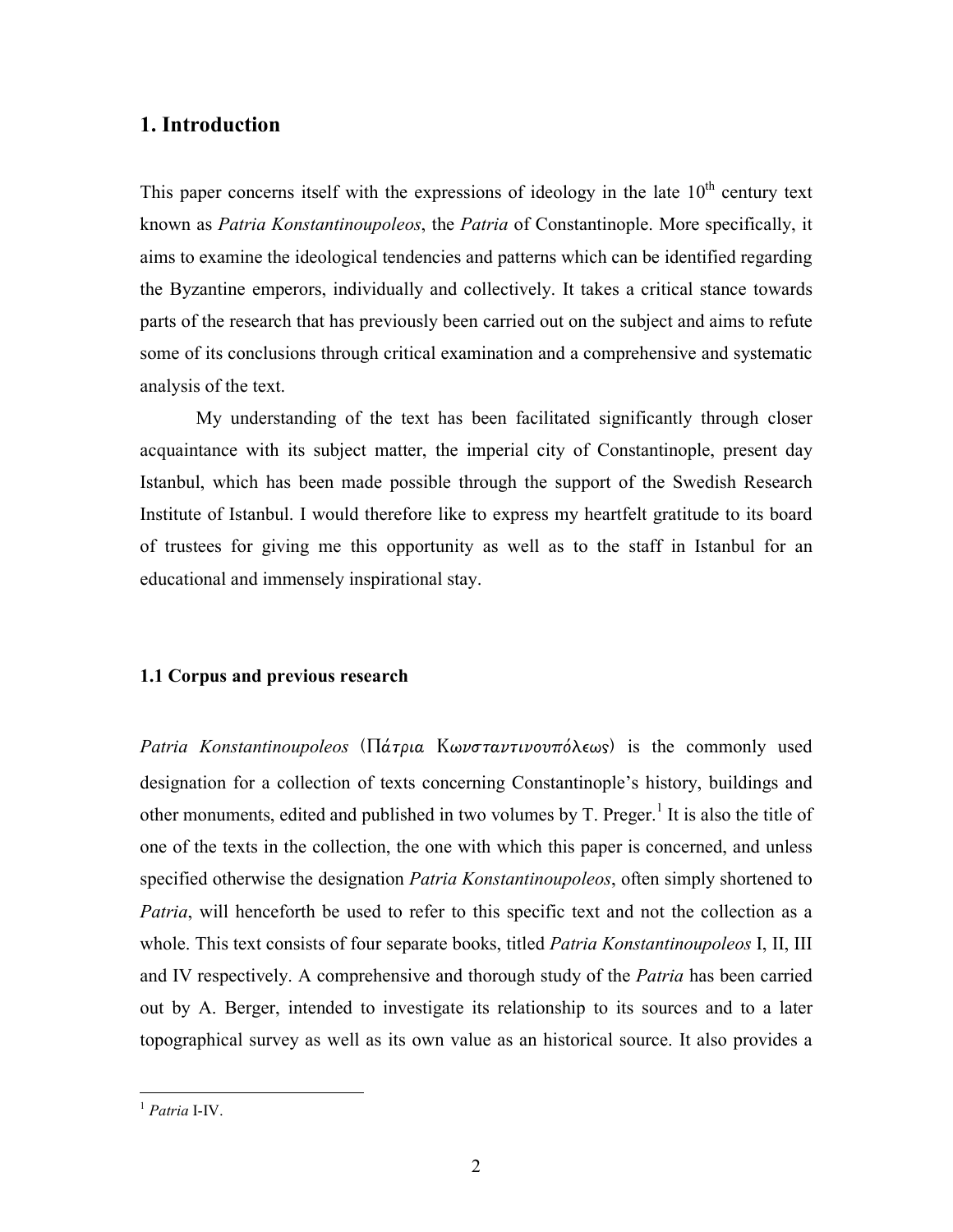#### 1. Introduction

This paper concerns itself with the expressions of ideology in the late  $10<sup>th</sup>$  century text known as Patria Konstantinoupoleos, the Patria of Constantinople. More specifically, it aims to examine the ideological tendencies and patterns which can be identified regarding the Byzantine emperors, individually and collectively. It takes a critical stance towards parts of the research that has previously been carried out on the subject and aims to refute some of its conclusions through critical examination and a comprehensive and systematic analysis of the text.

My understanding of the text has been facilitated significantly through closer acquaintance with its subject matter, the imperial city of Constantinople, present day Istanbul, which has been made possible through the support of the Swedish Research Institute of Istanbul. I would therefore like to express my heartfelt gratitude to its board of trustees for giving me this opportunity as well as to the staff in Istanbul for an educational and immensely inspirational stay.

#### 1.1 Corpus and previous research

Patria Konstantinoupoleos (Πάτρια Κωνσταντινουπόλεως) is the commonly used designation for a collection of texts concerning Constantinople's history, buildings and other monuments, edited and published in two volumes by  $T$ . Preger.<sup>1</sup> It is also the title of one of the texts in the collection, the one with which this paper is concerned, and unless specified otherwise the designation *Patria Konstantinoupoleos*, often simply shortened to Patria, will henceforth be used to refer to this specific text and not the collection as a whole. This text consists of four separate books, titled *Patria Konstantinoupoleos* I, II, III and IV respectively. A comprehensive and thorough study of the *Patria* has been carried out by A. Berger, intended to investigate its relationship to its sources and to a later topographical survey as well as its own value as an historical source. It also provides a

 $<sup>1</sup>$  Patria I-IV.</sup>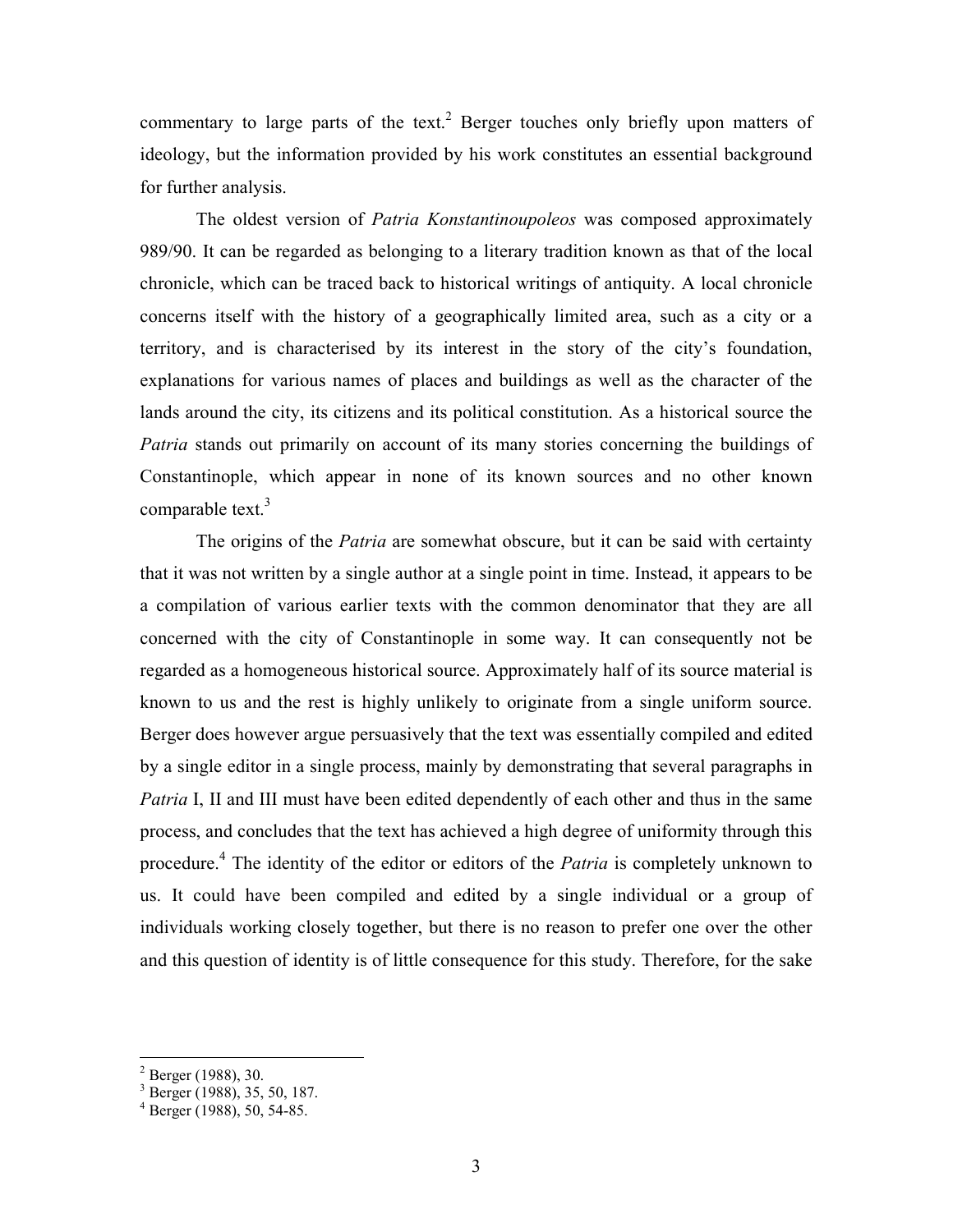commentary to large parts of the text.<sup>2</sup> Berger touches only briefly upon matters of ideology, but the information provided by his work constitutes an essential background for further analysis.

The oldest version of *Patria Konstantinoupoleos* was composed approximately 989/90. It can be regarded as belonging to a literary tradition known as that of the local chronicle, which can be traced back to historical writings of antiquity. A local chronicle concerns itself with the history of a geographically limited area, such as a city or a territory, and is characterised by its interest in the story of the city's foundation, explanations for various names of places and buildings as well as the character of the lands around the city, its citizens and its political constitution. As a historical source the Patria stands out primarily on account of its many stories concerning the buildings of Constantinople, which appear in none of its known sources and no other known comparable text.<sup>3</sup>

The origins of the *Patria* are somewhat obscure, but it can be said with certainty that it was not written by a single author at a single point in time. Instead, it appears to be a compilation of various earlier texts with the common denominator that they are all concerned with the city of Constantinople in some way. It can consequently not be regarded as a homogeneous historical source. Approximately half of its source material is known to us and the rest is highly unlikely to originate from a single uniform source. Berger does however argue persuasively that the text was essentially compiled and edited by a single editor in a single process, mainly by demonstrating that several paragraphs in Patria I, II and III must have been edited dependently of each other and thus in the same process, and concludes that the text has achieved a high degree of uniformity through this procedure.<sup>4</sup> The identity of the editor or editors of the *Patria* is completely unknown to us. It could have been compiled and edited by a single individual or a group of individuals working closely together, but there is no reason to prefer one over the other and this question of identity is of little consequence for this study. Therefore, for the sake

<sup>&</sup>lt;sup>2</sup> Berger (1988), 30.<br><sup>3</sup> Berger (1988), 35, 50, 187.<br><sup>4</sup> Berger (1988), 50, 54-85.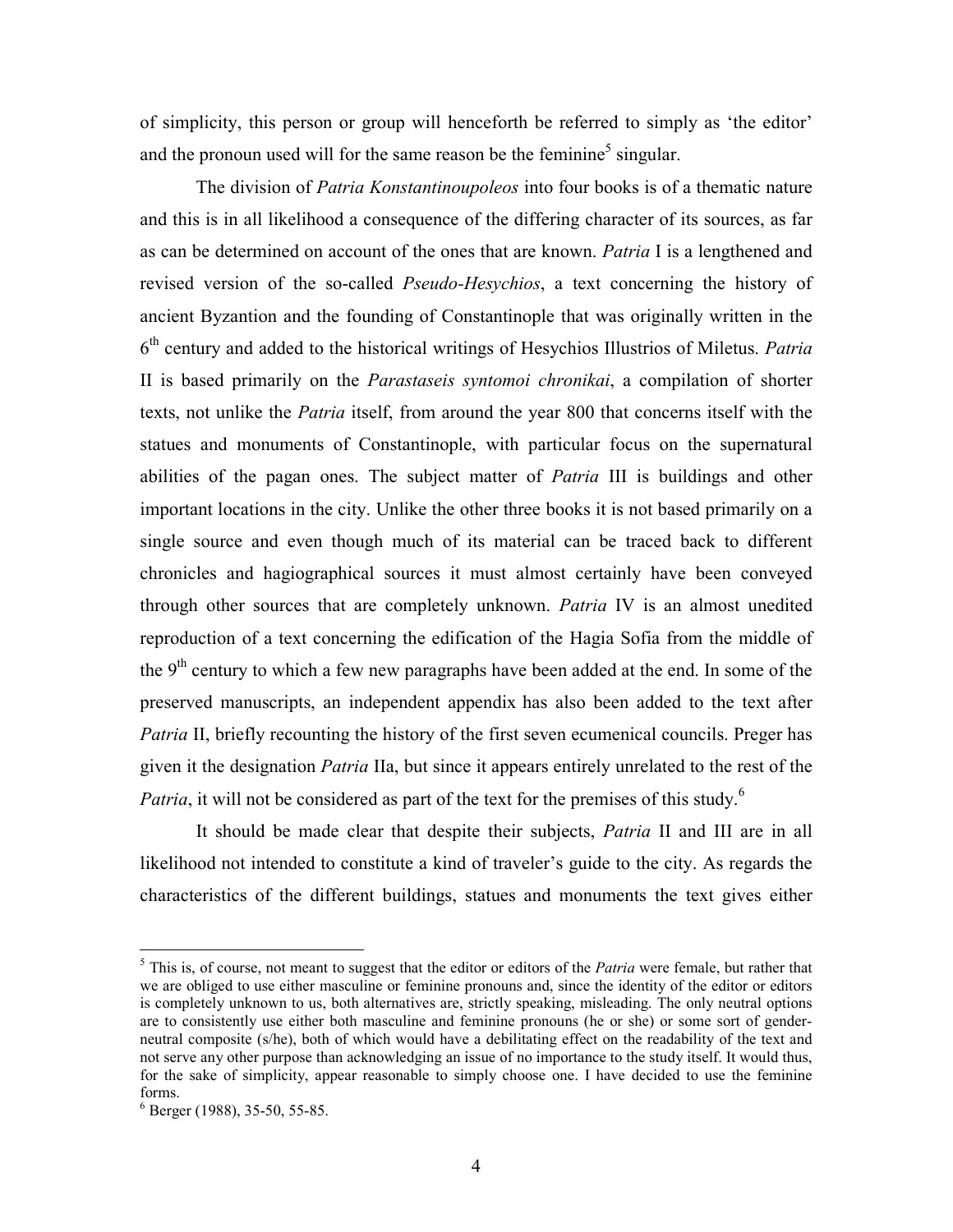of simplicity, this person or group will henceforth be referred to simply as 'the editor' and the pronoun used will for the same reason be the feminine<sup>5</sup> singular.

The division of Patria Konstantinoupoleos into four books is of a thematic nature and this is in all likelihood a consequence of the differing character of its sources, as far as can be determined on account of the ones that are known. Patria I is a lengthened and revised version of the so-called *Pseudo-Hesychios*, a text concerning the history of ancient Byzantion and the founding of Constantinople that was originally written in the 6<sup>th</sup> century and added to the historical writings of Hesychios Illustrios of Miletus. Patria II is based primarily on the Parastaseis syntomoi chronikai, a compilation of shorter texts, not unlike the Patria itself, from around the year 800 that concerns itself with the statues and monuments of Constantinople, with particular focus on the supernatural abilities of the pagan ones. The subject matter of *Patria* III is buildings and other important locations in the city. Unlike the other three books it is not based primarily on a single source and even though much of its material can be traced back to different chronicles and hagiographical sources it must almost certainly have been conveyed through other sources that are completely unknown. Patria IV is an almost unedited reproduction of a text concerning the edification of the Hagia Sofia from the middle of the  $9<sup>th</sup>$  century to which a few new paragraphs have been added at the end. In some of the preserved manuscripts, an independent appendix has also been added to the text after Patria II, briefly recounting the history of the first seven ecumenical councils. Preger has given it the designation Patria IIa, but since it appears entirely unrelated to the rest of the Patria, it will not be considered as part of the text for the premises of this study.<sup>6</sup>

 It should be made clear that despite their subjects, Patria II and III are in all likelihood not intended to constitute a kind of traveler's guide to the city. As regards the characteristics of the different buildings, statues and monuments the text gives either

 $<sup>5</sup>$  This is, of course, not meant to suggest that the editor or editors of the *Patria* were female, but rather that</sup> we are obliged to use either masculine or feminine pronouns and, since the identity of the editor or editors is completely unknown to us, both alternatives are, strictly speaking, misleading. The only neutral options are to consistently use either both masculine and feminine pronouns (he or she) or some sort of genderneutral composite (s/he), both of which would have a debilitating effect on the readability of the text and not serve any other purpose than acknowledging an issue of no importance to the study itself. It would thus, for the sake of simplicity, appear reasonable to simply choose one. I have decided to use the feminine forms.

<sup>6</sup> Berger (1988), 35-50, 55-85.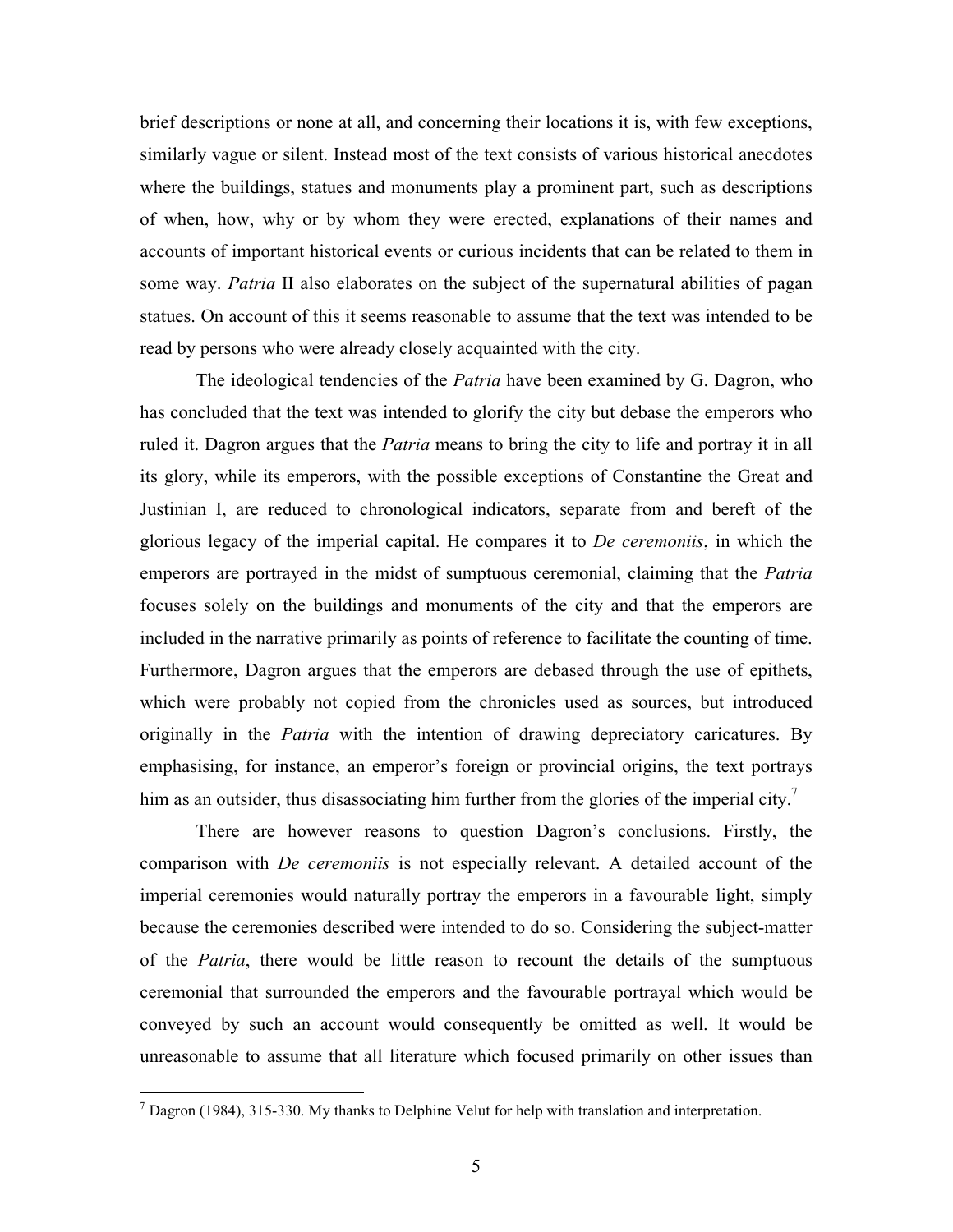brief descriptions or none at all, and concerning their locations it is, with few exceptions, similarly vague or silent. Instead most of the text consists of various historical anecdotes where the buildings, statues and monuments play a prominent part, such as descriptions of when, how, why or by whom they were erected, explanations of their names and accounts of important historical events or curious incidents that can be related to them in some way. *Patria* II also elaborates on the subject of the supernatural abilities of pagan statues. On account of this it seems reasonable to assume that the text was intended to be read by persons who were already closely acquainted with the city.

The ideological tendencies of the *Patria* have been examined by G. Dagron, who has concluded that the text was intended to glorify the city but debase the emperors who ruled it. Dagron argues that the *Patria* means to bring the city to life and portray it in all its glory, while its emperors, with the possible exceptions of Constantine the Great and Justinian I, are reduced to chronological indicators, separate from and bereft of the glorious legacy of the imperial capital. He compares it to De ceremoniis, in which the emperors are portrayed in the midst of sumptuous ceremonial, claiming that the *Patria* focuses solely on the buildings and monuments of the city and that the emperors are included in the narrative primarily as points of reference to facilitate the counting of time. Furthermore, Dagron argues that the emperors are debased through the use of epithets, which were probably not copied from the chronicles used as sources, but introduced originally in the *Patria* with the intention of drawing depreciatory caricatures. By emphasising, for instance, an emperor's foreign or provincial origins, the text portrays him as an outsider, thus disassociating him further from the glories of the imperial city.<sup>7</sup>

 There are however reasons to question Dagron's conclusions. Firstly, the comparison with De ceremoniis is not especially relevant. A detailed account of the imperial ceremonies would naturally portray the emperors in a favourable light, simply because the ceremonies described were intended to do so. Considering the subject-matter of the *Patria*, there would be little reason to recount the details of the sumptuous ceremonial that surrounded the emperors and the favourable portrayal which would be conveyed by such an account would consequently be omitted as well. It would be unreasonable to assume that all literature which focused primarily on other issues than

The Translation (1984), 315-330. My thanks to Delphine Velut for help with translation and interpretation.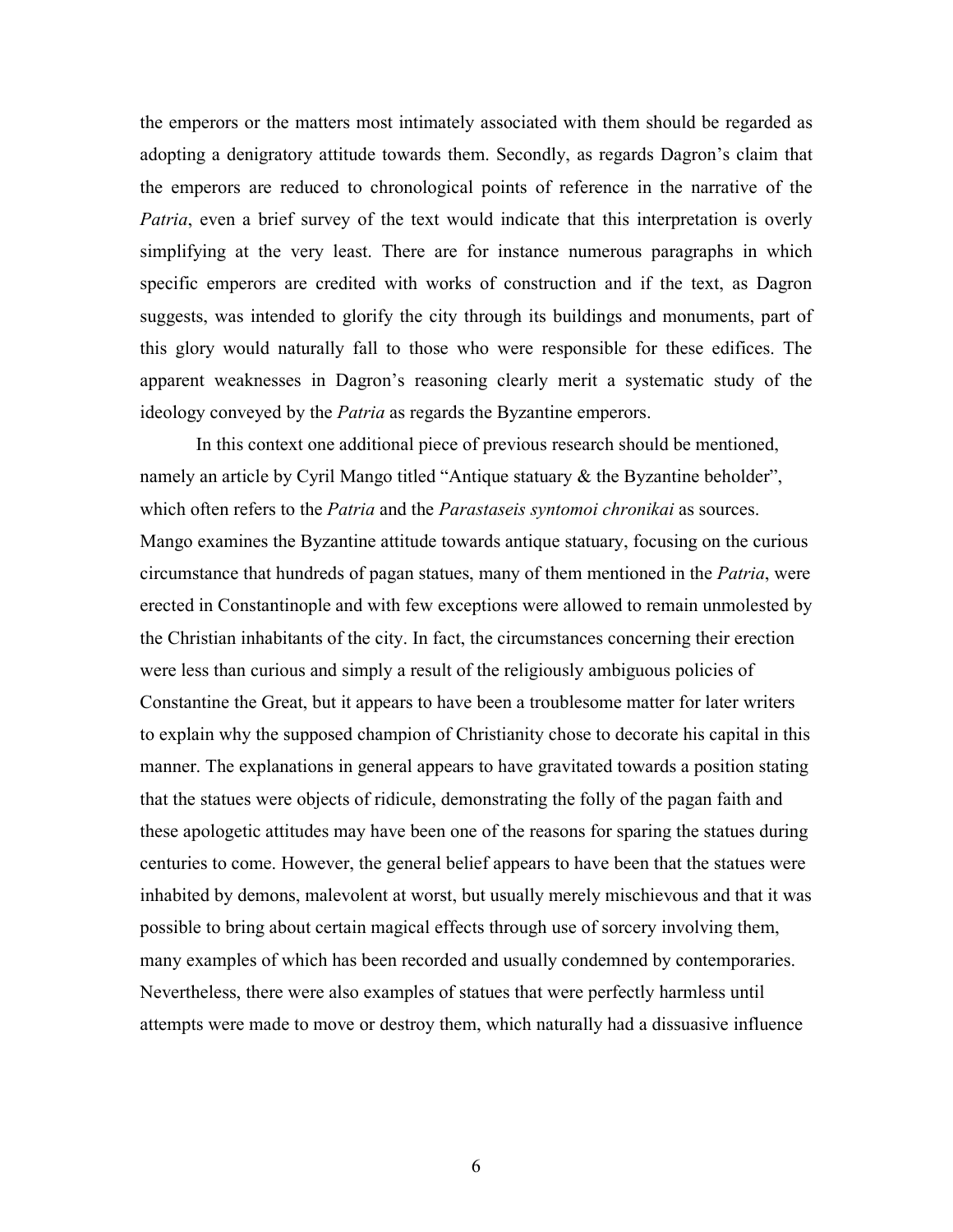the emperors or the matters most intimately associated with them should be regarded as adopting a denigratory attitude towards them. Secondly, as regards Dagron's claim that the emperors are reduced to chronological points of reference in the narrative of the Patria, even a brief survey of the text would indicate that this interpretation is overly simplifying at the very least. There are for instance numerous paragraphs in which specific emperors are credited with works of construction and if the text, as Dagron suggests, was intended to glorify the city through its buildings and monuments, part of this glory would naturally fall to those who were responsible for these edifices. The apparent weaknesses in Dagron's reasoning clearly merit a systematic study of the ideology conveyed by the Patria as regards the Byzantine emperors.

In this context one additional piece of previous research should be mentioned, namely an article by Cyril Mango titled "Antique statuary & the Byzantine beholder", which often refers to the *Patria* and the *Parastaseis syntomoi chronikai* as sources. Mango examines the Byzantine attitude towards antique statuary, focusing on the curious circumstance that hundreds of pagan statues, many of them mentioned in the Patria, were erected in Constantinople and with few exceptions were allowed to remain unmolested by the Christian inhabitants of the city. In fact, the circumstances concerning their erection were less than curious and simply a result of the religiously ambiguous policies of Constantine the Great, but it appears to have been a troublesome matter for later writers to explain why the supposed champion of Christianity chose to decorate his capital in this manner. The explanations in general appears to have gravitated towards a position stating that the statues were objects of ridicule, demonstrating the folly of the pagan faith and these apologetic attitudes may have been one of the reasons for sparing the statues during centuries to come. However, the general belief appears to have been that the statues were inhabited by demons, malevolent at worst, but usually merely mischievous and that it was possible to bring about certain magical effects through use of sorcery involving them, many examples of which has been recorded and usually condemned by contemporaries. Nevertheless, there were also examples of statues that were perfectly harmless until attempts were made to move or destroy them, which naturally had a dissuasive influence

6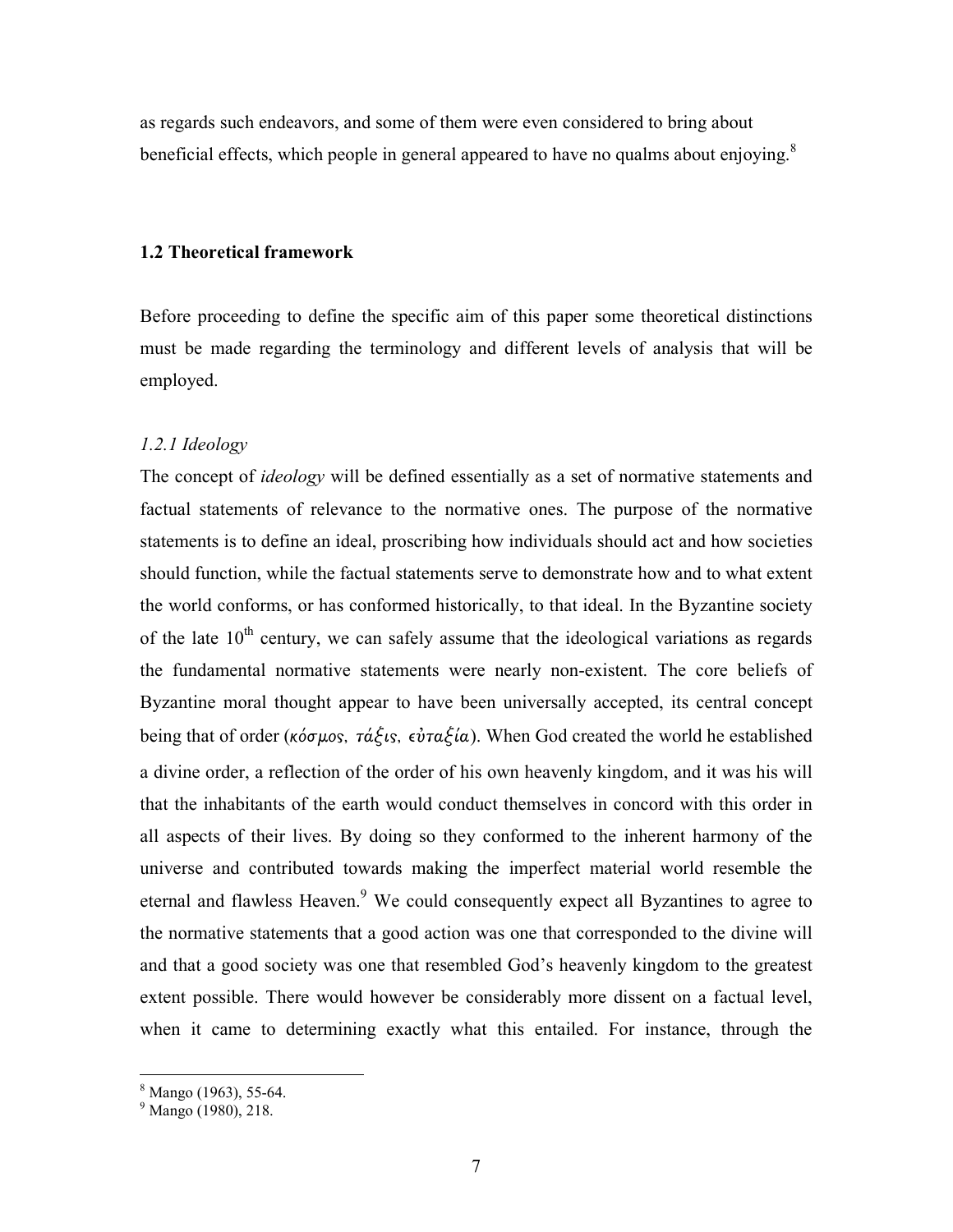as regards such endeavors, and some of them were even considered to bring about beneficial effects, which people in general appeared to have no qualms about enjoying.<sup>8</sup>

#### 1.2 Theoretical framework

Before proceeding to define the specific aim of this paper some theoretical distinctions must be made regarding the terminology and different levels of analysis that will be employed.

#### 1.2.1 Ideology

The concept of *ideology* will be defined essentially as a set of normative statements and factual statements of relevance to the normative ones. The purpose of the normative statements is to define an ideal, proscribing how individuals should act and how societies should function, while the factual statements serve to demonstrate how and to what extent the world conforms, or has conformed historically, to that ideal. In the Byzantine society of the late  $10<sup>th</sup>$  century, we can safely assume that the ideological variations as regards the fundamental normative statements were nearly non-existent. The core beliefs of Byzantine moral thought appear to have been universally accepted, its central concept being that of order (κόσμος, τάξις, εὐταξία). When God created the world he established a divine order, a reflection of the order of his own heavenly kingdom, and it was his will that the inhabitants of the earth would conduct themselves in concord with this order in all aspects of their lives. By doing so they conformed to the inherent harmony of the universe and contributed towards making the imperfect material world resemble the eternal and flawless Heaven.<sup>9</sup> We could consequently expect all Byzantines to agree to the normative statements that a good action was one that corresponded to the divine will and that a good society was one that resembled God's heavenly kingdom to the greatest extent possible. There would however be considerably more dissent on a factual level, when it came to determining exactly what this entailed. For instance, through the

 8 Mango (1963), 55-64. 9 Mango (1980), 218.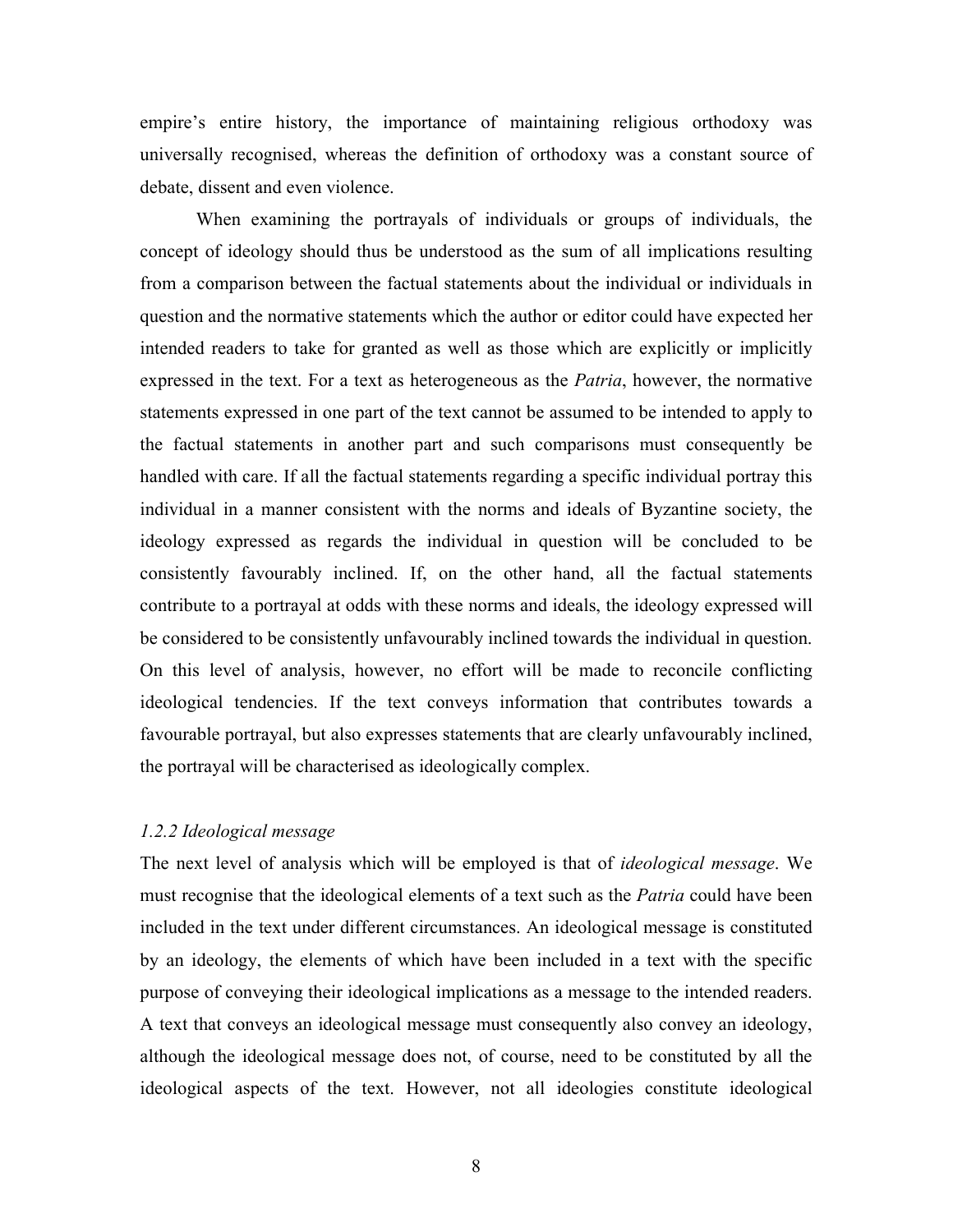empire's entire history, the importance of maintaining religious orthodoxy was universally recognised, whereas the definition of orthodoxy was a constant source of debate, dissent and even violence.

 When examining the portrayals of individuals or groups of individuals, the concept of ideology should thus be understood as the sum of all implications resulting from a comparison between the factual statements about the individual or individuals in question and the normative statements which the author or editor could have expected her intended readers to take for granted as well as those which are explicitly or implicitly expressed in the text. For a text as heterogeneous as the *Patria*, however, the normative statements expressed in one part of the text cannot be assumed to be intended to apply to the factual statements in another part and such comparisons must consequently be handled with care. If all the factual statements regarding a specific individual portray this individual in a manner consistent with the norms and ideals of Byzantine society, the ideology expressed as regards the individual in question will be concluded to be consistently favourably inclined. If, on the other hand, all the factual statements contribute to a portrayal at odds with these norms and ideals, the ideology expressed will be considered to be consistently unfavourably inclined towards the individual in question. On this level of analysis, however, no effort will be made to reconcile conflicting ideological tendencies. If the text conveys information that contributes towards a favourable portrayal, but also expresses statements that are clearly unfavourably inclined, the portrayal will be characterised as ideologically complex.

#### 1.2.2 Ideological message

The next level of analysis which will be employed is that of *ideological message*. We must recognise that the ideological elements of a text such as the Patria could have been included in the text under different circumstances. An ideological message is constituted by an ideology, the elements of which have been included in a text with the specific purpose of conveying their ideological implications as a message to the intended readers. A text that conveys an ideological message must consequently also convey an ideology, although the ideological message does not, of course, need to be constituted by all the ideological aspects of the text. However, not all ideologies constitute ideological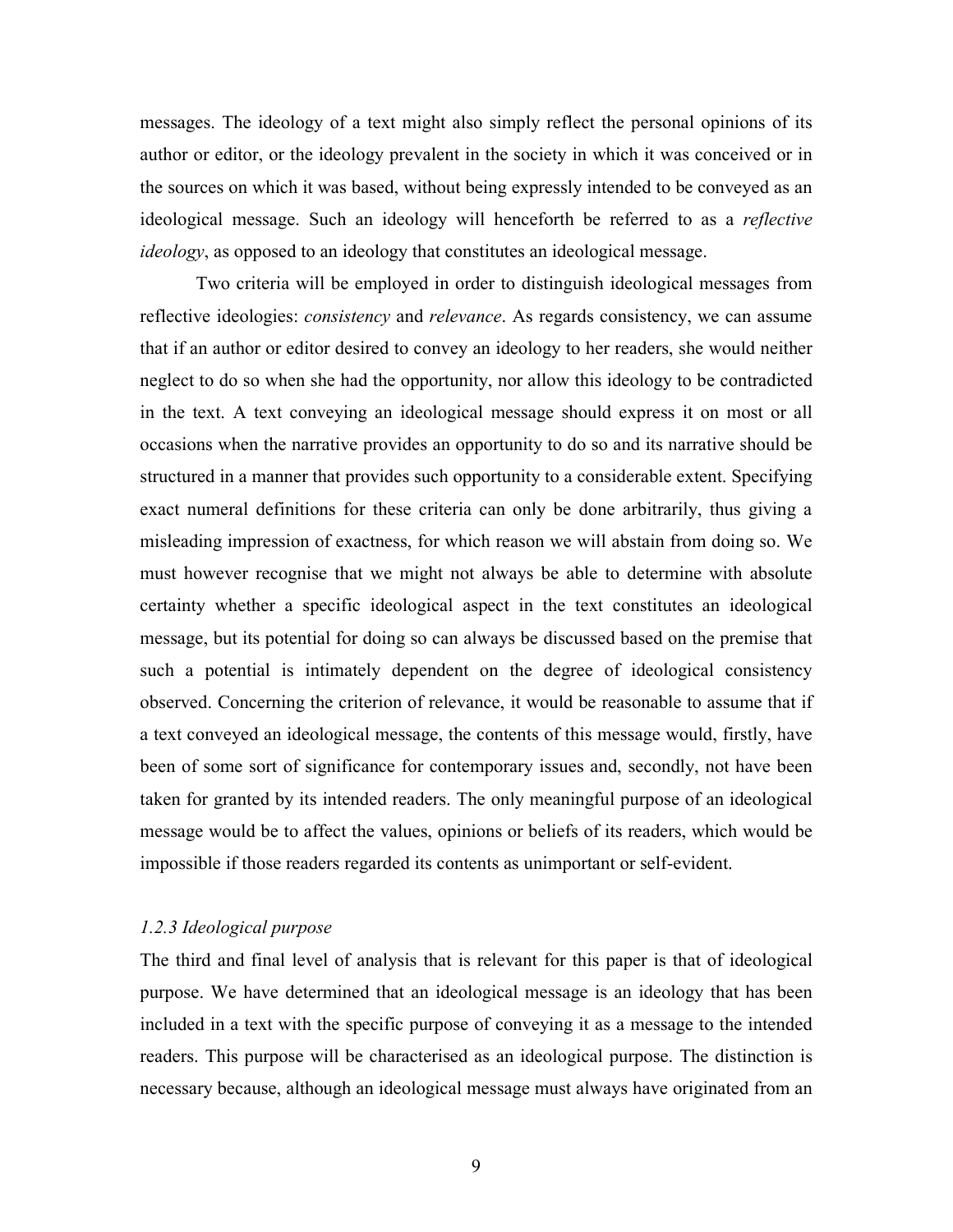messages. The ideology of a text might also simply reflect the personal opinions of its author or editor, or the ideology prevalent in the society in which it was conceived or in the sources on which it was based, without being expressly intended to be conveyed as an ideological message. Such an ideology will henceforth be referred to as a *reflective* ideology, as opposed to an ideology that constitutes an ideological message.

 Two criteria will be employed in order to distinguish ideological messages from reflective ideologies: *consistency* and *relevance*. As regards consistency, we can assume that if an author or editor desired to convey an ideology to her readers, she would neither neglect to do so when she had the opportunity, nor allow this ideology to be contradicted in the text. A text conveying an ideological message should express it on most or all occasions when the narrative provides an opportunity to do so and its narrative should be structured in a manner that provides such opportunity to a considerable extent. Specifying exact numeral definitions for these criteria can only be done arbitrarily, thus giving a misleading impression of exactness, for which reason we will abstain from doing so. We must however recognise that we might not always be able to determine with absolute certainty whether a specific ideological aspect in the text constitutes an ideological message, but its potential for doing so can always be discussed based on the premise that such a potential is intimately dependent on the degree of ideological consistency observed. Concerning the criterion of relevance, it would be reasonable to assume that if a text conveyed an ideological message, the contents of this message would, firstly, have been of some sort of significance for contemporary issues and, secondly, not have been taken for granted by its intended readers. The only meaningful purpose of an ideological message would be to affect the values, opinions or beliefs of its readers, which would be impossible if those readers regarded its contents as unimportant or self-evident.

#### 1.2.3 Ideological purpose

The third and final level of analysis that is relevant for this paper is that of ideological purpose. We have determined that an ideological message is an ideology that has been included in a text with the specific purpose of conveying it as a message to the intended readers. This purpose will be characterised as an ideological purpose. The distinction is necessary because, although an ideological message must always have originated from an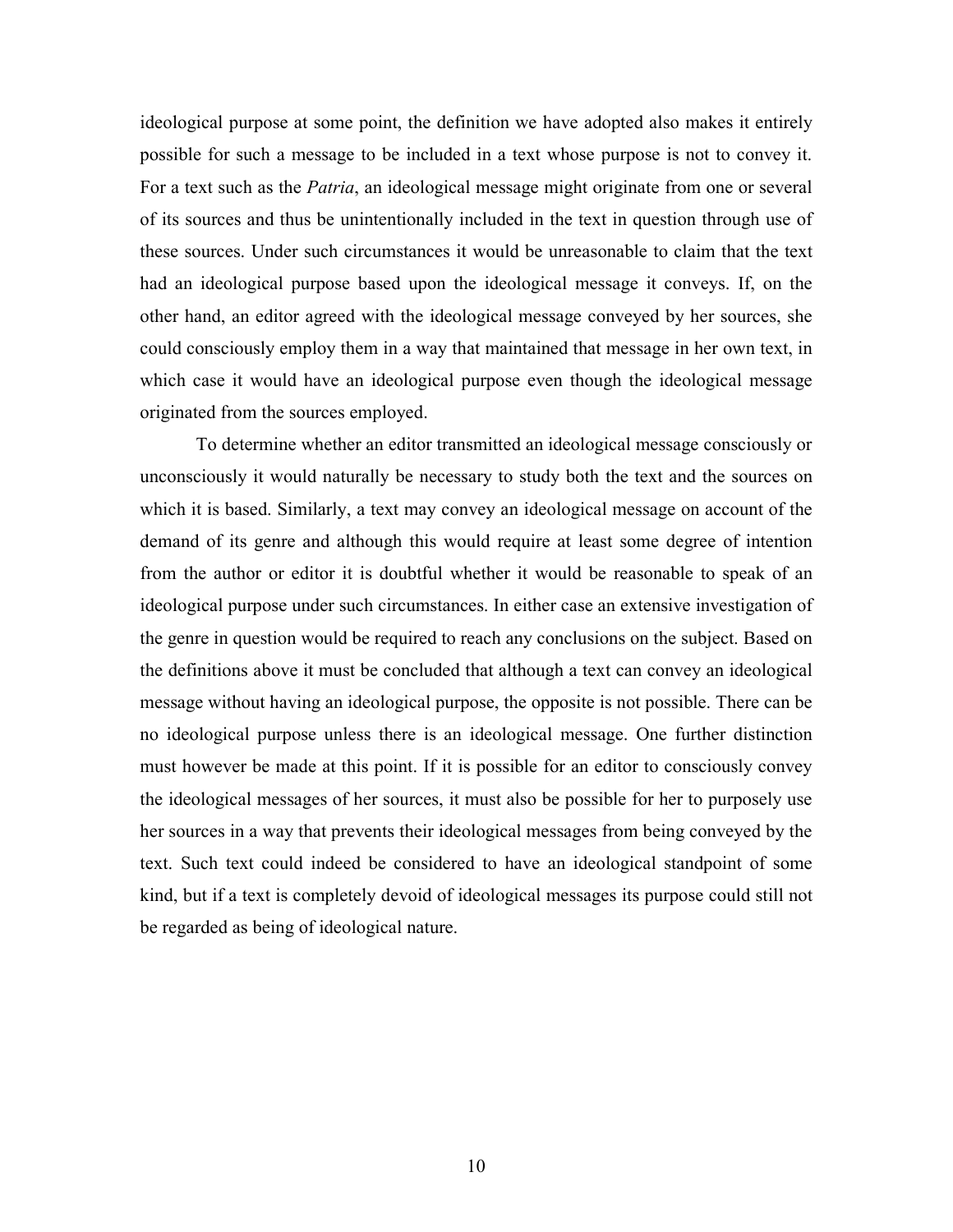ideological purpose at some point, the definition we have adopted also makes it entirely possible for such a message to be included in a text whose purpose is not to convey it. For a text such as the *Patria*, an ideological message might originate from one or several of its sources and thus be unintentionally included in the text in question through use of these sources. Under such circumstances it would be unreasonable to claim that the text had an ideological purpose based upon the ideological message it conveys. If, on the other hand, an editor agreed with the ideological message conveyed by her sources, she could consciously employ them in a way that maintained that message in her own text, in which case it would have an ideological purpose even though the ideological message originated from the sources employed.

To determine whether an editor transmitted an ideological message consciously or unconsciously it would naturally be necessary to study both the text and the sources on which it is based. Similarly, a text may convey an ideological message on account of the demand of its genre and although this would require at least some degree of intention from the author or editor it is doubtful whether it would be reasonable to speak of an ideological purpose under such circumstances. In either case an extensive investigation of the genre in question would be required to reach any conclusions on the subject. Based on the definitions above it must be concluded that although a text can convey an ideological message without having an ideological purpose, the opposite is not possible. There can be no ideological purpose unless there is an ideological message. One further distinction must however be made at this point. If it is possible for an editor to consciously convey the ideological messages of her sources, it must also be possible for her to purposely use her sources in a way that prevents their ideological messages from being conveyed by the text. Such text could indeed be considered to have an ideological standpoint of some kind, but if a text is completely devoid of ideological messages its purpose could still not be regarded as being of ideological nature.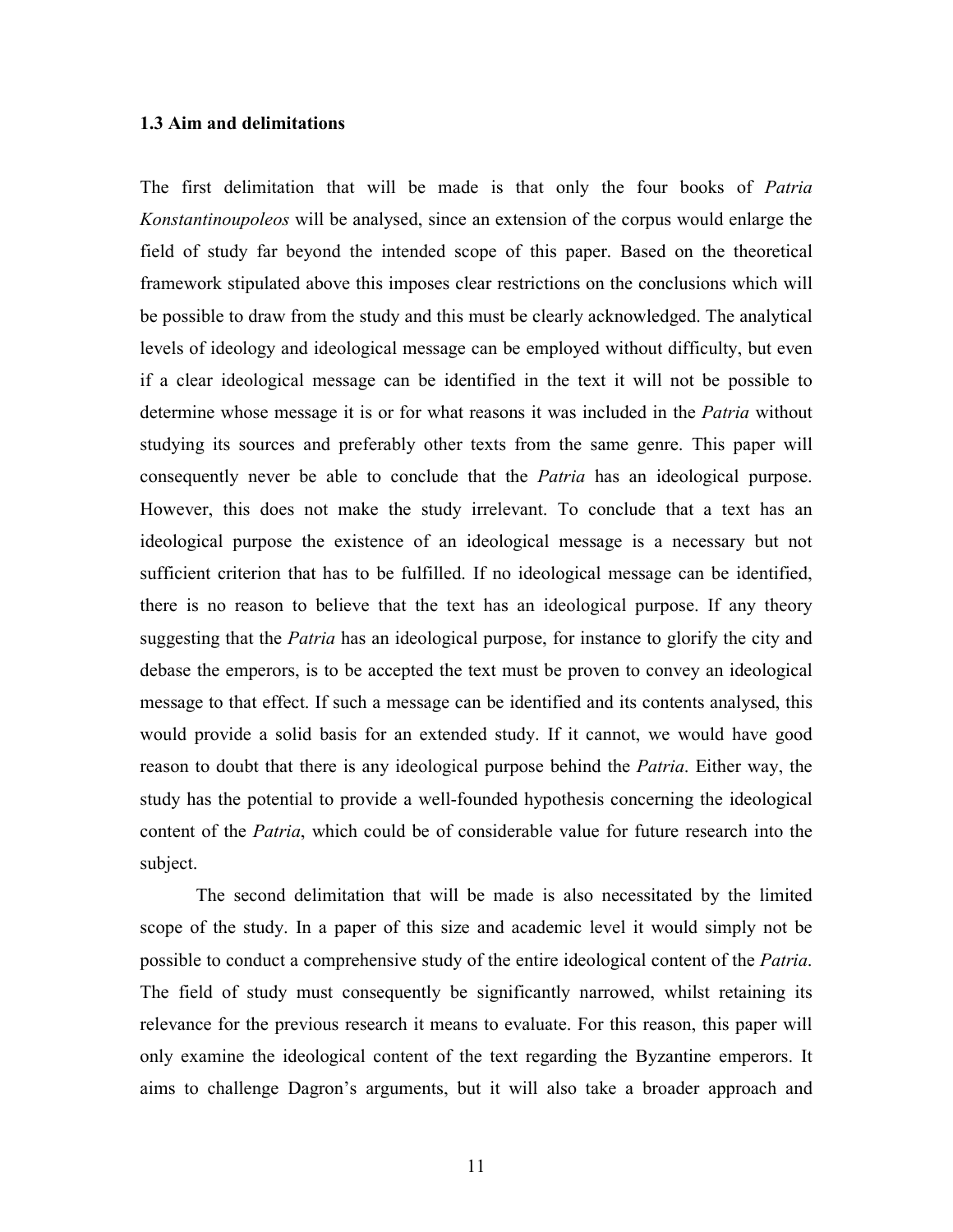#### 1.3 Aim and delimitations

The first delimitation that will be made is that only the four books of *Patria* Konstantinoupoleos will be analysed, since an extension of the corpus would enlarge the field of study far beyond the intended scope of this paper. Based on the theoretical framework stipulated above this imposes clear restrictions on the conclusions which will be possible to draw from the study and this must be clearly acknowledged. The analytical levels of ideology and ideological message can be employed without difficulty, but even if a clear ideological message can be identified in the text it will not be possible to determine whose message it is or for what reasons it was included in the *Patria* without studying its sources and preferably other texts from the same genre. This paper will consequently never be able to conclude that the Patria has an ideological purpose. However, this does not make the study irrelevant. To conclude that a text has an ideological purpose the existence of an ideological message is a necessary but not sufficient criterion that has to be fulfilled. If no ideological message can be identified, there is no reason to believe that the text has an ideological purpose. If any theory suggesting that the *Patria* has an ideological purpose, for instance to glorify the city and debase the emperors, is to be accepted the text must be proven to convey an ideological message to that effect. If such a message can be identified and its contents analysed, this would provide a solid basis for an extended study. If it cannot, we would have good reason to doubt that there is any ideological purpose behind the *Patria*. Either way, the study has the potential to provide a well-founded hypothesis concerning the ideological content of the Patria, which could be of considerable value for future research into the subject.

 The second delimitation that will be made is also necessitated by the limited scope of the study. In a paper of this size and academic level it would simply not be possible to conduct a comprehensive study of the entire ideological content of the *Patria*. The field of study must consequently be significantly narrowed, whilst retaining its relevance for the previous research it means to evaluate. For this reason, this paper will only examine the ideological content of the text regarding the Byzantine emperors. It aims to challenge Dagron's arguments, but it will also take a broader approach and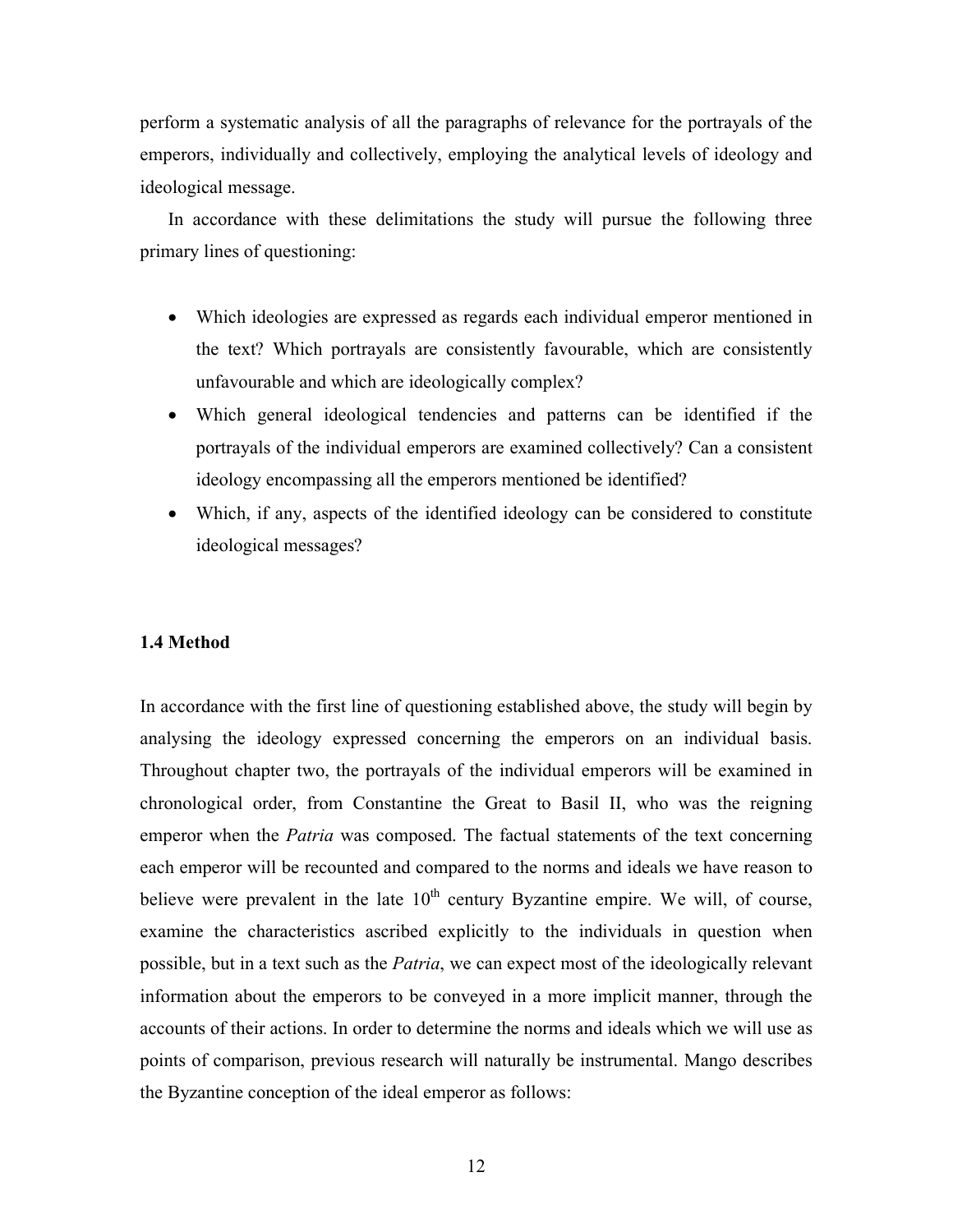perform a systematic analysis of all the paragraphs of relevance for the portrayals of the emperors, individually and collectively, employing the analytical levels of ideology and ideological message.

In accordance with these delimitations the study will pursue the following three primary lines of questioning:

- Which ideologies are expressed as regards each individual emperor mentioned in the text? Which portrayals are consistently favourable, which are consistently unfavourable and which are ideologically complex?
- Which general ideological tendencies and patterns can be identified if the portrayals of the individual emperors are examined collectively? Can a consistent ideology encompassing all the emperors mentioned be identified?
- Which, if any, aspects of the identified ideology can be considered to constitute ideological messages?

#### 1.4 Method

In accordance with the first line of questioning established above, the study will begin by analysing the ideology expressed concerning the emperors on an individual basis. Throughout chapter two, the portrayals of the individual emperors will be examined in chronological order, from Constantine the Great to Basil II, who was the reigning emperor when the *Patria* was composed. The factual statements of the text concerning each emperor will be recounted and compared to the norms and ideals we have reason to believe were prevalent in the late  $10<sup>th</sup>$  century Byzantine empire. We will, of course, examine the characteristics ascribed explicitly to the individuals in question when possible, but in a text such as the *Patria*, we can expect most of the ideologically relevant information about the emperors to be conveyed in a more implicit manner, through the accounts of their actions. In order to determine the norms and ideals which we will use as points of comparison, previous research will naturally be instrumental. Mango describes the Byzantine conception of the ideal emperor as follows: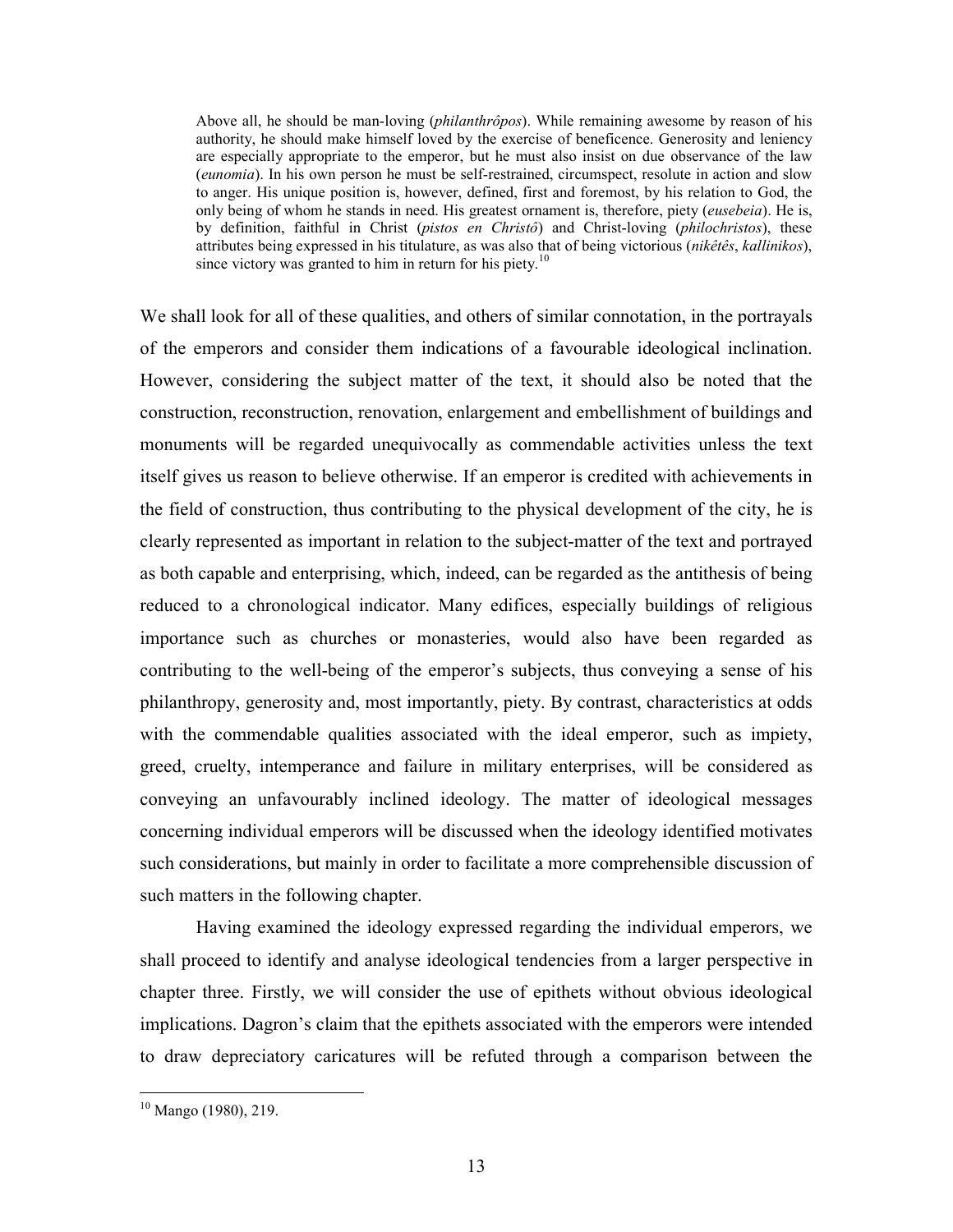Above all, he should be man-loving (philanthrôpos). While remaining awesome by reason of his authority, he should make himself loved by the exercise of beneficence. Generosity and leniency are especially appropriate to the emperor, but he must also insist on due observance of the law (eunomia). In his own person he must be self-restrained, circumspect, resolute in action and slow to anger. His unique position is, however, defined, first and foremost, by his relation to God, the only being of whom he stands in need. His greatest ornament is, therefore, piety (eusebeia). He is, by definition, faithful in Christ (pistos en Christô) and Christ-loving (philochristos), these attributes being expressed in his titulature, as was also that of being victorious (nikêtês, kallinikos), since victory was granted to him in return for his piety.<sup>10</sup>

We shall look for all of these qualities, and others of similar connotation, in the portrayals of the emperors and consider them indications of a favourable ideological inclination. However, considering the subject matter of the text, it should also be noted that the construction, reconstruction, renovation, enlargement and embellishment of buildings and monuments will be regarded unequivocally as commendable activities unless the text itself gives us reason to believe otherwise. If an emperor is credited with achievements in the field of construction, thus contributing to the physical development of the city, he is clearly represented as important in relation to the subject-matter of the text and portrayed as both capable and enterprising, which, indeed, can be regarded as the antithesis of being reduced to a chronological indicator. Many edifices, especially buildings of religious importance such as churches or monasteries, would also have been regarded as contributing to the well-being of the emperor's subjects, thus conveying a sense of his philanthropy, generosity and, most importantly, piety. By contrast, characteristics at odds with the commendable qualities associated with the ideal emperor, such as impiety, greed, cruelty, intemperance and failure in military enterprises, will be considered as conveying an unfavourably inclined ideology. The matter of ideological messages concerning individual emperors will be discussed when the ideology identified motivates such considerations, but mainly in order to facilitate a more comprehensible discussion of such matters in the following chapter.

 Having examined the ideology expressed regarding the individual emperors, we shall proceed to identify and analyse ideological tendencies from a larger perspective in chapter three. Firstly, we will consider the use of epithets without obvious ideological implications. Dagron's claim that the epithets associated with the emperors were intended to draw depreciatory caricatures will be refuted through a comparison between the

<sup>10</sup> Mango (1980), 219.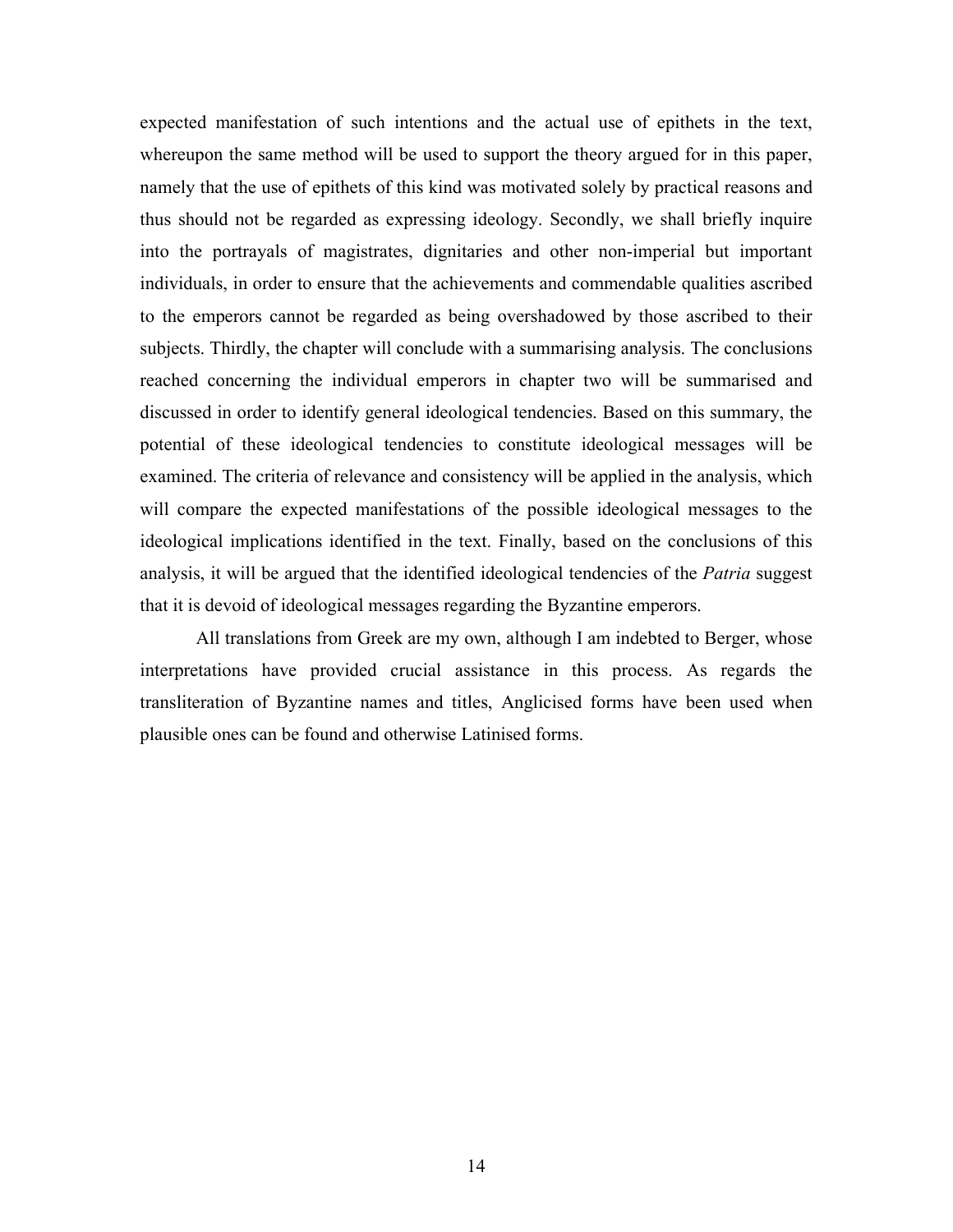expected manifestation of such intentions and the actual use of epithets in the text, whereupon the same method will be used to support the theory argued for in this paper, namely that the use of epithets of this kind was motivated solely by practical reasons and thus should not be regarded as expressing ideology. Secondly, we shall briefly inquire into the portrayals of magistrates, dignitaries and other non-imperial but important individuals, in order to ensure that the achievements and commendable qualities ascribed to the emperors cannot be regarded as being overshadowed by those ascribed to their subjects. Thirdly, the chapter will conclude with a summarising analysis. The conclusions reached concerning the individual emperors in chapter two will be summarised and discussed in order to identify general ideological tendencies. Based on this summary, the potential of these ideological tendencies to constitute ideological messages will be examined. The criteria of relevance and consistency will be applied in the analysis, which will compare the expected manifestations of the possible ideological messages to the ideological implications identified in the text. Finally, based on the conclusions of this analysis, it will be argued that the identified ideological tendencies of the *Patria* suggest that it is devoid of ideological messages regarding the Byzantine emperors.

All translations from Greek are my own, although I am indebted to Berger, whose interpretations have provided crucial assistance in this process. As regards the transliteration of Byzantine names and titles, Anglicised forms have been used when plausible ones can be found and otherwise Latinised forms.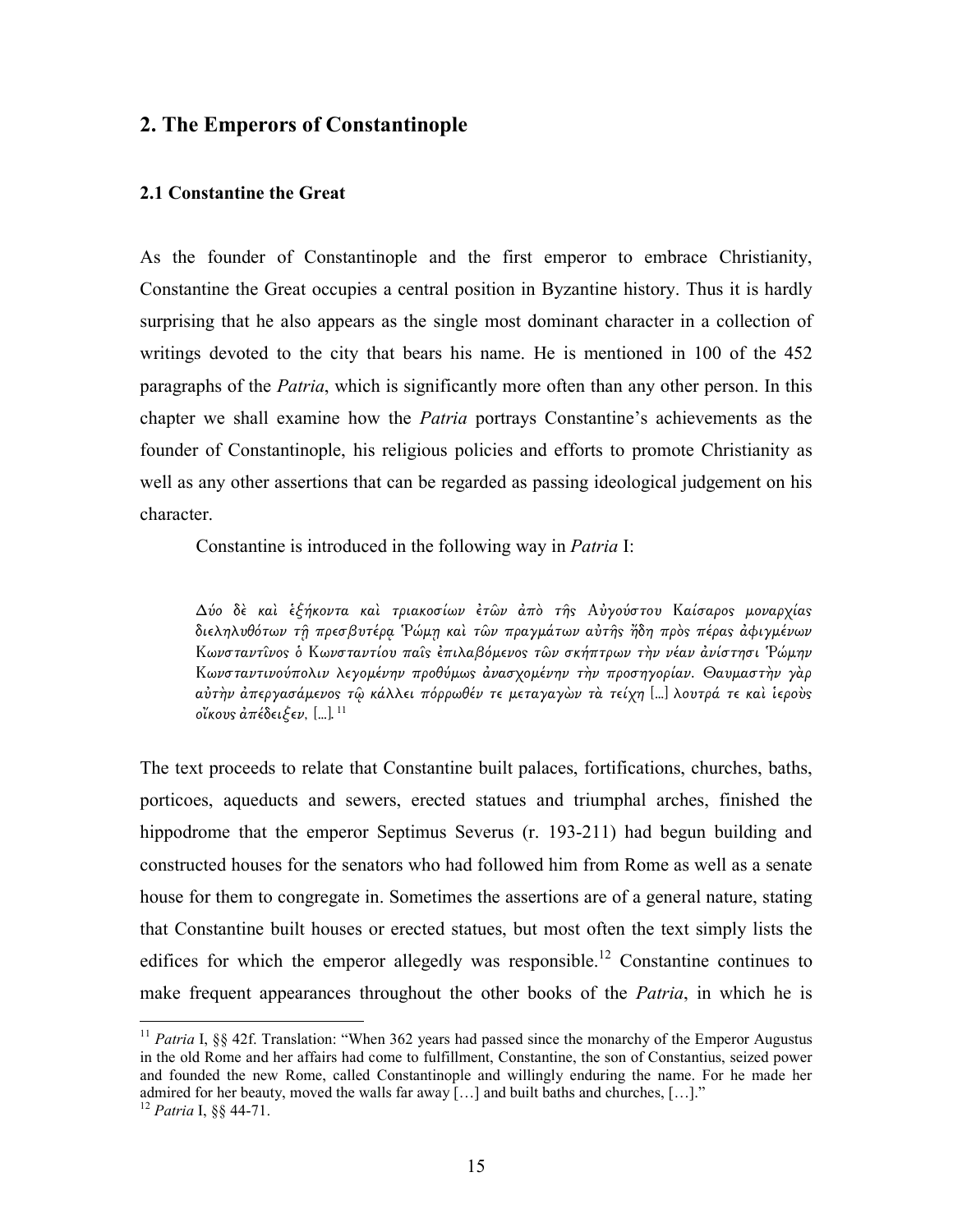#### 2. The Emperors of Constantinople

#### 2.1 Constantine the Great

As the founder of Constantinople and the first emperor to embrace Christianity, Constantine the Great occupies a central position in Byzantine history. Thus it is hardly surprising that he also appears as the single most dominant character in a collection of writings devoted to the city that bears his name. He is mentioned in 100 of the 452 paragraphs of the Patria, which is significantly more often than any other person. In this chapter we shall examine how the Patria portrays Constantine's achievements as the founder of Constantinople, his religious policies and efforts to promote Christianity as well as any other assertions that can be regarded as passing ideological judgement on his character.

Constantine is introduced in the following way in Patria I:

 $\Delta$ ύο δὲ καὶ ἑξήκοντα καὶ τριακοσίων ἐτῶν ἀπὸ τῆς Αὐγούστου Καίσαρος μοναρχίας διεληλυθότων τῆ πρεσβυτέρα Ρώμη καὶ τῶν πραγμάτων αὐτῆς ἤδη πρὸς πέρας ἀφιγμένων Κωνσταντίνος ὁ Κωνσταντίου παΐς ἐπιλαβόμενος τῶν σκήπτρων τὴν νέαν ἀνίστησι Ρώμην Κωνσταντινούπολιν λεγοµένην προθύµω̋ ἀνασχοµένην τὴν προσηγορίαν. Θαυµαστὴν γὰρ αύτην άπεργασάμενος τώ κάλλει πόρρωθέν τε μεταγαγών τὰ τείχη [...] λουτρά τε καὶ ἱερούς οἴκους απέδειξεν, [...].  $^{11}$ 

The text proceeds to relate that Constantine built palaces, fortifications, churches, baths, porticoes, aqueducts and sewers, erected statues and triumphal arches, finished the hippodrome that the emperor Septimus Severus (r. 193-211) had begun building and constructed houses for the senators who had followed him from Rome as well as a senate house for them to congregate in. Sometimes the assertions are of a general nature, stating that Constantine built houses or erected statues, but most often the text simply lists the edifices for which the emperor allegedly was responsible.<sup>12</sup> Constantine continues to make frequent appearances throughout the other books of the *Patria*, in which he is

<sup>&</sup>lt;sup>11</sup> Patria I, §§ 42f. Translation: "When 362 years had passed since the monarchy of the Emperor Augustus in the old Rome and her affairs had come to fulfillment, Constantine, the son of Constantius, seized power and founded the new Rome, called Constantinople and willingly enduring the name. For he made her admired for her beauty, moved the walls far away […] and built baths and churches, […]."

 $12$  Patria I, §§ 44-71.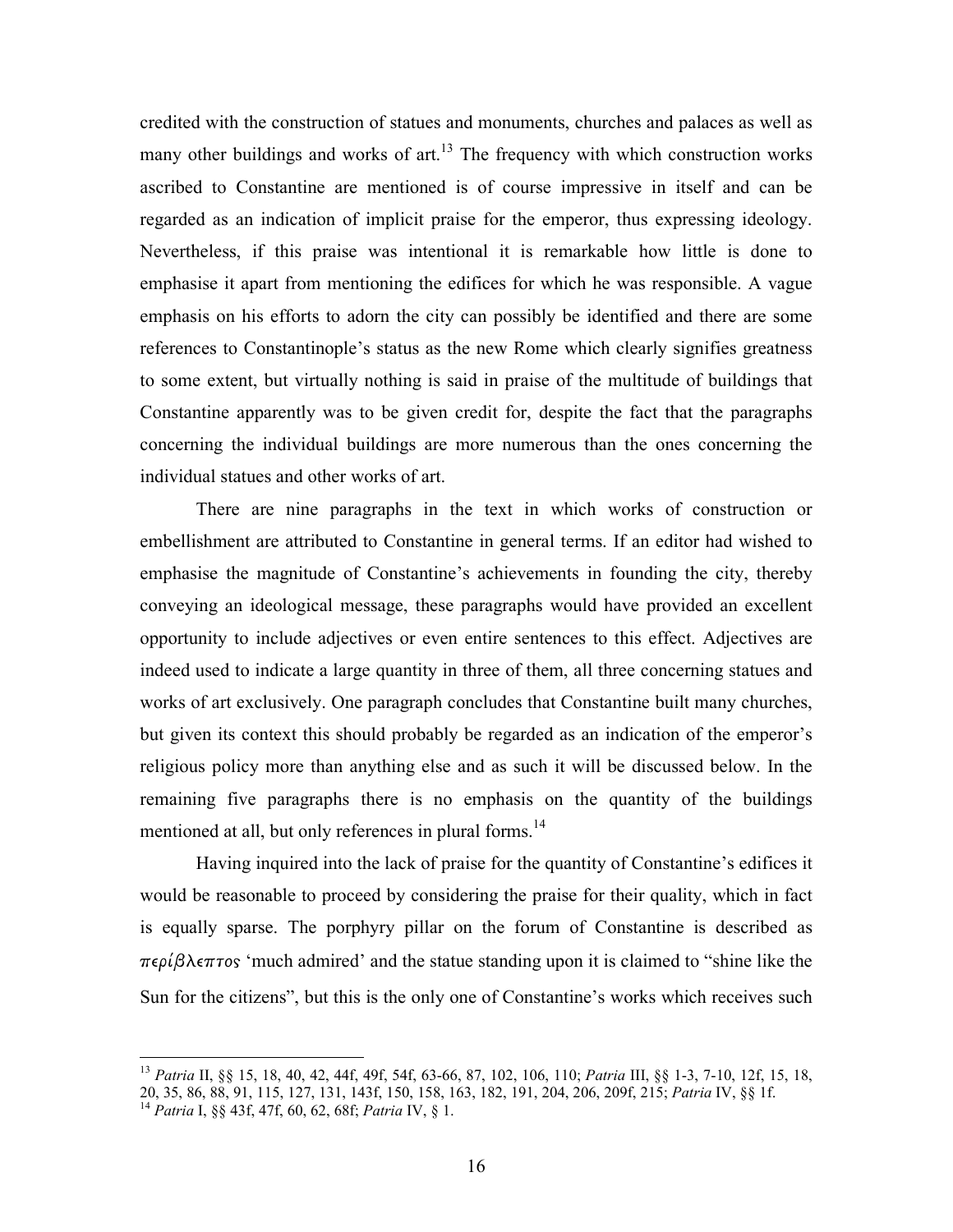credited with the construction of statues and monuments, churches and palaces as well as many other buildings and works of  $art<sup>13</sup>$ . The frequency with which construction works ascribed to Constantine are mentioned is of course impressive in itself and can be regarded as an indication of implicit praise for the emperor, thus expressing ideology. Nevertheless, if this praise was intentional it is remarkable how little is done to emphasise it apart from mentioning the edifices for which he was responsible. A vague emphasis on his efforts to adorn the city can possibly be identified and there are some references to Constantinople's status as the new Rome which clearly signifies greatness to some extent, but virtually nothing is said in praise of the multitude of buildings that Constantine apparently was to be given credit for, despite the fact that the paragraphs concerning the individual buildings are more numerous than the ones concerning the individual statues and other works of art.

There are nine paragraphs in the text in which works of construction or embellishment are attributed to Constantine in general terms. If an editor had wished to emphasise the magnitude of Constantine's achievements in founding the city, thereby conveying an ideological message, these paragraphs would have provided an excellent opportunity to include adjectives or even entire sentences to this effect. Adjectives are indeed used to indicate a large quantity in three of them, all three concerning statues and works of art exclusively. One paragraph concludes that Constantine built many churches, but given its context this should probably be regarded as an indication of the emperor's religious policy more than anything else and as such it will be discussed below. In the remaining five paragraphs there is no emphasis on the quantity of the buildings mentioned at all, but only references in plural forms.<sup>14</sup>

Having inquired into the lack of praise for the quantity of Constantine's edifices it would be reasonable to proceed by considering the praise for their quality, which in fact is equally sparse. The porphyry pillar on the forum of Constantine is described as  $περίβλεπτος 'much admitted' and the statue standing upon it is claimed to "shire like the$ Sun for the citizens", but this is the only one of Constantine's works which receives such

 $\overline{a}$ 

<sup>&</sup>lt;sup>13</sup> Patria II, §§ 15, 18, 40, 42, 44f, 49f, 54f, 63-66, 87, 102, 106, 110; Patria III, §§ 1-3, 7-10, 12f, 15, 18, 20, 35, 86, 88, 91, 115, 127, 131, 143f, 150, 158, 163, 182, 191, 204, 206, 209f, 215; Patria IV, §§ 1f.

<sup>&</sup>lt;sup>14</sup> Patria I, §§ 43f, 47f, 60, 62, 68f; Patria IV, § 1.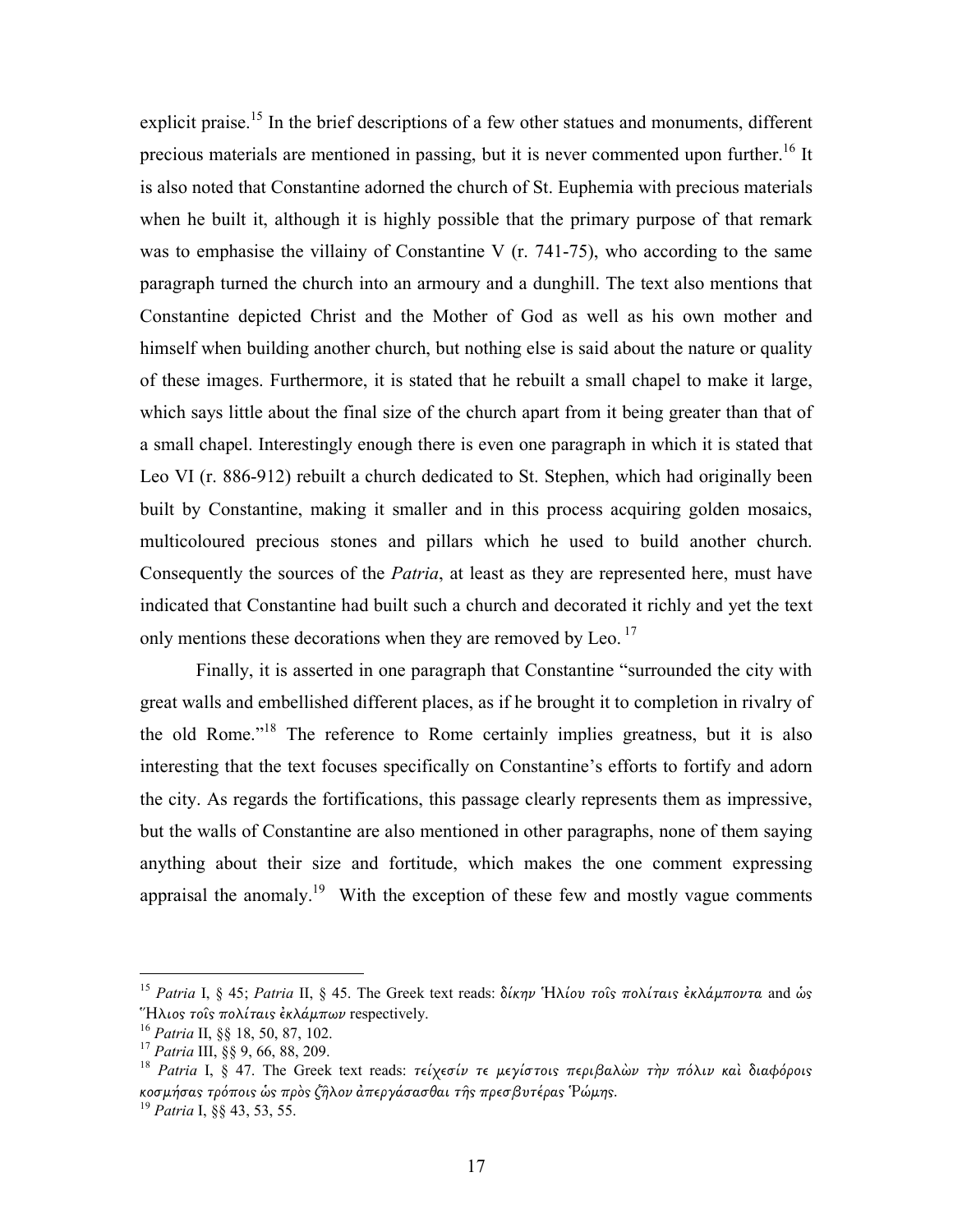explicit praise.<sup>15</sup> In the brief descriptions of a few other statues and monuments, different precious materials are mentioned in passing, but it is never commented upon further.<sup>16</sup> It is also noted that Constantine adorned the church of St. Euphemia with precious materials when he built it, although it is highly possible that the primary purpose of that remark was to emphasise the villainy of Constantine V (r. 741-75), who according to the same paragraph turned the church into an armoury and a dunghill. The text also mentions that Constantine depicted Christ and the Mother of God as well as his own mother and himself when building another church, but nothing else is said about the nature or quality of these images. Furthermore, it is stated that he rebuilt a small chapel to make it large, which says little about the final size of the church apart from it being greater than that of a small chapel. Interestingly enough there is even one paragraph in which it is stated that Leo VI (r. 886-912) rebuilt a church dedicated to St. Stephen, which had originally been built by Constantine, making it smaller and in this process acquiring golden mosaics, multicoloured precious stones and pillars which he used to build another church. Consequently the sources of the *Patria*, at least as they are represented here, must have indicated that Constantine had built such a church and decorated it richly and yet the text only mentions these decorations when they are removed by Leo.<sup>17</sup>

Finally, it is asserted in one paragraph that Constantine "surrounded the city with great walls and embellished different places, as if he brought it to completion in rivalry of the old Rome."<sup>18</sup> The reference to Rome certainly implies greatness, but it is also interesting that the text focuses specifically on Constantine's efforts to fortify and adorn the city. As regards the fortifications, this passage clearly represents them as impressive, but the walls of Constantine are also mentioned in other paragraphs, none of them saying anything about their size and fortitude, which makes the one comment expressing appraisal the anomaly.<sup>19</sup> With the exception of these few and mostly vague comments

<sup>&</sup>lt;sup>15</sup> Patria I, § 45; Patria II, § 45. The Greek text reads: δίκην Ήλίου τοῖς πολίταις ἐκλάμποντα and ὡς "Ηλιος τοΐς πολίταις έκλάμπων respectively.

 $16$  Patria II, §§ 18, 50, 87, 102.

<sup>&</sup>lt;sup>17</sup> Patria III, §§ 9, 66, 88, 209.

<sup>&</sup>lt;sup>18</sup> Patria I, § 47. The Greek text reads: τείχεσίν τε μεγίστοις περιβαλών την πόλιν και διαφόροις κοσμήσας τρόποις ὡς πρὸς ζῆλον ἀπεργάσασθαι τῆς πρεσβυτέρας Ῥώμης.

<sup>&</sup>lt;sup>19</sup> Patria I, §§ 43, 53, 55.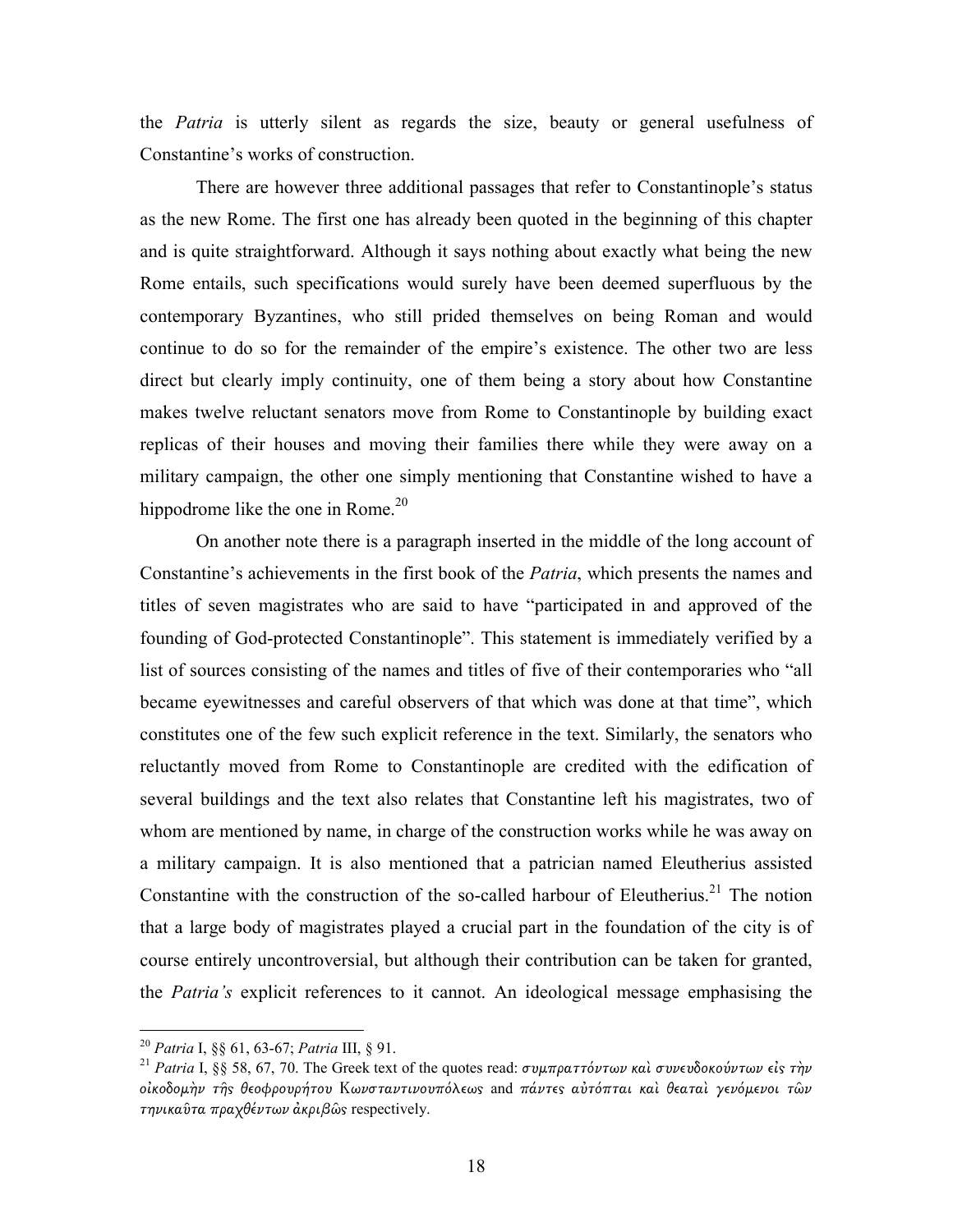the *Patria* is utterly silent as regards the size, beauty or general usefulness of Constantine's works of construction.

There are however three additional passages that refer to Constantinople's status as the new Rome. The first one has already been quoted in the beginning of this chapter and is quite straightforward. Although it says nothing about exactly what being the new Rome entails, such specifications would surely have been deemed superfluous by the contemporary Byzantines, who still prided themselves on being Roman and would continue to do so for the remainder of the empire's existence. The other two are less direct but clearly imply continuity, one of them being a story about how Constantine makes twelve reluctant senators move from Rome to Constantinople by building exact replicas of their houses and moving their families there while they were away on a military campaign, the other one simply mentioning that Constantine wished to have a hippodrome like the one in Rome. $20$ 

On another note there is a paragraph inserted in the middle of the long account of Constantine's achievements in the first book of the Patria, which presents the names and titles of seven magistrates who are said to have "participated in and approved of the founding of God-protected Constantinople". This statement is immediately verified by a list of sources consisting of the names and titles of five of their contemporaries who "all became eyewitnesses and careful observers of that which was done at that time", which constitutes one of the few such explicit reference in the text. Similarly, the senators who reluctantly moved from Rome to Constantinople are credited with the edification of several buildings and the text also relates that Constantine left his magistrates, two of whom are mentioned by name, in charge of the construction works while he was away on a military campaign. It is also mentioned that a patrician named Eleutherius assisted Constantine with the construction of the so-called harbour of Eleutherius.<sup>21</sup> The notion that a large body of magistrates played a crucial part in the foundation of the city is of course entirely uncontroversial, but although their contribution can be taken for granted, the Patria's explicit references to it cannot. An ideological message emphasising the

<sup>&</sup>lt;sup>20</sup> Patria I, §§ 61, 63-67; Patria III, § 91.

<sup>&</sup>lt;sup>21</sup> Patria I, §§ 58, 67, 70. The Greek text of the quotes read: συμπραττόντων καὶ συνευδοκούντων είς τὴν οἰκοδομὴν τῆς θεοφρουρήτου Κωνσταντινουπόλεως and πάντες αὐτόπται καὶ θεαταὶ γενόμενοι τῶν τηνικαῦτα πραχθέντων ἀκριβῶς respectively.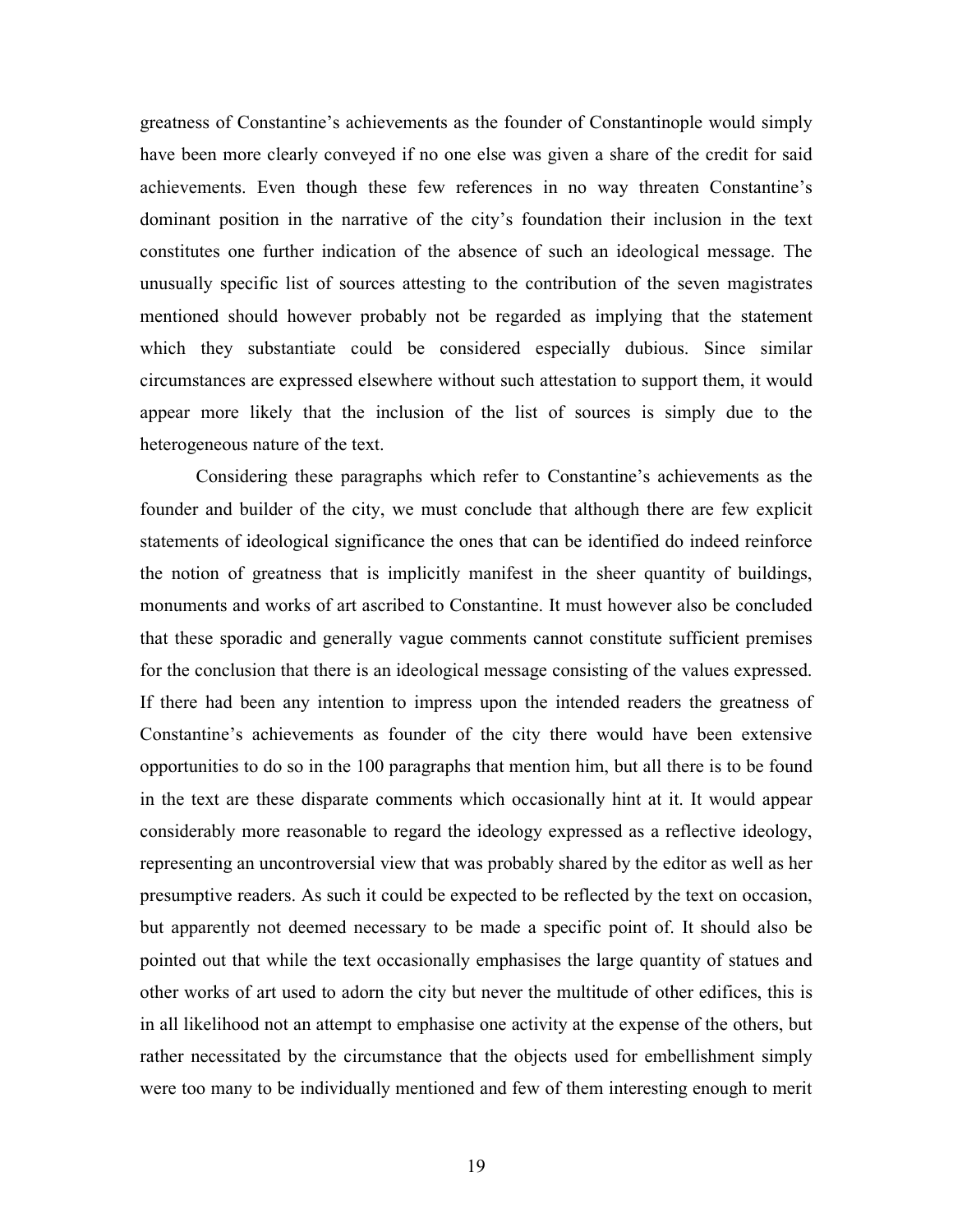greatness of Constantine's achievements as the founder of Constantinople would simply have been more clearly conveyed if no one else was given a share of the credit for said achievements. Even though these few references in no way threaten Constantine's dominant position in the narrative of the city's foundation their inclusion in the text constitutes one further indication of the absence of such an ideological message. The unusually specific list of sources attesting to the contribution of the seven magistrates mentioned should however probably not be regarded as implying that the statement which they substantiate could be considered especially dubious. Since similar circumstances are expressed elsewhere without such attestation to support them, it would appear more likely that the inclusion of the list of sources is simply due to the heterogeneous nature of the text.

Considering these paragraphs which refer to Constantine's achievements as the founder and builder of the city, we must conclude that although there are few explicit statements of ideological significance the ones that can be identified do indeed reinforce the notion of greatness that is implicitly manifest in the sheer quantity of buildings, monuments and works of art ascribed to Constantine. It must however also be concluded that these sporadic and generally vague comments cannot constitute sufficient premises for the conclusion that there is an ideological message consisting of the values expressed. If there had been any intention to impress upon the intended readers the greatness of Constantine's achievements as founder of the city there would have been extensive opportunities to do so in the 100 paragraphs that mention him, but all there is to be found in the text are these disparate comments which occasionally hint at it. It would appear considerably more reasonable to regard the ideology expressed as a reflective ideology, representing an uncontroversial view that was probably shared by the editor as well as her presumptive readers. As such it could be expected to be reflected by the text on occasion, but apparently not deemed necessary to be made a specific point of. It should also be pointed out that while the text occasionally emphasises the large quantity of statues and other works of art used to adorn the city but never the multitude of other edifices, this is in all likelihood not an attempt to emphasise one activity at the expense of the others, but rather necessitated by the circumstance that the objects used for embellishment simply were too many to be individually mentioned and few of them interesting enough to merit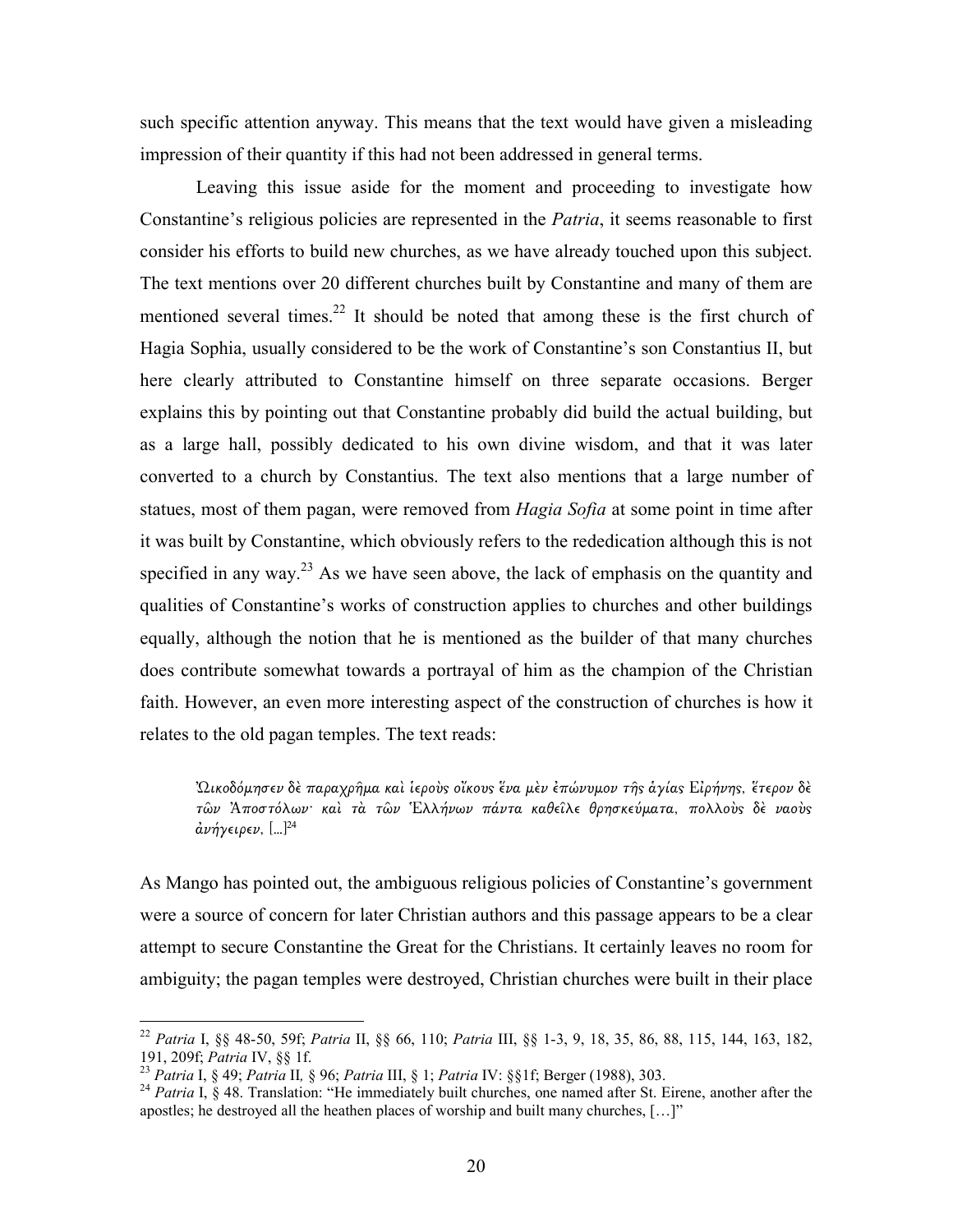such specific attention anyway. This means that the text would have given a misleading impression of their quantity if this had not been addressed in general terms.

Leaving this issue aside for the moment and proceeding to investigate how Constantine's religious policies are represented in the *Patria*, it seems reasonable to first consider his efforts to build new churches, as we have already touched upon this subject. The text mentions over 20 different churches built by Constantine and many of them are mentioned several times.<sup>22</sup> It should be noted that among these is the first church of Hagia Sophia, usually considered to be the work of Constantine's son Constantius II, but here clearly attributed to Constantine himself on three separate occasions. Berger explains this by pointing out that Constantine probably did build the actual building, but as a large hall, possibly dedicated to his own divine wisdom, and that it was later converted to a church by Constantius. The text also mentions that a large number of statues, most of them pagan, were removed from *Hagia Sofia* at some point in time after it was built by Constantine, which obviously refers to the rededication although this is not specified in any way.<sup>23</sup> As we have seen above, the lack of emphasis on the quantity and qualities of Constantine's works of construction applies to churches and other buildings equally, although the notion that he is mentioned as the builder of that many churches does contribute somewhat towards a portrayal of him as the champion of the Christian faith. However, an even more interesting aspect of the construction of churches is how it relates to the old pagan temples. The text reads:

<u>'</u>Ωικοδόμησεν δὲ παραχρῆμα καὶ ἱεροὺς οἴκους ἕνα μὲν ἐπώνυμον τῆς ἁγίας Εἰρήνης, ἕτερον δὲ τῶν Ἀποστόλων· καὶ τὰ τῶν Ἑλλήνων πάντα καθείλε θρησκεύματα, πολλοὺς δὲ ναοὺς ἀνήγειρεν, […]<sup>24</sup>

As Mango has pointed out, the ambiguous religious policies of Constantine's government were a source of concern for later Christian authors and this passage appears to be a clear attempt to secure Constantine the Great for the Christians. It certainly leaves no room for ambiguity; the pagan temples were destroyed, Christian churches were built in their place

<sup>22</sup> Patria I, §§ 48-50, 59f; Patria II, §§ 66, 110; Patria III, §§ 1-3, 9, 18, 35, 86, 88, 115, 144, 163, 182, 191, 209f; Patria IV, §§ 1f.

<sup>&</sup>lt;sup>23</sup> Patria I, § 49; Patria II, § 96; Patria III, § 1; Patria IV: §§1f; Berger (1988), 303.

<sup>&</sup>lt;sup>24</sup> Patria I, § 48. Translation: "He immediately built churches, one named after St. Eirene, another after the apostles; he destroyed all the heathen places of worship and built many churches, […]"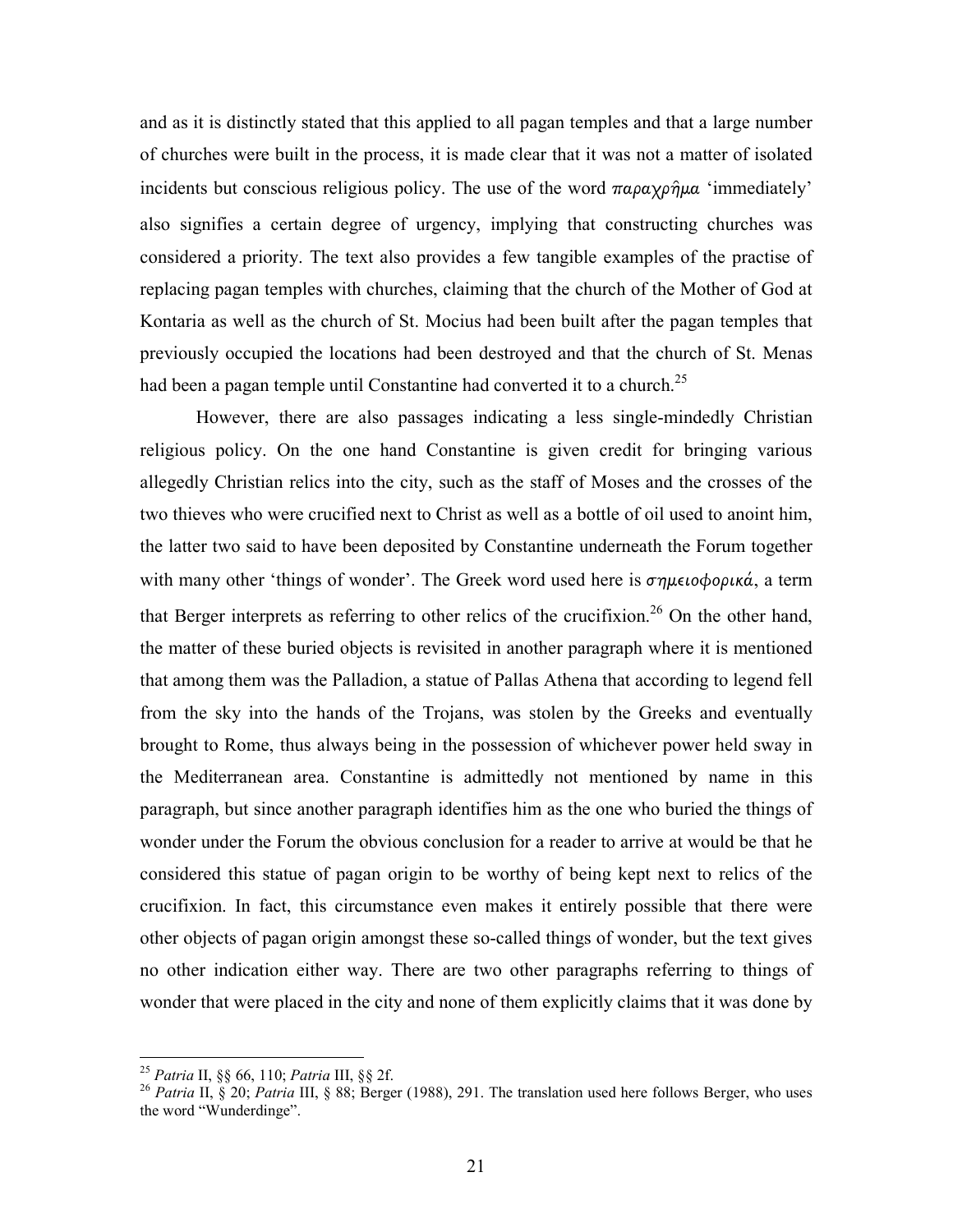and as it is distinctly stated that this applied to all pagan temples and that a large number of churches were built in the process, it is made clear that it was not a matter of isolated incidents but conscious religious policy. The use of the word  $\pi a \rho a \chi \rho \hat{\eta} \mu a$  'immediately' also signifies a certain degree of urgency, implying that constructing churches was considered a priority. The text also provides a few tangible examples of the practise of replacing pagan temples with churches, claiming that the church of the Mother of God at Kontaria as well as the church of St. Mocius had been built after the pagan temples that previously occupied the locations had been destroyed and that the church of St. Menas had been a pagan temple until Constantine had converted it to a church.<sup>25</sup>

 However, there are also passages indicating a less single-mindedly Christian religious policy. On the one hand Constantine is given credit for bringing various allegedly Christian relics into the city, such as the staff of Moses and the crosses of the two thieves who were crucified next to Christ as well as a bottle of oil used to anoint him, the latter two said to have been deposited by Constantine underneath the Forum together with many other 'things of wonder'. The Greek word used here is σηµειοφορικά, a term that Berger interprets as referring to other relics of the crucifixion.<sup>26</sup> On the other hand, the matter of these buried objects is revisited in another paragraph where it is mentioned that among them was the Palladion, a statue of Pallas Athena that according to legend fell from the sky into the hands of the Trojans, was stolen by the Greeks and eventually brought to Rome, thus always being in the possession of whichever power held sway in the Mediterranean area. Constantine is admittedly not mentioned by name in this paragraph, but since another paragraph identifies him as the one who buried the things of wonder under the Forum the obvious conclusion for a reader to arrive at would be that he considered this statue of pagan origin to be worthy of being kept next to relics of the crucifixion. In fact, this circumstance even makes it entirely possible that there were other objects of pagan origin amongst these so-called things of wonder, but the text gives no other indication either way. There are two other paragraphs referring to things of wonder that were placed in the city and none of them explicitly claims that it was done by

<sup>&</sup>lt;sup>25</sup> Patria II, §§ 66, 110; Patria III, §§ 2f.

<sup>&</sup>lt;sup>26</sup> Patria II, § 20; Patria III, § 88; Berger (1988), 291. The translation used here follows Berger, who uses the word "Wunderdinge".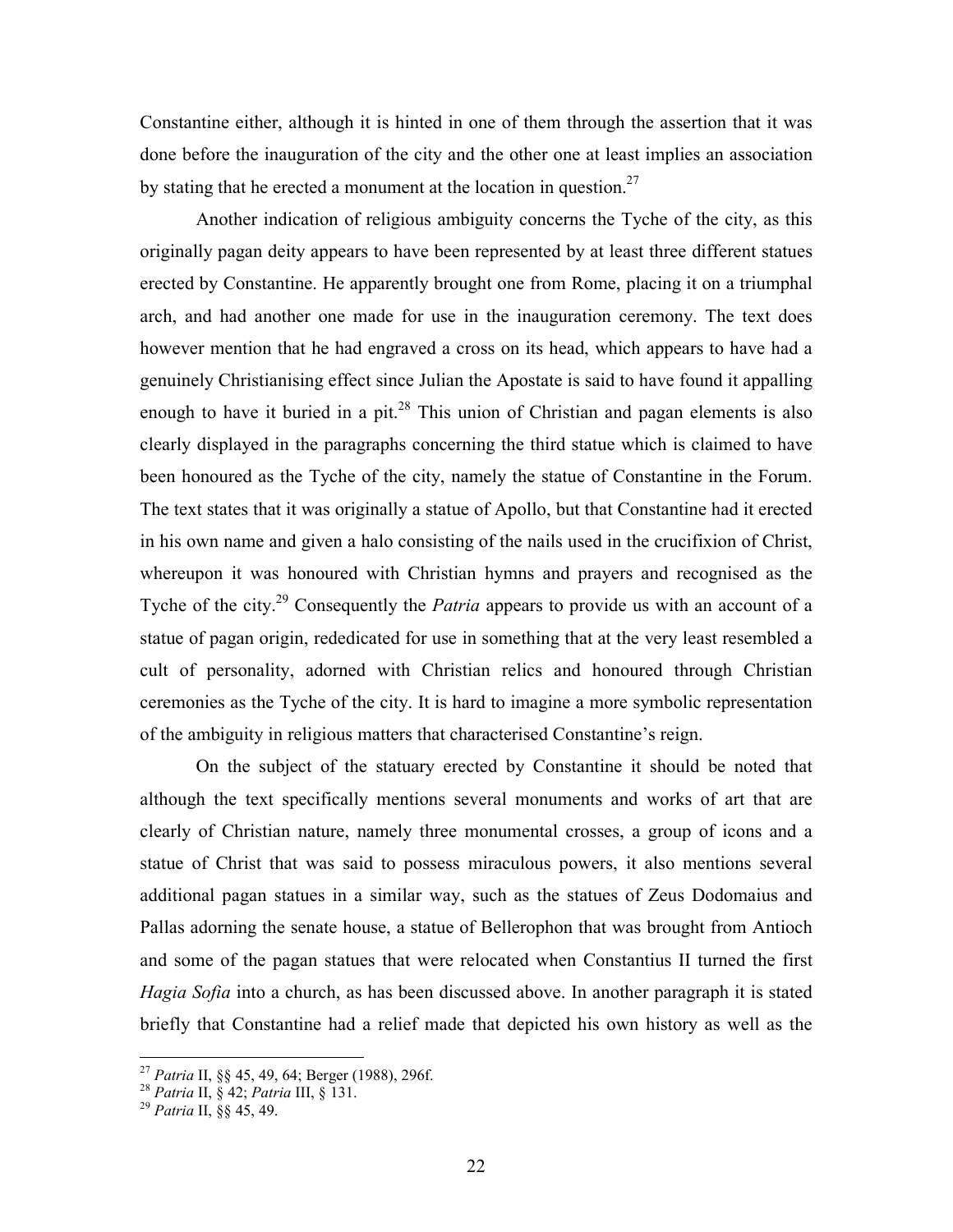Constantine either, although it is hinted in one of them through the assertion that it was done before the inauguration of the city and the other one at least implies an association by stating that he erected a monument at the location in question.<sup>27</sup>

 Another indication of religious ambiguity concerns the Tyche of the city, as this originally pagan deity appears to have been represented by at least three different statues erected by Constantine. He apparently brought one from Rome, placing it on a triumphal arch, and had another one made for use in the inauguration ceremony. The text does however mention that he had engraved a cross on its head, which appears to have had a genuinely Christianising effect since Julian the Apostate is said to have found it appalling enough to have it buried in a pit. $^{28}$  This union of Christian and pagan elements is also clearly displayed in the paragraphs concerning the third statue which is claimed to have been honoured as the Tyche of the city, namely the statue of Constantine in the Forum. The text states that it was originally a statue of Apollo, but that Constantine had it erected in his own name and given a halo consisting of the nails used in the crucifixion of Christ, whereupon it was honoured with Christian hymns and prayers and recognised as the Tyche of the city.<sup>29</sup> Consequently the *Patria* appears to provide us with an account of a statue of pagan origin, rededicated for use in something that at the very least resembled a cult of personality, adorned with Christian relics and honoured through Christian ceremonies as the Tyche of the city. It is hard to imagine a more symbolic representation of the ambiguity in religious matters that characterised Constantine's reign.

 On the subject of the statuary erected by Constantine it should be noted that although the text specifically mentions several monuments and works of art that are clearly of Christian nature, namely three monumental crosses, a group of icons and a statue of Christ that was said to possess miraculous powers, it also mentions several additional pagan statues in a similar way, such as the statues of Zeus Dodomaius and Pallas adorning the senate house, a statue of Bellerophon that was brought from Antioch and some of the pagan statues that were relocated when Constantius II turned the first Hagia Sofia into a church, as has been discussed above. In another paragraph it is stated briefly that Constantine had a relief made that depicted his own history as well as the

<sup>&</sup>lt;sup>27</sup> Patria II, §§ 45, 49, 64; Berger (1988), 296f.

<sup>&</sup>lt;sup>28</sup> Patria II, § 42; Patria III, § 131.

<sup>&</sup>lt;sup>29</sup> Patria II, §§ 45, 49.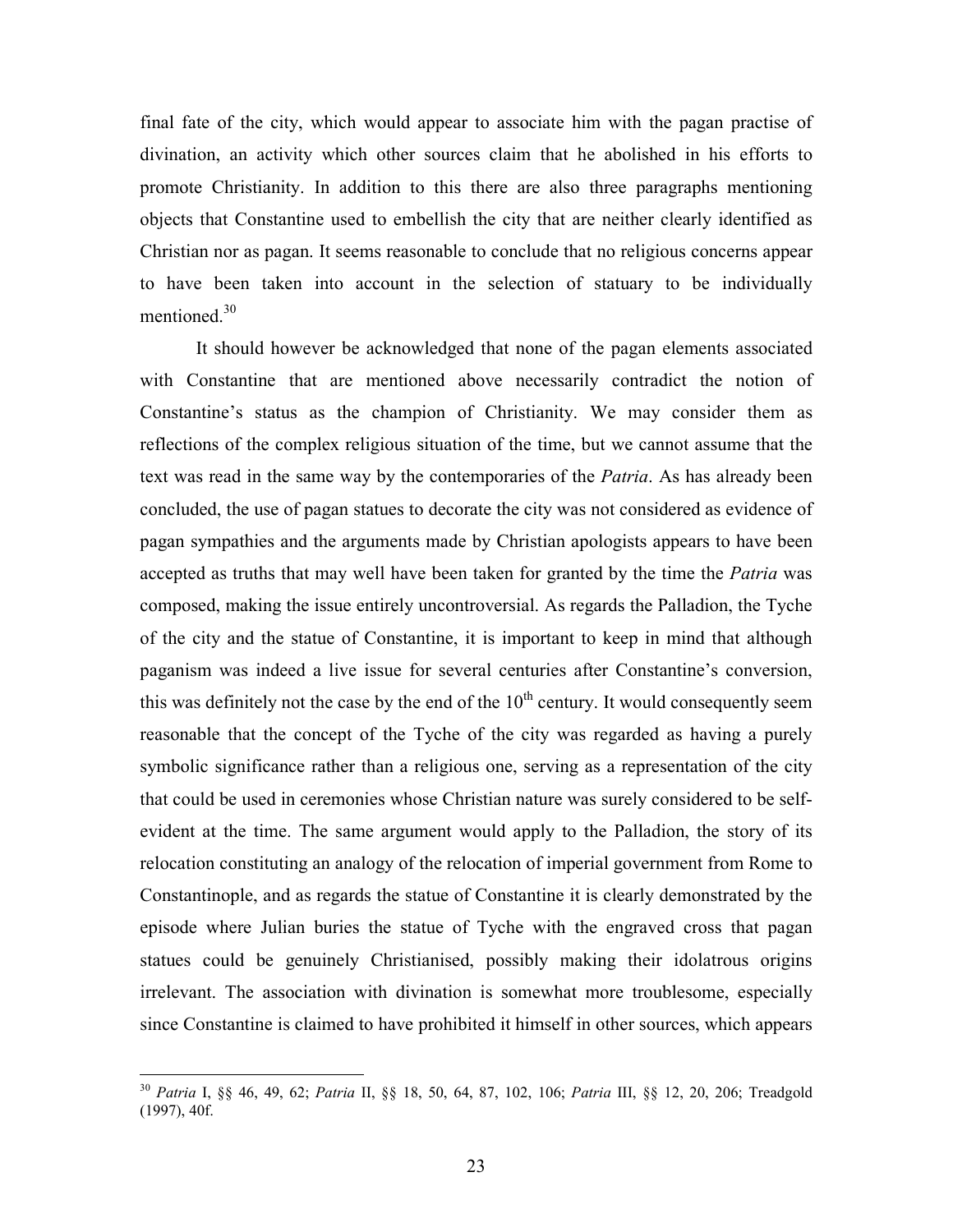final fate of the city, which would appear to associate him with the pagan practise of divination, an activity which other sources claim that he abolished in his efforts to promote Christianity. In addition to this there are also three paragraphs mentioning objects that Constantine used to embellish the city that are neither clearly identified as Christian nor as pagan. It seems reasonable to conclude that no religious concerns appear to have been taken into account in the selection of statuary to be individually mentioned.<sup>30</sup>

 It should however be acknowledged that none of the pagan elements associated with Constantine that are mentioned above necessarily contradict the notion of Constantine's status as the champion of Christianity. We may consider them as reflections of the complex religious situation of the time, but we cannot assume that the text was read in the same way by the contemporaries of the *Patria*. As has already been concluded, the use of pagan statues to decorate the city was not considered as evidence of pagan sympathies and the arguments made by Christian apologists appears to have been accepted as truths that may well have been taken for granted by the time the *Patria* was composed, making the issue entirely uncontroversial. As regards the Palladion, the Tyche of the city and the statue of Constantine, it is important to keep in mind that although paganism was indeed a live issue for several centuries after Constantine's conversion, this was definitely not the case by the end of the  $10<sup>th</sup>$  century. It would consequently seem reasonable that the concept of the Tyche of the city was regarded as having a purely symbolic significance rather than a religious one, serving as a representation of the city that could be used in ceremonies whose Christian nature was surely considered to be selfevident at the time. The same argument would apply to the Palladion, the story of its relocation constituting an analogy of the relocation of imperial government from Rome to Constantinople, and as regards the statue of Constantine it is clearly demonstrated by the episode where Julian buries the statue of Tyche with the engraved cross that pagan statues could be genuinely Christianised, possibly making their idolatrous origins irrelevant. The association with divination is somewhat more troublesome, especially since Constantine is claimed to have prohibited it himself in other sources, which appears

<sup>&</sup>lt;sup>30</sup> Patria I, §§ 46, 49, 62; Patria II, §§ 18, 50, 64, 87, 102, 106; Patria III, §§ 12, 20, 206; Treadgold (1997), 40f.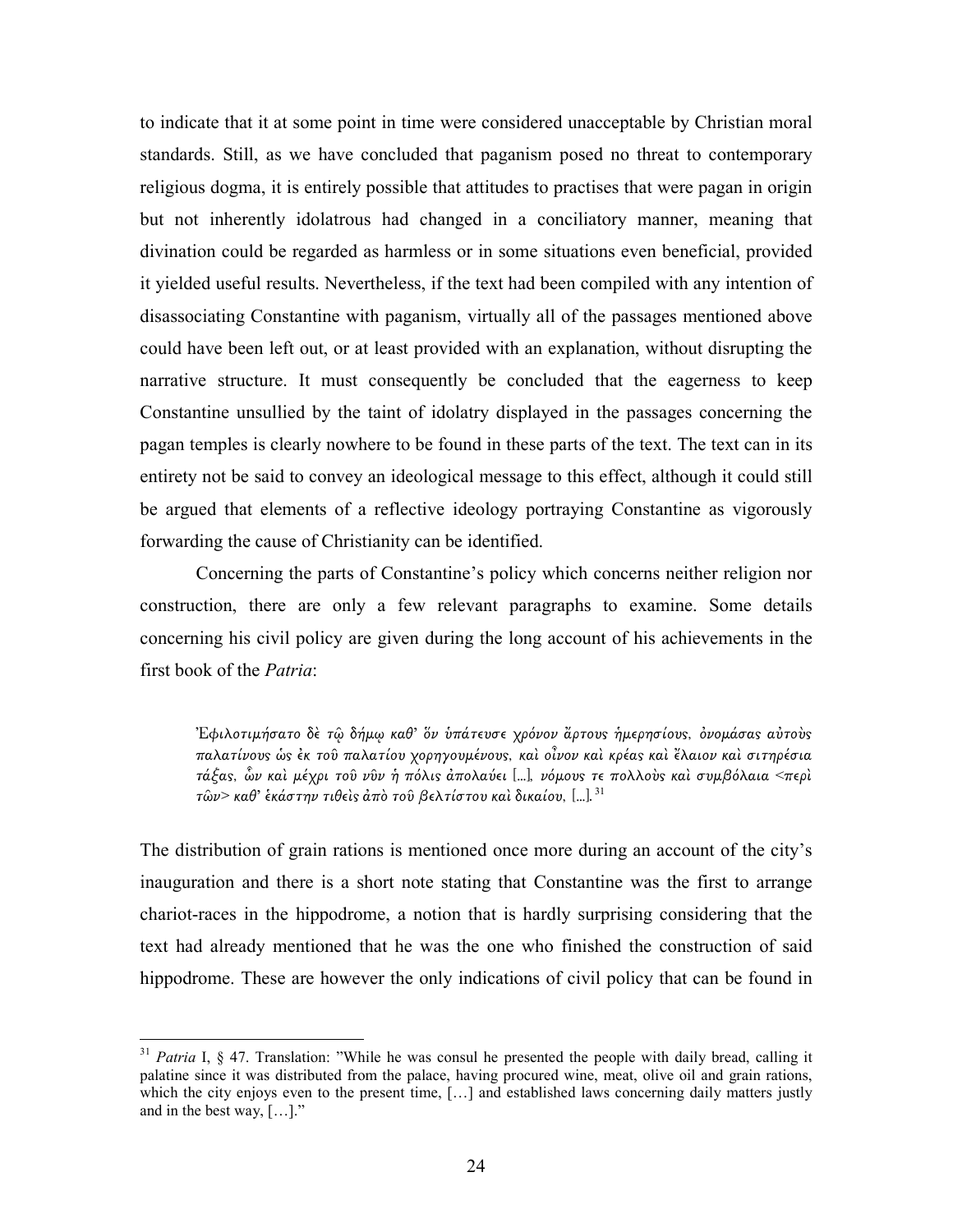to indicate that it at some point in time were considered unacceptable by Christian moral standards. Still, as we have concluded that paganism posed no threat to contemporary religious dogma, it is entirely possible that attitudes to practises that were pagan in origin but not inherently idolatrous had changed in a conciliatory manner, meaning that divination could be regarded as harmless or in some situations even beneficial, provided it yielded useful results. Nevertheless, if the text had been compiled with any intention of disassociating Constantine with paganism, virtually all of the passages mentioned above could have been left out, or at least provided with an explanation, without disrupting the narrative structure. It must consequently be concluded that the eagerness to keep Constantine unsullied by the taint of idolatry displayed in the passages concerning the pagan temples is clearly nowhere to be found in these parts of the text. The text can in its entirety not be said to convey an ideological message to this effect, although it could still be argued that elements of a reflective ideology portraying Constantine as vigorously forwarding the cause of Christianity can be identified.

 Concerning the parts of Constantine's policy which concerns neither religion nor construction, there are only a few relevant paragraphs to examine. Some details concerning his civil policy are given during the long account of his achievements in the first book of the Patria:

Έφιλοτιμήσατο δὲ τῶ δήμῳ καθ' ὅν ὑπάτευσε χρόνον ἄρτους ἡμερησίους, ὀνομάσας αὐτοὺς παλατίνους ὡς ἐκ τοῦ παλατίου χορηγουμένους, καὶ οἶνον καὶ κρέας καὶ ἔλαιον καὶ σιτηρέσια τάξας, ὧν καὶ μέχρι τοῦ νῦν ἡ πόλις ἀπολαύει [...], νόμους τε πολλοὺς καὶ συμβόλαια <περὶ  $\tau$ ῶν> καθ' ἑκάστην τιθεὶς ἀπὸ τοῦ βελτίστου καὶ δικαίου, [...]. <sup>31</sup>

The distribution of grain rations is mentioned once more during an account of the city's inauguration and there is a short note stating that Constantine was the first to arrange chariot-races in the hippodrome, a notion that is hardly surprising considering that the text had already mentioned that he was the one who finished the construction of said hippodrome. These are however the only indications of civil policy that can be found in

 $31$  Patria I, § 47. Translation: "While he was consul he presented the people with daily bread, calling it palatine since it was distributed from the palace, having procured wine, meat, olive oil and grain rations, which the city enjoys even to the present time, [...] and established laws concerning daily matters justly and in the best way, […]."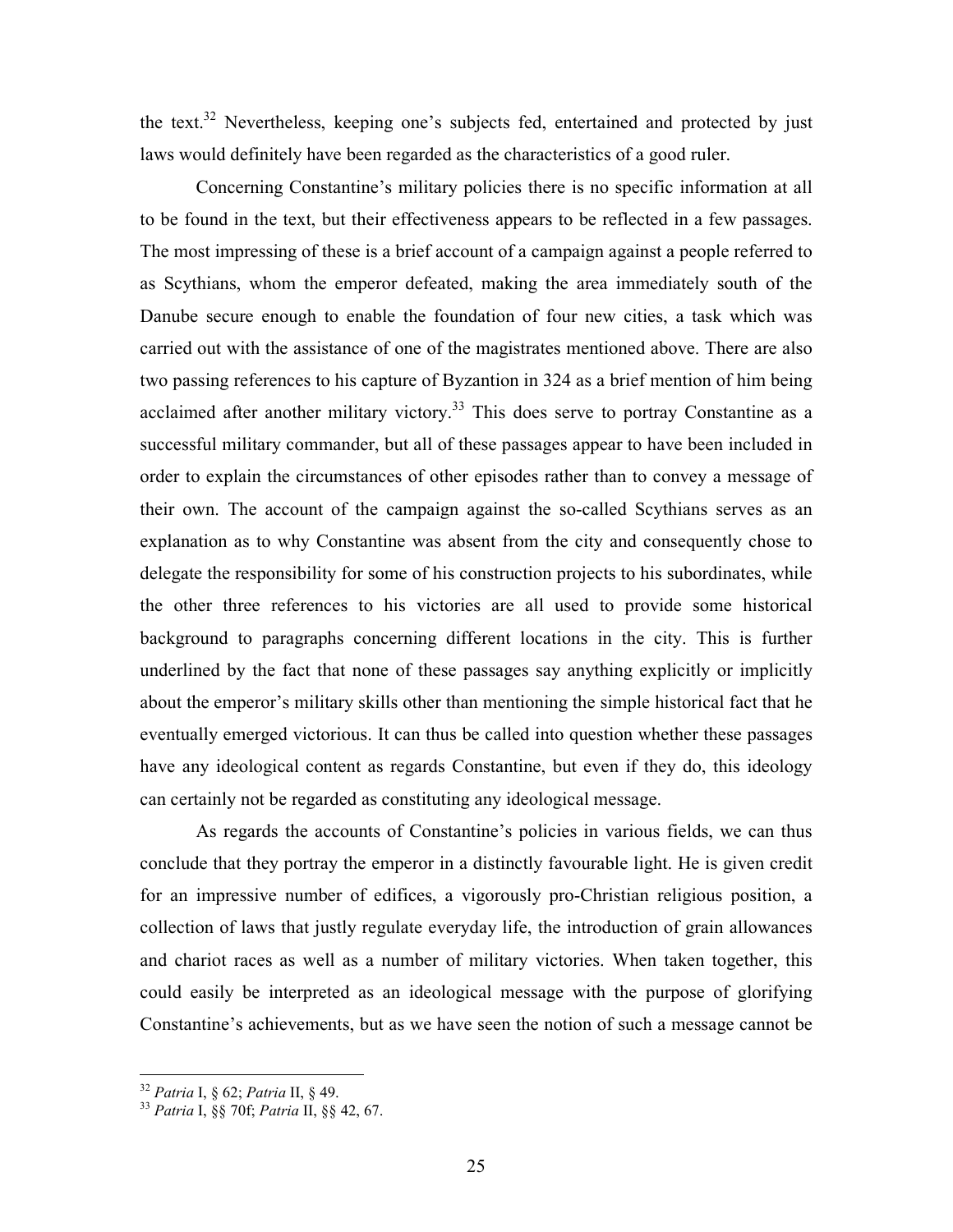the text.<sup>32</sup> Nevertheless, keeping one's subjects fed, entertained and protected by just laws would definitely have been regarded as the characteristics of a good ruler.

Concerning Constantine's military policies there is no specific information at all to be found in the text, but their effectiveness appears to be reflected in a few passages. The most impressing of these is a brief account of a campaign against a people referred to as Scythians, whom the emperor defeated, making the area immediately south of the Danube secure enough to enable the foundation of four new cities, a task which was carried out with the assistance of one of the magistrates mentioned above. There are also two passing references to his capture of Byzantion in 324 as a brief mention of him being acclaimed after another military victory.<sup>33</sup> This does serve to portray Constantine as a successful military commander, but all of these passages appear to have been included in order to explain the circumstances of other episodes rather than to convey a message of their own. The account of the campaign against the so-called Scythians serves as an explanation as to why Constantine was absent from the city and consequently chose to delegate the responsibility for some of his construction projects to his subordinates, while the other three references to his victories are all used to provide some historical background to paragraphs concerning different locations in the city. This is further underlined by the fact that none of these passages say anything explicitly or implicitly about the emperor's military skills other than mentioning the simple historical fact that he eventually emerged victorious. It can thus be called into question whether these passages have any ideological content as regards Constantine, but even if they do, this ideology can certainly not be regarded as constituting any ideological message.

As regards the accounts of Constantine's policies in various fields, we can thus conclude that they portray the emperor in a distinctly favourable light. He is given credit for an impressive number of edifices, a vigorously pro-Christian religious position, a collection of laws that justly regulate everyday life, the introduction of grain allowances and chariot races as well as a number of military victories. When taken together, this could easily be interpreted as an ideological message with the purpose of glorifying Constantine's achievements, but as we have seen the notion of such a message cannot be

 $32$  Patria I, § 62; Patria II, § 49.

<sup>33</sup> Patria I, §§ 70f; Patria II, §§ 42, 67.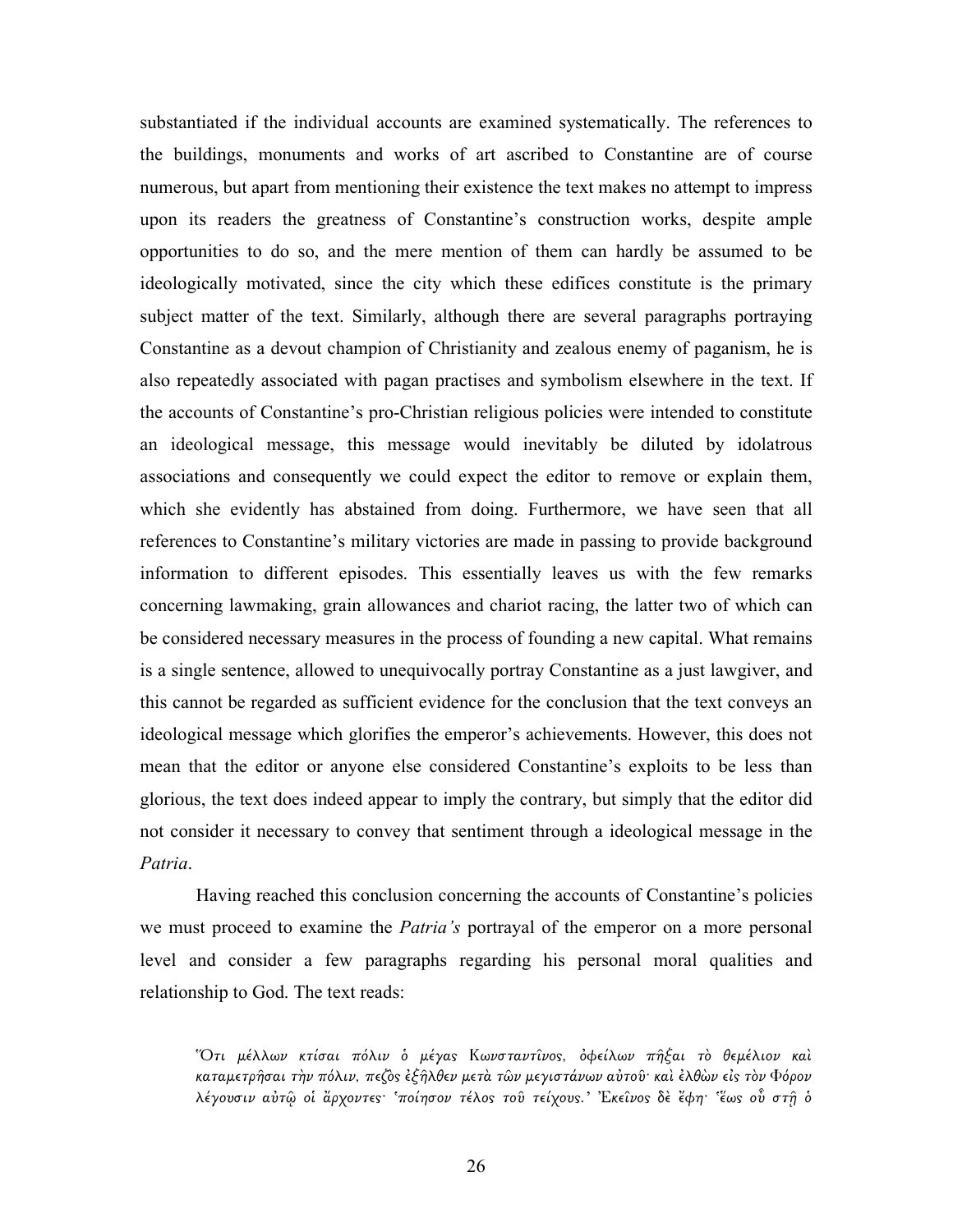substantiated if the individual accounts are examined systematically. The references to the buildings, monuments and works of art ascribed to Constantine are of course numerous, but apart from mentioning their existence the text makes no attempt to impress upon its readers the greatness of Constantine's construction works, despite ample opportunities to do so, and the mere mention of them can hardly be assumed to be ideologically motivated, since the city which these edifices constitute is the primary subject matter of the text. Similarly, although there are several paragraphs portraying Constantine as a devout champion of Christianity and zealous enemy of paganism, he is also repeatedly associated with pagan practises and symbolism elsewhere in the text. If the accounts of Constantine's pro-Christian religious policies were intended to constitute an ideological message, this message would inevitably be diluted by idolatrous associations and consequently we could expect the editor to remove or explain them, which she evidently has abstained from doing. Furthermore, we have seen that all references to Constantine's military victories are made in passing to provide background information to different episodes. This essentially leaves us with the few remarks concerning lawmaking, grain allowances and chariot racing, the latter two of which can be considered necessary measures in the process of founding a new capital. What remains is a single sentence, allowed to unequivocally portray Constantine as a just lawgiver, and this cannot be regarded as sufficient evidence for the conclusion that the text conveys an ideological message which glorifies the emperor's achievements. However, this does not mean that the editor or anyone else considered Constantine's exploits to be less than glorious, the text does indeed appear to imply the contrary, but simply that the editor did not consider it necessary to convey that sentiment through a ideological message in the Patria.

Having reached this conclusion concerning the accounts of Constantine's policies we must proceed to examine the *Patria's* portrayal of the emperor on a more personal level and consider a few paragraphs regarding his personal moral qualities and relationship to God. The text reads:

Ὅτι µέλλων κτίσαι πόλιν ὁ µέγα̋ Κωνσταντῖνο̋, ὀφείλων πῆξαι τὸ θεµέλιον καὶ καταμετρῆσαι τὴν πόλιν, πεζὸς ἐξῆλθεν μετὰ τῶν μεγιστάνων αὐτοῦ· καὶ ἐλθὼν εἰς τὸν Φόρον λέγουσιν αὐτῷ οι ἄρχοντες· 'ποίησον τέλος τοῦ τείχους.' Εκείνος δε έφη· 'ἕως ού στῆ ὁ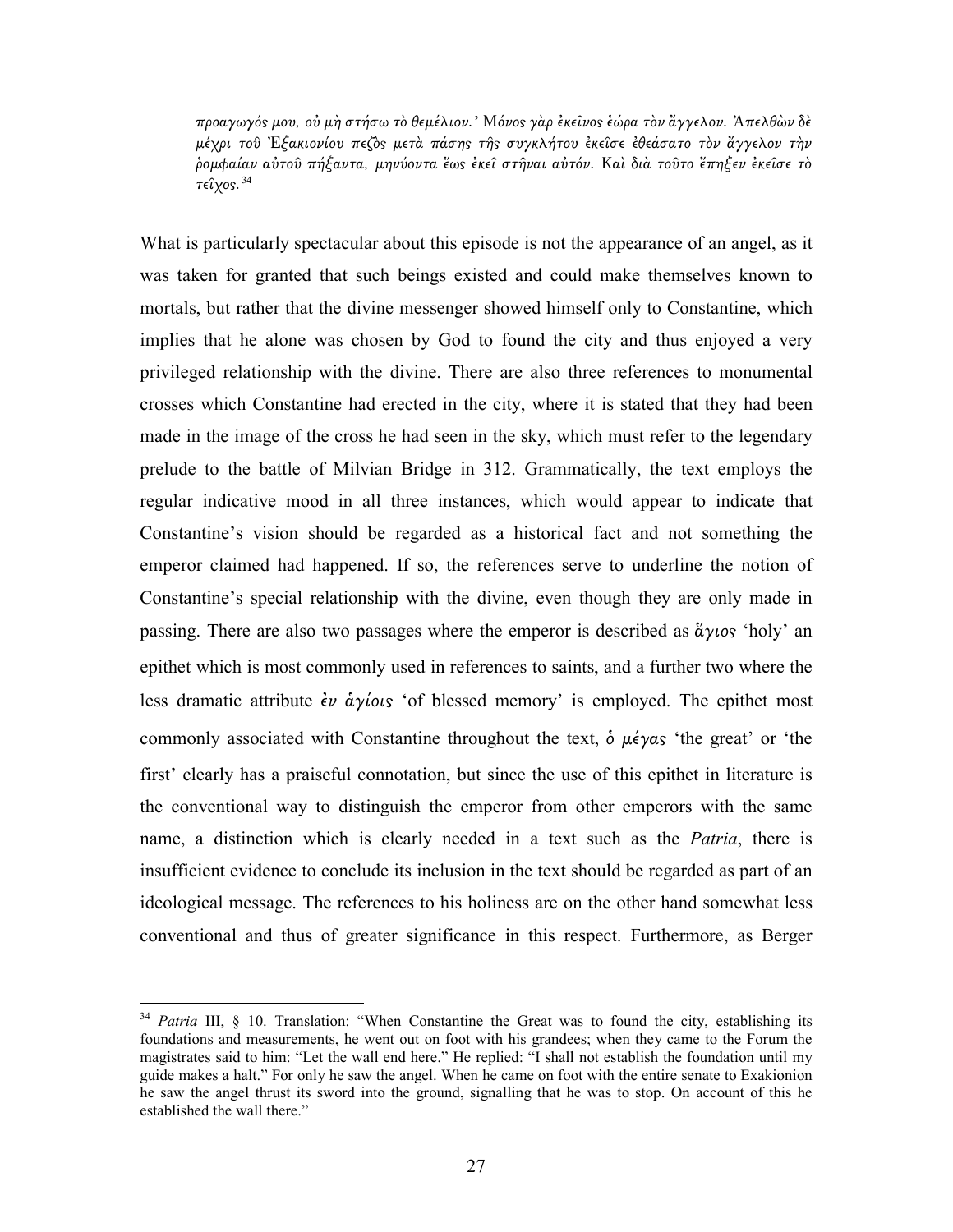προαγωγό̋ µου, οὐ µὴ στήσω τὸ θεµέλιον.' Μόνο̋ γὰρ ἐκεῖνο̋ ἑώρα τὸν ἄγγελον. Ἀπελθὼν δὲ µέχρι τοῦ Ἐξακιονίου πεζὸ̋ µετὰ πάση̋ τῆ̋ συγκλήτου ἐκεῖσε ἐθεάσατο τὸν ἄγγελον τὴν ῥοµφαίαν αὐτοῦ πήξαντα, µηνύοντα ἕω̋ ἐκεῖ στῆναι αὐτόν. Καὶ διὰ τοῦτο ἔπηξεν ἐκεῖσε τὸ τείγος.  $34$ 

What is particularly spectacular about this episode is not the appearance of an angel, as it was taken for granted that such beings existed and could make themselves known to mortals, but rather that the divine messenger showed himself only to Constantine, which implies that he alone was chosen by God to found the city and thus enjoyed a very privileged relationship with the divine. There are also three references to monumental crosses which Constantine had erected in the city, where it is stated that they had been made in the image of the cross he had seen in the sky, which must refer to the legendary prelude to the battle of Milvian Bridge in 312. Grammatically, the text employs the regular indicative mood in all three instances, which would appear to indicate that Constantine's vision should be regarded as a historical fact and not something the emperor claimed had happened. If so, the references serve to underline the notion of Constantine's special relationship with the divine, even though they are only made in passing. There are also two passages where the emperor is described as  $\tilde{\alpha} \gamma \iota \circ \beta$  'holy' an epithet which is most commonly used in references to saints, and a further two where the less dramatic attribute  $\dot{\epsilon}$   $\dot{\alpha}$   $\gamma$ *ious* 'of blessed memory' is employed. The epithet most commonly associated with Constantine throughout the text,  $\delta \mu \acute{\epsilon} \gamma \alpha s$  'the great' or 'the first' clearly has a praiseful connotation, but since the use of this epithet in literature is the conventional way to distinguish the emperor from other emperors with the same name, a distinction which is clearly needed in a text such as the *Patria*, there is insufficient evidence to conclude its inclusion in the text should be regarded as part of an ideological message. The references to his holiness are on the other hand somewhat less conventional and thus of greater significance in this respect. Furthermore, as Berger

 $\overline{a}$ 

 $34$  Patria III, § 10. Translation: "When Constantine the Great was to found the city, establishing its foundations and measurements, he went out on foot with his grandees; when they came to the Forum the magistrates said to him: "Let the wall end here." He replied: "I shall not establish the foundation until my guide makes a halt." For only he saw the angel. When he came on foot with the entire senate to Exakionion he saw the angel thrust its sword into the ground, signalling that he was to stop. On account of this he established the wall there."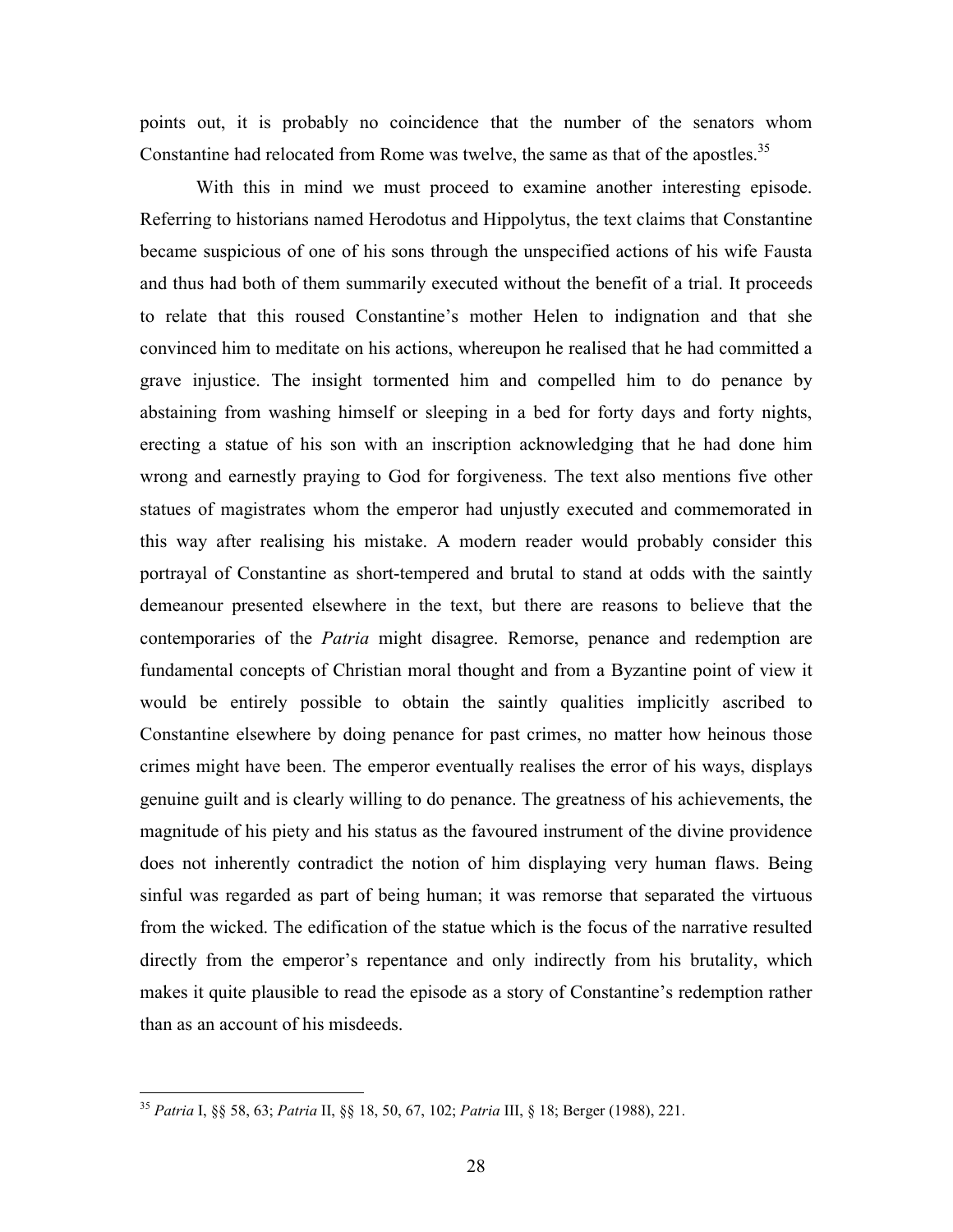points out, it is probably no coincidence that the number of the senators whom Constantine had relocated from Rome was twelve, the same as that of the apostles. $35$ 

 With this in mind we must proceed to examine another interesting episode. Referring to historians named Herodotus and Hippolytus, the text claims that Constantine became suspicious of one of his sons through the unspecified actions of his wife Fausta and thus had both of them summarily executed without the benefit of a trial. It proceeds to relate that this roused Constantine's mother Helen to indignation and that she convinced him to meditate on his actions, whereupon he realised that he had committed a grave injustice. The insight tormented him and compelled him to do penance by abstaining from washing himself or sleeping in a bed for forty days and forty nights, erecting a statue of his son with an inscription acknowledging that he had done him wrong and earnestly praying to God for forgiveness. The text also mentions five other statues of magistrates whom the emperor had unjustly executed and commemorated in this way after realising his mistake. A modern reader would probably consider this portrayal of Constantine as short-tempered and brutal to stand at odds with the saintly demeanour presented elsewhere in the text, but there are reasons to believe that the contemporaries of the *Patria* might disagree. Remorse, penance and redemption are fundamental concepts of Christian moral thought and from a Byzantine point of view it would be entirely possible to obtain the saintly qualities implicitly ascribed to Constantine elsewhere by doing penance for past crimes, no matter how heinous those crimes might have been. The emperor eventually realises the error of his ways, displays genuine guilt and is clearly willing to do penance. The greatness of his achievements, the magnitude of his piety and his status as the favoured instrument of the divine providence does not inherently contradict the notion of him displaying very human flaws. Being sinful was regarded as part of being human; it was remorse that separated the virtuous from the wicked. The edification of the statue which is the focus of the narrative resulted directly from the emperor's repentance and only indirectly from his brutality, which makes it quite plausible to read the episode as a story of Constantine's redemption rather than as an account of his misdeeds.

<sup>&</sup>lt;sup>35</sup> Patria I, §§ 58, 63; Patria II, §§ 18, 50, 67, 102; Patria III, § 18; Berger (1988), 221.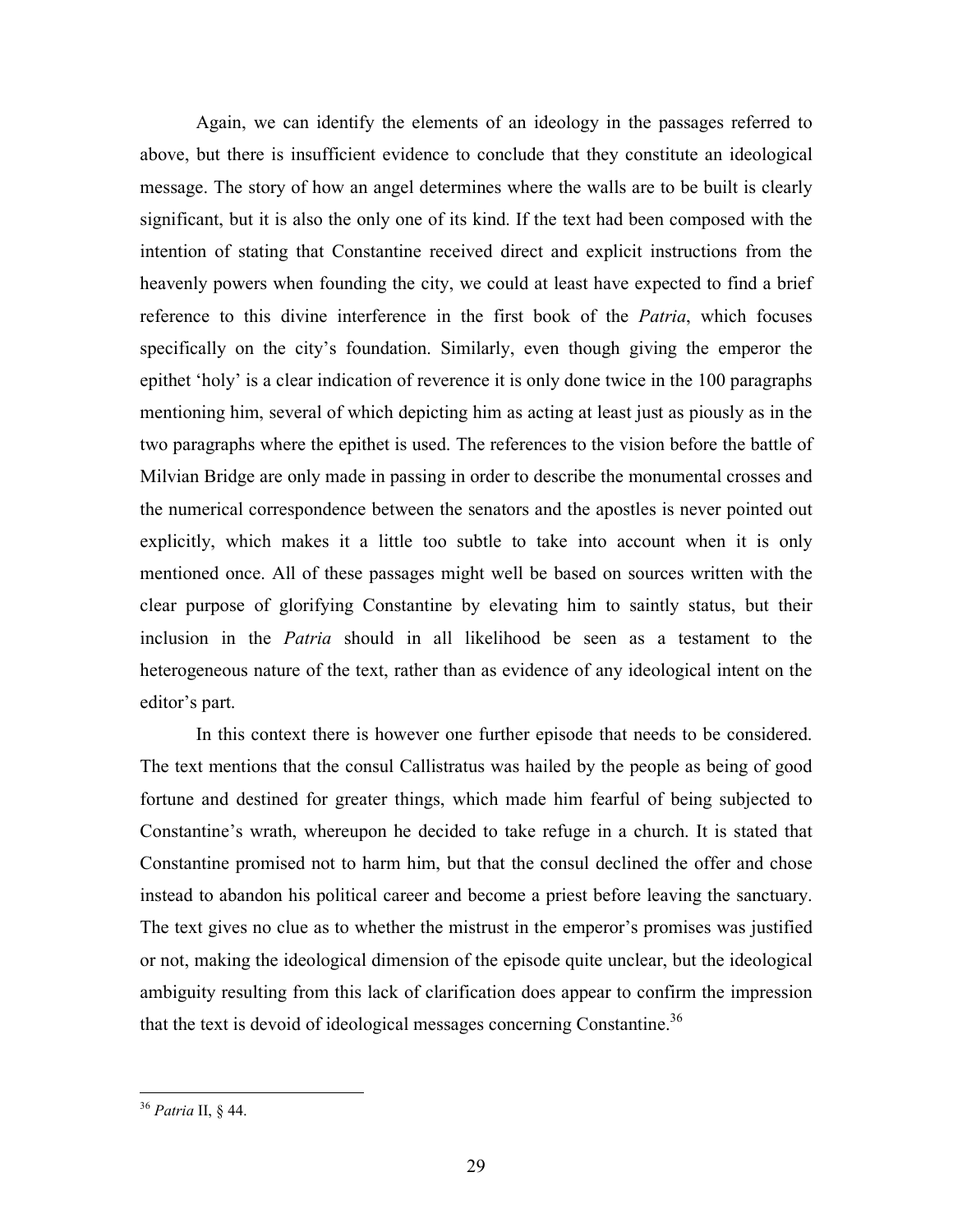Again, we can identify the elements of an ideology in the passages referred to above, but there is insufficient evidence to conclude that they constitute an ideological message. The story of how an angel determines where the walls are to be built is clearly significant, but it is also the only one of its kind. If the text had been composed with the intention of stating that Constantine received direct and explicit instructions from the heavenly powers when founding the city, we could at least have expected to find a brief reference to this divine interference in the first book of the *Patria*, which focuses specifically on the city's foundation. Similarly, even though giving the emperor the epithet 'holy' is a clear indication of reverence it is only done twice in the 100 paragraphs mentioning him, several of which depicting him as acting at least just as piously as in the two paragraphs where the epithet is used. The references to the vision before the battle of Milvian Bridge are only made in passing in order to describe the monumental crosses and the numerical correspondence between the senators and the apostles is never pointed out explicitly, which makes it a little too subtle to take into account when it is only mentioned once. All of these passages might well be based on sources written with the clear purpose of glorifying Constantine by elevating him to saintly status, but their inclusion in the Patria should in all likelihood be seen as a testament to the heterogeneous nature of the text, rather than as evidence of any ideological intent on the editor's part.

In this context there is however one further episode that needs to be considered. The text mentions that the consul Callistratus was hailed by the people as being of good fortune and destined for greater things, which made him fearful of being subjected to Constantine's wrath, whereupon he decided to take refuge in a church. It is stated that Constantine promised not to harm him, but that the consul declined the offer and chose instead to abandon his political career and become a priest before leaving the sanctuary. The text gives no clue as to whether the mistrust in the emperor's promises was justified or not, making the ideological dimension of the episode quite unclear, but the ideological ambiguity resulting from this lack of clarification does appear to confirm the impression that the text is devoid of ideological messages concerning Constantine.<sup>36</sup>

<sup>&</sup>lt;sup>36</sup> Patria II, § 44.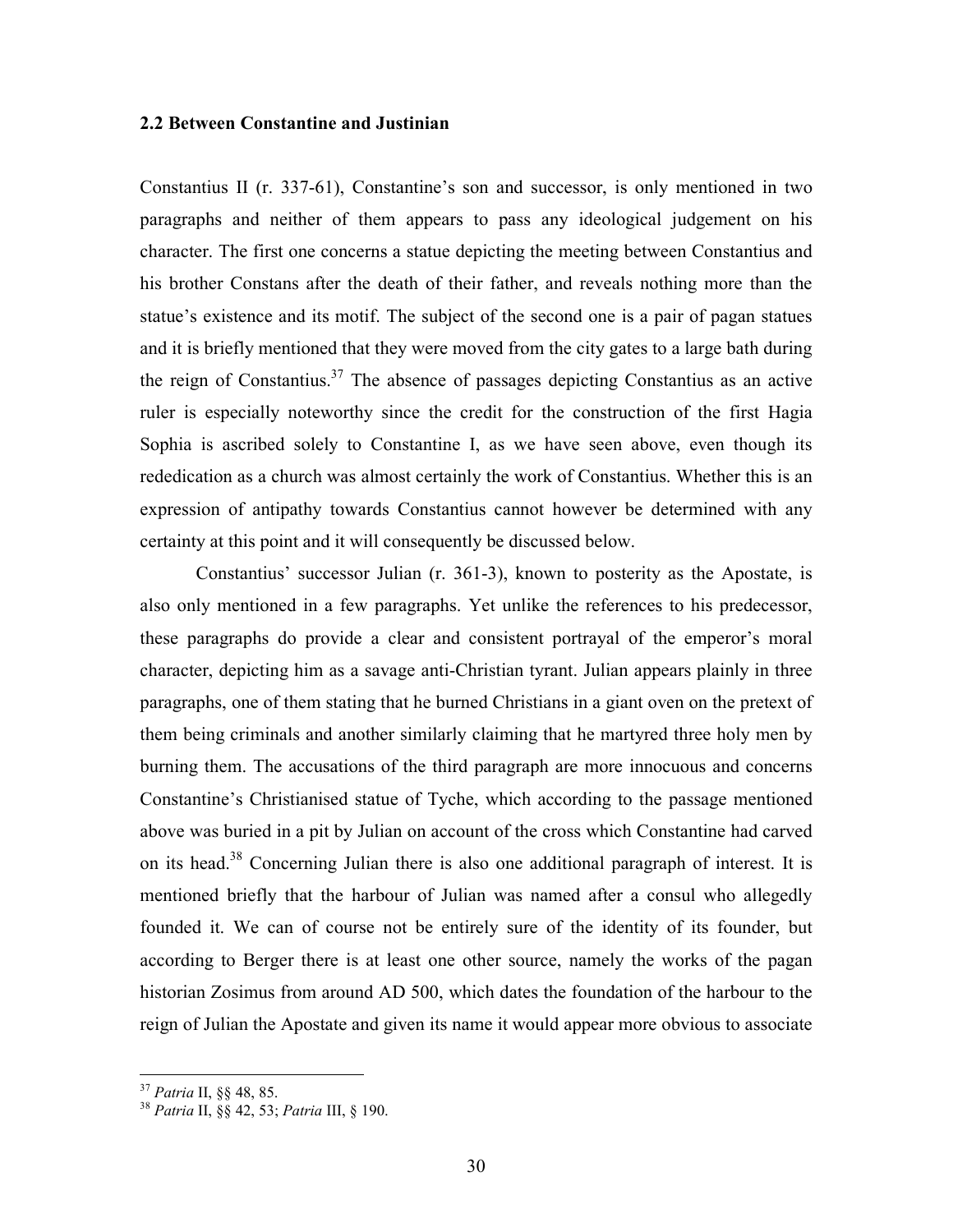#### 2.2 Between Constantine and Justinian

Constantius II (r. 337-61), Constantine's son and successor, is only mentioned in two paragraphs and neither of them appears to pass any ideological judgement on his character. The first one concerns a statue depicting the meeting between Constantius and his brother Constans after the death of their father, and reveals nothing more than the statue's existence and its motif. The subject of the second one is a pair of pagan statues and it is briefly mentioned that they were moved from the city gates to a large bath during the reign of Constantius.<sup>37</sup> The absence of passages depicting Constantius as an active ruler is especially noteworthy since the credit for the construction of the first Hagia Sophia is ascribed solely to Constantine I, as we have seen above, even though its rededication as a church was almost certainly the work of Constantius. Whether this is an expression of antipathy towards Constantius cannot however be determined with any certainty at this point and it will consequently be discussed below.

 Constantius' successor Julian (r. 361-3), known to posterity as the Apostate, is also only mentioned in a few paragraphs. Yet unlike the references to his predecessor, these paragraphs do provide a clear and consistent portrayal of the emperor's moral character, depicting him as a savage anti-Christian tyrant. Julian appears plainly in three paragraphs, one of them stating that he burned Christians in a giant oven on the pretext of them being criminals and another similarly claiming that he martyred three holy men by burning them. The accusations of the third paragraph are more innocuous and concerns Constantine's Christianised statue of Tyche, which according to the passage mentioned above was buried in a pit by Julian on account of the cross which Constantine had carved on its head.<sup>38</sup> Concerning Julian there is also one additional paragraph of interest. It is mentioned briefly that the harbour of Julian was named after a consul who allegedly founded it. We can of course not be entirely sure of the identity of its founder, but according to Berger there is at least one other source, namely the works of the pagan historian Zosimus from around AD 500, which dates the foundation of the harbour to the reign of Julian the Apostate and given its name it would appear more obvious to associate

 $\overline{a}$ 

<sup>&</sup>lt;sup>37</sup> Patria II, §§ 48, 85.

<sup>38</sup> Patria II, §§ 42, 53; Patria III, § 190.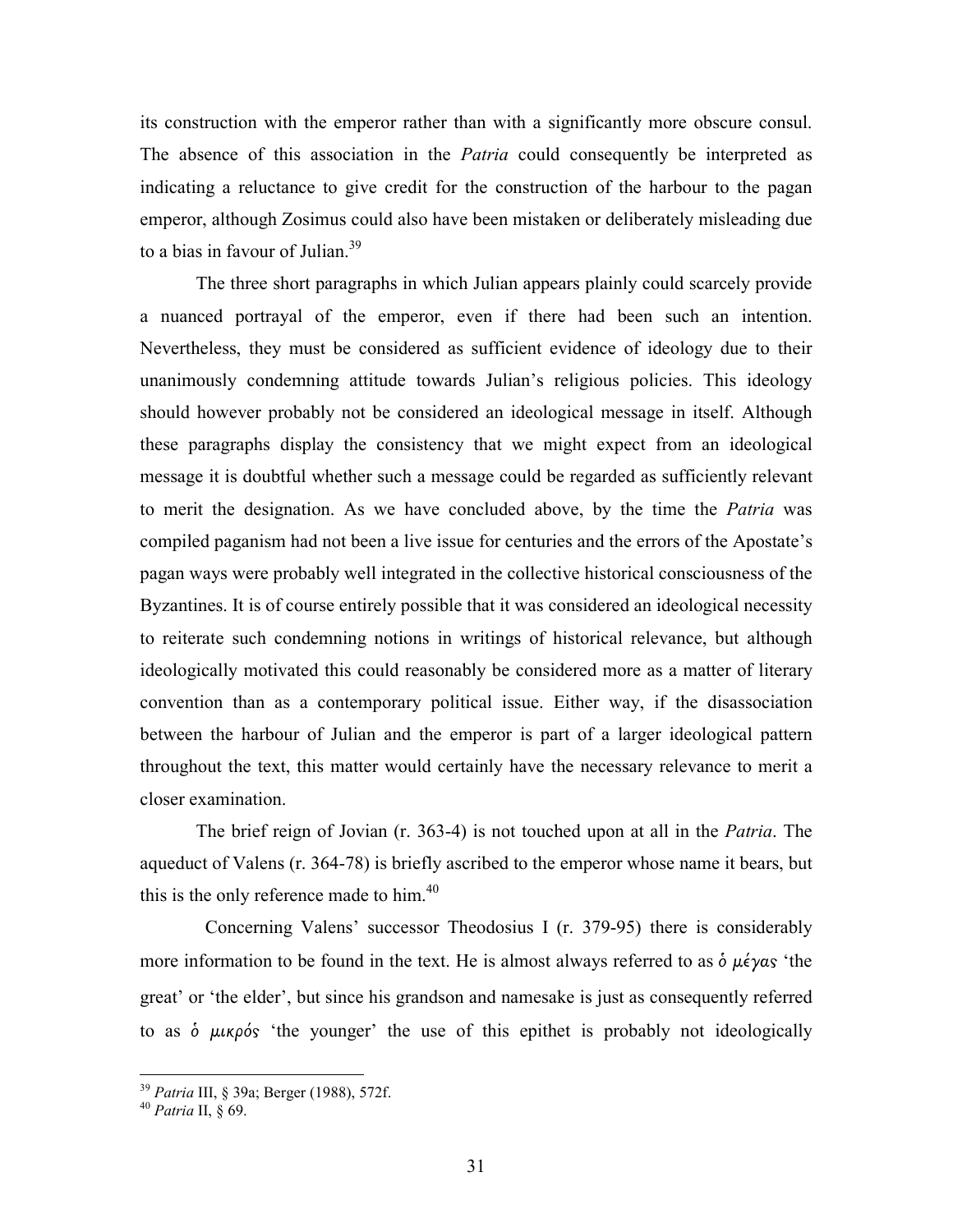its construction with the emperor rather than with a significantly more obscure consul. The absence of this association in the *Patria* could consequently be interpreted as indicating a reluctance to give credit for the construction of the harbour to the pagan emperor, although Zosimus could also have been mistaken or deliberately misleading due to a bias in favour of Julian. $39$ 

 The three short paragraphs in which Julian appears plainly could scarcely provide a nuanced portrayal of the emperor, even if there had been such an intention. Nevertheless, they must be considered as sufficient evidence of ideology due to their unanimously condemning attitude towards Julian's religious policies. This ideology should however probably not be considered an ideological message in itself. Although these paragraphs display the consistency that we might expect from an ideological message it is doubtful whether such a message could be regarded as sufficiently relevant to merit the designation. As we have concluded above, by the time the Patria was compiled paganism had not been a live issue for centuries and the errors of the Apostate's pagan ways were probably well integrated in the collective historical consciousness of the Byzantines. It is of course entirely possible that it was considered an ideological necessity to reiterate such condemning notions in writings of historical relevance, but although ideologically motivated this could reasonably be considered more as a matter of literary convention than as a contemporary political issue. Either way, if the disassociation between the harbour of Julian and the emperor is part of a larger ideological pattern throughout the text, this matter would certainly have the necessary relevance to merit a closer examination.

The brief reign of Jovian (r. 363-4) is not touched upon at all in the *Patria*. The aqueduct of Valens (r. 364-78) is briefly ascribed to the emperor whose name it bears, but this is the only reference made to him. $40$ 

 Concerning Valens' successor Theodosius I (r. 379-95) there is considerably more information to be found in the text. He is almost always referred to as  $\delta \mu \acute{\epsilon} \gamma \alpha s$  'the great' or 'the elder', but since his grandson and namesake is just as consequently referred to as  $\dot{\phi}$   $\mu\nu\rho\dot{\phi}$  'the younger' the use of this epithet is probably not ideologically

 $\overline{a}$ 

<sup>&</sup>lt;sup>39</sup> Patria III, § 39a; Berger (1988), 572f.

 $40$  Patria II,  $\S$  69.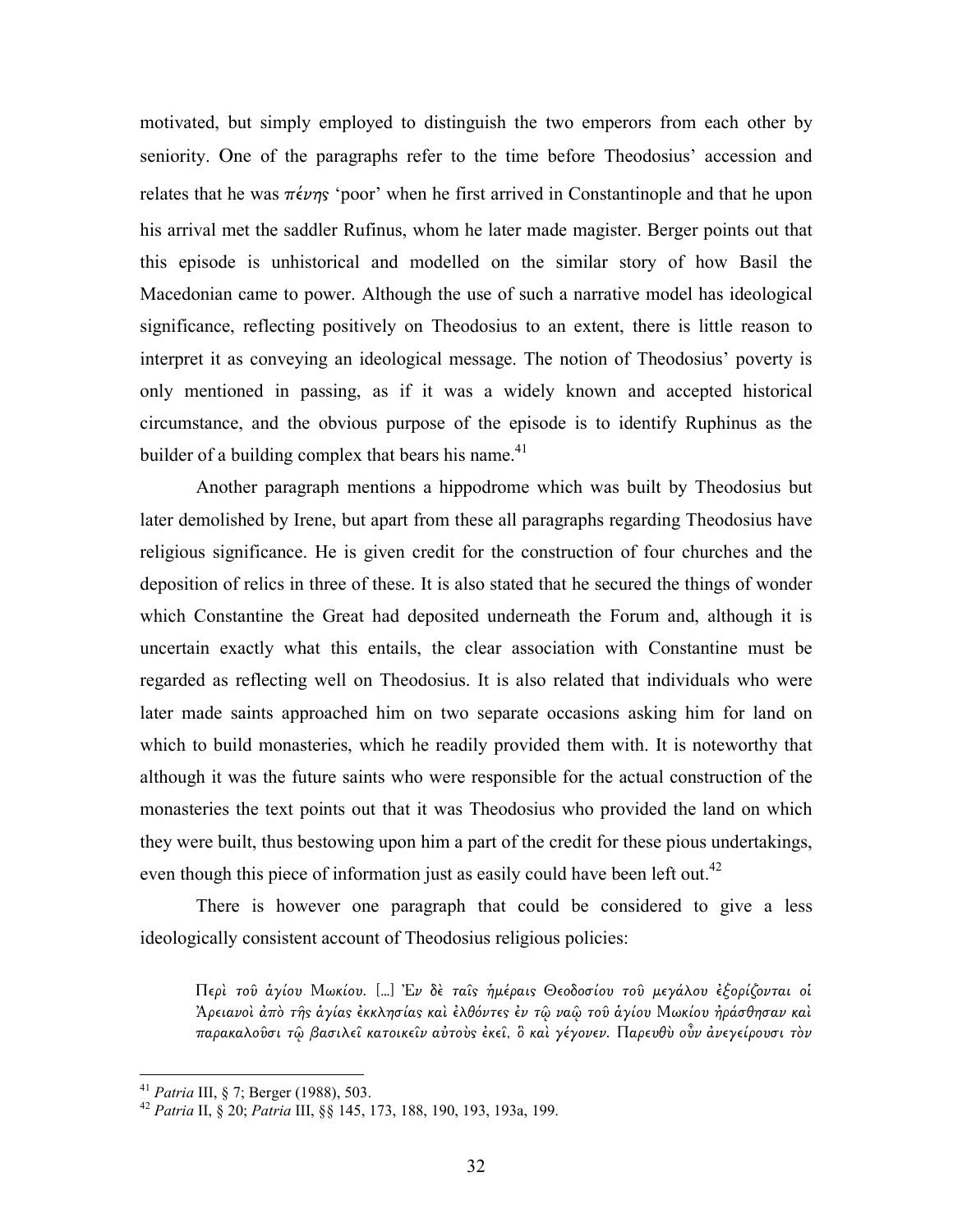motivated, but simply employed to distinguish the two emperors from each other by seniority. One of the paragraphs refer to the time before Theodosius' accession and relates that he was  $\pi \epsilon \nu \eta s$  'poor' when he first arrived in Constantinople and that he upon his arrival met the saddler Rufinus, whom he later made magister. Berger points out that this episode is unhistorical and modelled on the similar story of how Basil the Macedonian came to power. Although the use of such a narrative model has ideological significance, reflecting positively on Theodosius to an extent, there is little reason to interpret it as conveying an ideological message. The notion of Theodosius' poverty is only mentioned in passing, as if it was a widely known and accepted historical circumstance, and the obvious purpose of the episode is to identify Ruphinus as the builder of a building complex that bears his name. $41$ 

 Another paragraph mentions a hippodrome which was built by Theodosius but later demolished by Irene, but apart from these all paragraphs regarding Theodosius have religious significance. He is given credit for the construction of four churches and the deposition of relics in three of these. It is also stated that he secured the things of wonder which Constantine the Great had deposited underneath the Forum and, although it is uncertain exactly what this entails, the clear association with Constantine must be regarded as reflecting well on Theodosius. It is also related that individuals who were later made saints approached him on two separate occasions asking him for land on which to build monasteries, which he readily provided them with. It is noteworthy that although it was the future saints who were responsible for the actual construction of the monasteries the text points out that it was Theodosius who provided the land on which they were built, thus bestowing upon him a part of the credit for these pious undertakings, even though this piece of information just as easily could have been left out.<sup>42</sup>

 There is however one paragraph that could be considered to give a less ideologically consistent account of Theodosius religious policies:

Περὶ τοῦ ἁγίου Μωκίου. […] Ἐν δὲ ταῖ̋ ἡµέραι̋ Θεοδοσίου τοῦ µεγάλου ἐξορίζονται οἱ Ἀρειανοὶ ἀπὸ τῆ̋ ἁγία̋ ἐκκλησία̋ καὶ ἐλθόντε̋ ἐν τῷ ναῷ τοῦ ἁγίου Μωκίου ἠράσθησαν καὶ παρακαλοῦσι τῷ βασιλεῖ κατοικεῖν αὐτοὺς ἐκεῖ, ὃ καὶ γέγονεν. Παρευθὺ οὖν ἀνεγείρουσι τὸν

<sup>&</sup>lt;sup>41</sup> Patria III, § 7; Berger (1988), 503.

<sup>42</sup> Patria II, § 20; Patria III, §§ 145, 173, 188, 190, 193, 193a, 199.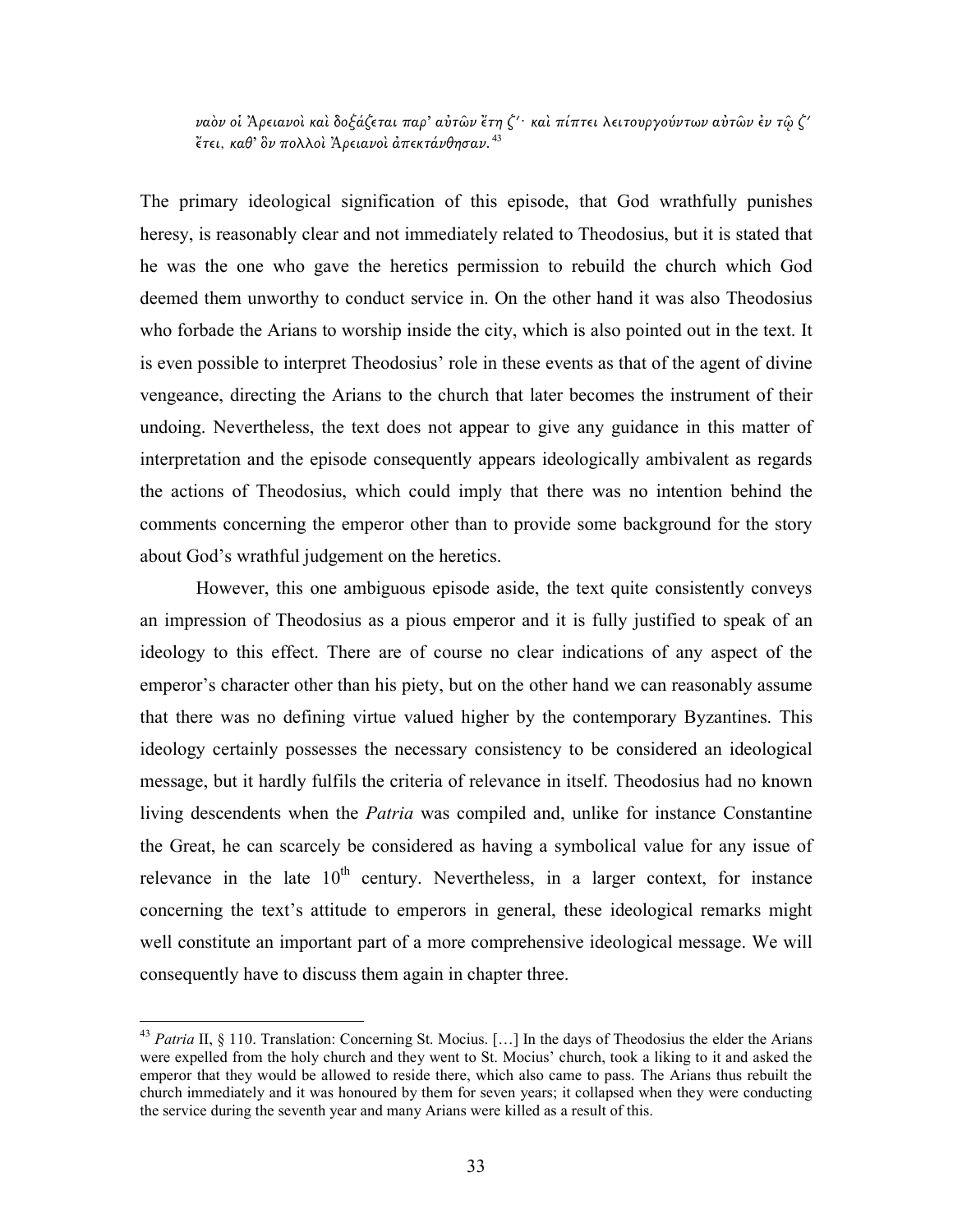ναὸν οἱ Ἀρειανοὶ καὶ δοξάζεται παρ' αὐτῶν ἔτη ζʹ· καὶ πίπτει λειτουργούντων αὐτῶν ἐν τῷ ζʹ ἔτει, καθ' ὃν πολλοὶ Ἀρειανοὶ ἀπεκτάνθησαν.<sup>43</sup>

The primary ideological signification of this episode, that God wrathfully punishes heresy, is reasonably clear and not immediately related to Theodosius, but it is stated that he was the one who gave the heretics permission to rebuild the church which God deemed them unworthy to conduct service in. On the other hand it was also Theodosius who forbade the Arians to worship inside the city, which is also pointed out in the text. It is even possible to interpret Theodosius' role in these events as that of the agent of divine vengeance, directing the Arians to the church that later becomes the instrument of their undoing. Nevertheless, the text does not appear to give any guidance in this matter of interpretation and the episode consequently appears ideologically ambivalent as regards the actions of Theodosius, which could imply that there was no intention behind the comments concerning the emperor other than to provide some background for the story about God's wrathful judgement on the heretics.

 However, this one ambiguous episode aside, the text quite consistently conveys an impression of Theodosius as a pious emperor and it is fully justified to speak of an ideology to this effect. There are of course no clear indications of any aspect of the emperor's character other than his piety, but on the other hand we can reasonably assume that there was no defining virtue valued higher by the contemporary Byzantines. This ideology certainly possesses the necessary consistency to be considered an ideological message, but it hardly fulfils the criteria of relevance in itself. Theodosius had no known living descendents when the *Patria* was compiled and, unlike for instance Constantine the Great, he can scarcely be considered as having a symbolical value for any issue of relevance in the late  $10<sup>th</sup>$  century. Nevertheless, in a larger context, for instance concerning the text's attitude to emperors in general, these ideological remarks might well constitute an important part of a more comprehensive ideological message. We will consequently have to discuss them again in chapter three.

<sup>&</sup>lt;sup>43</sup> Patria II, § 110. Translation: Concerning St. Mocius. [...] In the days of Theodosius the elder the Arians were expelled from the holy church and they went to St. Mocius' church, took a liking to it and asked the emperor that they would be allowed to reside there, which also came to pass. The Arians thus rebuilt the church immediately and it was honoured by them for seven years; it collapsed when they were conducting the service during the seventh year and many Arians were killed as a result of this.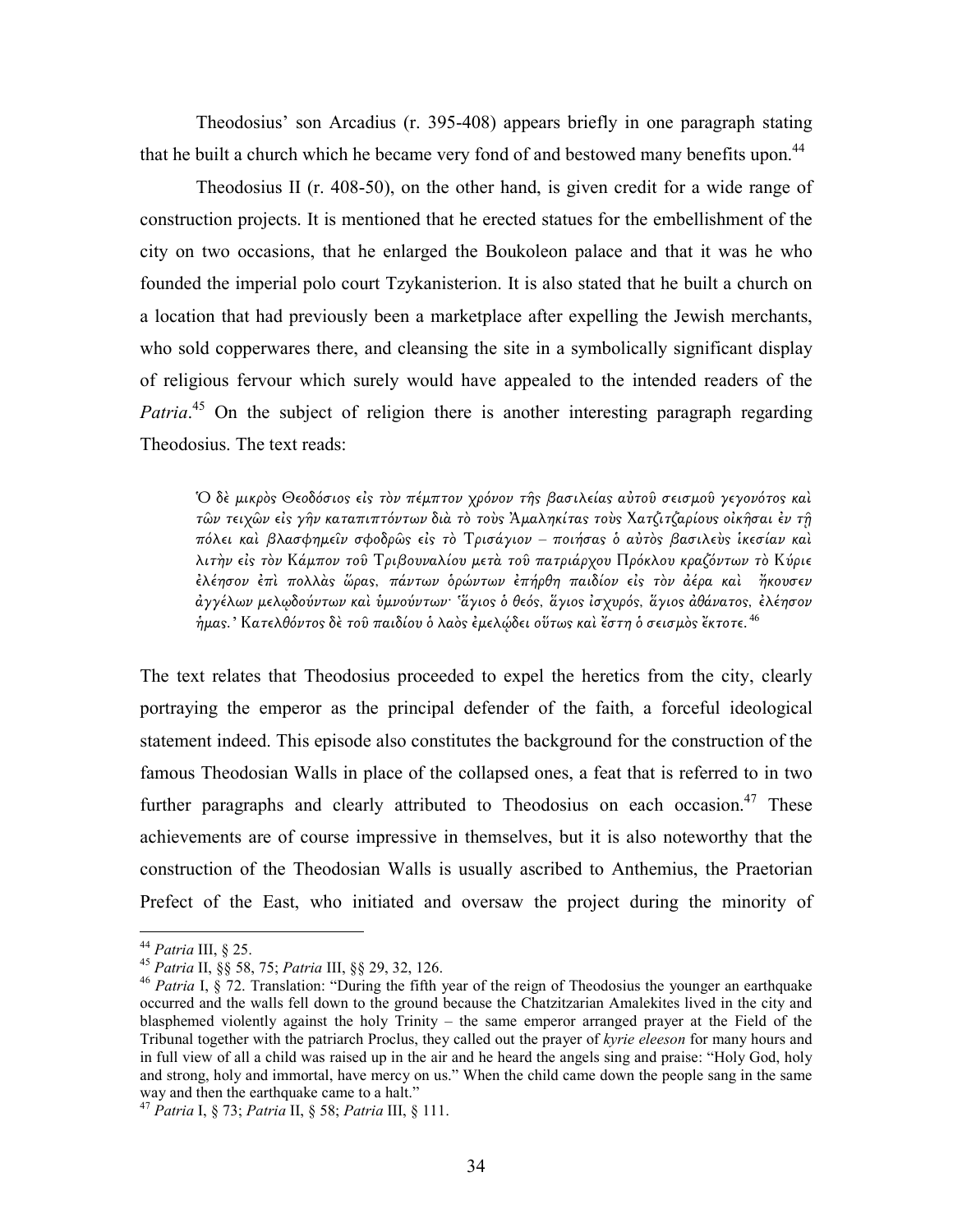Theodosius' son Arcadius (r. 395-408) appears briefly in one paragraph stating that he built a church which he became very fond of and bestowed many benefits upon.<sup>44</sup>

 Theodosius II (r. 408-50), on the other hand, is given credit for a wide range of construction projects. It is mentioned that he erected statues for the embellishment of the city on two occasions, that he enlarged the Boukoleon palace and that it was he who founded the imperial polo court Tzykanisterion. It is also stated that he built a church on a location that had previously been a marketplace after expelling the Jewish merchants, who sold copperwares there, and cleansing the site in a symbolically significant display of religious fervour which surely would have appealed to the intended readers of the Patria.<sup>45</sup> On the subject of religion there is another interesting paragraph regarding Theodosius. The text reads:

Ό δε μικρὸς Θεοδόσιος είς τὸν πέμπτον χρόνον τῆς βασιλείας αὐτοῦ σεισμοῦ γεγονότος καὶ τῶν τειχῶν εἰς γῆν καταπιπτόντων διὰ τὸ τοὺς Ἀμαληκίτας τοὺς Χατζιτζαρίους οἰκῆσαι ἐν τῆ πόλει και βλασφημείν σφοδρώς είς το Τρισάγιον - ποιήσας ο αύτος βασιλεύς ικεσίαν και λιτὴν εἰ̋ τὸν Κάµπον τοῦ Τριβουναλίου µετὰ τοῦ πατριάρχου Πρόκλου κραζόντων τὸ Κύριε ἐλέησον ἐπὶ πολλὰ̋ ὥρα̋, πάντων ὁρώντων ἐπήρθη παιδίον εἰ̋ τὸν ἀέρα καὶ ἤκουσεν άγγέλων μελωδούντων καὶ ὑμνούντων· 'ἅγιος ὁ θεός, ἅγιος ἰσχυρός, ἄγιος ἀθάνατος, ἐλέησον ήμας.' Κατελθόντος δὲ τοῦ παιδίου ὁ λαὸς ἐμελώδει οὕτως καὶ ἔστη ὁ σεισμὸς ἔκτοτε. $^{46}$ 

The text relates that Theodosius proceeded to expel the heretics from the city, clearly portraying the emperor as the principal defender of the faith, a forceful ideological statement indeed. This episode also constitutes the background for the construction of the famous Theodosian Walls in place of the collapsed ones, a feat that is referred to in two further paragraphs and clearly attributed to Theodosius on each occasion.<sup>47</sup> These achievements are of course impressive in themselves, but it is also noteworthy that the construction of the Theodosian Walls is usually ascribed to Anthemius, the Praetorian Prefect of the East, who initiated and oversaw the project during the minority of

<sup>&</sup>lt;sup>44</sup> Patria III, § 25.

<sup>45</sup> Patria II, §§ 58, 75; Patria III, §§ 29, 32, 126.

<sup>&</sup>lt;sup>46</sup> Patria I,  $\frac{8}{3}$  72. Translation: "During the fifth year of the reign of Theodosius the younger an earthquake occurred and the walls fell down to the ground because the Chatzitzarian Amalekites lived in the city and blasphemed violently against the holy Trinity – the same emperor arranged prayer at the Field of the Tribunal together with the patriarch Proclus, they called out the prayer of kyrie eleeson for many hours and in full view of all a child was raised up in the air and he heard the angels sing and praise: "Holy God, holy and strong, holy and immortal, have mercy on us." When the child came down the people sang in the same way and then the earthquake came to a halt."

<sup>&</sup>lt;sup>47</sup> Patria I, § 73; Patria II, § 58; Patria III, § 111.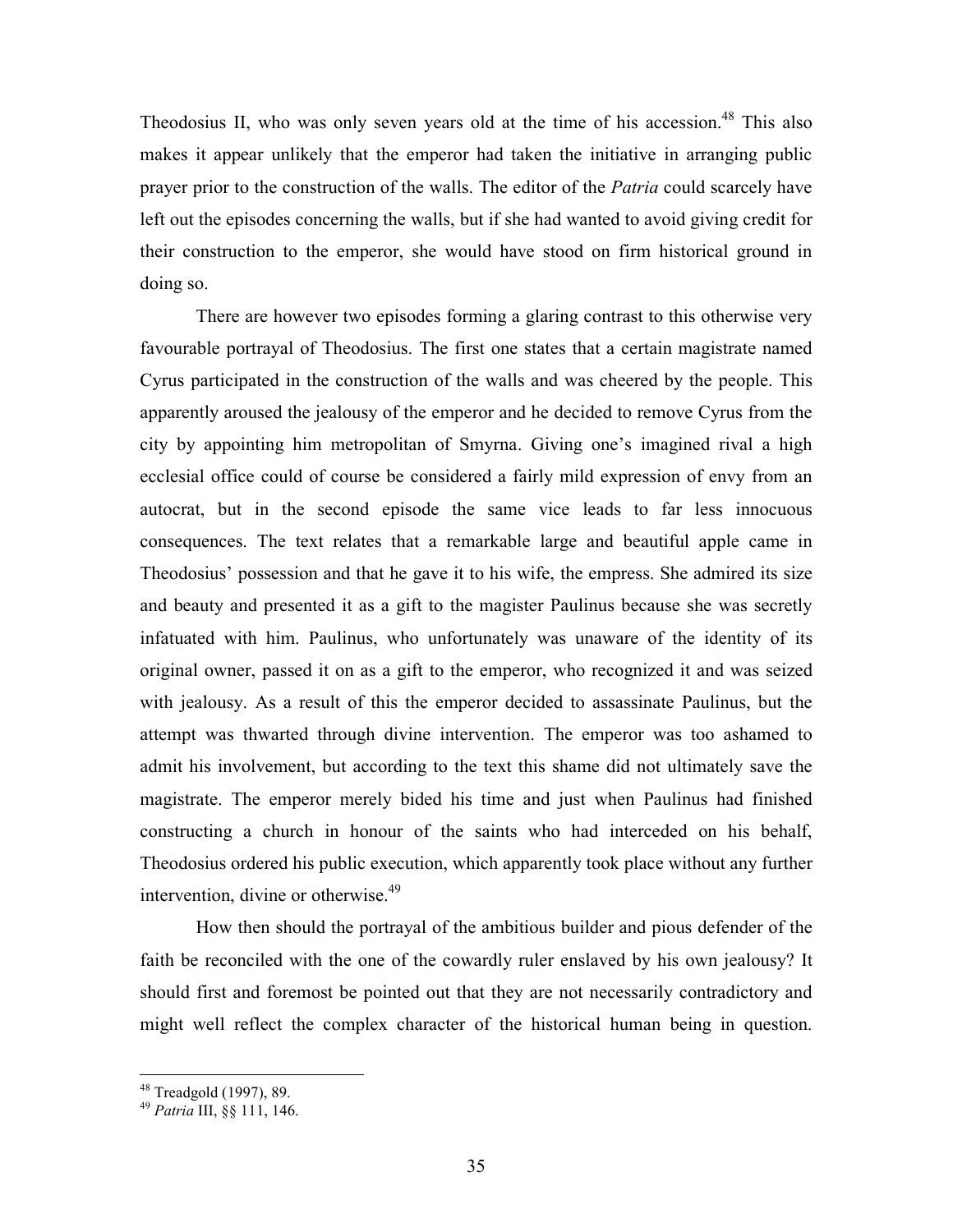Theodosius II, who was only seven years old at the time of his accession.<sup>48</sup> This also makes it appear unlikely that the emperor had taken the initiative in arranging public prayer prior to the construction of the walls. The editor of the *Patria* could scarcely have left out the episodes concerning the walls, but if she had wanted to avoid giving credit for their construction to the emperor, she would have stood on firm historical ground in doing so.

 There are however two episodes forming a glaring contrast to this otherwise very favourable portrayal of Theodosius. The first one states that a certain magistrate named Cyrus participated in the construction of the walls and was cheered by the people. This apparently aroused the jealousy of the emperor and he decided to remove Cyrus from the city by appointing him metropolitan of Smyrna. Giving one's imagined rival a high ecclesial office could of course be considered a fairly mild expression of envy from an autocrat, but in the second episode the same vice leads to far less innocuous consequences. The text relates that a remarkable large and beautiful apple came in Theodosius' possession and that he gave it to his wife, the empress. She admired its size and beauty and presented it as a gift to the magister Paulinus because she was secretly infatuated with him. Paulinus, who unfortunately was unaware of the identity of its original owner, passed it on as a gift to the emperor, who recognized it and was seized with jealousy. As a result of this the emperor decided to assassinate Paulinus, but the attempt was thwarted through divine intervention. The emperor was too ashamed to admit his involvement, but according to the text this shame did not ultimately save the magistrate. The emperor merely bided his time and just when Paulinus had finished constructing a church in honour of the saints who had interceded on his behalf, Theodosius ordered his public execution, which apparently took place without any further intervention, divine or otherwise.<sup>49</sup>

 How then should the portrayal of the ambitious builder and pious defender of the faith be reconciled with the one of the cowardly ruler enslaved by his own jealousy? It should first and foremost be pointed out that they are not necessarily contradictory and might well reflect the complex character of the historical human being in question.

 $\overline{a}$ 

<sup>48</sup> Treadgold (1997), 89.

<sup>&</sup>lt;sup>49</sup> Patria III, §§ 111, 146.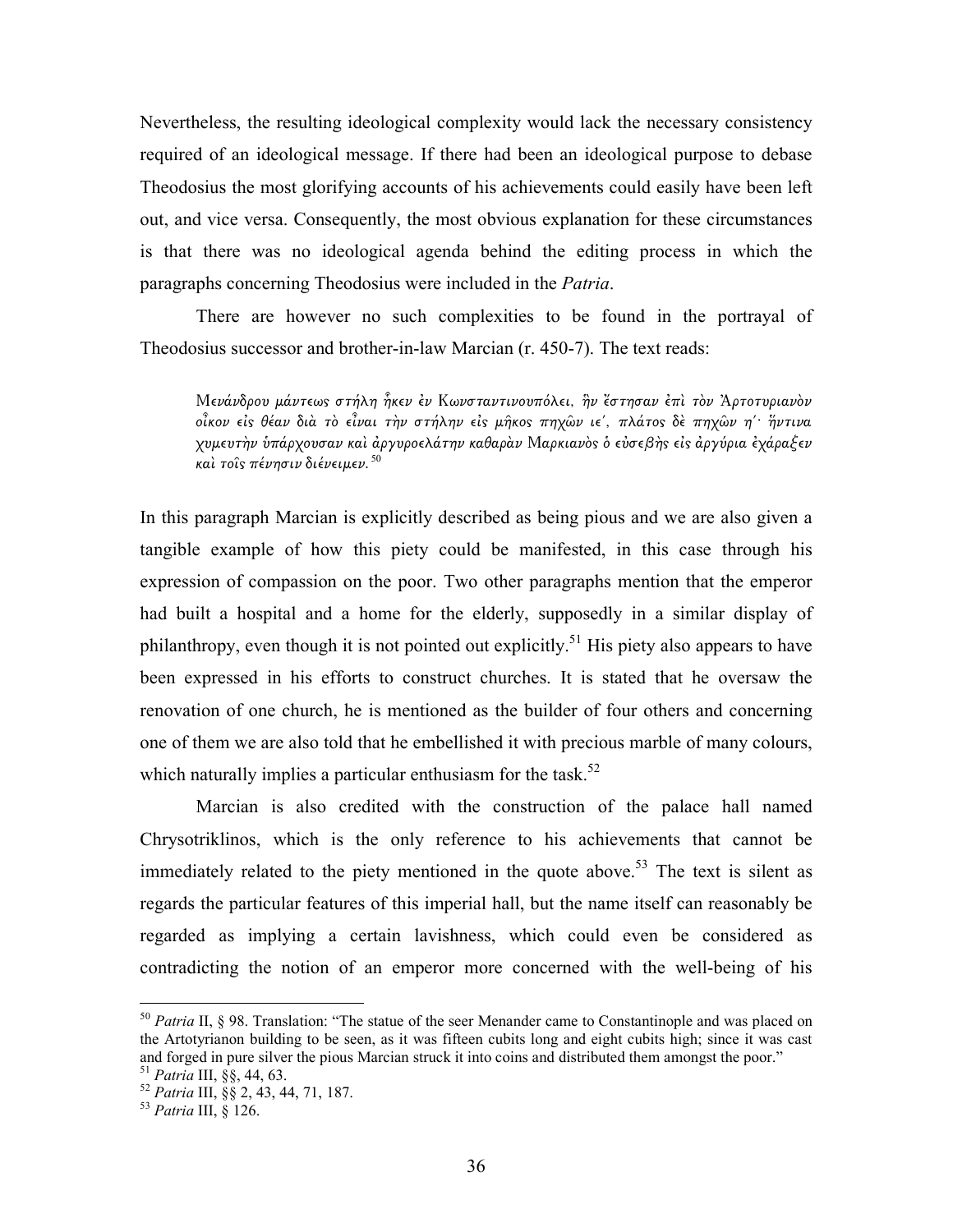Nevertheless, the resulting ideological complexity would lack the necessary consistency required of an ideological message. If there had been an ideological purpose to debase Theodosius the most glorifying accounts of his achievements could easily have been left out, and vice versa. Consequently, the most obvious explanation for these circumstances is that there was no ideological agenda behind the editing process in which the paragraphs concerning Theodosius were included in the Patria.

 There are however no such complexities to be found in the portrayal of Theodosius successor and brother-in-law Marcian (r. 450-7). The text reads:

Μενάνδρου µάντεω̋ στήλη ἧκεν ἐν Κωνσταντινουπόλει, ἣν ἔστησαν ἐπὶ τὸν Ἀρτοτυριανὸν οἶκον εἰς θέαν διὰ τὸ εἶναι τὴν στήλην εἰς μῆκος πηχῶν ιε΄, πλάτος δὲ πηχῶν η'· ἥντινα χυμευτὴν ὑπάρχουσαν καὶ ἀργυροελάτην καθαρὰν Μαρκιανὸς ὁ εὐσεβὴς εἰς ἀργύρια ἐχάραξεν και τοίς πένησιν διένειμεν. 50

In this paragraph Marcian is explicitly described as being pious and we are also given a tangible example of how this piety could be manifested, in this case through his expression of compassion on the poor. Two other paragraphs mention that the emperor had built a hospital and a home for the elderly, supposedly in a similar display of philanthropy, even though it is not pointed out explicitly.<sup>51</sup> His piety also appears to have been expressed in his efforts to construct churches. It is stated that he oversaw the renovation of one church, he is mentioned as the builder of four others and concerning one of them we are also told that he embellished it with precious marble of many colours, which naturally implies a particular enthusiasm for the task. $52$ 

Marcian is also credited with the construction of the palace hall named Chrysotriklinos, which is the only reference to his achievements that cannot be immediately related to the piety mentioned in the quote above.<sup>53</sup> The text is silent as regards the particular features of this imperial hall, but the name itself can reasonably be regarded as implying a certain lavishness, which could even be considered as contradicting the notion of an emperor more concerned with the well-being of his

 $50$  Patria II, § 98. Translation: "The statue of the seer Menander came to Constantinople and was placed on the Artotyrianon building to be seen, as it was fifteen cubits long and eight cubits high; since it was cast and forged in pure silver the pious Marcian struck it into coins and distributed them amongst the poor."  $51$  Patria III,  $\S$ §, 44, 63.

<sup>52</sup> Patria III, §§ 2, 43, 44, 71, 187.

 $53$  Patria III,  $\frac{33}{26}$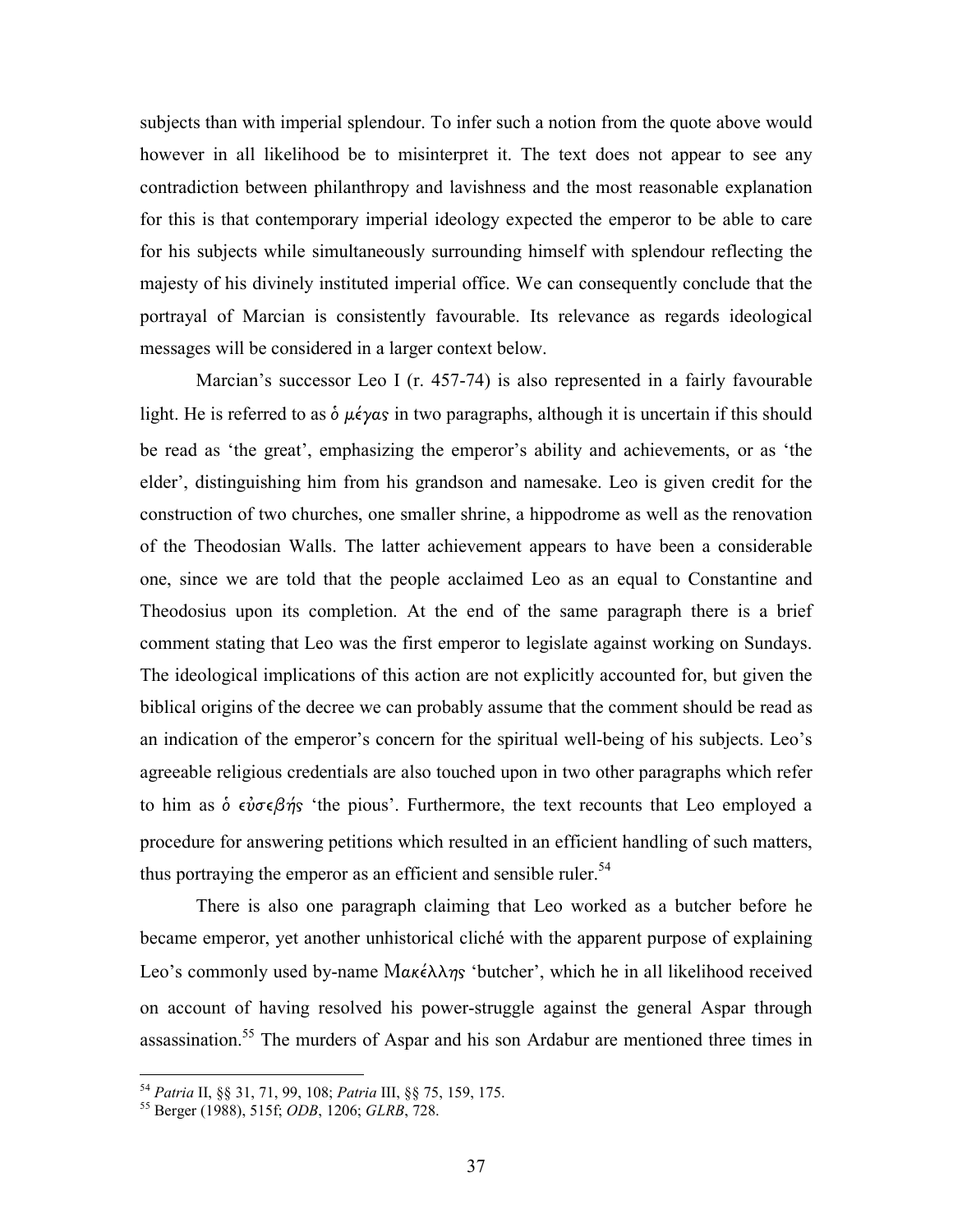subjects than with imperial splendour. To infer such a notion from the quote above would however in all likelihood be to misinterpret it. The text does not appear to see any contradiction between philanthropy and lavishness and the most reasonable explanation for this is that contemporary imperial ideology expected the emperor to be able to care for his subjects while simultaneously surrounding himself with splendour reflecting the majesty of his divinely instituted imperial office. We can consequently conclude that the portrayal of Marcian is consistently favourable. Its relevance as regards ideological messages will be considered in a larger context below.

Marcian's successor Leo I (r. 457-74) is also represented in a fairly favourable light. He is referred to as  $\delta \mu \acute{\epsilon} \gamma \alpha s$  in two paragraphs, although it is uncertain if this should be read as 'the great', emphasizing the emperor's ability and achievements, or as 'the elder', distinguishing him from his grandson and namesake. Leo is given credit for the construction of two churches, one smaller shrine, a hippodrome as well as the renovation of the Theodosian Walls. The latter achievement appears to have been a considerable one, since we are told that the people acclaimed Leo as an equal to Constantine and Theodosius upon its completion. At the end of the same paragraph there is a brief comment stating that Leo was the first emperor to legislate against working on Sundays. The ideological implications of this action are not explicitly accounted for, but given the biblical origins of the decree we can probably assume that the comment should be read as an indication of the emperor's concern for the spiritual well-being of his subjects. Leo's agreeable religious credentials are also touched upon in two other paragraphs which refer to him as  $\dot{\phi}$   $\epsilon \dot{\nu} \sigma \epsilon \beta \dot{\eta}$  'the pious'. Furthermore, the text recounts that Leo employed a procedure for answering petitions which resulted in an efficient handling of such matters, thus portraying the emperor as an efficient and sensible ruler.<sup>54</sup>

There is also one paragraph claiming that Leo worked as a butcher before he became emperor, yet another unhistorical cliché with the apparent purpose of explaining Leo's commonly used by-name Μακέλλης 'butcher', which he in all likelihood received on account of having resolved his power-struggle against the general Aspar through assassination.<sup>55</sup> The murders of Aspar and his son Ardabur are mentioned three times in

<sup>54</sup> Patria II, §§ 31, 71, 99, 108; Patria III, §§ 75, 159, 175.

<sup>55</sup> Berger (1988), 515f; ODB, 1206; GLRB, 728.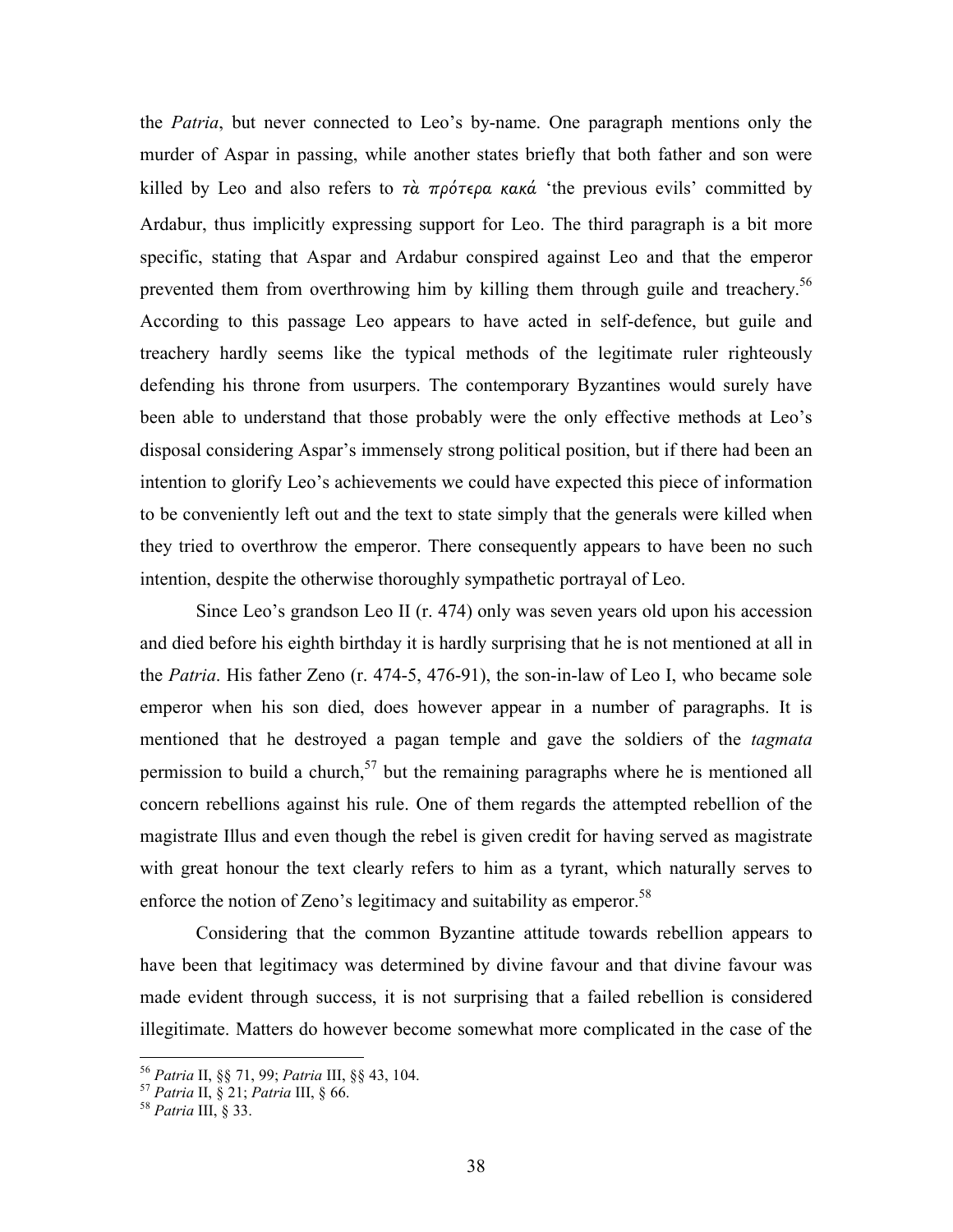the Patria, but never connected to Leo's by-name. One paragraph mentions only the murder of Aspar in passing, while another states briefly that both father and son were killed by Leo and also refers to  $\tau \dot{\alpha}$  πρότερα κακά 'the previous evils' committed by Ardabur, thus implicitly expressing support for Leo. The third paragraph is a bit more specific, stating that Aspar and Ardabur conspired against Leo and that the emperor prevented them from overthrowing him by killing them through guile and treachery.<sup>56</sup> According to this passage Leo appears to have acted in self-defence, but guile and treachery hardly seems like the typical methods of the legitimate ruler righteously defending his throne from usurpers. The contemporary Byzantines would surely have been able to understand that those probably were the only effective methods at Leo's disposal considering Aspar's immensely strong political position, but if there had been an intention to glorify Leo's achievements we could have expected this piece of information to be conveniently left out and the text to state simply that the generals were killed when they tried to overthrow the emperor. There consequently appears to have been no such intention, despite the otherwise thoroughly sympathetic portrayal of Leo.

Since Leo's grandson Leo II (r. 474) only was seven years old upon his accession and died before his eighth birthday it is hardly surprising that he is not mentioned at all in the Patria. His father Zeno (r. 474-5, 476-91), the son-in-law of Leo I, who became sole emperor when his son died, does however appear in a number of paragraphs. It is mentioned that he destroyed a pagan temple and gave the soldiers of the *tagmata* permission to build a church,<sup>57</sup> but the remaining paragraphs where he is mentioned all concern rebellions against his rule. One of them regards the attempted rebellion of the magistrate Illus and even though the rebel is given credit for having served as magistrate with great honour the text clearly refers to him as a tyrant, which naturally serves to enforce the notion of Zeno's legitimacy and suitability as emperor.<sup>58</sup>

Considering that the common Byzantine attitude towards rebellion appears to have been that legitimacy was determined by divine favour and that divine favour was made evident through success, it is not surprising that a failed rebellion is considered illegitimate. Matters do however become somewhat more complicated in the case of the

<sup>56</sup> Patria II, §§ 71, 99; Patria III, §§ 43, 104.

<sup>57</sup> Patria II, § 21; Patria III, § 66.

<sup>&</sup>lt;sup>58</sup> Patria III, § 33.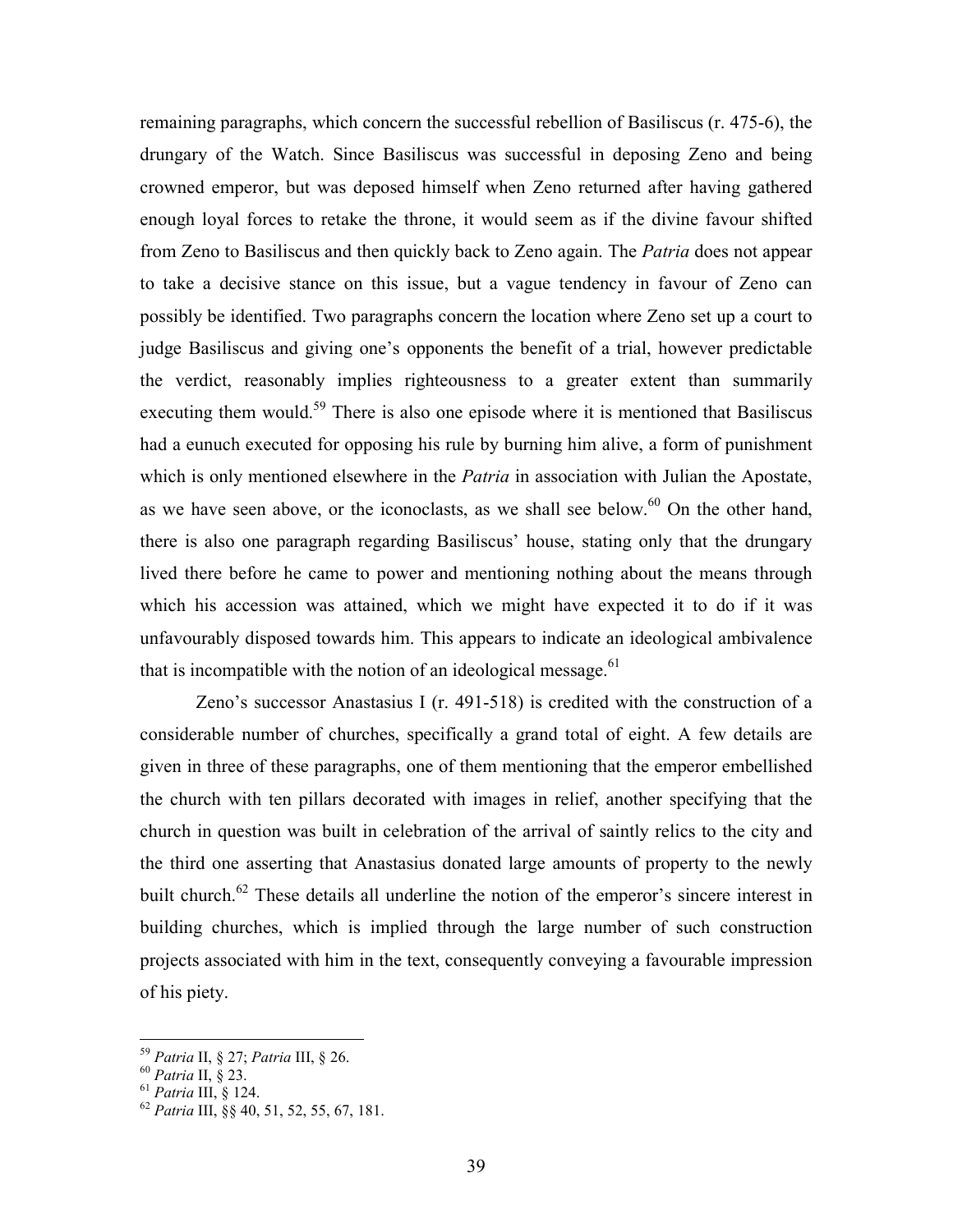remaining paragraphs, which concern the successful rebellion of Basiliscus (r. 475-6), the drungary of the Watch. Since Basiliscus was successful in deposing Zeno and being crowned emperor, but was deposed himself when Zeno returned after having gathered enough loyal forces to retake the throne, it would seem as if the divine favour shifted from Zeno to Basiliscus and then quickly back to Zeno again. The Patria does not appear to take a decisive stance on this issue, but a vague tendency in favour of Zeno can possibly be identified. Two paragraphs concern the location where Zeno set up a court to judge Basiliscus and giving one's opponents the benefit of a trial, however predictable the verdict, reasonably implies righteousness to a greater extent than summarily executing them would.<sup>59</sup> There is also one episode where it is mentioned that Basiliscus had a eunuch executed for opposing his rule by burning him alive, a form of punishment which is only mentioned elsewhere in the *Patria* in association with Julian the Apostate, as we have seen above, or the iconoclasts, as we shall see below. $60$  On the other hand, there is also one paragraph regarding Basiliscus' house, stating only that the drungary lived there before he came to power and mentioning nothing about the means through which his accession was attained, which we might have expected it to do if it was unfavourably disposed towards him. This appears to indicate an ideological ambivalence that is incompatible with the notion of an ideological message. $61$ 

Zeno's successor Anastasius I (r. 491-518) is credited with the construction of a considerable number of churches, specifically a grand total of eight. A few details are given in three of these paragraphs, one of them mentioning that the emperor embellished the church with ten pillars decorated with images in relief, another specifying that the church in question was built in celebration of the arrival of saintly relics to the city and the third one asserting that Anastasius donated large amounts of property to the newly built church.<sup>62</sup> These details all underline the notion of the emperor's sincere interest in building churches, which is implied through the large number of such construction projects associated with him in the text, consequently conveying a favourable impression of his piety.

<sup>&</sup>lt;sup>59</sup> Patria II, § 27; Patria III, § 26.

 $60$  Patria II,  $\S$  23.

 $61$  Patria III, § 124.

 $^{62}$  Patria III, §§ 40, 51, 52, 55, 67, 181.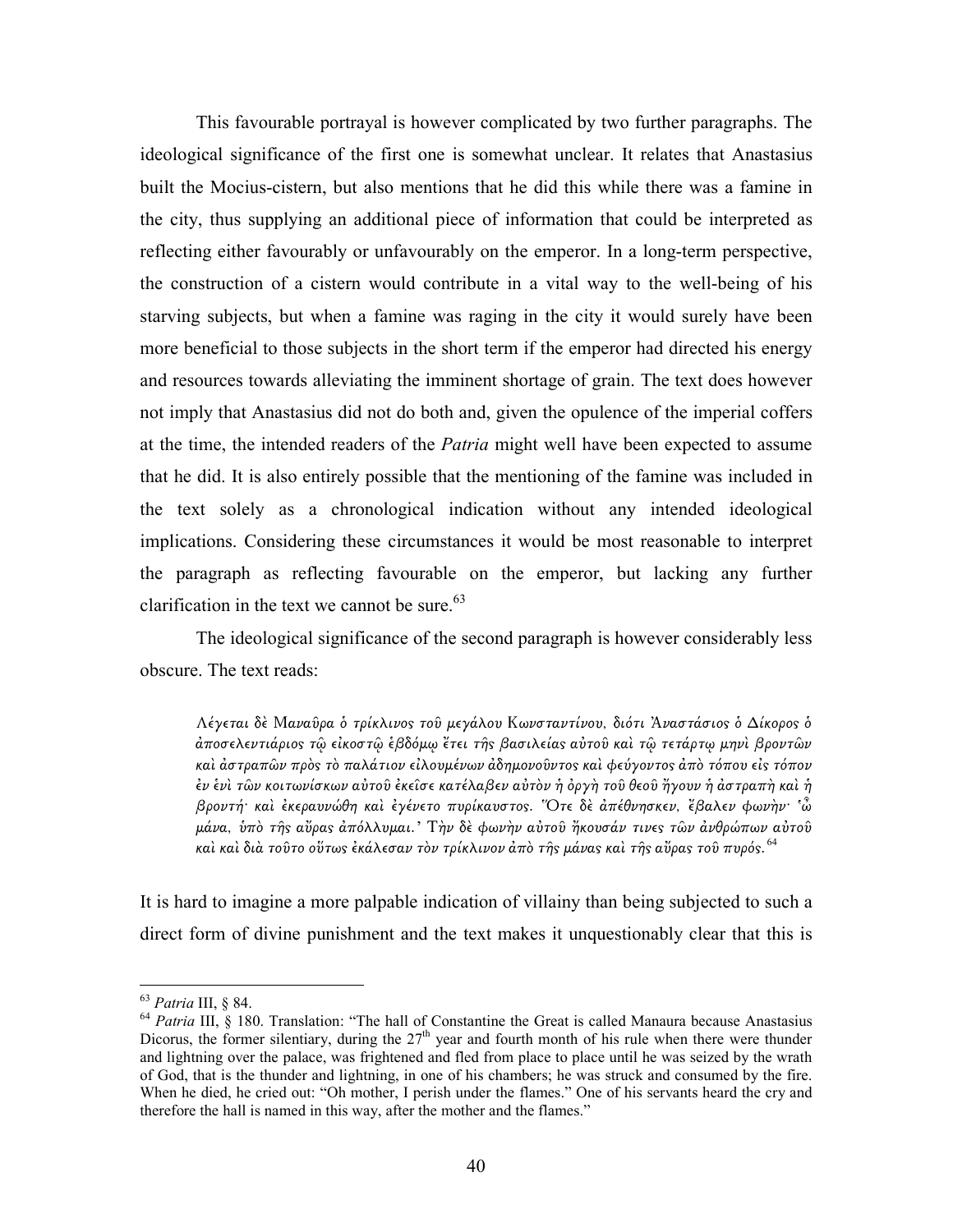This favourable portrayal is however complicated by two further paragraphs. The ideological significance of the first one is somewhat unclear. It relates that Anastasius built the Mocius-cistern, but also mentions that he did this while there was a famine in the city, thus supplying an additional piece of information that could be interpreted as reflecting either favourably or unfavourably on the emperor. In a long-term perspective, the construction of a cistern would contribute in a vital way to the well-being of his starving subjects, but when a famine was raging in the city it would surely have been more beneficial to those subjects in the short term if the emperor had directed his energy and resources towards alleviating the imminent shortage of grain. The text does however not imply that Anastasius did not do both and, given the opulence of the imperial coffers at the time, the intended readers of the *Patria* might well have been expected to assume that he did. It is also entirely possible that the mentioning of the famine was included in the text solely as a chronological indication without any intended ideological implications. Considering these circumstances it would be most reasonable to interpret the paragraph as reflecting favourable on the emperor, but lacking any further clarification in the text we cannot be sure. $63$ 

The ideological significance of the second paragraph is however considerably less obscure. The text reads:

Λέγεται δὲ Μαναῦρα ὁ τρίκλινος τοῦ μεγάλου Κωνσταντίνου, διότι Ἀναστάσιος ὁ Δίκορος ὁ αποσελεντιάριος τῷ εἰκοστῷ ἐβδόμῳ ἔτει τῆς βασιλείας αὐτοῦ καὶ τῷ τετάρτῳ μηνὶ βροντῶν καὶ ἀστραπῶν πρὸς τὸ παλάτιον εἰλουμένων ἀδημονοῦντος καὶ φεύγοντος ἀπὸ τόπου εἰς τόπον ἐν ἑνὶ τῶν κοιτωνίσκων αὐτοῦ ἐκεῖσε κατέλαβεν αὐτὸν ἡ ὀργὴ τοῦ θεοῦ ἤγουν ἡ ἀστραπὴ καὶ ἡ βροντή· καὶ ἐκεραυνώθη καὶ ἐγένετο πυρίκαυστο̋. Ὅτε δὲ ἀπέθνησκεν, ἔβαλεν φωνὴν· 'ὦ μάνα, υπὸ τῆς αὔρας ἀπόλλυμαι.' Τὴν δὲ φωνὴν αὐτοῦ ἤκουσάν τινες τῶν ἀνθρώπων αὐτοῦ καὶ καὶ διὰ τοῦτο οὕτως ἐκάλεσαν τὸν τρίκλινον ἀπὸ τῆς μάνας καὶ τῆς αὔρας τοῦ πυρός. <sup>64</sup>

It is hard to imagine a more palpable indication of villainy than being subjected to such a direct form of divine punishment and the text makes it unquestionably clear that this is

<sup>&</sup>lt;sup>63</sup> Patria III, § 84.

 $64$  *Patria* III, § 180. Translation: "The hall of Constantine the Great is called Manaura because Anastasius Dicorus, the former silentiary, during the  $27<sup>th</sup>$  year and fourth month of his rule when there were thunder and lightning over the palace, was frightened and fled from place to place until he was seized by the wrath of God, that is the thunder and lightning, in one of his chambers; he was struck and consumed by the fire. When he died, he cried out: "Oh mother, I perish under the flames." One of his servants heard the cry and therefore the hall is named in this way, after the mother and the flames."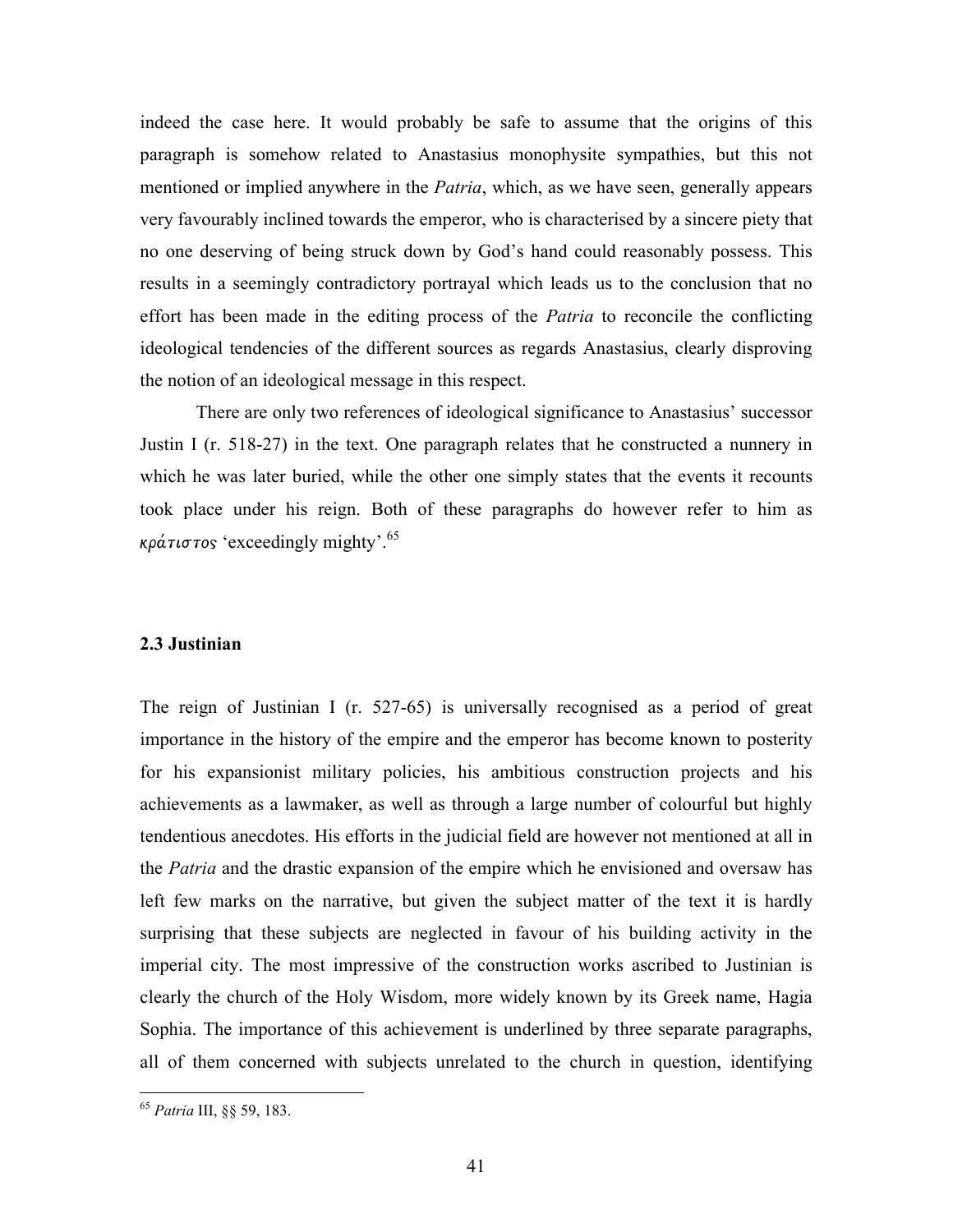indeed the case here. It would probably be safe to assume that the origins of this paragraph is somehow related to Anastasius monophysite sympathies, but this not mentioned or implied anywhere in the *Patria*, which, as we have seen, generally appears very favourably inclined towards the emperor, who is characterised by a sincere piety that no one deserving of being struck down by God's hand could reasonably possess. This results in a seemingly contradictory portrayal which leads us to the conclusion that no effort has been made in the editing process of the *Patria* to reconcile the conflicting ideological tendencies of the different sources as regards Anastasius, clearly disproving the notion of an ideological message in this respect.

 There are only two references of ideological significance to Anastasius' successor Justin I (r. 518-27) in the text. One paragraph relates that he constructed a nunnery in which he was later buried, while the other one simply states that the events it recounts took place under his reign. Both of these paragraphs do however refer to him as κράτιστος 'exceedingly mighty'.<sup>65</sup>

## 2.3 Justinian

The reign of Justinian I (r. 527-65) is universally recognised as a period of great importance in the history of the empire and the emperor has become known to posterity for his expansionist military policies, his ambitious construction projects and his achievements as a lawmaker, as well as through a large number of colourful but highly tendentious anecdotes. His efforts in the judicial field are however not mentioned at all in the *Patria* and the drastic expansion of the empire which he envisioned and oversaw has left few marks on the narrative, but given the subject matter of the text it is hardly surprising that these subjects are neglected in favour of his building activity in the imperial city. The most impressive of the construction works ascribed to Justinian is clearly the church of the Holy Wisdom, more widely known by its Greek name, Hagia Sophia. The importance of this achievement is underlined by three separate paragraphs, all of them concerned with subjects unrelated to the church in question, identifying

<sup>65</sup> Patria III, §§ 59, 183.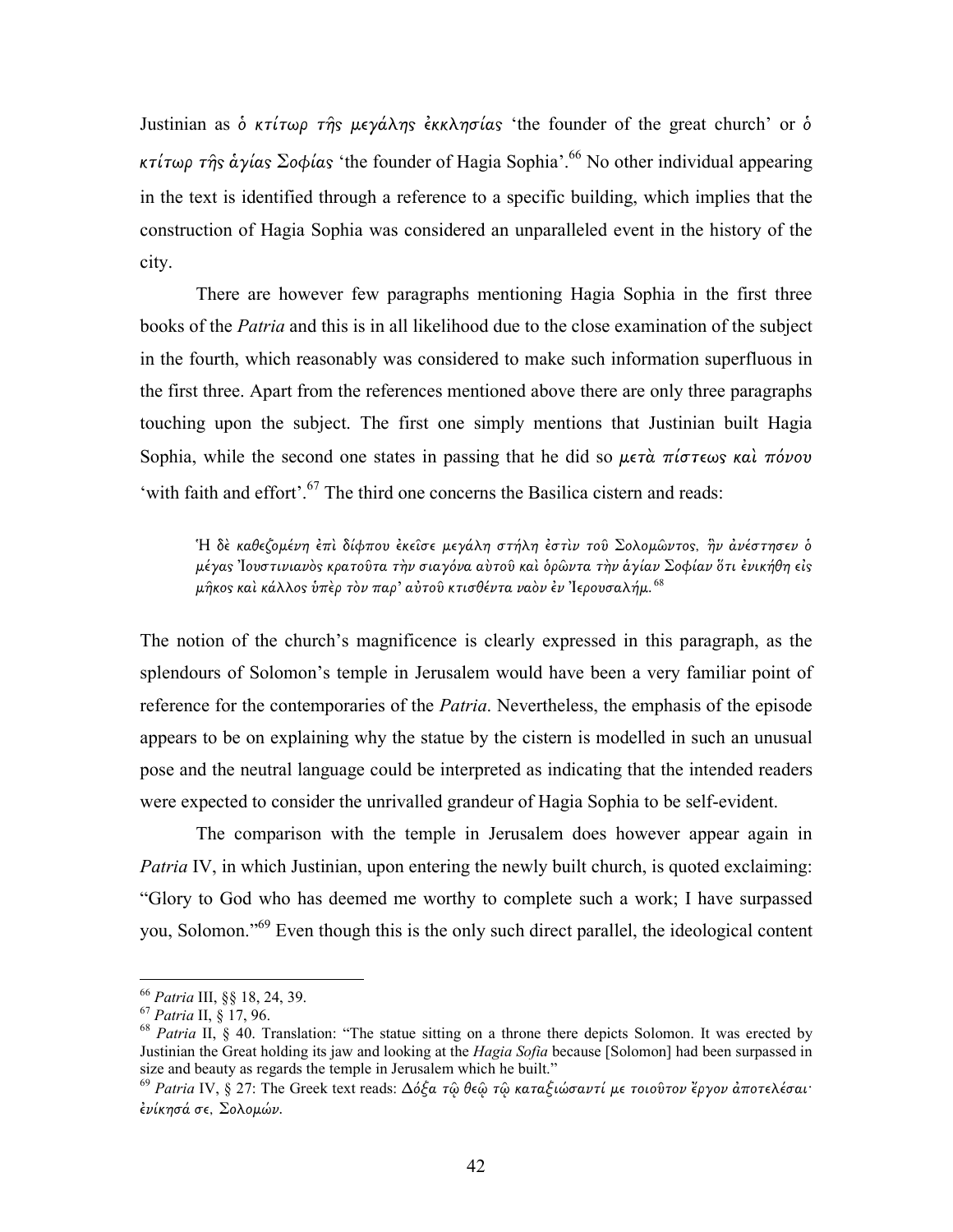Justinian as δ κτίτωρ της μεγάλης έκκλησίας 'the founder of the great church' or δ κτίτωρ της αγίας Σοφίας 'the founder of Hagia Sophia'.<sup>66</sup> No other individual appearing in the text is identified through a reference to a specific building, which implies that the construction of Hagia Sophia was considered an unparalleled event in the history of the city.

There are however few paragraphs mentioning Hagia Sophia in the first three books of the Patria and this is in all likelihood due to the close examination of the subject in the fourth, which reasonably was considered to make such information superfluous in the first three. Apart from the references mentioned above there are only three paragraphs touching upon the subject. The first one simply mentions that Justinian built Hagia Sophia, while the second one states in passing that he did so  $\mu \epsilon \tau \hat{\alpha}$  πίστεως και πόνου 'with faith and effort'.<sup>67</sup> The third one concerns the Basilica cistern and reads:

Ή δὲ καθεζομένη ἐπὶ δίφπου ἐκεῖσε μεγάλη στήλη ἐστὶν τοῦ Σολομῶντος, ἣν ἀνέστησεν ὁ μέγας Ἰουστινιανὸς κρατοῦτα τὴν σιαγόνα αὺτοῦ καὶ ὁρῶντα τὴν ἁγίαν Σοφίαν ὅτι ἐνικήθη εἰς  $\mu$ ήκος καὶ κάλλος ὑπὲρ τὸν παρ' αὐτοῦ κτισθέντα ναὸν ἐν Ἰερουσαλήμ.<sup>68</sup>

The notion of the church's magnificence is clearly expressed in this paragraph, as the splendours of Solomon's temple in Jerusalem would have been a very familiar point of reference for the contemporaries of the *Patria*. Nevertheless, the emphasis of the episode appears to be on explaining why the statue by the cistern is modelled in such an unusual pose and the neutral language could be interpreted as indicating that the intended readers were expected to consider the unrivalled grandeur of Hagia Sophia to be self-evident.

The comparison with the temple in Jerusalem does however appear again in Patria IV, in which Justinian, upon entering the newly built church, is quoted exclaiming: "Glory to God who has deemed me worthy to complete such a work; I have surpassed you, Solomon."<sup>69</sup> Even though this is the only such direct parallel, the ideological content

<u>.</u>

<sup>66</sup> Patria III, §§ 18, 24, 39.

<sup>67</sup> Patria II, § 17, 96.

<sup>&</sup>lt;sup>68</sup> Patria II, § 40. Translation: "The statue sitting on a throne there depicts Solomon. It was erected by Justinian the Great holding its jaw and looking at the *Hagia Sofia* because [Solomon] had been surpassed in size and beauty as regards the temple in Jerusalem which he built."

<sup>69</sup> Patria IV, § 27: The Greek text reads: ∆όξα τῷ θεῷ τῷ καταξιώσαντί µε τοιοῦτον ἔργον ἀποτελέσαι· ἐνίκησά σε, Σολοµών.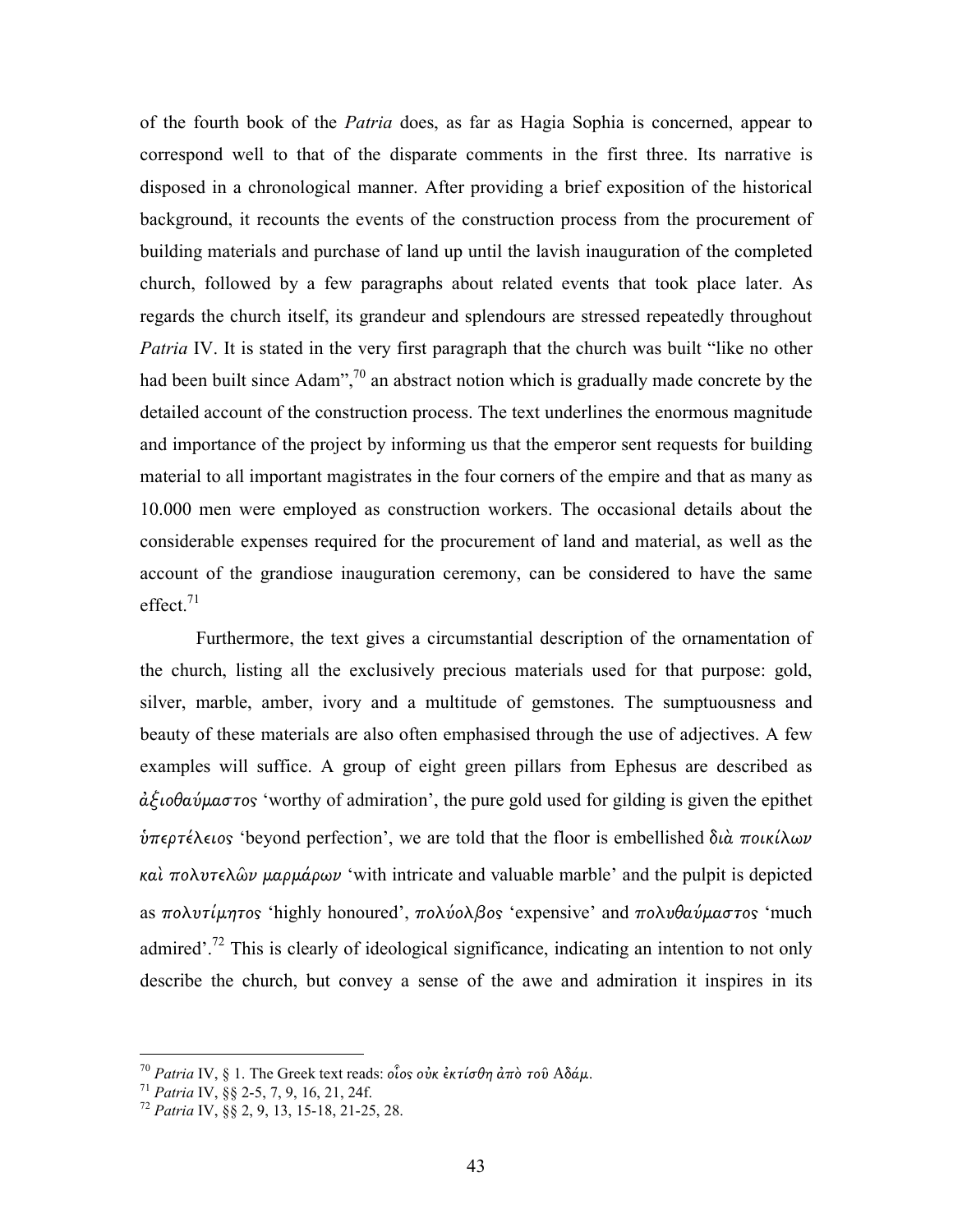of the fourth book of the Patria does, as far as Hagia Sophia is concerned, appear to correspond well to that of the disparate comments in the first three. Its narrative is disposed in a chronological manner. After providing a brief exposition of the historical background, it recounts the events of the construction process from the procurement of building materials and purchase of land up until the lavish inauguration of the completed church, followed by a few paragraphs about related events that took place later. As regards the church itself, its grandeur and splendours are stressed repeatedly throughout Patria IV. It is stated in the very first paragraph that the church was built "like no other had been built since Adam",  $\frac{70}{9}$  an abstract notion which is gradually made concrete by the detailed account of the construction process. The text underlines the enormous magnitude and importance of the project by informing us that the emperor sent requests for building material to all important magistrates in the four corners of the empire and that as many as 10.000 men were employed as construction workers. The occasional details about the considerable expenses required for the procurement of land and material, as well as the account of the grandiose inauguration ceremony, can be considered to have the same  $effect.<sup>71</sup>$ 

Furthermore, the text gives a circumstantial description of the ornamentation of the church, listing all the exclusively precious materials used for that purpose: gold, silver, marble, amber, ivory and a multitude of gemstones. The sumptuousness and beauty of these materials are also often emphasised through the use of adjectives. A few examples will suffice. A group of eight green pillars from Ephesus are described as  $\dot{\alpha}\dot{\xi}$ ιοθαύμαστος 'worthy of admiration', the pure gold used for gilding is given the epithet  $\dot{v}$ περτέλειος 'beyond perfection', we are told that the floor is embellished διὰ ποικίλων καὶ πολυτελῶν µαρµάρων 'with intricate and valuable marble' and the pulpit is depicted as πολυτίμητος 'highly honoured', πολύολβος 'expensive' and πολυθαύμαστος 'much admired'.<sup>72</sup> This is clearly of ideological significance, indicating an intention to not only describe the church, but convey a sense of the awe and admiration it inspires in its

<sup>&</sup>lt;sup>70</sup> Patria IV, § 1. The Greek text reads: οἶος οὐκ ἐκτίσθη ἀπὸ τοῦ Αδάμ.

<sup>71</sup> Patria IV, §§ 2-5, 7, 9, 16, 21, 24f.

<sup>72</sup> Patria IV, §§ 2, 9, 13, 15-18, 21-25, 28.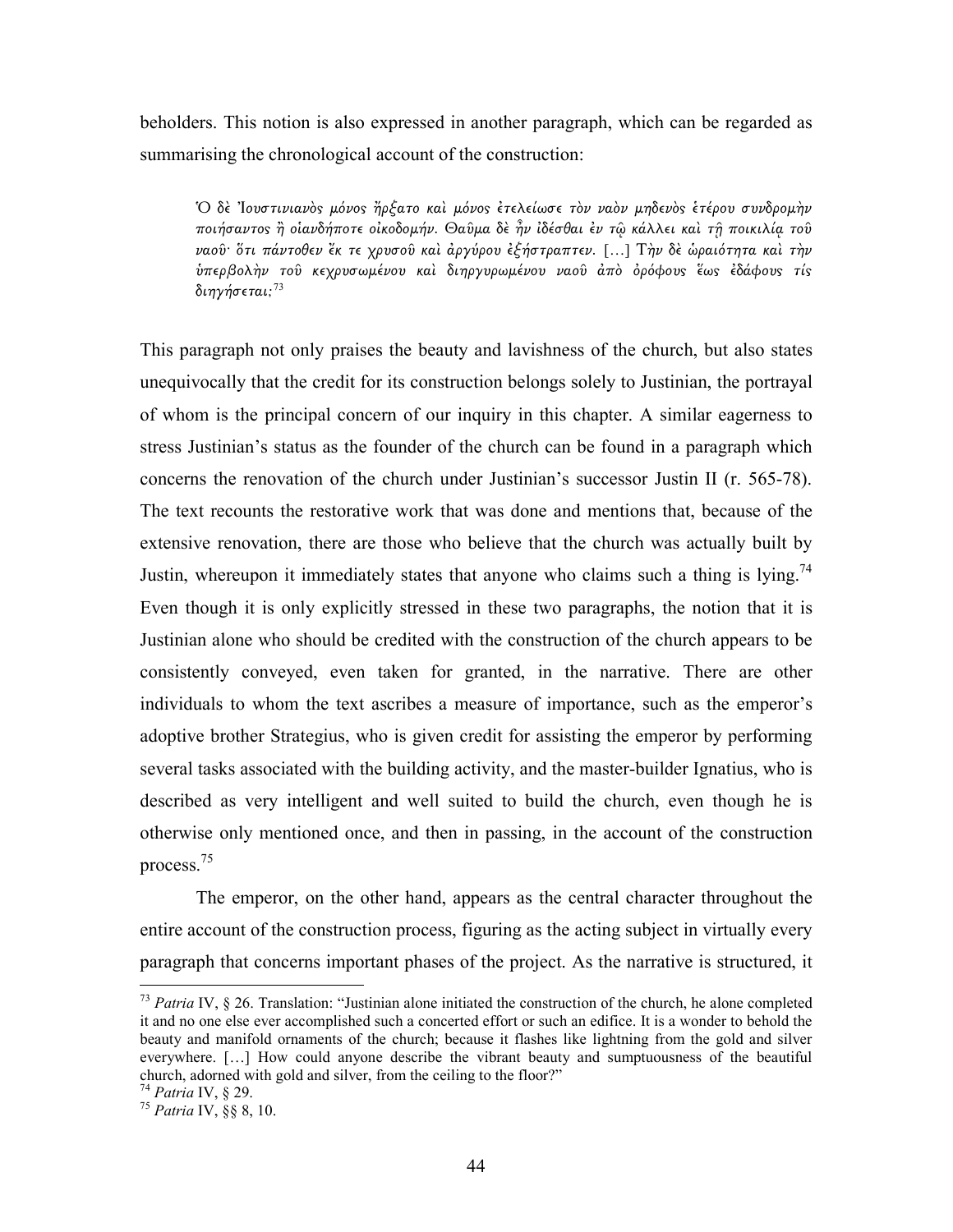beholders. This notion is also expressed in another paragraph, which can be regarded as summarising the chronological account of the construction:

Ὁ δὲ Ἰουστινιανὸ̋ µόνο̋ ἤρξατο καὶ µόνο̋ ἐτελείωσε τὸν ναὸν µηδενὸ̋ ἑτέρου συνδροµὴν ποιήσαντο̋ ἢ οἱανδήποτε οἰκοδοµήν. Θαῦµα δὲ ἦν ἰδέσθαι ἐν τῷ κάλλει καὶ τῇ ποικιλίᾳ τοῦ ναοῦ· ὅτι πάντοθεν ἔκ τε χρυσοῦ καὶ ἀργύρου ἐξήστραπτεν. […] Τὴν δὲ ὡραιότητα καὶ τὴν ύπερβολὴν τοῦ κεχρυσωμένου καὶ διηργυρωμένου ναοῦ ἀπὸ ὀρόφους ἕως ἐδάφους τίς διηγήσεται;<sup>73</sup>

This paragraph not only praises the beauty and lavishness of the church, but also states unequivocally that the credit for its construction belongs solely to Justinian, the portrayal of whom is the principal concern of our inquiry in this chapter. A similar eagerness to stress Justinian's status as the founder of the church can be found in a paragraph which concerns the renovation of the church under Justinian's successor Justin II (r. 565-78). The text recounts the restorative work that was done and mentions that, because of the extensive renovation, there are those who believe that the church was actually built by Justin, whereupon it immediately states that anyone who claims such a thing is lying.<sup>74</sup> Even though it is only explicitly stressed in these two paragraphs, the notion that it is Justinian alone who should be credited with the construction of the church appears to be consistently conveyed, even taken for granted, in the narrative. There are other individuals to whom the text ascribes a measure of importance, such as the emperor's adoptive brother Strategius, who is given credit for assisting the emperor by performing several tasks associated with the building activity, and the master-builder Ignatius, who is described as very intelligent and well suited to build the church, even though he is otherwise only mentioned once, and then in passing, in the account of the construction process.<sup>75</sup>

The emperor, on the other hand, appears as the central character throughout the entire account of the construction process, figuring as the acting subject in virtually every paragraph that concerns important phases of the project. As the narrative is structured, it

 $73$  Patria IV, § 26. Translation: "Justinian alone initiated the construction of the church, he alone completed it and no one else ever accomplished such a concerted effort or such an edifice. It is a wonder to behold the beauty and manifold ornaments of the church; because it flashes like lightning from the gold and silver everywhere. […] How could anyone describe the vibrant beauty and sumptuousness of the beautiful church, adorned with gold and silver, from the ceiling to the floor?"

<sup>&</sup>lt;sup>74</sup> Patria IV, § 29.

<sup>75</sup> Patria IV, §§ 8, 10.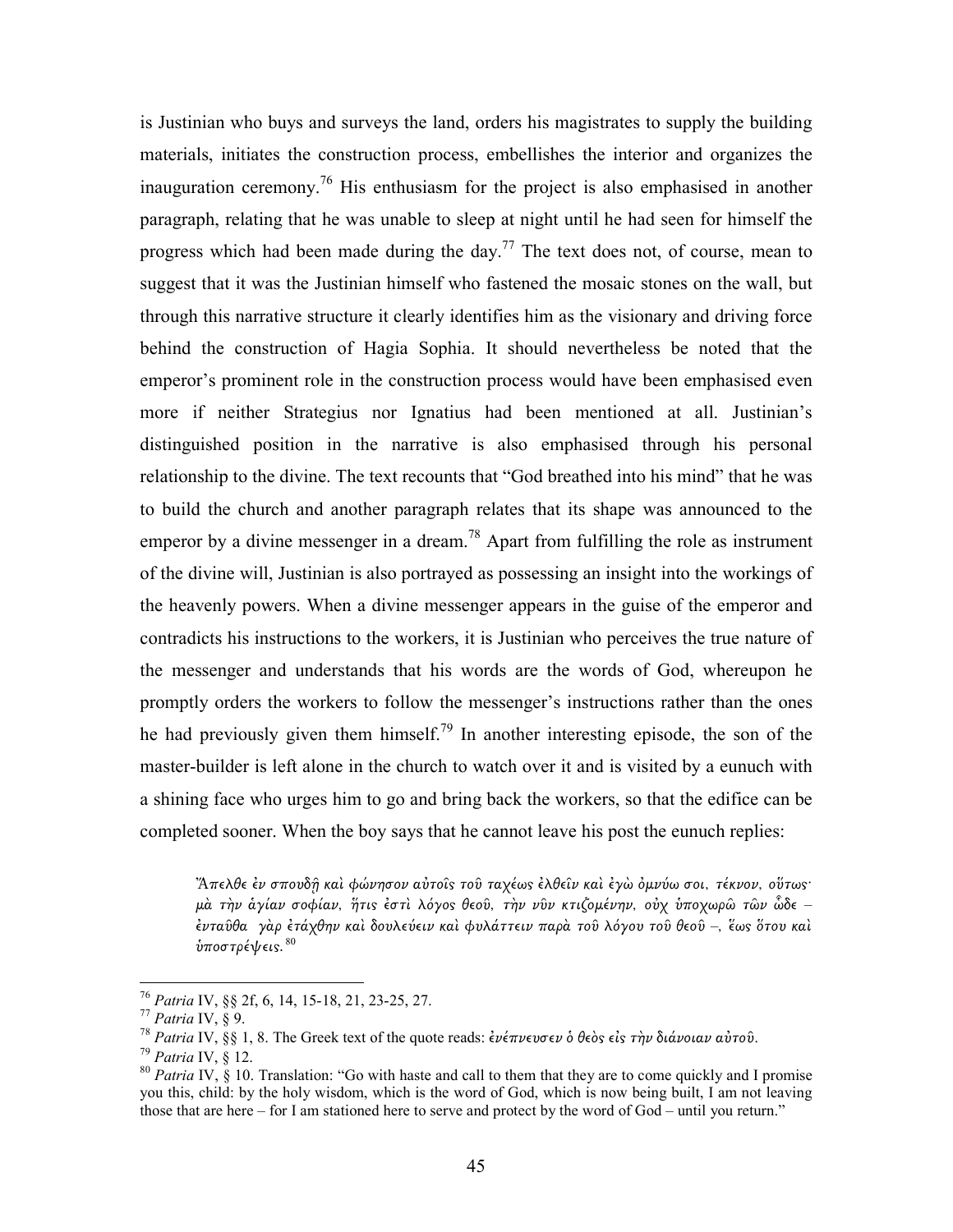is Justinian who buys and surveys the land, orders his magistrates to supply the building materials, initiates the construction process, embellishes the interior and organizes the inauguration ceremony.<sup>76</sup> His enthusiasm for the project is also emphasised in another paragraph, relating that he was unable to sleep at night until he had seen for himself the progress which had been made during the day.<sup>77</sup> The text does not, of course, mean to suggest that it was the Justinian himself who fastened the mosaic stones on the wall, but through this narrative structure it clearly identifies him as the visionary and driving force behind the construction of Hagia Sophia. It should nevertheless be noted that the emperor's prominent role in the construction process would have been emphasised even more if neither Strategius nor Ignatius had been mentioned at all. Justinian's distinguished position in the narrative is also emphasised through his personal relationship to the divine. The text recounts that "God breathed into his mind" that he was to build the church and another paragraph relates that its shape was announced to the emperor by a divine messenger in a dream.<sup>78</sup> Apart from fulfilling the role as instrument of the divine will, Justinian is also portrayed as possessing an insight into the workings of the heavenly powers. When a divine messenger appears in the guise of the emperor and contradicts his instructions to the workers, it is Justinian who perceives the true nature of the messenger and understands that his words are the words of God, whereupon he promptly orders the workers to follow the messenger's instructions rather than the ones he had previously given them himself.<sup>79</sup> In another interesting episode, the son of the master-builder is left alone in the church to watch over it and is visited by a eunuch with a shining face who urges him to go and bring back the workers, so that the edifice can be completed sooner. When the boy says that he cannot leave his post the eunuch replies:

<u>.</u>

Ἄπελθε ἐν σπουδῇ καὶ φώνησον αὐτοῖ̋ τοῦ ταχέω̋ ἐλθεῖν καὶ ἐγὼ ὀµνύω σοι, τέκνον, οὕτω̋· µὰ τὴν ἁγίαν σοφίαν, ἥτι̋ ἐστὶ λόγο̋ θεοῦ, τὴν νῦν κτιζοµένην, οὐχ ὑποχωρῶ τῶν ὧδε – ἐνταῦθα γὰρ ἐτάχθην καὶ δουλεύειν καὶ φυλάττειν παρὰ τοῦ λόγου τοῦ θεοῦ –, ἕω̋ ὅτου καὶ ύποστρέψεις.  $80$ 

<sup>76</sup> Patria IV, §§ 2f, 6, 14, 15-18, 21, 23-25, 27.

 $77$  Patria IV, § 9.

<sup>&</sup>lt;sup>78</sup> Patria IV, §§ 1, 8. The Greek text of the quote reads: ἐνέπνευσεν ὁ θεὸς εἰς τὴν διάνοιαν αὐτοῦ.

 $79$  Patria IV, § 12.

<sup>&</sup>lt;sup>80</sup> Patria IV,  $\zeta$  10. Translation: "Go with haste and call to them that they are to come quickly and I promise you this, child: by the holy wisdom, which is the word of God, which is now being built, I am not leaving those that are here – for I am stationed here to serve and protect by the word of God – until you return."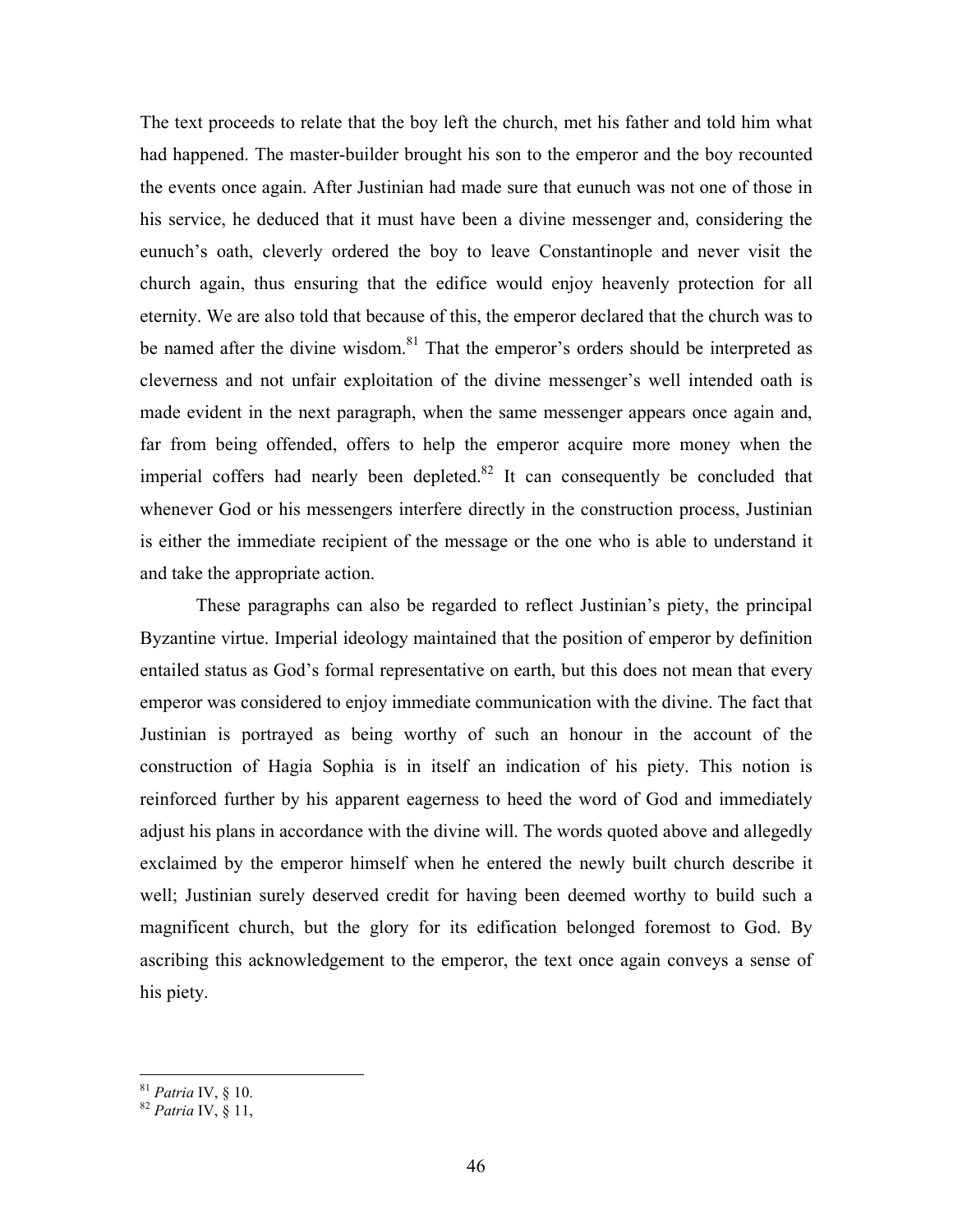The text proceeds to relate that the boy left the church, met his father and told him what had happened. The master-builder brought his son to the emperor and the boy recounted the events once again. After Justinian had made sure that eunuch was not one of those in his service, he deduced that it must have been a divine messenger and, considering the eunuch's oath, cleverly ordered the boy to leave Constantinople and never visit the church again, thus ensuring that the edifice would enjoy heavenly protection for all eternity. We are also told that because of this, the emperor declared that the church was to be named after the divine wisdom.<sup>81</sup> That the emperor's orders should be interpreted as cleverness and not unfair exploitation of the divine messenger's well intended oath is made evident in the next paragraph, when the same messenger appears once again and, far from being offended, offers to help the emperor acquire more money when the imperial coffers had nearly been depleted. $82$  It can consequently be concluded that whenever God or his messengers interfere directly in the construction process, Justinian is either the immediate recipient of the message or the one who is able to understand it and take the appropriate action.

 These paragraphs can also be regarded to reflect Justinian's piety, the principal Byzantine virtue. Imperial ideology maintained that the position of emperor by definition entailed status as God's formal representative on earth, but this does not mean that every emperor was considered to enjoy immediate communication with the divine. The fact that Justinian is portrayed as being worthy of such an honour in the account of the construction of Hagia Sophia is in itself an indication of his piety. This notion is reinforced further by his apparent eagerness to heed the word of God and immediately adjust his plans in accordance with the divine will. The words quoted above and allegedly exclaimed by the emperor himself when he entered the newly built church describe it well; Justinian surely deserved credit for having been deemed worthy to build such a magnificent church, but the glory for its edification belonged foremost to God. By ascribing this acknowledgement to the emperor, the text once again conveys a sense of his piety.

 $81$  Patria IV,  $\S$  10.

 $82$  Patria IV,  $\S$  11,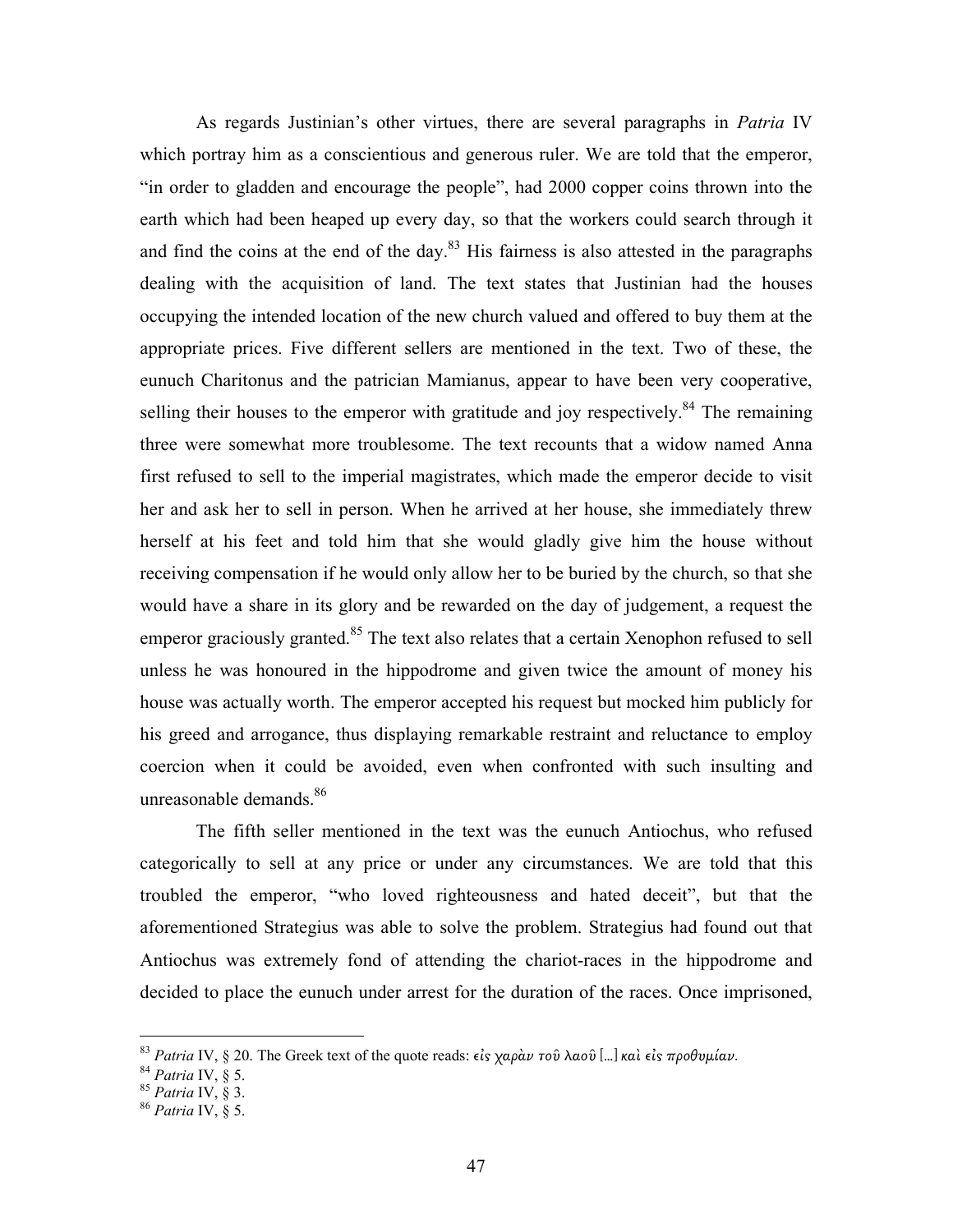As regards Justinian's other virtues, there are several paragraphs in *Patria* IV which portray him as a conscientious and generous ruler. We are told that the emperor, "in order to gladden and encourage the people", had 2000 copper coins thrown into the earth which had been heaped up every day, so that the workers could search through it and find the coins at the end of the day. $83$  His fairness is also attested in the paragraphs dealing with the acquisition of land. The text states that Justinian had the houses occupying the intended location of the new church valued and offered to buy them at the appropriate prices. Five different sellers are mentioned in the text. Two of these, the eunuch Charitonus and the patrician Mamianus, appear to have been very cooperative, selling their houses to the emperor with gratitude and joy respectively.<sup>84</sup> The remaining three were somewhat more troublesome. The text recounts that a widow named Anna first refused to sell to the imperial magistrates, which made the emperor decide to visit her and ask her to sell in person. When he arrived at her house, she immediately threw herself at his feet and told him that she would gladly give him the house without receiving compensation if he would only allow her to be buried by the church, so that she would have a share in its glory and be rewarded on the day of judgement, a request the emperor graciously granted.<sup>85</sup> The text also relates that a certain Xenophon refused to sell unless he was honoured in the hippodrome and given twice the amount of money his house was actually worth. The emperor accepted his request but mocked him publicly for his greed and arrogance, thus displaying remarkable restraint and reluctance to employ coercion when it could be avoided, even when confronted with such insulting and unreasonable demands.<sup>86</sup>

The fifth seller mentioned in the text was the eunuch Antiochus, who refused categorically to sell at any price or under any circumstances. We are told that this troubled the emperor, "who loved righteousness and hated deceit", but that the aforementioned Strategius was able to solve the problem. Strategius had found out that Antiochus was extremely fond of attending the chariot-races in the hippodrome and decided to place the eunuch under arrest for the duration of the races. Once imprisoned,

<sup>&</sup>lt;sup>83</sup> Patria IV, § 20. The Greek text of the quote reads: εἰς χαρὰν τοῦ λαοῦ [...] καὶ εἰς προθυμίαν.

 $84$  Patria IV,  $\S$  5.

 $85$  Patria IV,  $\S$  3.

 $86$  Patria IV,  $\S$  5.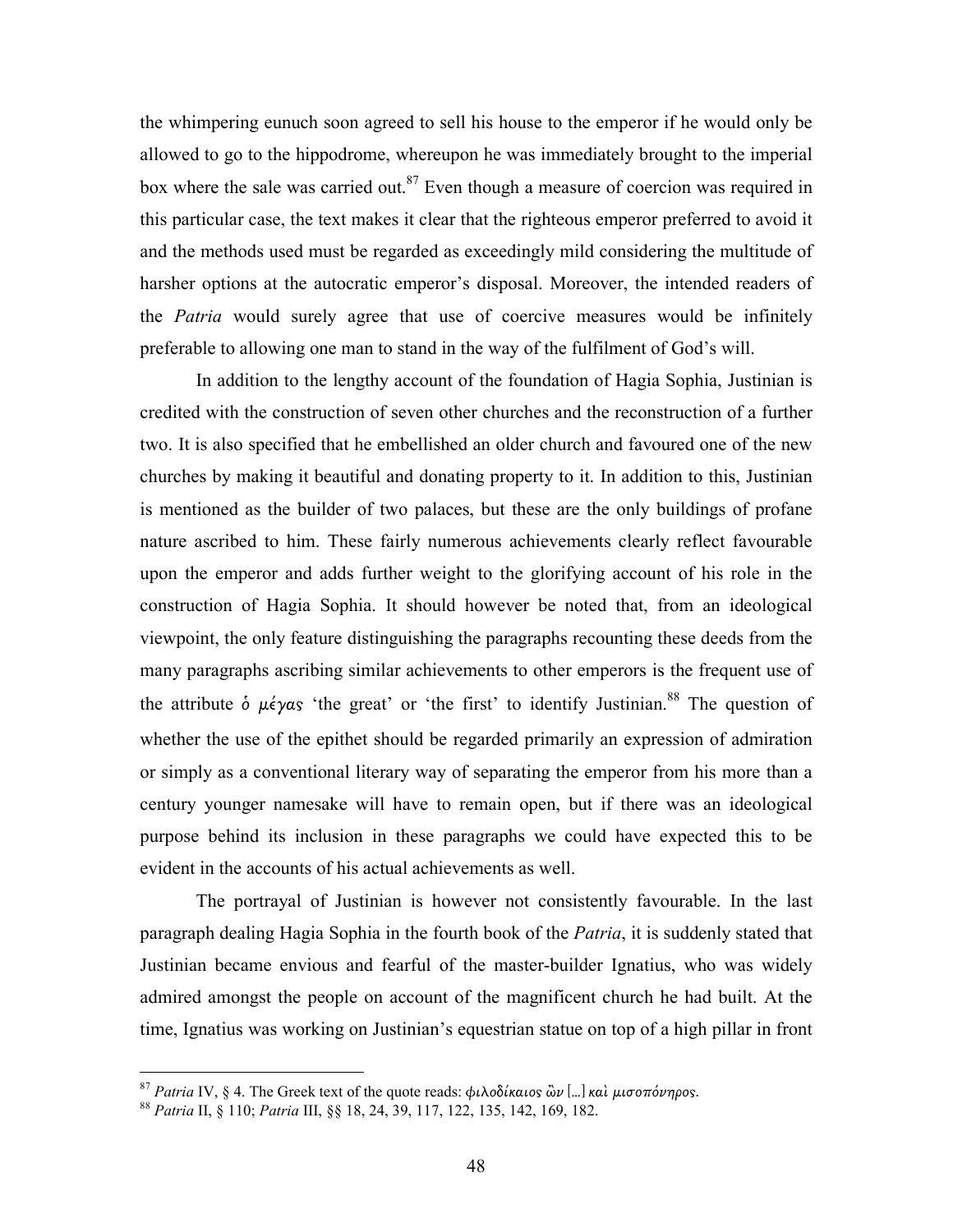the whimpering eunuch soon agreed to sell his house to the emperor if he would only be allowed to go to the hippodrome, whereupon he was immediately brought to the imperial box where the sale was carried out.<sup>87</sup> Even though a measure of coercion was required in this particular case, the text makes it clear that the righteous emperor preferred to avoid it and the methods used must be regarded as exceedingly mild considering the multitude of harsher options at the autocratic emperor's disposal. Moreover, the intended readers of the *Patria* would surely agree that use of coercive measures would be infinitely preferable to allowing one man to stand in the way of the fulfilment of God's will.

 In addition to the lengthy account of the foundation of Hagia Sophia, Justinian is credited with the construction of seven other churches and the reconstruction of a further two. It is also specified that he embellished an older church and favoured one of the new churches by making it beautiful and donating property to it. In addition to this, Justinian is mentioned as the builder of two palaces, but these are the only buildings of profane nature ascribed to him. These fairly numerous achievements clearly reflect favourable upon the emperor and adds further weight to the glorifying account of his role in the construction of Hagia Sophia. It should however be noted that, from an ideological viewpoint, the only feature distinguishing the paragraphs recounting these deeds from the many paragraphs ascribing similar achievements to other emperors is the frequent use of the attribute  $\dot{\phi}$   $\mu \dot{\epsilon} \gamma \alpha s$  'the great' or 'the first' to identify Justinian.<sup>88</sup> The question of whether the use of the epithet should be regarded primarily an expression of admiration or simply as a conventional literary way of separating the emperor from his more than a century younger namesake will have to remain open, but if there was an ideological purpose behind its inclusion in these paragraphs we could have expected this to be evident in the accounts of his actual achievements as well.

 The portrayal of Justinian is however not consistently favourable. In the last paragraph dealing Hagia Sophia in the fourth book of the *Patria*, it is suddenly stated that Justinian became envious and fearful of the master-builder Ignatius, who was widely admired amongst the people on account of the magnificent church he had built. At the time, Ignatius was working on Justinian's equestrian statue on top of a high pillar in front

<sup>&</sup>lt;sup>87</sup> Patria IV, § 4. The Greek text of the quote reads: φιλοδίκαιος ὢν [...] καὶ μισοπόνηρος.

<sup>88</sup> *Patria* II, § 110; *Patria* III, §§ 18, 24, 39, 117, 122, 135, 142, 169, 182.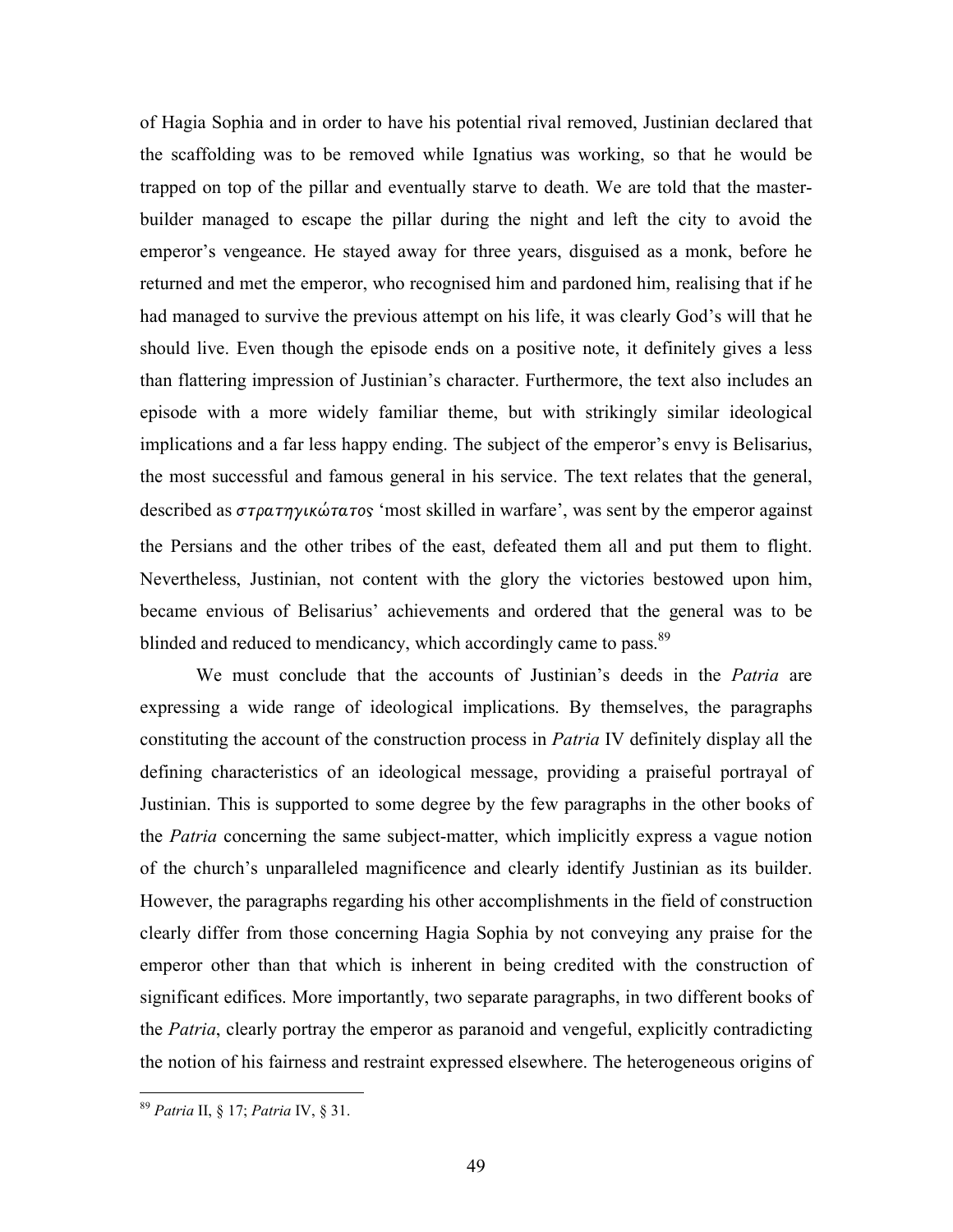of Hagia Sophia and in order to have his potential rival removed, Justinian declared that the scaffolding was to be removed while Ignatius was working, so that he would be trapped on top of the pillar and eventually starve to death. We are told that the masterbuilder managed to escape the pillar during the night and left the city to avoid the emperor's vengeance. He stayed away for three years, disguised as a monk, before he returned and met the emperor, who recognised him and pardoned him, realising that if he had managed to survive the previous attempt on his life, it was clearly God's will that he should live. Even though the episode ends on a positive note, it definitely gives a less than flattering impression of Justinian's character. Furthermore, the text also includes an episode with a more widely familiar theme, but with strikingly similar ideological implications and a far less happy ending. The subject of the emperor's envy is Belisarius, the most successful and famous general in his service. The text relates that the general, described as στρατηγικώτατος 'most skilled in warfare', was sent by the emperor against the Persians and the other tribes of the east, defeated them all and put them to flight. Nevertheless, Justinian, not content with the glory the victories bestowed upon him, became envious of Belisarius' achievements and ordered that the general was to be blinded and reduced to mendicancy, which accordingly came to pass.<sup>89</sup>

We must conclude that the accounts of Justinian's deeds in the Patria are expressing a wide range of ideological implications. By themselves, the paragraphs constituting the account of the construction process in Patria IV definitely display all the defining characteristics of an ideological message, providing a praiseful portrayal of Justinian. This is supported to some degree by the few paragraphs in the other books of the *Patria* concerning the same subject-matter, which implicitly express a vague notion of the church's unparalleled magnificence and clearly identify Justinian as its builder. However, the paragraphs regarding his other accomplishments in the field of construction clearly differ from those concerning Hagia Sophia by not conveying any praise for the emperor other than that which is inherent in being credited with the construction of significant edifices. More importantly, two separate paragraphs, in two different books of the *Patria*, clearly portray the emperor as paranoid and vengeful, explicitly contradicting the notion of his fairness and restraint expressed elsewhere. The heterogeneous origins of

<sup>&</sup>lt;sup>89</sup> Patria II, § 17; Patria IV, § 31.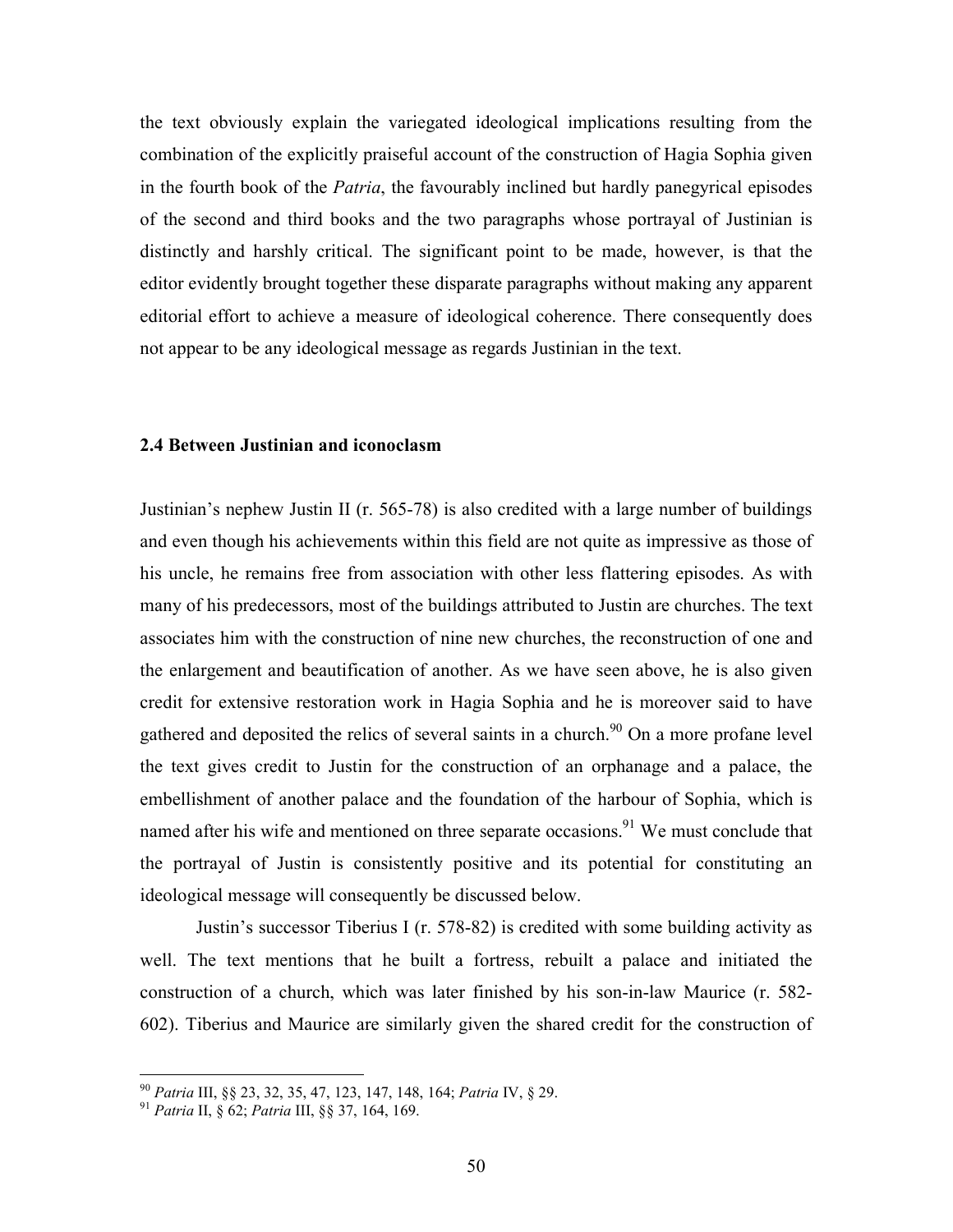the text obviously explain the variegated ideological implications resulting from the combination of the explicitly praiseful account of the construction of Hagia Sophia given in the fourth book of the Patria, the favourably inclined but hardly panegyrical episodes of the second and third books and the two paragraphs whose portrayal of Justinian is distinctly and harshly critical. The significant point to be made, however, is that the editor evidently brought together these disparate paragraphs without making any apparent editorial effort to achieve a measure of ideological coherence. There consequently does not appear to be any ideological message as regards Justinian in the text.

## 2.4 Between Justinian and iconoclasm

Justinian's nephew Justin II (r. 565-78) is also credited with a large number of buildings and even though his achievements within this field are not quite as impressive as those of his uncle, he remains free from association with other less flattering episodes. As with many of his predecessors, most of the buildings attributed to Justin are churches. The text associates him with the construction of nine new churches, the reconstruction of one and the enlargement and beautification of another. As we have seen above, he is also given credit for extensive restoration work in Hagia Sophia and he is moreover said to have gathered and deposited the relics of several saints in a church.<sup>90</sup> On a more profane level the text gives credit to Justin for the construction of an orphanage and a palace, the embellishment of another palace and the foundation of the harbour of Sophia, which is named after his wife and mentioned on three separate occasions.<sup>91</sup> We must conclude that the portrayal of Justin is consistently positive and its potential for constituting an ideological message will consequently be discussed below.

 Justin's successor Tiberius I (r. 578-82) is credited with some building activity as well. The text mentions that he built a fortress, rebuilt a palace and initiated the construction of a church, which was later finished by his son-in-law Maurice (r. 582- 602). Tiberius and Maurice are similarly given the shared credit for the construction of

<sup>90</sup> Patria III, §§ 23, 32, 35, 47, 123, 147, 148, 164; Patria IV, § 29.

<sup>&</sup>lt;sup>91</sup> Patria II, § 62; Patria III, §§ 37, 164, 169.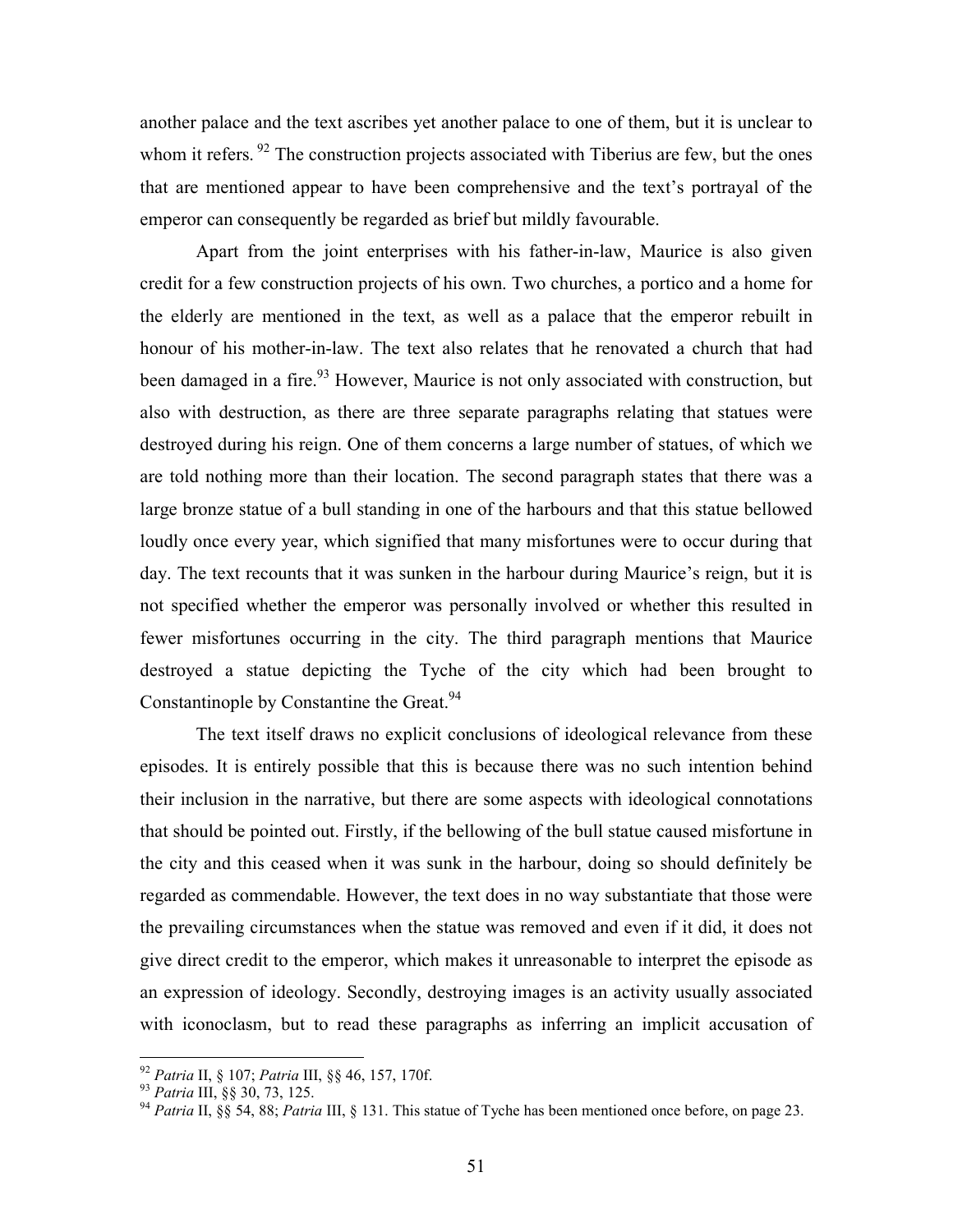another palace and the text ascribes yet another palace to one of them, but it is unclear to whom it refers.<sup>92</sup> The construction projects associated with Tiberius are few, but the ones that are mentioned appear to have been comprehensive and the text's portrayal of the emperor can consequently be regarded as brief but mildly favourable.

 Apart from the joint enterprises with his father-in-law, Maurice is also given credit for a few construction projects of his own. Two churches, a portico and a home for the elderly are mentioned in the text, as well as a palace that the emperor rebuilt in honour of his mother-in-law. The text also relates that he renovated a church that had been damaged in a fire.<sup>93</sup> However, Maurice is not only associated with construction, but also with destruction, as there are three separate paragraphs relating that statues were destroyed during his reign. One of them concerns a large number of statues, of which we are told nothing more than their location. The second paragraph states that there was a large bronze statue of a bull standing in one of the harbours and that this statue bellowed loudly once every year, which signified that many misfortunes were to occur during that day. The text recounts that it was sunken in the harbour during Maurice's reign, but it is not specified whether the emperor was personally involved or whether this resulted in fewer misfortunes occurring in the city. The third paragraph mentions that Maurice destroyed a statue depicting the Tyche of the city which had been brought to Constantinople by Constantine the Great.<sup>94</sup>

The text itself draws no explicit conclusions of ideological relevance from these episodes. It is entirely possible that this is because there was no such intention behind their inclusion in the narrative, but there are some aspects with ideological connotations that should be pointed out. Firstly, if the bellowing of the bull statue caused misfortune in the city and this ceased when it was sunk in the harbour, doing so should definitely be regarded as commendable. However, the text does in no way substantiate that those were the prevailing circumstances when the statue was removed and even if it did, it does not give direct credit to the emperor, which makes it unreasonable to interpret the episode as an expression of ideology. Secondly, destroying images is an activity usually associated with iconoclasm, but to read these paragraphs as inferring an implicit accusation of

<sup>&</sup>lt;sup>92</sup> Patria II, § 107; Patria III, §§ 46, 157, 170f.

<sup>93</sup> Patria III, §§ 30, 73, 125.

<sup>&</sup>lt;sup>94</sup> Patria II, §§ 54, 88; Patria III, § 131. This statue of Tyche has been mentioned once before, on page 23.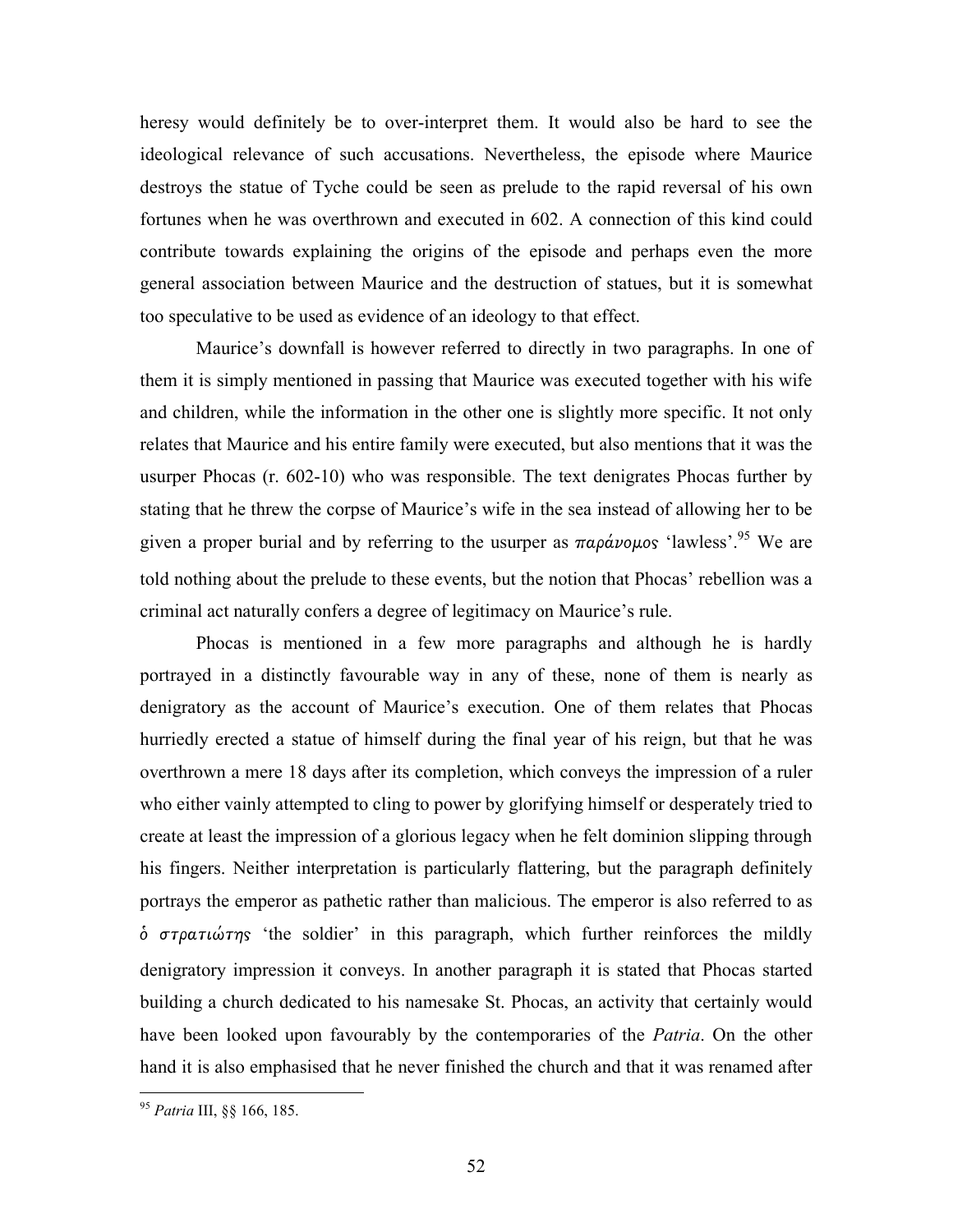heresy would definitely be to over-interpret them. It would also be hard to see the ideological relevance of such accusations. Nevertheless, the episode where Maurice destroys the statue of Tyche could be seen as prelude to the rapid reversal of his own fortunes when he was overthrown and executed in 602. A connection of this kind could contribute towards explaining the origins of the episode and perhaps even the more general association between Maurice and the destruction of statues, but it is somewhat too speculative to be used as evidence of an ideology to that effect.

Maurice's downfall is however referred to directly in two paragraphs. In one of them it is simply mentioned in passing that Maurice was executed together with his wife and children, while the information in the other one is slightly more specific. It not only relates that Maurice and his entire family were executed, but also mentions that it was the usurper Phocas (r. 602-10) who was responsible. The text denigrates Phocas further by stating that he threw the corpse of Maurice's wife in the sea instead of allowing her to be given a proper burial and by referring to the usurper as  $\pi a \rho a \nu o \mu o s$  'lawless'.<sup>95</sup> We are told nothing about the prelude to these events, but the notion that Phocas' rebellion was a criminal act naturally confers a degree of legitimacy on Maurice's rule.

Phocas is mentioned in a few more paragraphs and although he is hardly portrayed in a distinctly favourable way in any of these, none of them is nearly as denigratory as the account of Maurice's execution. One of them relates that Phocas hurriedly erected a statue of himself during the final year of his reign, but that he was overthrown a mere 18 days after its completion, which conveys the impression of a ruler who either vainly attempted to cling to power by glorifying himself or desperately tried to create at least the impression of a glorious legacy when he felt dominion slipping through his fingers. Neither interpretation is particularly flattering, but the paragraph definitely portrays the emperor as pathetic rather than malicious. The emperor is also referred to as  $\dot{\phi}$  στρατιώτης 'the soldier' in this paragraph, which further reinforces the mildly denigratory impression it conveys. In another paragraph it is stated that Phocas started building a church dedicated to his namesake St. Phocas, an activity that certainly would have been looked upon favourably by the contemporaries of the *Patria*. On the other hand it is also emphasised that he never finished the church and that it was renamed after

<sup>&</sup>lt;sup>95</sup> Patria III, §§ 166, 185.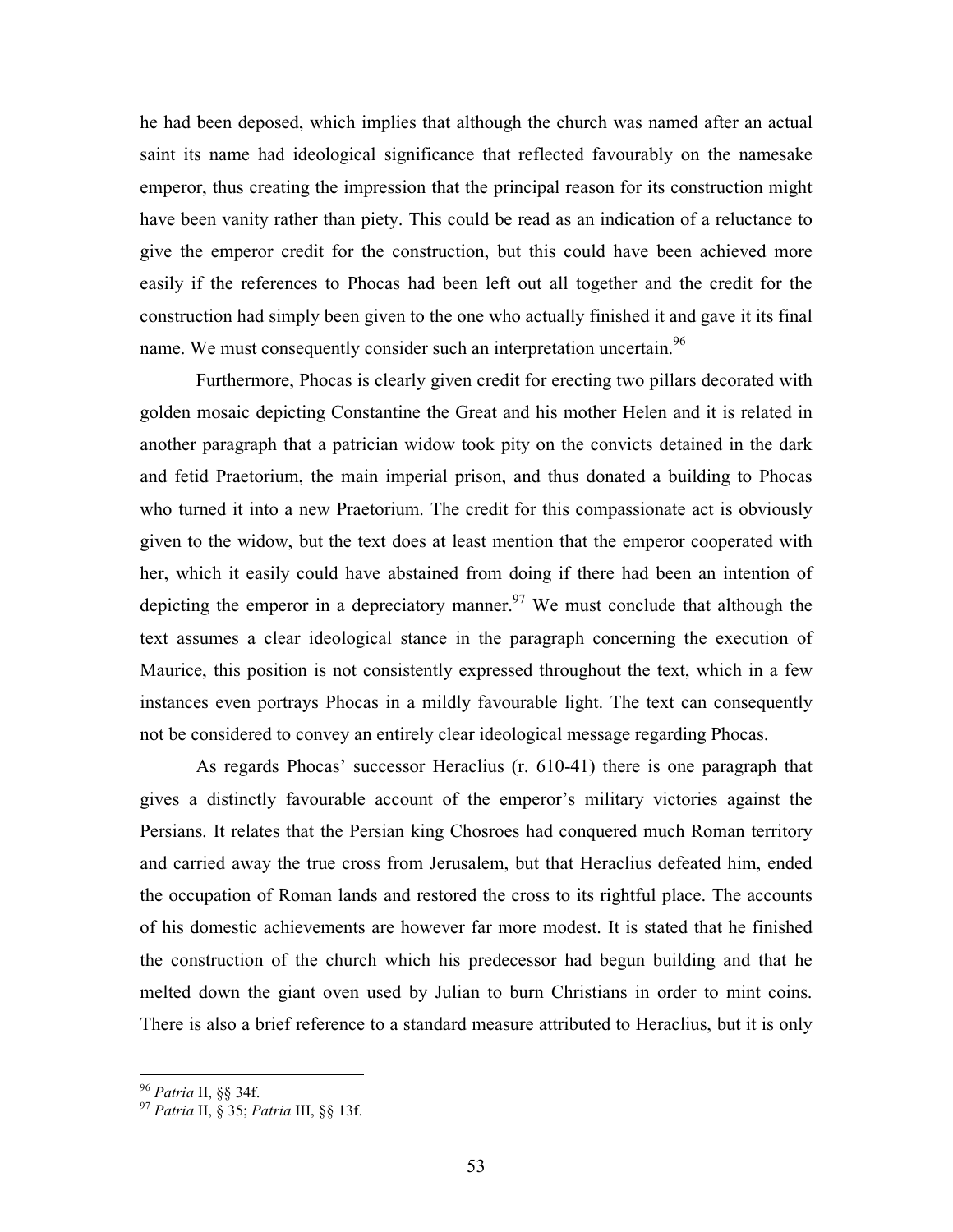he had been deposed, which implies that although the church was named after an actual saint its name had ideological significance that reflected favourably on the namesake emperor, thus creating the impression that the principal reason for its construction might have been vanity rather than piety. This could be read as an indication of a reluctance to give the emperor credit for the construction, but this could have been achieved more easily if the references to Phocas had been left out all together and the credit for the construction had simply been given to the one who actually finished it and gave it its final name. We must consequently consider such an interpretation uncertain.<sup>96</sup>

Furthermore, Phocas is clearly given credit for erecting two pillars decorated with golden mosaic depicting Constantine the Great and his mother Helen and it is related in another paragraph that a patrician widow took pity on the convicts detained in the dark and fetid Praetorium, the main imperial prison, and thus donated a building to Phocas who turned it into a new Praetorium. The credit for this compassionate act is obviously given to the widow, but the text does at least mention that the emperor cooperated with her, which it easily could have abstained from doing if there had been an intention of depicting the emperor in a depreciatory manner.<sup>97</sup> We must conclude that although the text assumes a clear ideological stance in the paragraph concerning the execution of Maurice, this position is not consistently expressed throughout the text, which in a few instances even portrays Phocas in a mildly favourable light. The text can consequently not be considered to convey an entirely clear ideological message regarding Phocas.

As regards Phocas' successor Heraclius (r. 610-41) there is one paragraph that gives a distinctly favourable account of the emperor's military victories against the Persians. It relates that the Persian king Chosroes had conquered much Roman territory and carried away the true cross from Jerusalem, but that Heraclius defeated him, ended the occupation of Roman lands and restored the cross to its rightful place. The accounts of his domestic achievements are however far more modest. It is stated that he finished the construction of the church which his predecessor had begun building and that he melted down the giant oven used by Julian to burn Christians in order to mint coins. There is also a brief reference to a standard measure attributed to Heraclius, but it is only

<sup>&</sup>lt;u>.</u> <sup>96</sup> Patria II, §§ 34f.

<sup>&</sup>lt;sup>97</sup> Patria II, § 35; Patria III, §§ 13f.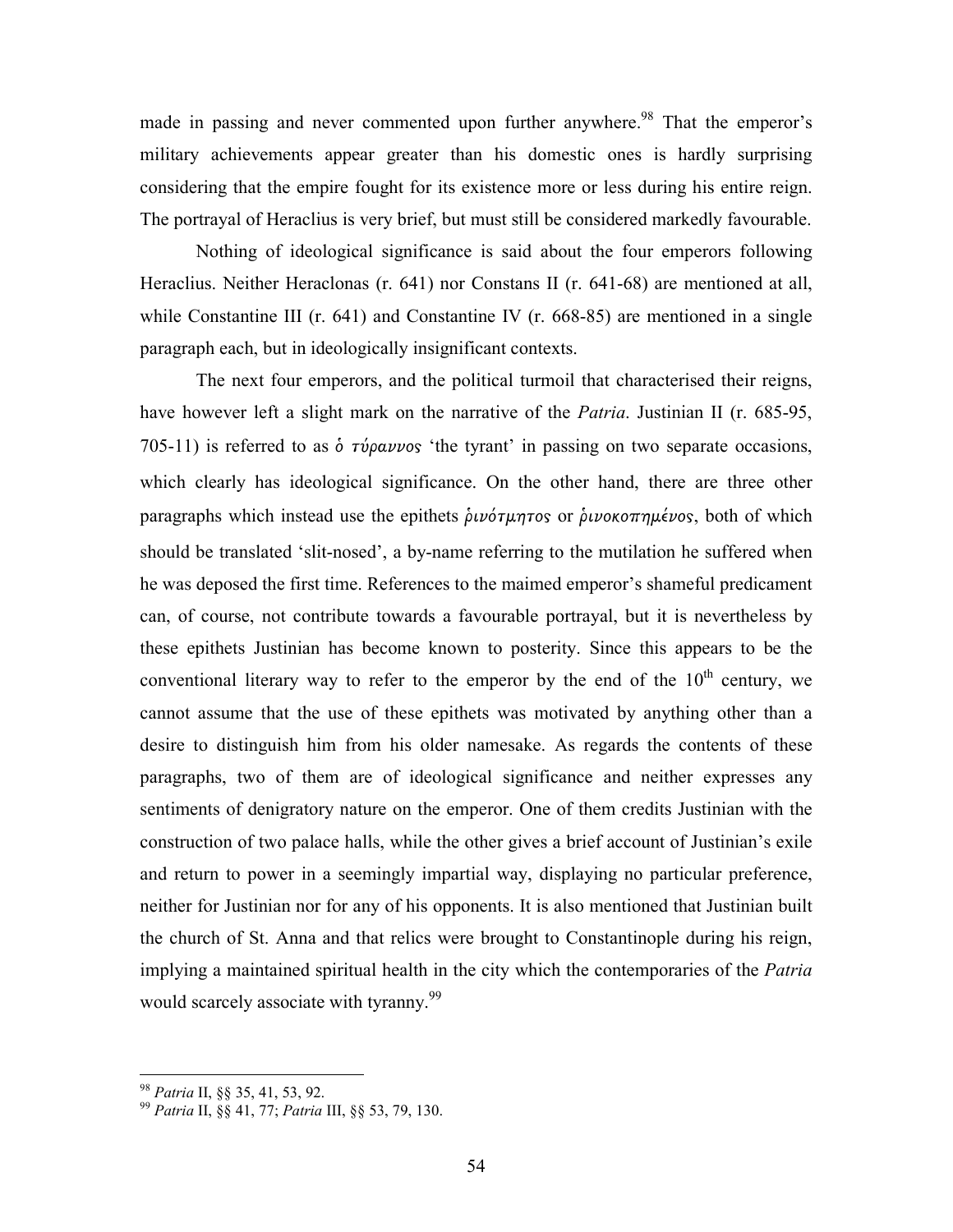made in passing and never commented upon further anywhere.<sup>98</sup> That the emperor's military achievements appear greater than his domestic ones is hardly surprising considering that the empire fought for its existence more or less during his entire reign. The portrayal of Heraclius is very brief, but must still be considered markedly favourable.

Nothing of ideological significance is said about the four emperors following Heraclius. Neither Heraclonas (r. 641) nor Constans II (r. 641-68) are mentioned at all, while Constantine III (r. 641) and Constantine IV (r. 668-85) are mentioned in a single paragraph each, but in ideologically insignificant contexts.

The next four emperors, and the political turmoil that characterised their reigns, have however left a slight mark on the narrative of the *Patria*. Justinian II (r. 685-95, 705-11) is referred to as  $\dot{\phi}$  *τύραννο*ς 'the tyrant' in passing on two separate occasions, which clearly has ideological significance. On the other hand, there are three other paragraphs which instead use the epithets δινότμητος or δινοκοπημένος, both of which should be translated 'slit-nosed', a by-name referring to the mutilation he suffered when he was deposed the first time. References to the maimed emperor's shameful predicament can, of course, not contribute towards a favourable portrayal, but it is nevertheless by these epithets Justinian has become known to posterity. Since this appears to be the conventional literary way to refer to the emperor by the end of the  $10<sup>th</sup>$  century, we cannot assume that the use of these epithets was motivated by anything other than a desire to distinguish him from his older namesake. As regards the contents of these paragraphs, two of them are of ideological significance and neither expresses any sentiments of denigratory nature on the emperor. One of them credits Justinian with the construction of two palace halls, while the other gives a brief account of Justinian's exile and return to power in a seemingly impartial way, displaying no particular preference, neither for Justinian nor for any of his opponents. It is also mentioned that Justinian built the church of St. Anna and that relics were brought to Constantinople during his reign, implying a maintained spiritual health in the city which the contemporaries of the *Patria* would scarcely associate with tyranny.<sup>99</sup>

<u>.</u>

<sup>98</sup> Patria II, §§ 35, 41, 53, 92.

<sup>99</sup> Patria II, §§ 41, 77; Patria III, §§ 53, 79, 130.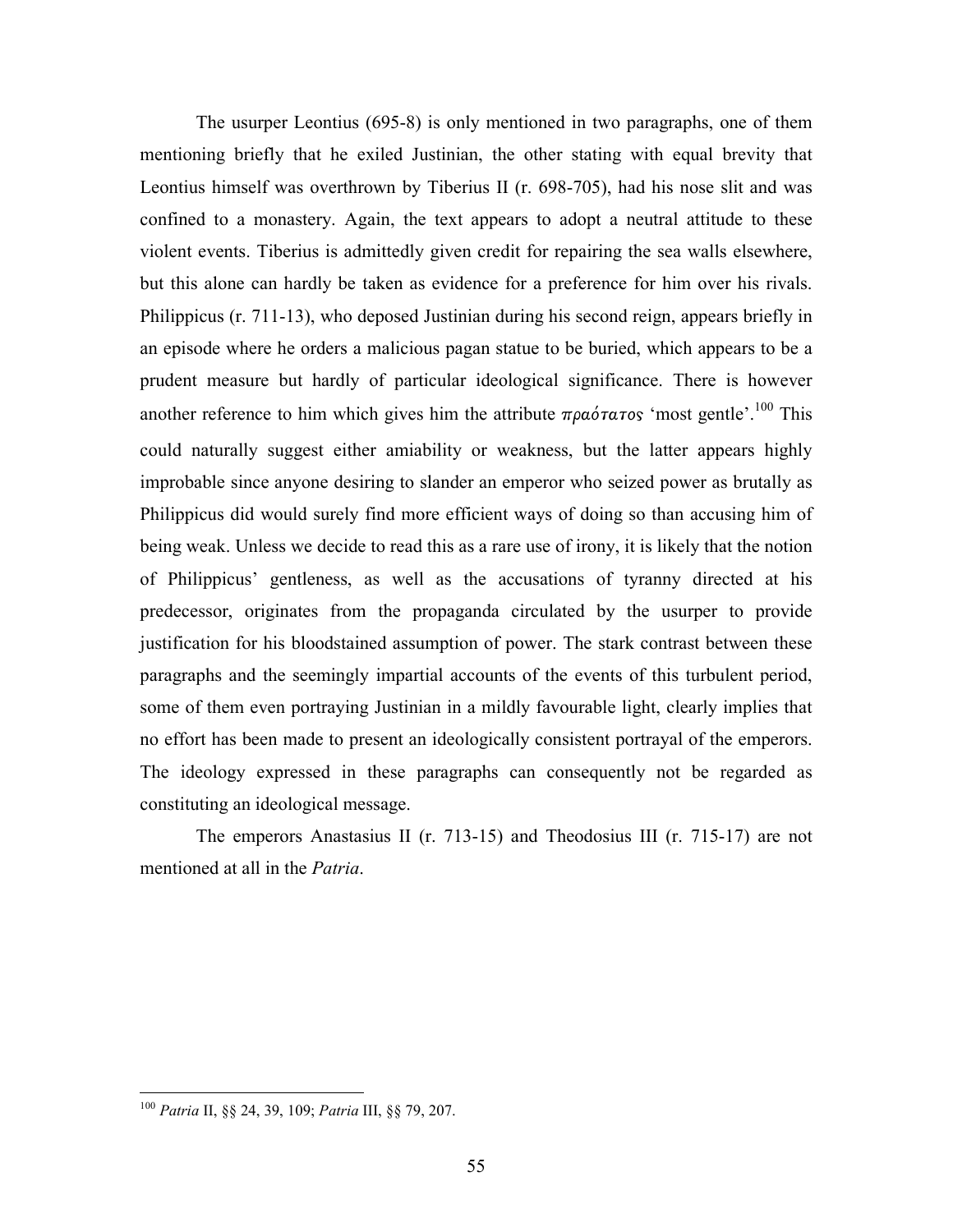The usurper Leontius (695-8) is only mentioned in two paragraphs, one of them mentioning briefly that he exiled Justinian, the other stating with equal brevity that Leontius himself was overthrown by Tiberius II (r. 698-705), had his nose slit and was confined to a monastery. Again, the text appears to adopt a neutral attitude to these violent events. Tiberius is admittedly given credit for repairing the sea walls elsewhere, but this alone can hardly be taken as evidence for a preference for him over his rivals. Philippicus (r. 711-13), who deposed Justinian during his second reign, appears briefly in an episode where he orders a malicious pagan statue to be buried, which appears to be a prudent measure but hardly of particular ideological significance. There is however another reference to him which gives him the attribute  $\pi \rho \alpha \acute{o} \tau \alpha \tau \circ s$  'most gentle'.<sup>100</sup> This could naturally suggest either amiability or weakness, but the latter appears highly improbable since anyone desiring to slander an emperor who seized power as brutally as Philippicus did would surely find more efficient ways of doing so than accusing him of being weak. Unless we decide to read this as a rare use of irony, it is likely that the notion of Philippicus' gentleness, as well as the accusations of tyranny directed at his predecessor, originates from the propaganda circulated by the usurper to provide justification for his bloodstained assumption of power. The stark contrast between these paragraphs and the seemingly impartial accounts of the events of this turbulent period, some of them even portraying Justinian in a mildly favourable light, clearly implies that no effort has been made to present an ideologically consistent portrayal of the emperors. The ideology expressed in these paragraphs can consequently not be regarded as constituting an ideological message.

The emperors Anastasius II (r. 713-15) and Theodosius III (r. 715-17) are not mentioned at all in the Patria.

<sup>&</sup>lt;sup>100</sup> Patria II, §§ 24, 39, 109; Patria III, §§ 79, 207.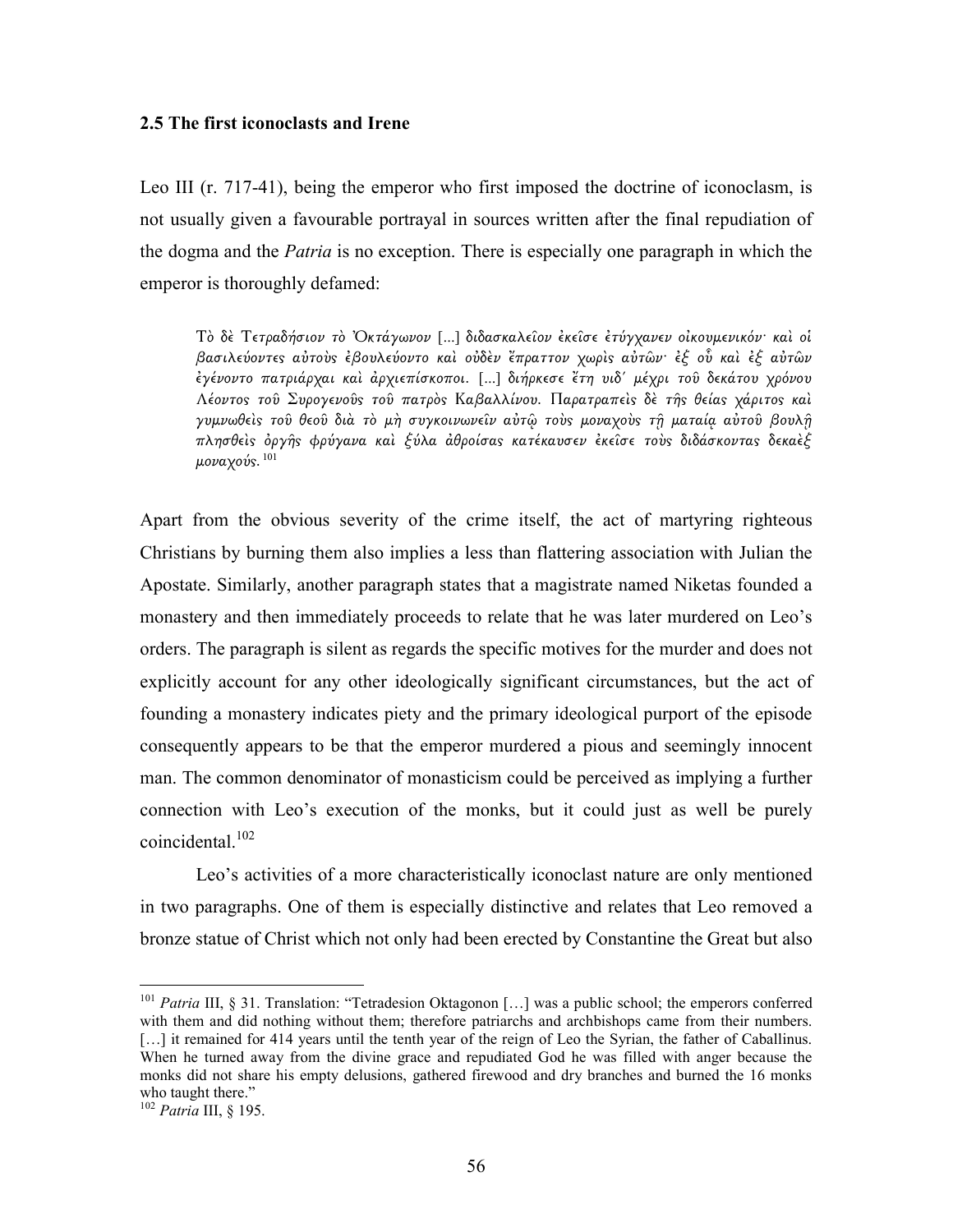## 2.5 The first iconoclasts and Irene

Leo III (r. 717-41), being the emperor who first imposed the doctrine of iconoclasm, is not usually given a favourable portrayal in sources written after the final repudiation of the dogma and the *Patria* is no exception. There is especially one paragraph in which the emperor is thoroughly defamed:

Τὸ δὲ Τετραδήσιον τὸ Ὀκτάγωνον [...] διδασκαλεῖον ἐκεῖσε ἐτύγχανεν οἰκουµενικόν· καὶ οἱ βασιλεύοντε̋ αὐτοὺ̋ ἐβουλεύοντο καὶ οὐδὲν ἔπραττον χωρὶ̋ αὐτῶν· ἐξ οὗ καὶ ἐξ αὐτῶν ἐγένοντο πατριάρχαι καὶ ἀρχιεπίσκοποι. [...] διήρκεσε ἔτη υιδ´ µέχρι τοῦ δεκάτου χρόνου Λέοντος τοῦ Συρογενοῦς τοῦ πατρὸς Καβαλλίνου. Παρατραπεὶς δὲ της θείας χάριτος καὶ γυμνωθείς τοῦ θεοῦ διὰ τὸ μὴ συγκοινωνεῖν αὐτῷ τοὺς μοναχοὺς τῆ ματαία αὐτοῦ βουλῆ πλησθείς όργής φρύγανα και ξύλα άθροίσας κατέκαυσεν έκεισε τους διδάσκοντας δεκαεξ μοναχούς. $101$ 

Apart from the obvious severity of the crime itself, the act of martyring righteous Christians by burning them also implies a less than flattering association with Julian the Apostate. Similarly, another paragraph states that a magistrate named Niketas founded a monastery and then immediately proceeds to relate that he was later murdered on Leo's orders. The paragraph is silent as regards the specific motives for the murder and does not explicitly account for any other ideologically significant circumstances, but the act of founding a monastery indicates piety and the primary ideological purport of the episode consequently appears to be that the emperor murdered a pious and seemingly innocent man. The common denominator of monasticism could be perceived as implying a further connection with Leo's execution of the monks, but it could just as well be purely coincidental<sup>102</sup>

 Leo's activities of a more characteristically iconoclast nature are only mentioned in two paragraphs. One of them is especially distinctive and relates that Leo removed a bronze statue of Christ which not only had been erected by Constantine the Great but also

<sup>&</sup>lt;sup>101</sup> Patria III, § 31. Translation: "Tetradesion Oktagonon [...] was a public school; the emperors conferred with them and did nothing without them; therefore patriarchs and archbishops came from their numbers. [...] it remained for 414 years until the tenth year of the reign of Leo the Syrian, the father of Caballinus. When he turned away from the divine grace and repudiated God he was filled with anger because the monks did not share his empty delusions, gathered firewood and dry branches and burned the 16 monks who taught there."

<sup>&</sup>lt;sup>102</sup> Patria III, § 195.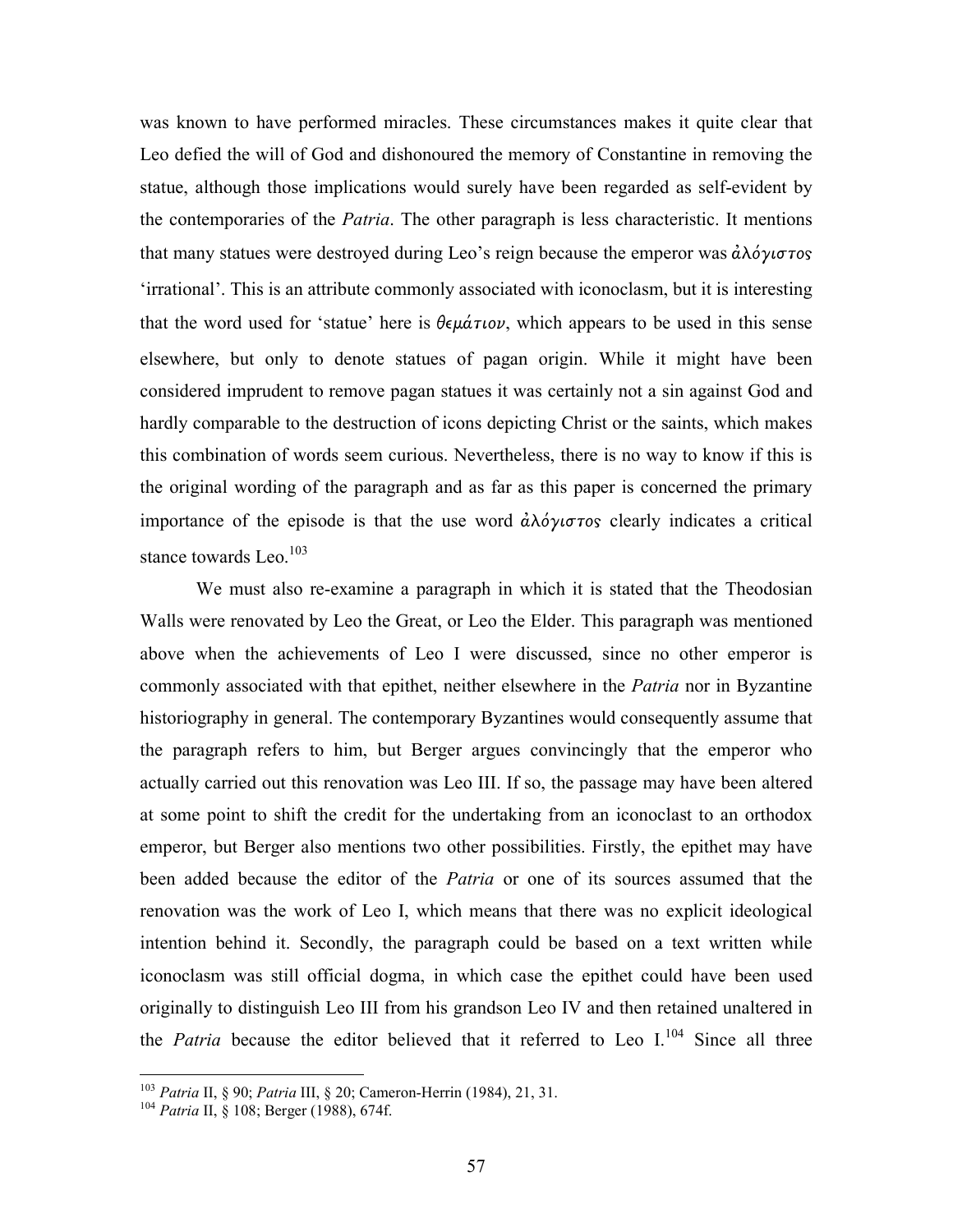was known to have performed miracles. These circumstances makes it quite clear that Leo defied the will of God and dishonoured the memory of Constantine in removing the statue, although those implications would surely have been regarded as self-evident by the contemporaries of the *Patria*. The other paragraph is less characteristic. It mentions that many statues were destroyed during Leo's reign because the emperor was  $\dot{a} \lambda \dot{\phi} \gamma \dot{\sigma} \tau \dot{\sigma} s$ 'irrational'. This is an attribute commonly associated with iconoclasm, but it is interesting that the word used for 'statue' here is  $\theta \epsilon \mu \acute{a} \tau \nu$ , which appears to be used in this sense elsewhere, but only to denote statues of pagan origin. While it might have been considered imprudent to remove pagan statues it was certainly not a sin against God and hardly comparable to the destruction of icons depicting Christ or the saints, which makes this combination of words seem curious. Nevertheless, there is no way to know if this is the original wording of the paragraph and as far as this paper is concerned the primary importance of the episode is that the use word  $\partial \lambda \partial \gamma$  also clearly indicates a critical stance towards Leo.<sup>103</sup>

 We must also re-examine a paragraph in which it is stated that the Theodosian Walls were renovated by Leo the Great, or Leo the Elder. This paragraph was mentioned above when the achievements of Leo I were discussed, since no other emperor is commonly associated with that epithet, neither elsewhere in the *Patria* nor in Byzantine historiography in general. The contemporary Byzantines would consequently assume that the paragraph refers to him, but Berger argues convincingly that the emperor who actually carried out this renovation was Leo III. If so, the passage may have been altered at some point to shift the credit for the undertaking from an iconoclast to an orthodox emperor, but Berger also mentions two other possibilities. Firstly, the epithet may have been added because the editor of the *Patria* or one of its sources assumed that the renovation was the work of Leo I, which means that there was no explicit ideological intention behind it. Secondly, the paragraph could be based on a text written while iconoclasm was still official dogma, in which case the epithet could have been used originally to distinguish Leo III from his grandson Leo IV and then retained unaltered in the Patria because the editor believed that it referred to Leo  $I^{104}$  Since all three

<sup>&</sup>lt;sup>103</sup> Patria II, § 90; Patria III, § 20; Cameron-Herrin (1984), 21, 31.

<sup>&</sup>lt;sup>104</sup> Patria II, § 108; Berger (1988), 674f.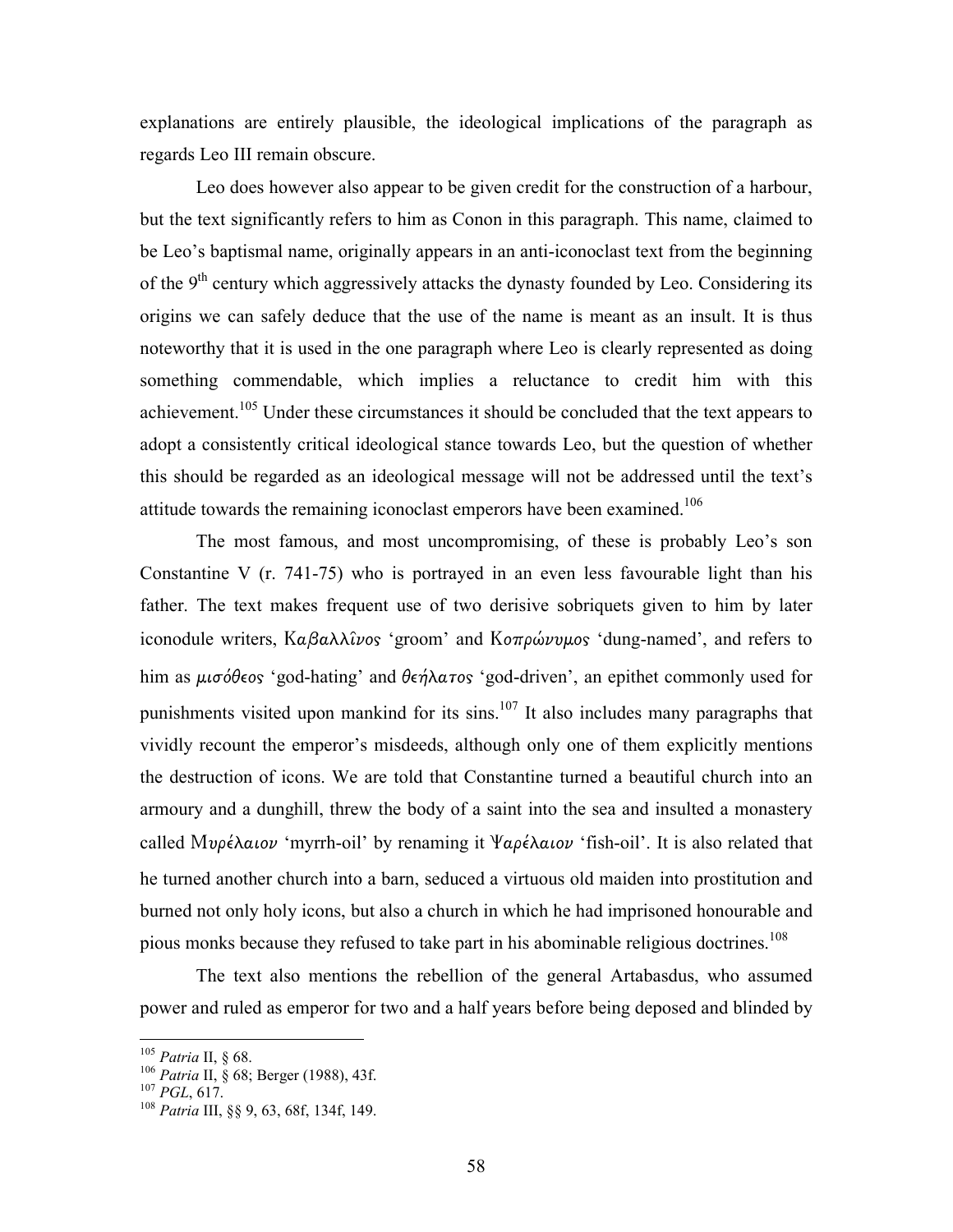explanations are entirely plausible, the ideological implications of the paragraph as regards Leo III remain obscure.

 Leo does however also appear to be given credit for the construction of a harbour, but the text significantly refers to him as Conon in this paragraph. This name, claimed to be Leo's baptismal name, originally appears in an anti-iconoclast text from the beginning of the  $9<sup>th</sup>$  century which aggressively attacks the dynasty founded by Leo. Considering its origins we can safely deduce that the use of the name is meant as an insult. It is thus noteworthy that it is used in the one paragraph where Leo is clearly represented as doing something commendable, which implies a reluctance to credit him with this achievement.<sup>105</sup> Under these circumstances it should be concluded that the text appears to adopt a consistently critical ideological stance towards Leo, but the question of whether this should be regarded as an ideological message will not be addressed until the text's attitude towards the remaining iconoclast emperors have been examined.<sup>106</sup>

 The most famous, and most uncompromising, of these is probably Leo's son Constantine V (r. 741-75) who is portrayed in an even less favourable light than his father. The text makes frequent use of two derisive sobriquets given to him by later iconodule writers,  $K\alpha\beta\alpha\lambda\lambda\hat{\iota}\nu\sigma\gamma$  'groom' and  $K\sigma\tau\rho\omega\nu\mu\sigma\gamma\gamma$  'dung-named', and refers to him as μισόθεος 'god-hating' and θεήλατος 'god-driven', an epithet commonly used for punishments visited upon mankind for its sins.<sup>107</sup> It also includes many paragraphs that vividly recount the emperor's misdeeds, although only one of them explicitly mentions the destruction of icons. We are told that Constantine turned a beautiful church into an armoury and a dunghill, threw the body of a saint into the sea and insulted a monastery called Μυρέλαιον 'myrrh-oil' by renaming it Ψαρέλαιον 'fish-oil'. It is also related that he turned another church into a barn, seduced a virtuous old maiden into prostitution and burned not only holy icons, but also a church in which he had imprisoned honourable and pious monks because they refused to take part in his abominable religious doctrines.<sup>108</sup>

 The text also mentions the rebellion of the general Artabasdus, who assumed power and ruled as emperor for two and a half years before being deposed and blinded by

 $105$  Patria II, § 68.

<sup>106</sup> Patria II, § 68; Berger (1988), 43f.

 $^{107}$  PGL, 617.

<sup>108</sup> Patria III, §§ 9, 63, 68f, 134f, 149.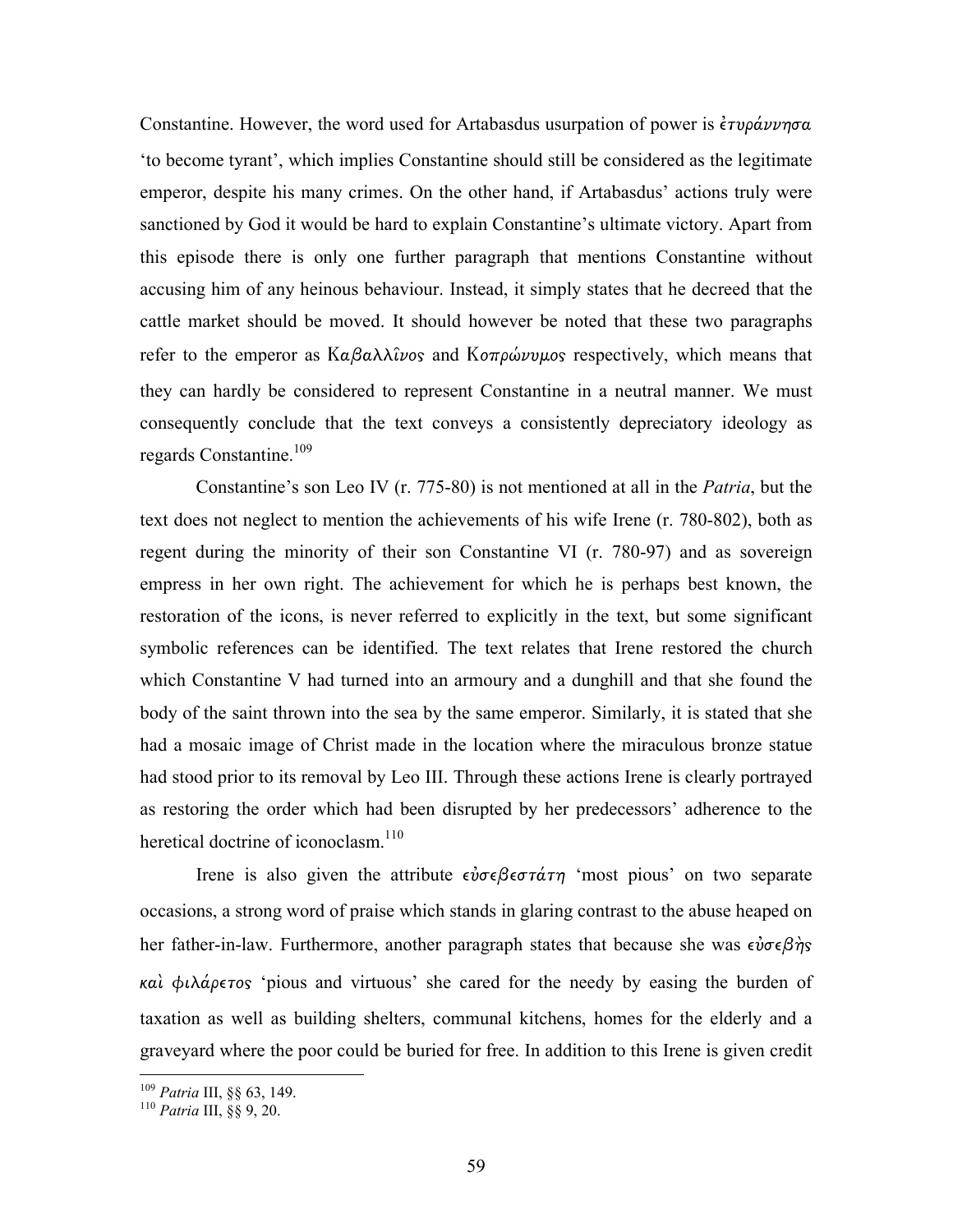Constantine. However, the word used for Artabasdus usurpation of power is *έτυράννησα* 'to become tyrant', which implies Constantine should still be considered as the legitimate emperor, despite his many crimes. On the other hand, if Artabasdus' actions truly were sanctioned by God it would be hard to explain Constantine's ultimate victory. Apart from this episode there is only one further paragraph that mentions Constantine without accusing him of any heinous behaviour. Instead, it simply states that he decreed that the cattle market should be moved. It should however be noted that these two paragraphs refer to the emperor as Καβαλλίνος and Κοπρώνυμος respectively, which means that they can hardly be considered to represent Constantine in a neutral manner. We must consequently conclude that the text conveys a consistently depreciatory ideology as regards Constantine.<sup>109</sup>

 Constantine's son Leo IV (r. 775-80) is not mentioned at all in the Patria, but the text does not neglect to mention the achievements of his wife Irene (r. 780-802), both as regent during the minority of their son Constantine VI (r. 780-97) and as sovereign empress in her own right. The achievement for which he is perhaps best known, the restoration of the icons, is never referred to explicitly in the text, but some significant symbolic references can be identified. The text relates that Irene restored the church which Constantine V had turned into an armoury and a dunghill and that she found the body of the saint thrown into the sea by the same emperor. Similarly, it is stated that she had a mosaic image of Christ made in the location where the miraculous bronze statue had stood prior to its removal by Leo III. Through these actions Irene is clearly portrayed as restoring the order which had been disrupted by her predecessors' adherence to the heretical doctrine of iconoclasm.<sup>110</sup>

Irene is also given the attribute  $\epsilon \nu \sigma \epsilon \beta \epsilon \sigma \tau \alpha \tau \eta$  'most pious' on two separate occasions, a strong word of praise which stands in glaring contrast to the abuse heaped on her father-in-law. Furthermore, another paragraph states that because she was  $\epsilon \nu \sigma \epsilon \beta \gamma$ καὶ φιλάρετος 'pious and virtuous' she cared for the needy by easing the burden of taxation as well as building shelters, communal kitchens, homes for the elderly and a graveyard where the poor could be buried for free. In addition to this Irene is given credit

<u>.</u>

<sup>&</sup>lt;sup>109</sup> Patria III, §§ 63, 149.

<sup>110</sup> Patria III, §§ 9, 20.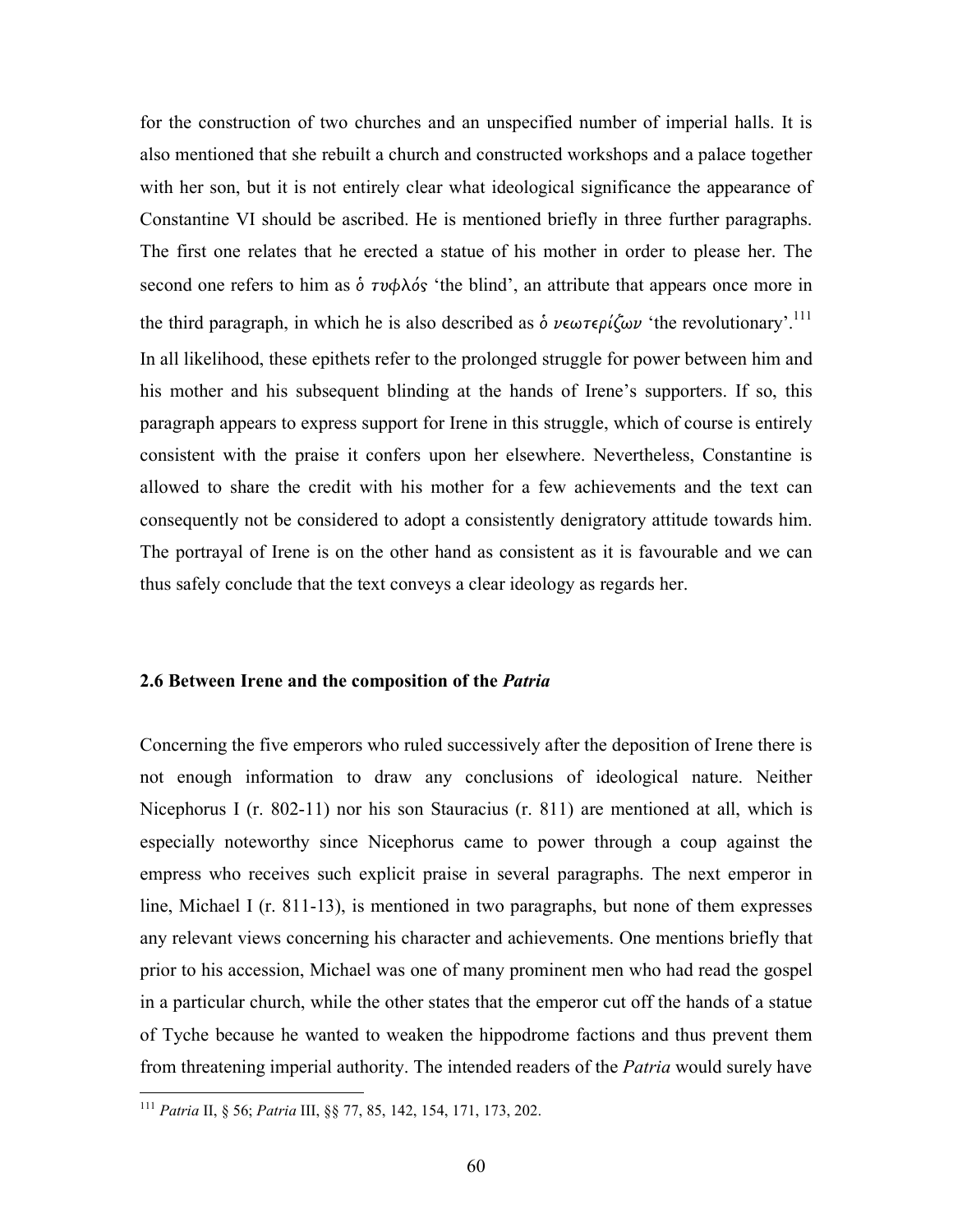for the construction of two churches and an unspecified number of imperial halls. It is also mentioned that she rebuilt a church and constructed workshops and a palace together with her son, but it is not entirely clear what ideological significance the appearance of Constantine VI should be ascribed. He is mentioned briefly in three further paragraphs. The first one relates that he erected a statue of his mother in order to please her. The second one refers to him as  $\delta \tau \nu \phi \lambda \delta s$  'the blind', an attribute that appears once more in the third paragraph, in which he is also described as  $\delta \nu \epsilon \omega \tau \epsilon \rho \ell \zeta \omega \nu$  'the revolutionary'.<sup>111</sup> In all likelihood, these epithets refer to the prolonged struggle for power between him and his mother and his subsequent blinding at the hands of Irene's supporters. If so, this paragraph appears to express support for Irene in this struggle, which of course is entirely consistent with the praise it confers upon her elsewhere. Nevertheless, Constantine is allowed to share the credit with his mother for a few achievements and the text can consequently not be considered to adopt a consistently denigratory attitude towards him. The portrayal of Irene is on the other hand as consistent as it is favourable and we can thus safely conclude that the text conveys a clear ideology as regards her.

## 2.6 Between Irene and the composition of the Patria

Concerning the five emperors who ruled successively after the deposition of Irene there is not enough information to draw any conclusions of ideological nature. Neither Nicephorus I (r. 802-11) nor his son Stauracius (r. 811) are mentioned at all, which is especially noteworthy since Nicephorus came to power through a coup against the empress who receives such explicit praise in several paragraphs. The next emperor in line, Michael I (r. 811-13), is mentioned in two paragraphs, but none of them expresses any relevant views concerning his character and achievements. One mentions briefly that prior to his accession, Michael was one of many prominent men who had read the gospel in a particular church, while the other states that the emperor cut off the hands of a statue of Tyche because he wanted to weaken the hippodrome factions and thus prevent them from threatening imperial authority. The intended readers of the *Patria* would surely have

<sup>111</sup> Patria II, § 56; Patria III, §§ 77, 85, 142, 154, 171, 173, 202.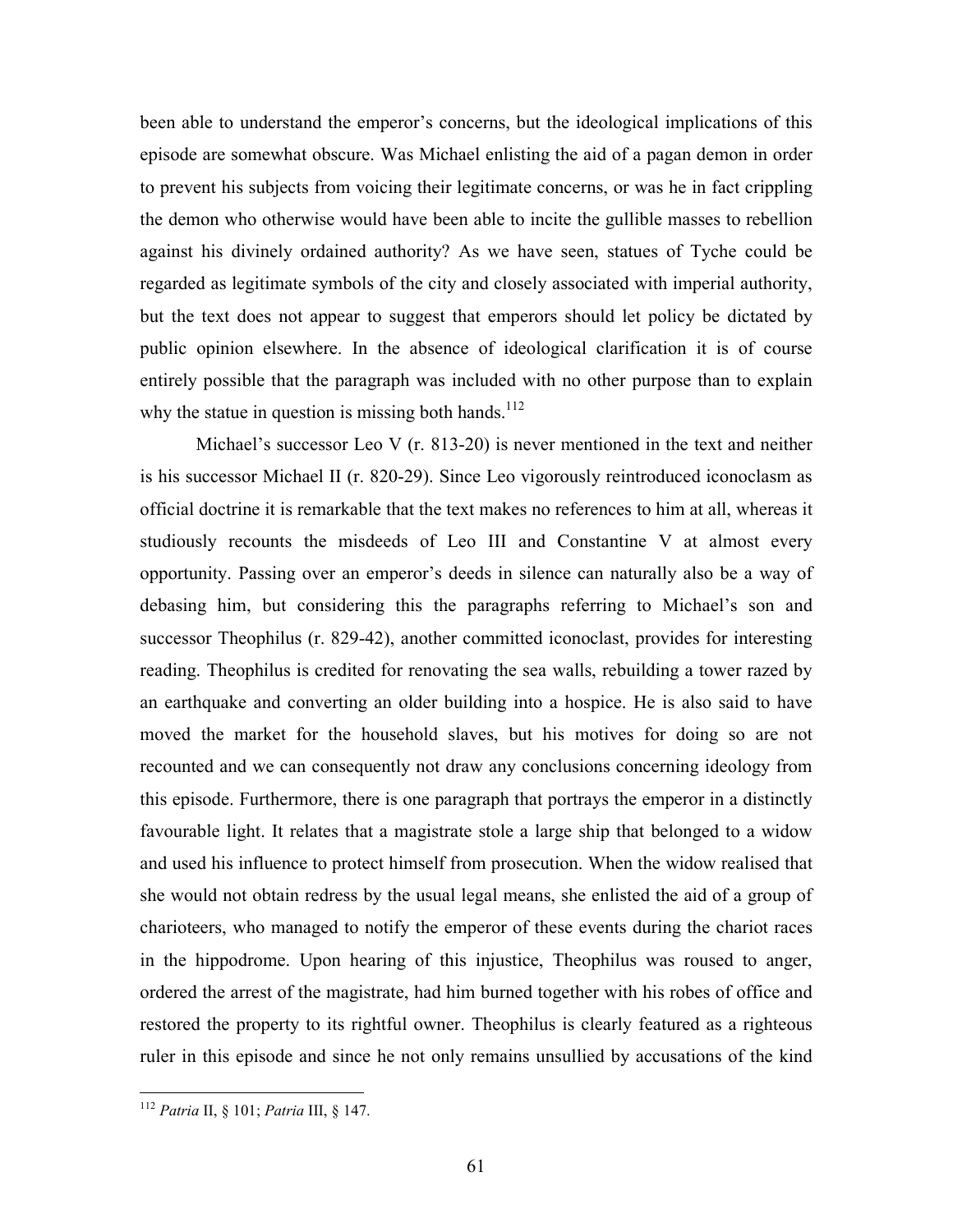been able to understand the emperor's concerns, but the ideological implications of this episode are somewhat obscure. Was Michael enlisting the aid of a pagan demon in order to prevent his subjects from voicing their legitimate concerns, or was he in fact crippling the demon who otherwise would have been able to incite the gullible masses to rebellion against his divinely ordained authority? As we have seen, statues of Tyche could be regarded as legitimate symbols of the city and closely associated with imperial authority, but the text does not appear to suggest that emperors should let policy be dictated by public opinion elsewhere. In the absence of ideological clarification it is of course entirely possible that the paragraph was included with no other purpose than to explain why the statue in question is missing both hands.<sup>112</sup>

 Michael's successor Leo V (r. 813-20) is never mentioned in the text and neither is his successor Michael II (r. 820-29). Since Leo vigorously reintroduced iconoclasm as official doctrine it is remarkable that the text makes no references to him at all, whereas it studiously recounts the misdeeds of Leo III and Constantine V at almost every opportunity. Passing over an emperor's deeds in silence can naturally also be a way of debasing him, but considering this the paragraphs referring to Michael's son and successor Theophilus (r. 829-42), another committed iconoclast, provides for interesting reading. Theophilus is credited for renovating the sea walls, rebuilding a tower razed by an earthquake and converting an older building into a hospice. He is also said to have moved the market for the household slaves, but his motives for doing so are not recounted and we can consequently not draw any conclusions concerning ideology from this episode. Furthermore, there is one paragraph that portrays the emperor in a distinctly favourable light. It relates that a magistrate stole a large ship that belonged to a widow and used his influence to protect himself from prosecution. When the widow realised that she would not obtain redress by the usual legal means, she enlisted the aid of a group of charioteers, who managed to notify the emperor of these events during the chariot races in the hippodrome. Upon hearing of this injustice, Theophilus was roused to anger, ordered the arrest of the magistrate, had him burned together with his robes of office and restored the property to its rightful owner. Theophilus is clearly featured as a righteous ruler in this episode and since he not only remains unsullied by accusations of the kind

 $\overline{a}$ <sup>112</sup> Patria II, § 101; Patria III, § 147.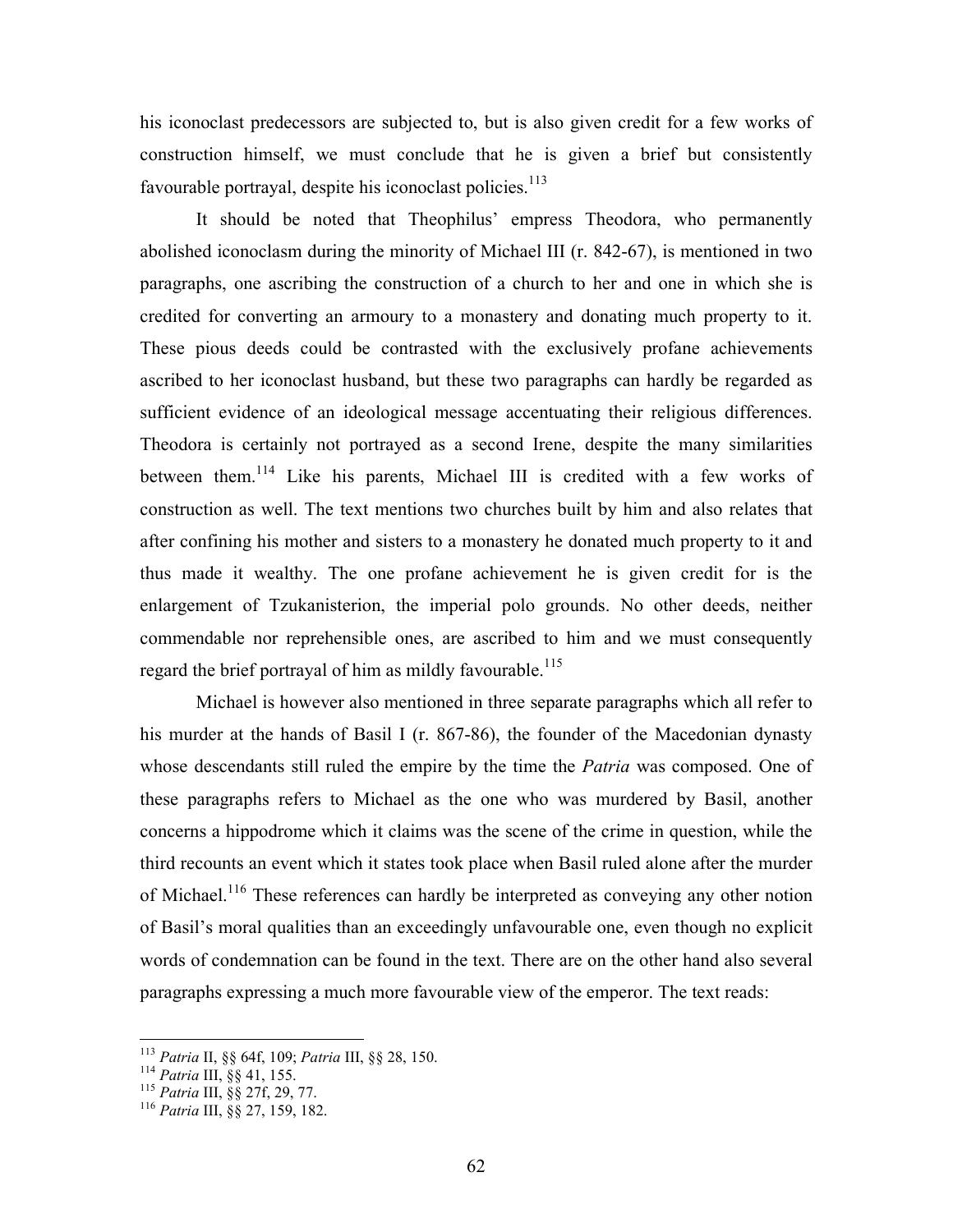his iconoclast predecessors are subjected to, but is also given credit for a few works of construction himself, we must conclude that he is given a brief but consistently favourable portrayal, despite his iconoclast policies. $113$ 

 It should be noted that Theophilus' empress Theodora, who permanently abolished iconoclasm during the minority of Michael III (r. 842-67), is mentioned in two paragraphs, one ascribing the construction of a church to her and one in which she is credited for converting an armoury to a monastery and donating much property to it. These pious deeds could be contrasted with the exclusively profane achievements ascribed to her iconoclast husband, but these two paragraphs can hardly be regarded as sufficient evidence of an ideological message accentuating their religious differences. Theodora is certainly not portrayed as a second Irene, despite the many similarities between them.<sup>114</sup> Like his parents, Michael III is credited with a few works of construction as well. The text mentions two churches built by him and also relates that after confining his mother and sisters to a monastery he donated much property to it and thus made it wealthy. The one profane achievement he is given credit for is the enlargement of Tzukanisterion, the imperial polo grounds. No other deeds, neither commendable nor reprehensible ones, are ascribed to him and we must consequently regard the brief portrayal of him as mildly favourable.<sup>115</sup>

 Michael is however also mentioned in three separate paragraphs which all refer to his murder at the hands of Basil I (r. 867-86), the founder of the Macedonian dynasty whose descendants still ruled the empire by the time the *Patria* was composed. One of these paragraphs refers to Michael as the one who was murdered by Basil, another concerns a hippodrome which it claims was the scene of the crime in question, while the third recounts an event which it states took place when Basil ruled alone after the murder of Michael.<sup>116</sup> These references can hardly be interpreted as conveying any other notion of Basil's moral qualities than an exceedingly unfavourable one, even though no explicit words of condemnation can be found in the text. There are on the other hand also several paragraphs expressing a much more favourable view of the emperor. The text reads:

<sup>113</sup> Patria II, §§ 64f, 109; Patria III, §§ 28, 150.

<sup>114</sup> Patria III, §§ 41, 155.

<sup>115</sup> Patria III, §§ 27f, 29, 77.

<sup>116</sup> Patria III, §§ 27, 159, 182.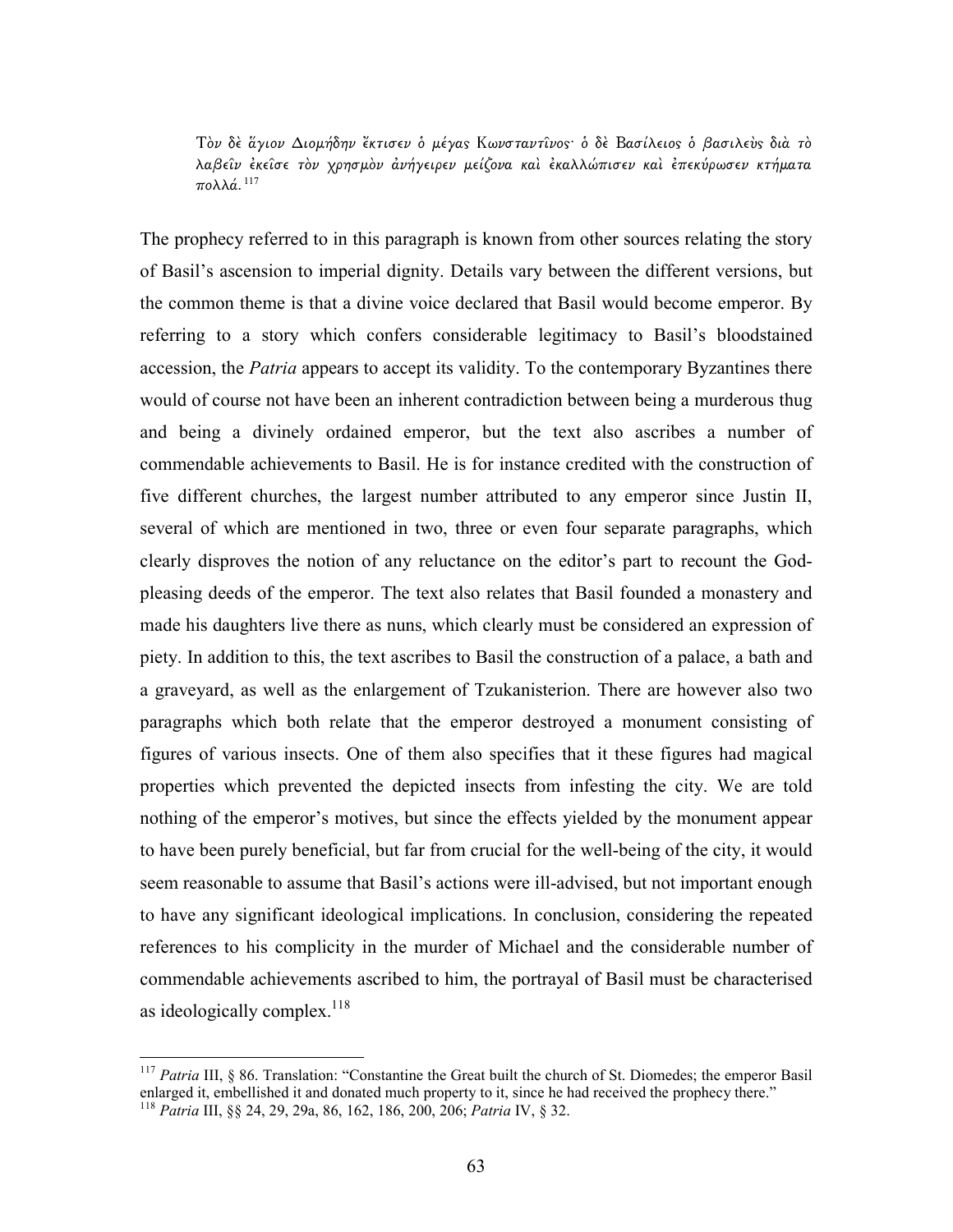Τὸν δε άγιον Διομήδην "κτισεν ο μέγας Κωνσταντίνος· ο δε Βασίλειος ο βασιλεύς διά το λαβεῖν ἐκεῖσε τὸν χρησµὸν ἀνήγειρεν µείζονα καὶ ἐκαλλώπισεν καὶ ἐπεκύρωσεν κτήµατα πολλά.<sup>117</sup>

The prophecy referred to in this paragraph is known from other sources relating the story of Basil's ascension to imperial dignity. Details vary between the different versions, but the common theme is that a divine voice declared that Basil would become emperor. By referring to a story which confers considerable legitimacy to Basil's bloodstained accession, the *Patria* appears to accept its validity. To the contemporary Byzantines there would of course not have been an inherent contradiction between being a murderous thug and being a divinely ordained emperor, but the text also ascribes a number of commendable achievements to Basil. He is for instance credited with the construction of five different churches, the largest number attributed to any emperor since Justin II, several of which are mentioned in two, three or even four separate paragraphs, which clearly disproves the notion of any reluctance on the editor's part to recount the Godpleasing deeds of the emperor. The text also relates that Basil founded a monastery and made his daughters live there as nuns, which clearly must be considered an expression of piety. In addition to this, the text ascribes to Basil the construction of a palace, a bath and a graveyard, as well as the enlargement of Tzukanisterion. There are however also two paragraphs which both relate that the emperor destroyed a monument consisting of figures of various insects. One of them also specifies that it these figures had magical properties which prevented the depicted insects from infesting the city. We are told nothing of the emperor's motives, but since the effects yielded by the monument appear to have been purely beneficial, but far from crucial for the well-being of the city, it would seem reasonable to assume that Basil's actions were ill-advised, but not important enough to have any significant ideological implications. In conclusion, considering the repeated references to his complicity in the murder of Michael and the considerable number of commendable achievements ascribed to him, the portrayal of Basil must be characterised as ideologically complex.<sup>118</sup>

<sup>&</sup>lt;sup>117</sup> Patria III, § 86. Translation: "Constantine the Great built the church of St. Diomedes; the emperor Basil enlarged it, embellished it and donated much property to it, since he had received the prophecy there." <sup>118</sup> Patria III, §§ 24, 29, 29a, 86, 162, 186, 200, 206; Patria IV, § 32.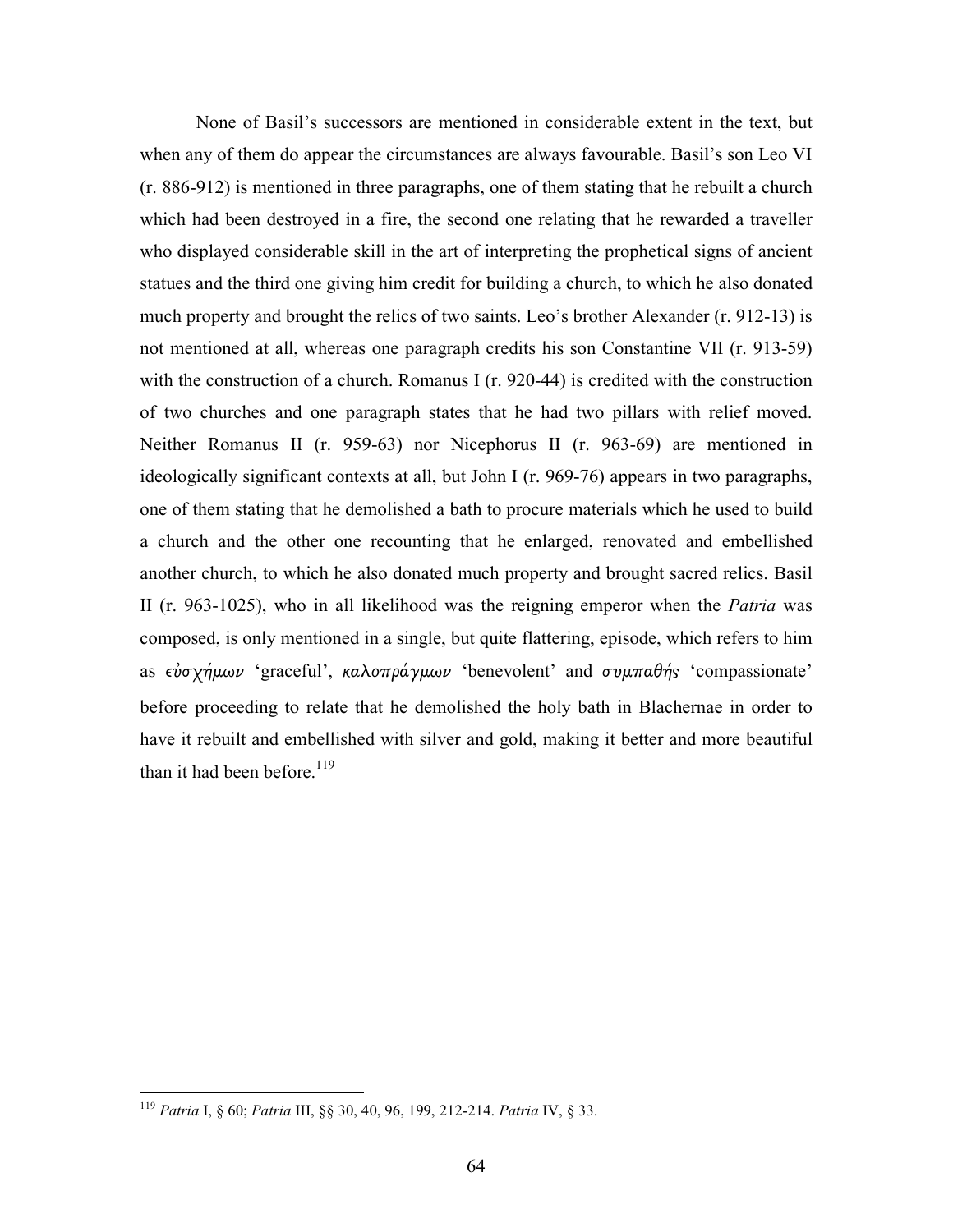None of Basil's successors are mentioned in considerable extent in the text, but when any of them do appear the circumstances are always favourable. Basil's son Leo VI (r. 886-912) is mentioned in three paragraphs, one of them stating that he rebuilt a church which had been destroyed in a fire, the second one relating that he rewarded a traveller who displayed considerable skill in the art of interpreting the prophetical signs of ancient statues and the third one giving him credit for building a church, to which he also donated much property and brought the relics of two saints. Leo's brother Alexander (r. 912-13) is not mentioned at all, whereas one paragraph credits his son Constantine VII (r. 913-59) with the construction of a church. Romanus I (r. 920-44) is credited with the construction of two churches and one paragraph states that he had two pillars with relief moved. Neither Romanus II (r. 959-63) nor Nicephorus II (r. 963-69) are mentioned in ideologically significant contexts at all, but John I (r. 969-76) appears in two paragraphs, one of them stating that he demolished a bath to procure materials which he used to build a church and the other one recounting that he enlarged, renovated and embellished another church, to which he also donated much property and brought sacred relics. Basil II (r. 963-1025), who in all likelihood was the reigning emperor when the Patria was composed, is only mentioned in a single, but quite flattering, episode, which refers to him as  $\epsilon \dot{\nu} \sigma \chi \dot{\eta} \mu \omega \nu$  'graceful', καλοπράγμων 'benevolent' and συμπαθής 'compassionate' before proceeding to relate that he demolished the holy bath in Blachernae in order to have it rebuilt and embellished with silver and gold, making it better and more beautiful than it had been before.<sup>119</sup>

<sup>&</sup>lt;sup>119</sup> Patria I, § 60; Patria III, §§ 30, 40, 96, 199, 212-214. Patria IV, § 33.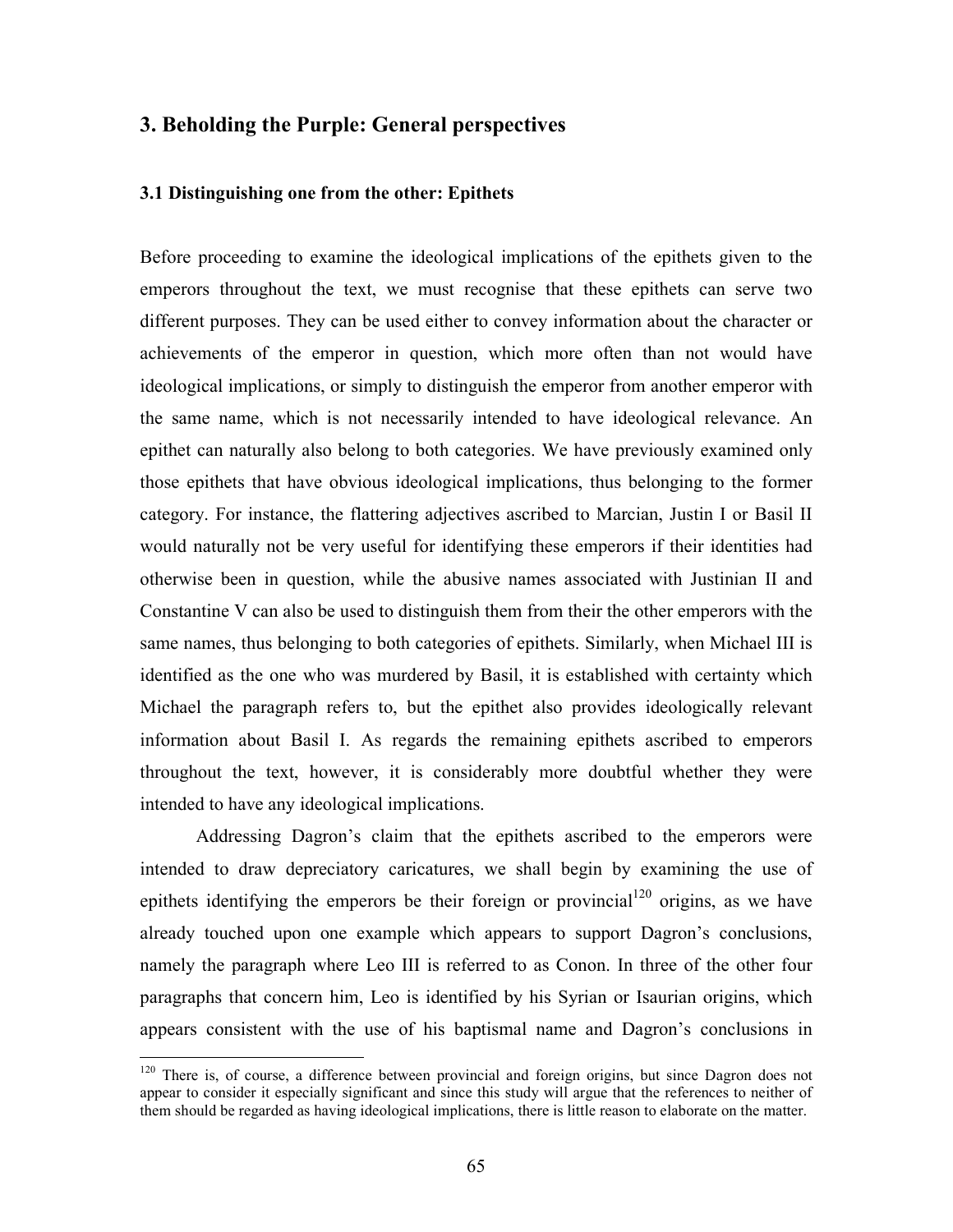# 3. Beholding the Purple: General perspectives

#### 3.1 Distinguishing one from the other: Epithets

Before proceeding to examine the ideological implications of the epithets given to the emperors throughout the text, we must recognise that these epithets can serve two different purposes. They can be used either to convey information about the character or achievements of the emperor in question, which more often than not would have ideological implications, or simply to distinguish the emperor from another emperor with the same name, which is not necessarily intended to have ideological relevance. An epithet can naturally also belong to both categories. We have previously examined only those epithets that have obvious ideological implications, thus belonging to the former category. For instance, the flattering adjectives ascribed to Marcian, Justin I or Basil II would naturally not be very useful for identifying these emperors if their identities had otherwise been in question, while the abusive names associated with Justinian II and Constantine V can also be used to distinguish them from their the other emperors with the same names, thus belonging to both categories of epithets. Similarly, when Michael III is identified as the one who was murdered by Basil, it is established with certainty which Michael the paragraph refers to, but the epithet also provides ideologically relevant information about Basil I. As regards the remaining epithets ascribed to emperors throughout the text, however, it is considerably more doubtful whether they were intended to have any ideological implications.

 Addressing Dagron's claim that the epithets ascribed to the emperors were intended to draw depreciatory caricatures, we shall begin by examining the use of epithets identifying the emperors be their foreign or provincial  $120$  origins, as we have already touched upon one example which appears to support Dagron's conclusions, namely the paragraph where Leo III is referred to as Conon. In three of the other four paragraphs that concern him, Leo is identified by his Syrian or Isaurian origins, which appears consistent with the use of his baptismal name and Dagron's conclusions in

<sup>&</sup>lt;sup>120</sup> There is, of course, a difference between provincial and foreign origins, but since Dagron does not appear to consider it especially significant and since this study will argue that the references to neither of them should be regarded as having ideological implications, there is little reason to elaborate on the matter.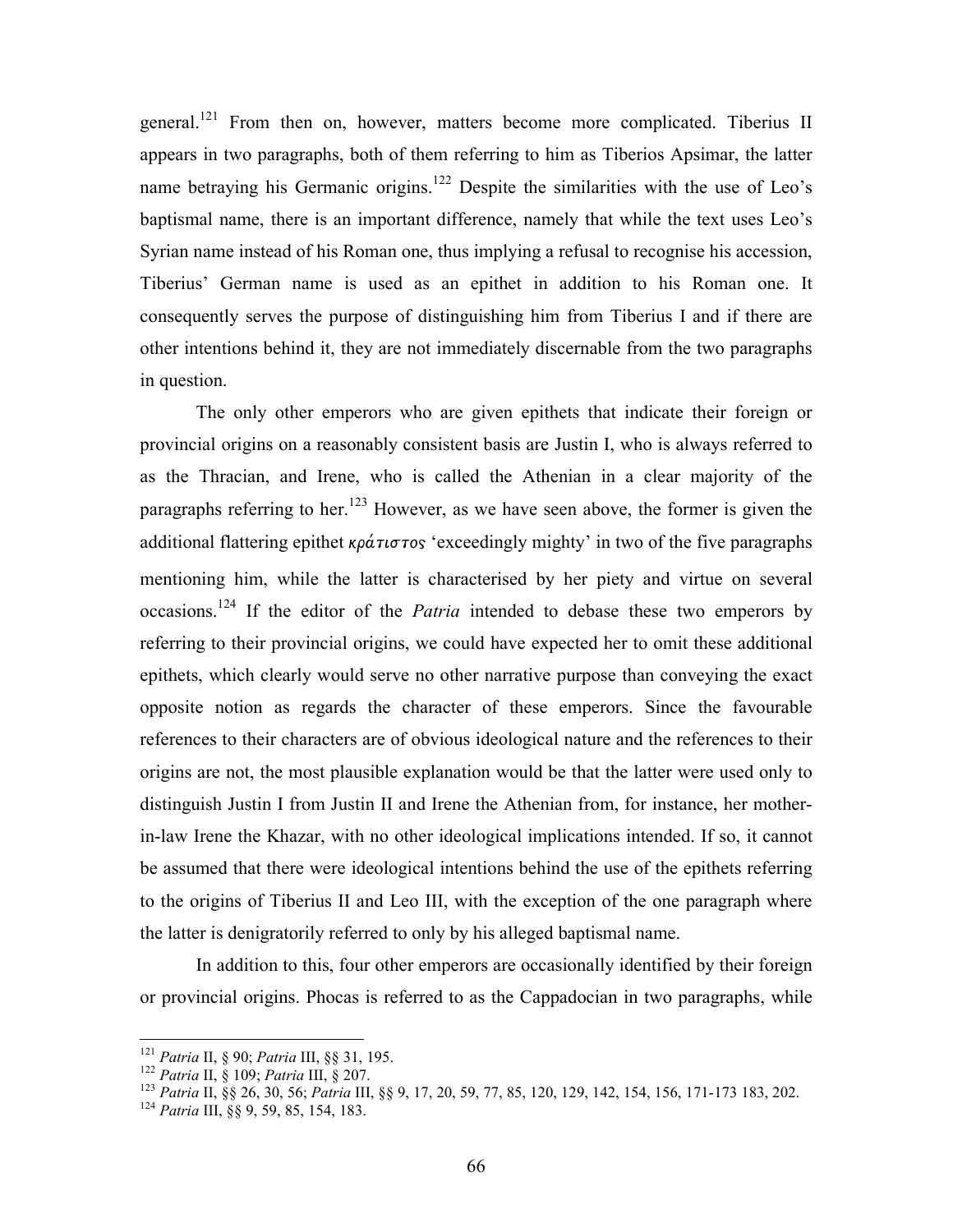general.<sup>121</sup> From then on, however, matters become more complicated. Tiberius II appears in two paragraphs, both of them referring to him as Tiberios Apsimar, the latter name betraying his Germanic origins.<sup>122</sup> Despite the similarities with the use of Leo's baptismal name, there is an important difference, namely that while the text uses Leo's Syrian name instead of his Roman one, thus implying a refusal to recognise his accession, Tiberius' German name is used as an epithet in addition to his Roman one. It consequently serves the purpose of distinguishing him from Tiberius I and if there are other intentions behind it, they are not immediately discernable from the two paragraphs in question.

 The only other emperors who are given epithets that indicate their foreign or provincial origins on a reasonably consistent basis are Justin I, who is always referred to as the Thracian, and Irene, who is called the Athenian in a clear majority of the paragraphs referring to her.<sup>123</sup> However, as we have seen above, the former is given the additional flattering epithet κράτιστος 'exceedingly mighty' in two of the five paragraphs mentioning him, while the latter is characterised by her piety and virtue on several occasions.<sup>124</sup> If the editor of the *Patria* intended to debase these two emperors by referring to their provincial origins, we could have expected her to omit these additional epithets, which clearly would serve no other narrative purpose than conveying the exact opposite notion as regards the character of these emperors. Since the favourable references to their characters are of obvious ideological nature and the references to their origins are not, the most plausible explanation would be that the latter were used only to distinguish Justin I from Justin II and Irene the Athenian from, for instance, her motherin-law Irene the Khazar, with no other ideological implications intended. If so, it cannot be assumed that there were ideological intentions behind the use of the epithets referring to the origins of Tiberius II and Leo III, with the exception of the one paragraph where the latter is denigratorily referred to only by his alleged baptismal name.

 In addition to this, four other emperors are occasionally identified by their foreign or provincial origins. Phocas is referred to as the Cappadocian in two paragraphs, while

<u>.</u>

<sup>&</sup>lt;sup>121</sup> Patria II, § 90; Patria III, §§ 31, 195.

 $122$  Patria II, § 109; Patria III, § 207.

<sup>123</sup> Patria II, §§ 26, 30, 56; Patria III, §§ 9, 17, 20, 59, 77, 85, 120, 129, 142, 154, 156, 171-173 183, 202.

<sup>&</sup>lt;sup>124</sup> Patria III, §§ 9, 59, 85, 154, 183.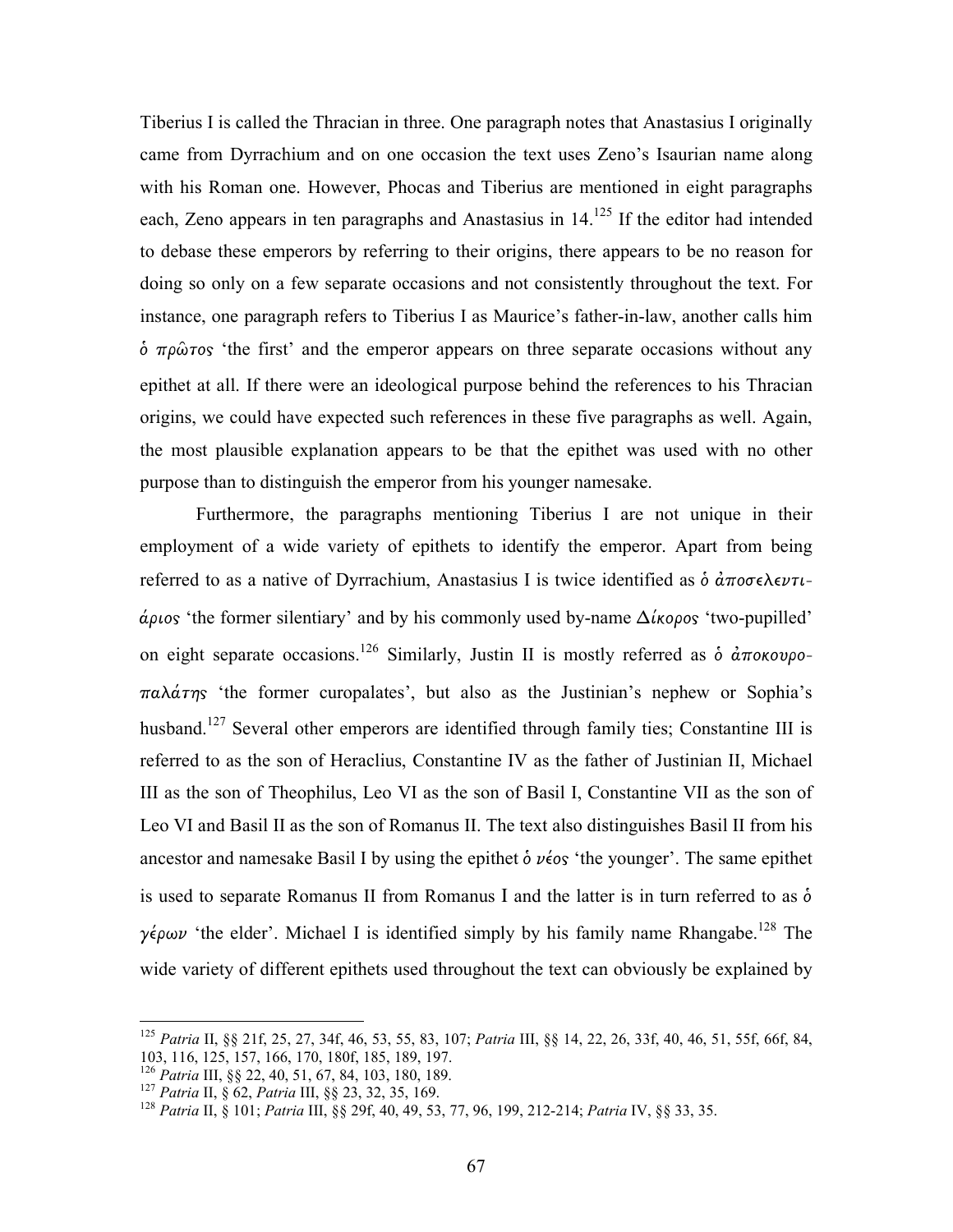Tiberius I is called the Thracian in three. One paragraph notes that Anastasius I originally came from Dyrrachium and on one occasion the text uses Zeno's Isaurian name along with his Roman one. However, Phocas and Tiberius are mentioned in eight paragraphs each, Zeno appears in ten paragraphs and Anastasius in  $14$ <sup>125</sup> If the editor had intended to debase these emperors by referring to their origins, there appears to be no reason for doing so only on a few separate occasions and not consistently throughout the text. For instance, one paragraph refers to Tiberius I as Maurice's father-in-law, another calls him  $\dot{\phi}$  πρῶτος 'the first' and the emperor appears on three separate occasions without any epithet at all. If there were an ideological purpose behind the references to his Thracian origins, we could have expected such references in these five paragraphs as well. Again, the most plausible explanation appears to be that the epithet was used with no other purpose than to distinguish the emperor from his younger namesake.

 Furthermore, the paragraphs mentioning Tiberius I are not unique in their employment of a wide variety of epithets to identify the emperor. Apart from being referred to as a native of Dyrrachium, Anastasius I is twice identified as  $\delta \dot{\alpha} \pi \sigma \sigma \epsilon \lambda \epsilon \nu \tau \iota$ άριος 'the former silentiary' and by his commonly used by-name  $\Delta$ ίκορος 'two-pupilled' on eight separate occasions.<sup>126</sup> Similarly, Justin II is mostly referred as  $\dot{\phi}$   $\dot{a}\pi$ okovpo- $\pi a \lambda \acute{a} \tau \eta s$  'the former curopalates', but also as the Justinian's nephew or Sophia's husband.<sup>127</sup> Several other emperors are identified through family ties; Constantine III is referred to as the son of Heraclius, Constantine IV as the father of Justinian II, Michael III as the son of Theophilus, Leo VI as the son of Basil I, Constantine VII as the son of Leo VI and Basil II as the son of Romanus II. The text also distinguishes Basil II from his ancestor and namesake Basil I by using the epithet  $\delta \nu \epsilon_{.}$  the younger'. The same epithet is used to separate Romanus II from Romanus I and the latter is in turn referred to as  $\dot{\delta}$ γέρων 'the elder'. Michael I is identified simply by his family name Rhangabe.<sup>128</sup> The wide variety of different epithets used throughout the text can obviously be explained by

l

<sup>&</sup>lt;sup>125</sup> Patria II, §§ 21f, 25, 27, 34f, 46, 53, 55, 83, 107; Patria III, §§ 14, 22, 26, 33f, 40, 46, 51, 55f, 66f, 84, 103, 116, 125, 157, 166, 170, 180f, 185, 189, 197.

<sup>126</sup> Patria III, §§ 22, 40, 51, 67, 84, 103, 180, 189.

 $127$  Patria II, § 62, Patria III, §§ 23, 32, 35, 169.

<sup>128</sup> Patria II, § 101; Patria III, §§ 29f, 40, 49, 53, 77, 96, 199, 212-214; Patria IV, §§ 33, 35.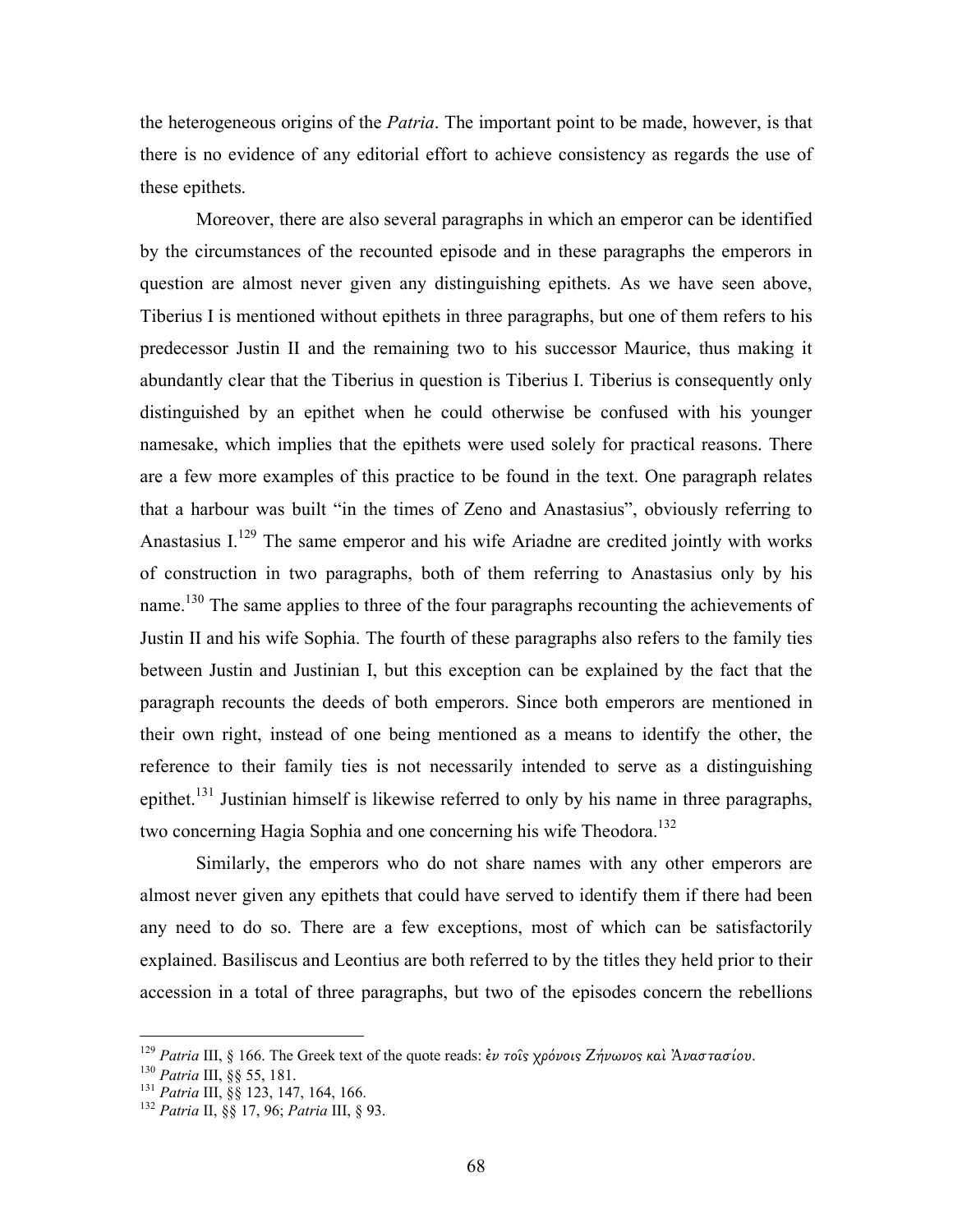the heterogeneous origins of the *Patria*. The important point to be made, however, is that there is no evidence of any editorial effort to achieve consistency as regards the use of these epithets.

 Moreover, there are also several paragraphs in which an emperor can be identified by the circumstances of the recounted episode and in these paragraphs the emperors in question are almost never given any distinguishing epithets. As we have seen above, Tiberius I is mentioned without epithets in three paragraphs, but one of them refers to his predecessor Justin II and the remaining two to his successor Maurice, thus making it abundantly clear that the Tiberius in question is Tiberius I. Tiberius is consequently only distinguished by an epithet when he could otherwise be confused with his younger namesake, which implies that the epithets were used solely for practical reasons. There are a few more examples of this practice to be found in the text. One paragraph relates that a harbour was built "in the times of Zeno and Anastasius", obviously referring to Anastasius  $I^{129}$ . The same emperor and his wife Ariadne are credited jointly with works of construction in two paragraphs, both of them referring to Anastasius only by his name.<sup>130</sup> The same applies to three of the four paragraphs recounting the achievements of Justin II and his wife Sophia. The fourth of these paragraphs also refers to the family ties between Justin and Justinian I, but this exception can be explained by the fact that the paragraph recounts the deeds of both emperors. Since both emperors are mentioned in their own right, instead of one being mentioned as a means to identify the other, the reference to their family ties is not necessarily intended to serve as a distinguishing epithet.<sup>131</sup> Justinian himself is likewise referred to only by his name in three paragraphs, two concerning Hagia Sophia and one concerning his wife Theodora.<sup>132</sup>

Similarly, the emperors who do not share names with any other emperors are almost never given any epithets that could have served to identify them if there had been any need to do so. There are a few exceptions, most of which can be satisfactorily explained. Basiliscus and Leontius are both referred to by the titles they held prior to their accession in a total of three paragraphs, but two of the episodes concern the rebellions

<sup>&</sup>lt;sup>129</sup> Patria III, § 166. The Greek text of the quote reads: ἐν τοῖς χρόνοις Ζήνωνος καὶ Ἀναστασίου.

<sup>130</sup> Patria III, §§ 55, 181.

<sup>&</sup>lt;sup>131</sup> Patria III, §§ 123, 147, 164, 166.

<sup>&</sup>lt;sup>132</sup> Patria II, §§ 17, 96; Patria III, § 93.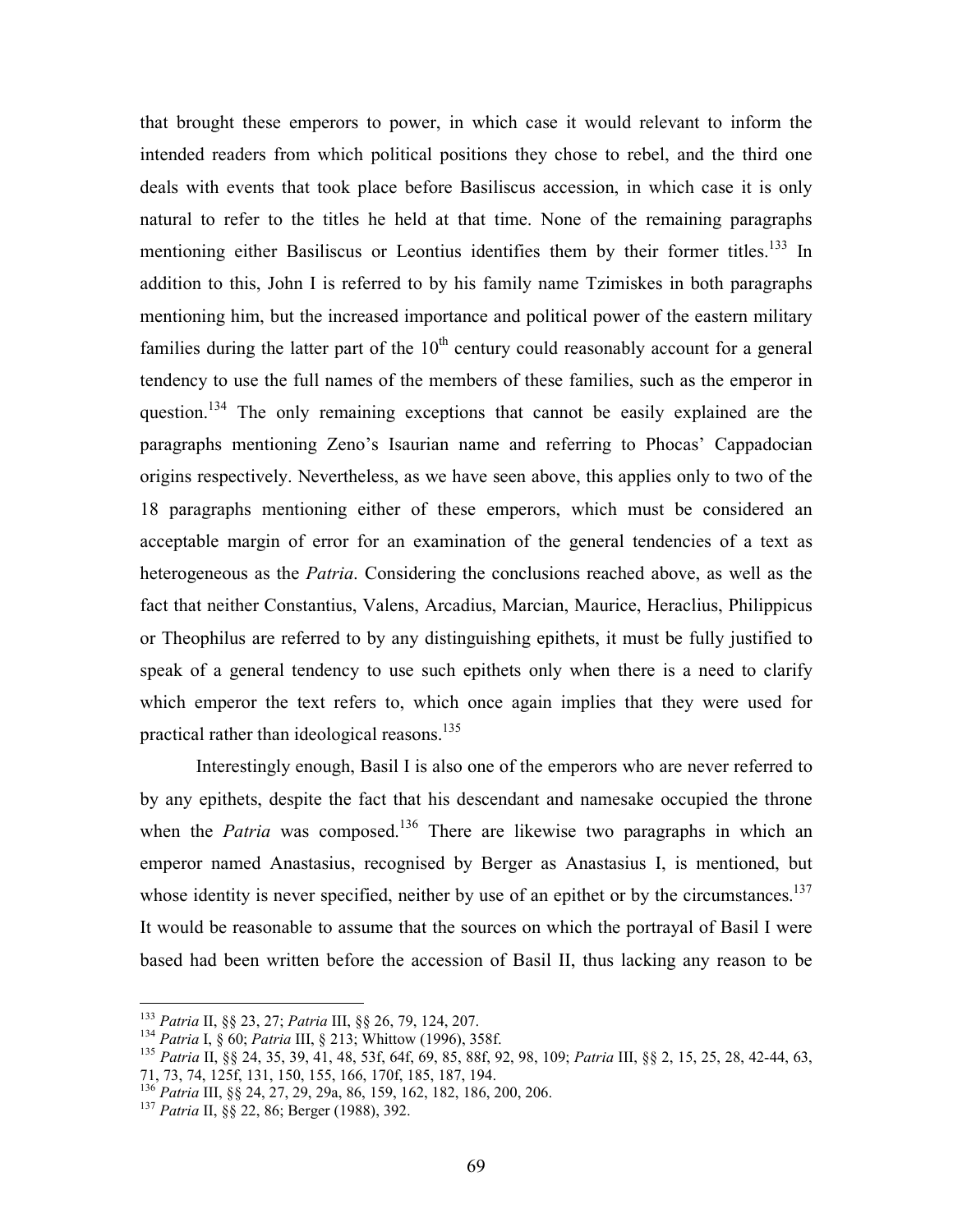that brought these emperors to power, in which case it would relevant to inform the intended readers from which political positions they chose to rebel, and the third one deals with events that took place before Basiliscus accession, in which case it is only natural to refer to the titles he held at that time. None of the remaining paragraphs mentioning either Basiliscus or Leontius identifies them by their former titles.<sup>133</sup> In addition to this, John I is referred to by his family name Tzimiskes in both paragraphs mentioning him, but the increased importance and political power of the eastern military families during the latter part of the  $10<sup>th</sup>$  century could reasonably account for a general tendency to use the full names of the members of these families, such as the emperor in question.<sup>134</sup> The only remaining exceptions that cannot be easily explained are the paragraphs mentioning Zeno's Isaurian name and referring to Phocas' Cappadocian origins respectively. Nevertheless, as we have seen above, this applies only to two of the 18 paragraphs mentioning either of these emperors, which must be considered an acceptable margin of error for an examination of the general tendencies of a text as heterogeneous as the *Patria*. Considering the conclusions reached above, as well as the fact that neither Constantius, Valens, Arcadius, Marcian, Maurice, Heraclius, Philippicus or Theophilus are referred to by any distinguishing epithets, it must be fully justified to speak of a general tendency to use such epithets only when there is a need to clarify which emperor the text refers to, which once again implies that they were used for practical rather than ideological reasons.<sup>135</sup>

Interestingly enough, Basil I is also one of the emperors who are never referred to by any epithets, despite the fact that his descendant and namesake occupied the throne when the Patria was composed.<sup>136</sup> There are likewise two paragraphs in which an emperor named Anastasius, recognised by Berger as Anastasius I, is mentioned, but whose identity is never specified, neither by use of an epithet or by the circumstances.<sup>137</sup> It would be reasonable to assume that the sources on which the portrayal of Basil I were based had been written before the accession of Basil II, thus lacking any reason to be

<sup>&</sup>lt;sup>133</sup> Patria II, §§ 23, 27; Patria III, §§ 26, 79, 124, 207.

<sup>134</sup> Patria I, § 60; Patria III, § 213; Whittow (1996), 358f.

<sup>1&</sup>lt;sup>35</sup> Patria II, §§ 24, 35, 39, 41, 48, 53f, 64f, 69, 85, 88f, 92, 98, 109; Patria III, §§ 2, 15, 25, 28, 42-44, 63, 71, 73, 74, 125f, 131, 150, 155, 166, 170f, 185, 187, 194.

<sup>136</sup> Patria III, §§ 24, 27, 29, 29a, 86, 159, 162, 182, 186, 200, 206.

<sup>&</sup>lt;sup>137</sup> Patria II, §§ 22, 86; Berger (1988), 392.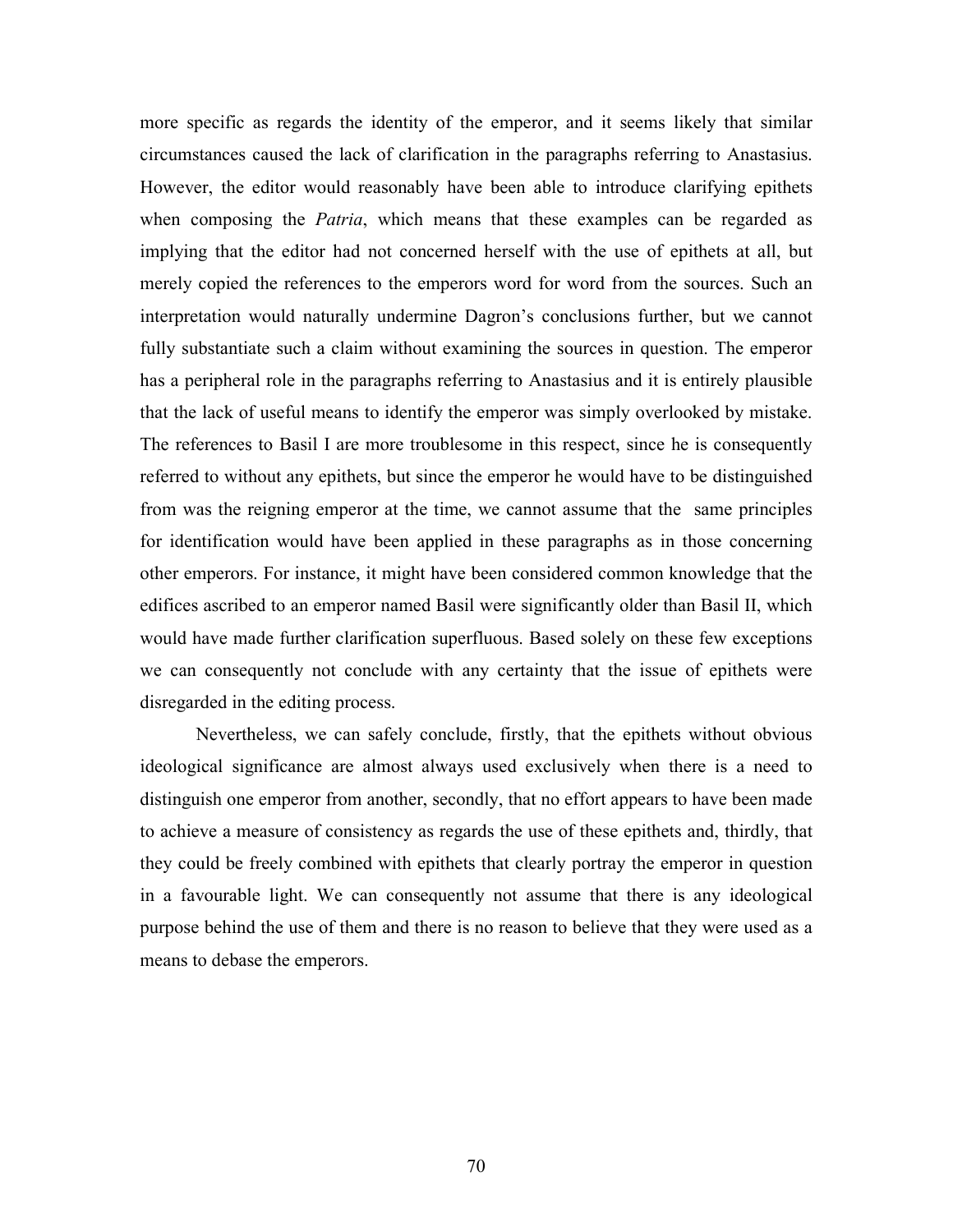more specific as regards the identity of the emperor, and it seems likely that similar circumstances caused the lack of clarification in the paragraphs referring to Anastasius. However, the editor would reasonably have been able to introduce clarifying epithets when composing the *Patria*, which means that these examples can be regarded as implying that the editor had not concerned herself with the use of epithets at all, but merely copied the references to the emperors word for word from the sources. Such an interpretation would naturally undermine Dagron's conclusions further, but we cannot fully substantiate such a claim without examining the sources in question. The emperor has a peripheral role in the paragraphs referring to Anastasius and it is entirely plausible that the lack of useful means to identify the emperor was simply overlooked by mistake. The references to Basil I are more troublesome in this respect, since he is consequently referred to without any epithets, but since the emperor he would have to be distinguished from was the reigning emperor at the time, we cannot assume that the same principles for identification would have been applied in these paragraphs as in those concerning other emperors. For instance, it might have been considered common knowledge that the edifices ascribed to an emperor named Basil were significantly older than Basil II, which would have made further clarification superfluous. Based solely on these few exceptions we can consequently not conclude with any certainty that the issue of epithets were disregarded in the editing process.

Nevertheless, we can safely conclude, firstly, that the epithets without obvious ideological significance are almost always used exclusively when there is a need to distinguish one emperor from another, secondly, that no effort appears to have been made to achieve a measure of consistency as regards the use of these epithets and, thirdly, that they could be freely combined with epithets that clearly portray the emperor in question in a favourable light. We can consequently not assume that there is any ideological purpose behind the use of them and there is no reason to believe that they were used as a means to debase the emperors.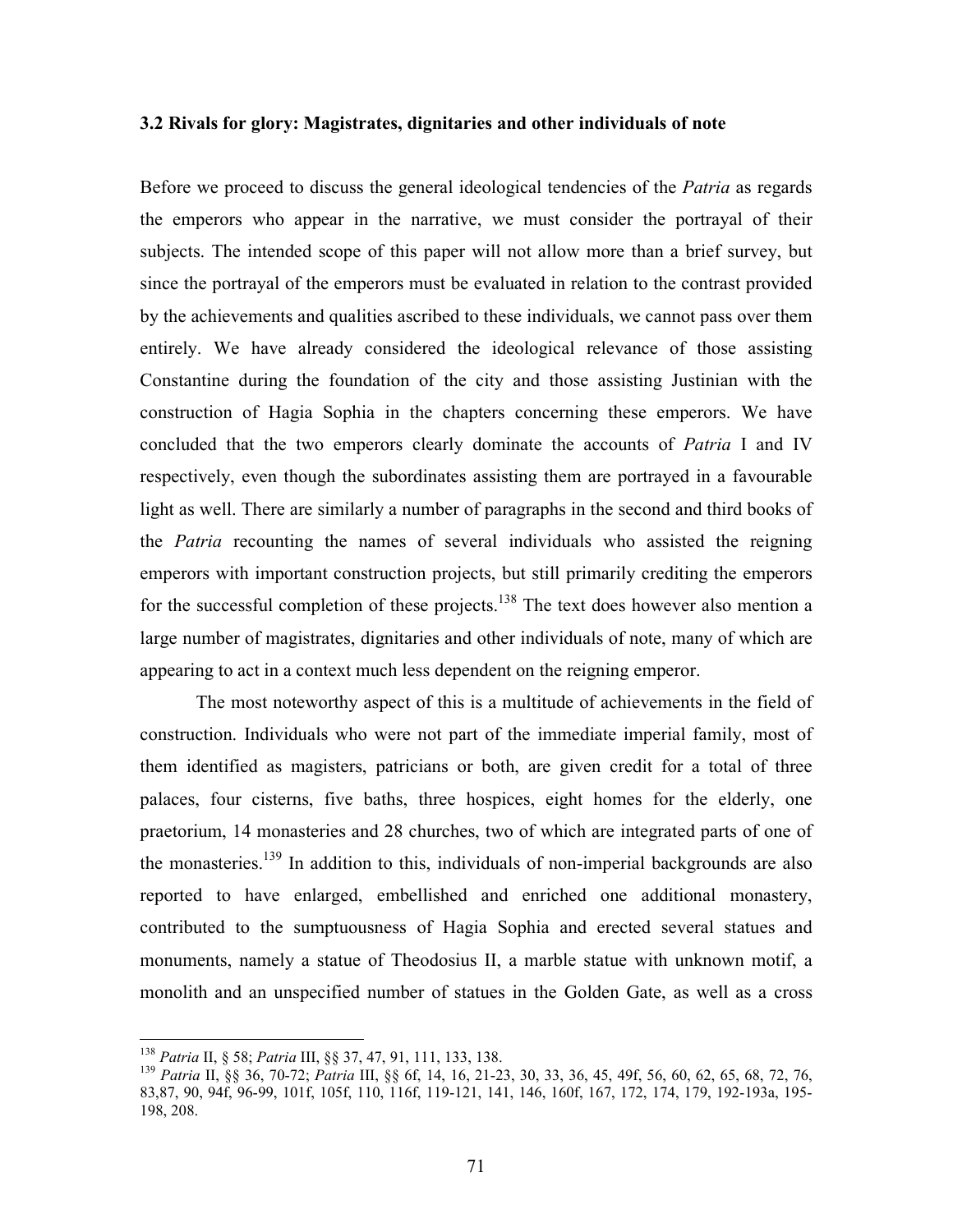## 3.2 Rivals for glory: Magistrates, dignitaries and other individuals of note

Before we proceed to discuss the general ideological tendencies of the *Patria* as regards the emperors who appear in the narrative, we must consider the portrayal of their subjects. The intended scope of this paper will not allow more than a brief survey, but since the portrayal of the emperors must be evaluated in relation to the contrast provided by the achievements and qualities ascribed to these individuals, we cannot pass over them entirely. We have already considered the ideological relevance of those assisting Constantine during the foundation of the city and those assisting Justinian with the construction of Hagia Sophia in the chapters concerning these emperors. We have concluded that the two emperors clearly dominate the accounts of Patria I and IV respectively, even though the subordinates assisting them are portrayed in a favourable light as well. There are similarly a number of paragraphs in the second and third books of the *Patria* recounting the names of several individuals who assisted the reigning emperors with important construction projects, but still primarily crediting the emperors for the successful completion of these projects.<sup>138</sup> The text does however also mention a large number of magistrates, dignitaries and other individuals of note, many of which are appearing to act in a context much less dependent on the reigning emperor.

 The most noteworthy aspect of this is a multitude of achievements in the field of construction. Individuals who were not part of the immediate imperial family, most of them identified as magisters, patricians or both, are given credit for a total of three palaces, four cisterns, five baths, three hospices, eight homes for the elderly, one praetorium, 14 monasteries and 28 churches, two of which are integrated parts of one of the monasteries.<sup>139</sup> In addition to this, individuals of non-imperial backgrounds are also reported to have enlarged, embellished and enriched one additional monastery, contributed to the sumptuousness of Hagia Sophia and erected several statues and monuments, namely a statue of Theodosius II, a marble statue with unknown motif, a monolith and an unspecified number of statues in the Golden Gate, as well as a cross

<sup>&</sup>lt;sup>138</sup> Patria II, § 58; Patria III, §§ 37, 47, 91, 111, 133, 138.

<sup>139</sup> Patria II, §§ 36, 70-72; Patria III, §§ 6f, 14, 16, 21-23, 30, 33, 36, 45, 49f, 56, 60, 62, 65, 68, 72, 76, 83,87, 90, 94f, 96-99, 101f, 105f, 110, 116f, 119-121, 141, 146, 160f, 167, 172, 174, 179, 192-193a, 195- 198, 208.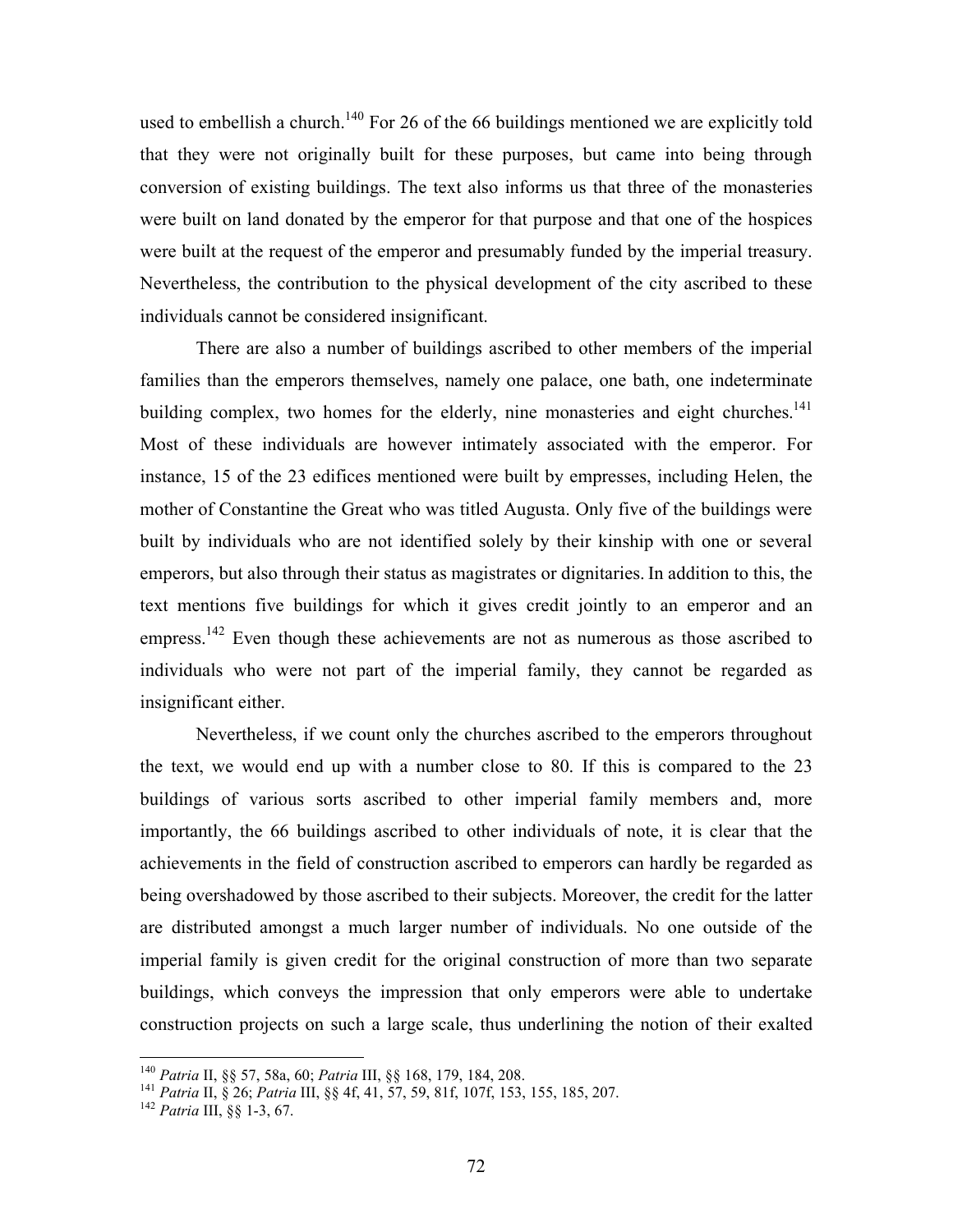used to embellish a church.<sup>140</sup> For 26 of the 66 buildings mentioned we are explicitly told that they were not originally built for these purposes, but came into being through conversion of existing buildings. The text also informs us that three of the monasteries were built on land donated by the emperor for that purpose and that one of the hospices were built at the request of the emperor and presumably funded by the imperial treasury. Nevertheless, the contribution to the physical development of the city ascribed to these individuals cannot be considered insignificant.

 There are also a number of buildings ascribed to other members of the imperial families than the emperors themselves, namely one palace, one bath, one indeterminate building complex, two homes for the elderly, nine monasteries and eight churches.<sup>141</sup> Most of these individuals are however intimately associated with the emperor. For instance, 15 of the 23 edifices mentioned were built by empresses, including Helen, the mother of Constantine the Great who was titled Augusta. Only five of the buildings were built by individuals who are not identified solely by their kinship with one or several emperors, but also through their status as magistrates or dignitaries. In addition to this, the text mentions five buildings for which it gives credit jointly to an emperor and an empress.<sup>142</sup> Even though these achievements are not as numerous as those ascribed to individuals who were not part of the imperial family, they cannot be regarded as insignificant either.

 Nevertheless, if we count only the churches ascribed to the emperors throughout the text, we would end up with a number close to 80. If this is compared to the 23 buildings of various sorts ascribed to other imperial family members and, more importantly, the 66 buildings ascribed to other individuals of note, it is clear that the achievements in the field of construction ascribed to emperors can hardly be regarded as being overshadowed by those ascribed to their subjects. Moreover, the credit for the latter are distributed amongst a much larger number of individuals. No one outside of the imperial family is given credit for the original construction of more than two separate buildings, which conveys the impression that only emperors were able to undertake construction projects on such a large scale, thus underlining the notion of their exalted

-

<sup>140</sup> Patria II, §§ 57, 58a, 60; Patria III, §§ 168, 179, 184, 208.

<sup>141</sup> Patria II, § 26; Patria III, §§ 4f, 41, 57, 59, 81f, 107f, 153, 155, 185, 207.

 $142$  Patria III,  $\S\S 1-3, 67$ .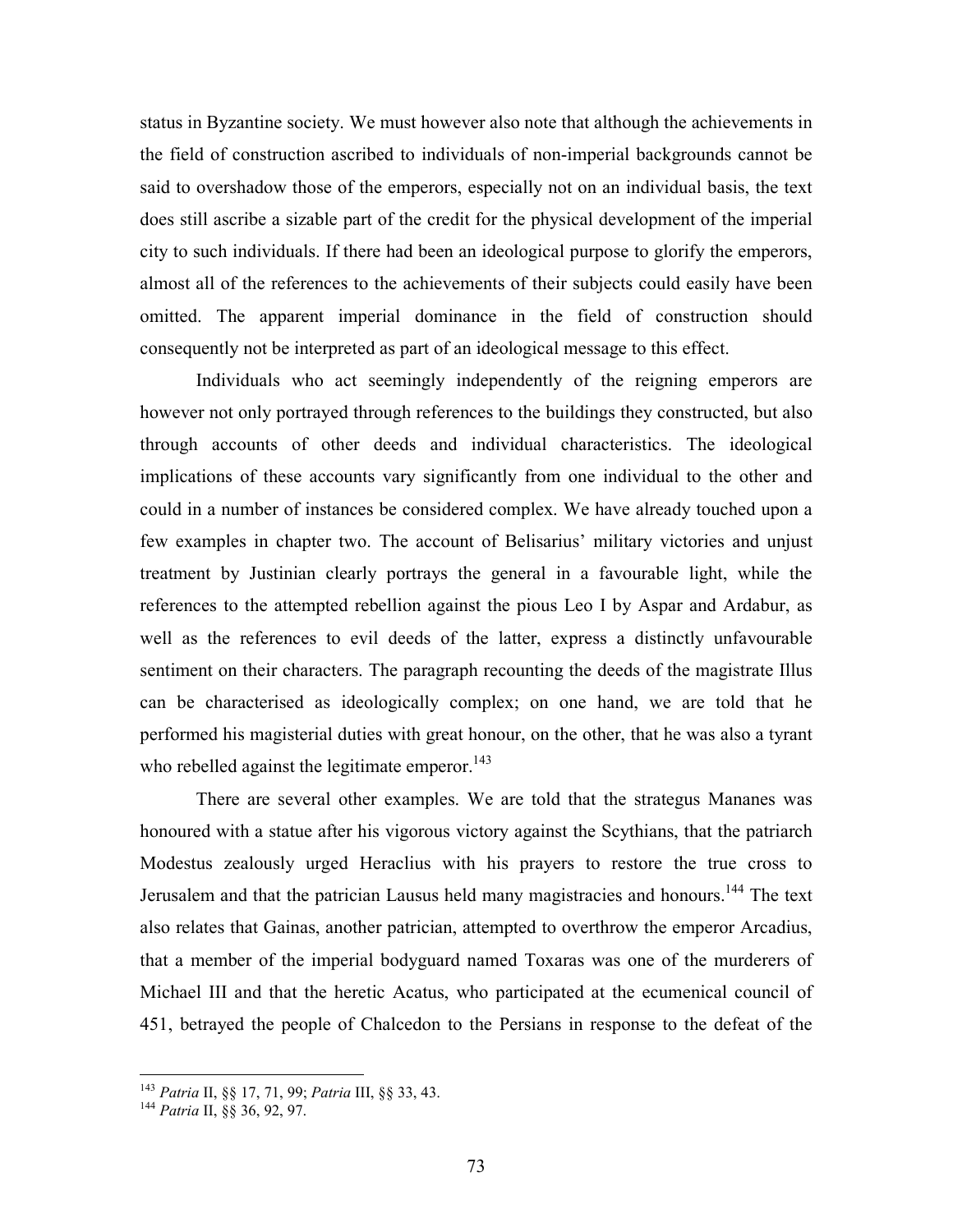status in Byzantine society. We must however also note that although the achievements in the field of construction ascribed to individuals of non-imperial backgrounds cannot be said to overshadow those of the emperors, especially not on an individual basis, the text does still ascribe a sizable part of the credit for the physical development of the imperial city to such individuals. If there had been an ideological purpose to glorify the emperors, almost all of the references to the achievements of their subjects could easily have been omitted. The apparent imperial dominance in the field of construction should consequently not be interpreted as part of an ideological message to this effect.

 Individuals who act seemingly independently of the reigning emperors are however not only portrayed through references to the buildings they constructed, but also through accounts of other deeds and individual characteristics. The ideological implications of these accounts vary significantly from one individual to the other and could in a number of instances be considered complex. We have already touched upon a few examples in chapter two. The account of Belisarius' military victories and unjust treatment by Justinian clearly portrays the general in a favourable light, while the references to the attempted rebellion against the pious Leo I by Aspar and Ardabur, as well as the references to evil deeds of the latter, express a distinctly unfavourable sentiment on their characters. The paragraph recounting the deeds of the magistrate Illus can be characterised as ideologically complex; on one hand, we are told that he performed his magisterial duties with great honour, on the other, that he was also a tyrant who rebelled against the legitimate emperor.<sup>143</sup>

There are several other examples. We are told that the strategus Mananes was honoured with a statue after his vigorous victory against the Scythians, that the patriarch Modestus zealously urged Heraclius with his prayers to restore the true cross to Jerusalem and that the patrician Lausus held many magistracies and honours.<sup>144</sup> The text also relates that Gainas, another patrician, attempted to overthrow the emperor Arcadius, that a member of the imperial bodyguard named Toxaras was one of the murderers of Michael III and that the heretic Acatus, who participated at the ecumenical council of 451, betrayed the people of Chalcedon to the Persians in response to the defeat of the

 $\overline{a}$ 

<sup>&</sup>lt;sup>143</sup> Patria II, §§ 17, 71, 99; Patria III, §§ 33, 43.

<sup>&</sup>lt;sup>144</sup> Patria II, §§ 36, 92, 97.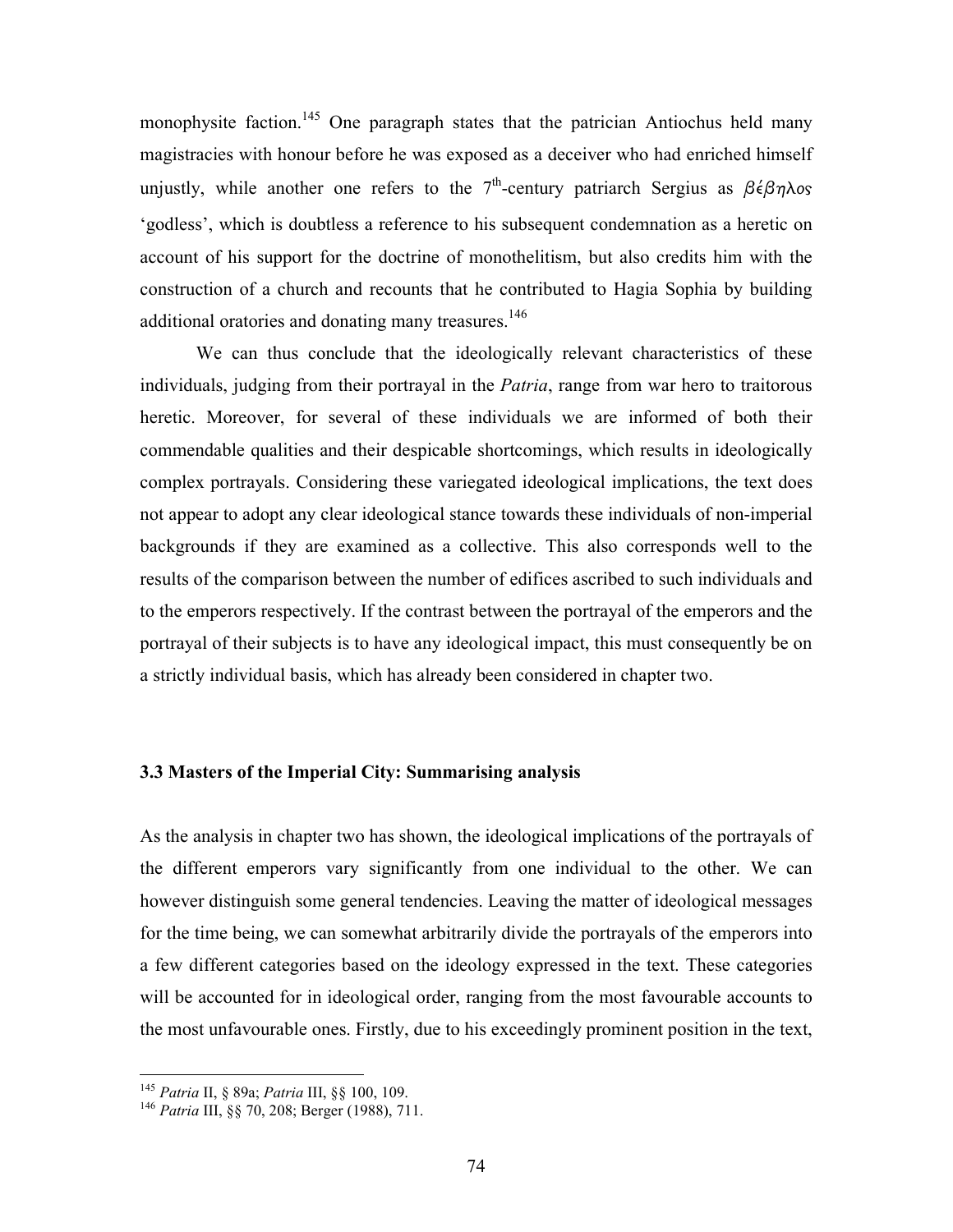monophysite faction.<sup>145</sup> One paragraph states that the patrician Antiochus held many magistracies with honour before he was exposed as a deceiver who had enriched himself unjustly, while another one refers to the 7<sup>th</sup>-century patriarch Sergius as  $\beta \epsilon \beta \eta \lambda$ os 'godless', which is doubtless a reference to his subsequent condemnation as a heretic on account of his support for the doctrine of monothelitism, but also credits him with the construction of a church and recounts that he contributed to Hagia Sophia by building additional oratories and donating many treasures.<sup>146</sup>

We can thus conclude that the ideologically relevant characteristics of these individuals, judging from their portrayal in the Patria, range from war hero to traitorous heretic. Moreover, for several of these individuals we are informed of both their commendable qualities and their despicable shortcomings, which results in ideologically complex portrayals. Considering these variegated ideological implications, the text does not appear to adopt any clear ideological stance towards these individuals of non-imperial backgrounds if they are examined as a collective. This also corresponds well to the results of the comparison between the number of edifices ascribed to such individuals and to the emperors respectively. If the contrast between the portrayal of the emperors and the portrayal of their subjects is to have any ideological impact, this must consequently be on a strictly individual basis, which has already been considered in chapter two.

#### 3.3 Masters of the Imperial City: Summarising analysis

As the analysis in chapter two has shown, the ideological implications of the portrayals of the different emperors vary significantly from one individual to the other. We can however distinguish some general tendencies. Leaving the matter of ideological messages for the time being, we can somewhat arbitrarily divide the portrayals of the emperors into a few different categories based on the ideology expressed in the text. These categories will be accounted for in ideological order, ranging from the most favourable accounts to the most unfavourable ones. Firstly, due to his exceedingly prominent position in the text,

 $\overline{a}$ 

<sup>&</sup>lt;sup>145</sup> Patria II, § 89a; Patria III, §§ 100, 109.

<sup>&</sup>lt;sup>146</sup> Patria III, §§ 70, 208; Berger (1988), 711.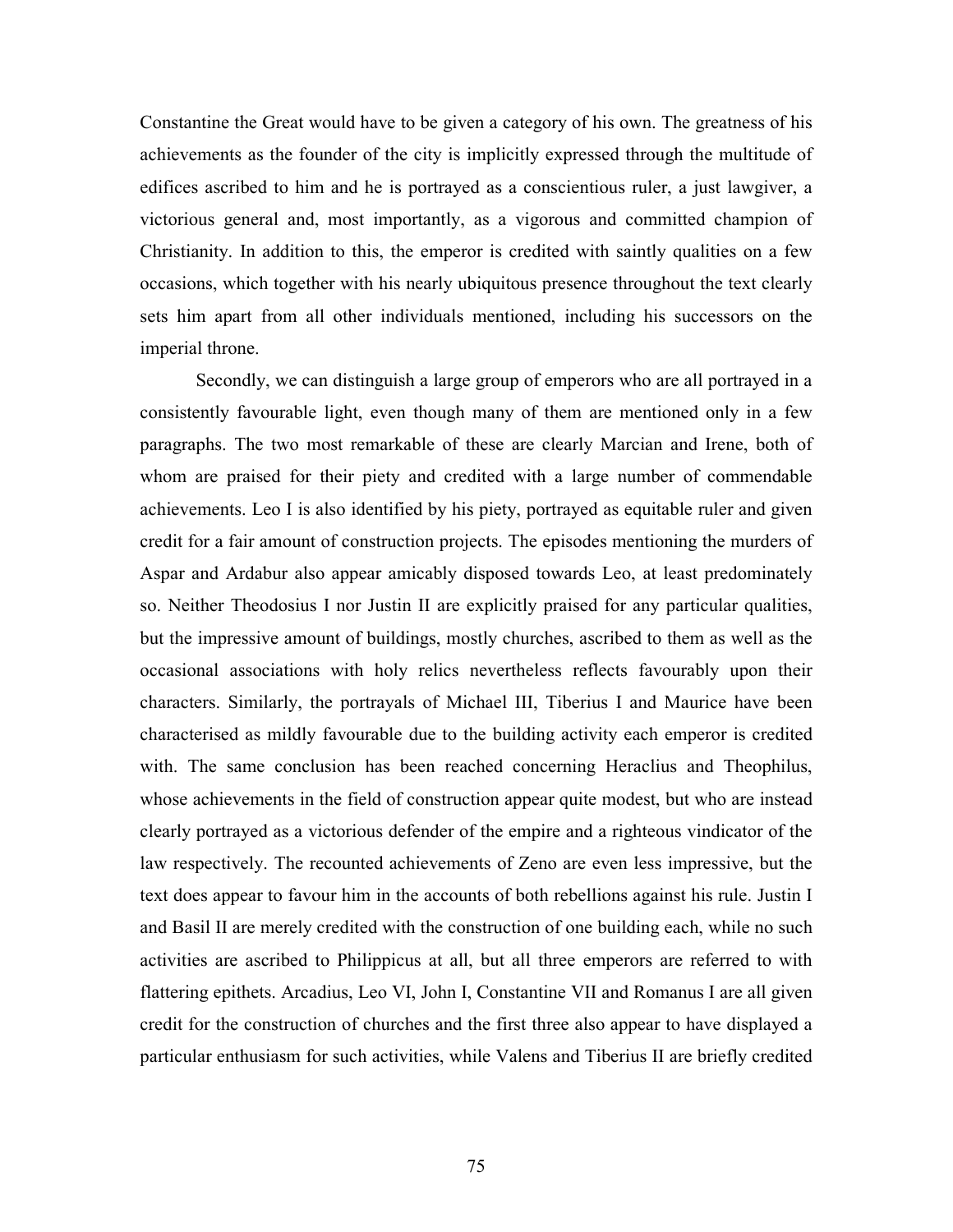Constantine the Great would have to be given a category of his own. The greatness of his achievements as the founder of the city is implicitly expressed through the multitude of edifices ascribed to him and he is portrayed as a conscientious ruler, a just lawgiver, a victorious general and, most importantly, as a vigorous and committed champion of Christianity. In addition to this, the emperor is credited with saintly qualities on a few occasions, which together with his nearly ubiquitous presence throughout the text clearly sets him apart from all other individuals mentioned, including his successors on the imperial throne.

 Secondly, we can distinguish a large group of emperors who are all portrayed in a consistently favourable light, even though many of them are mentioned only in a few paragraphs. The two most remarkable of these are clearly Marcian and Irene, both of whom are praised for their piety and credited with a large number of commendable achievements. Leo I is also identified by his piety, portrayed as equitable ruler and given credit for a fair amount of construction projects. The episodes mentioning the murders of Aspar and Ardabur also appear amicably disposed towards Leo, at least predominately so. Neither Theodosius I nor Justin II are explicitly praised for any particular qualities, but the impressive amount of buildings, mostly churches, ascribed to them as well as the occasional associations with holy relics nevertheless reflects favourably upon their characters. Similarly, the portrayals of Michael III, Tiberius I and Maurice have been characterised as mildly favourable due to the building activity each emperor is credited with. The same conclusion has been reached concerning Heraclius and Theophilus, whose achievements in the field of construction appear quite modest, but who are instead clearly portrayed as a victorious defender of the empire and a righteous vindicator of the law respectively. The recounted achievements of Zeno are even less impressive, but the text does appear to favour him in the accounts of both rebellions against his rule. Justin I and Basil II are merely credited with the construction of one building each, while no such activities are ascribed to Philippicus at all, but all three emperors are referred to with flattering epithets. Arcadius, Leo VI, John I, Constantine VII and Romanus I are all given credit for the construction of churches and the first three also appear to have displayed a particular enthusiasm for such activities, while Valens and Tiberius II are briefly credited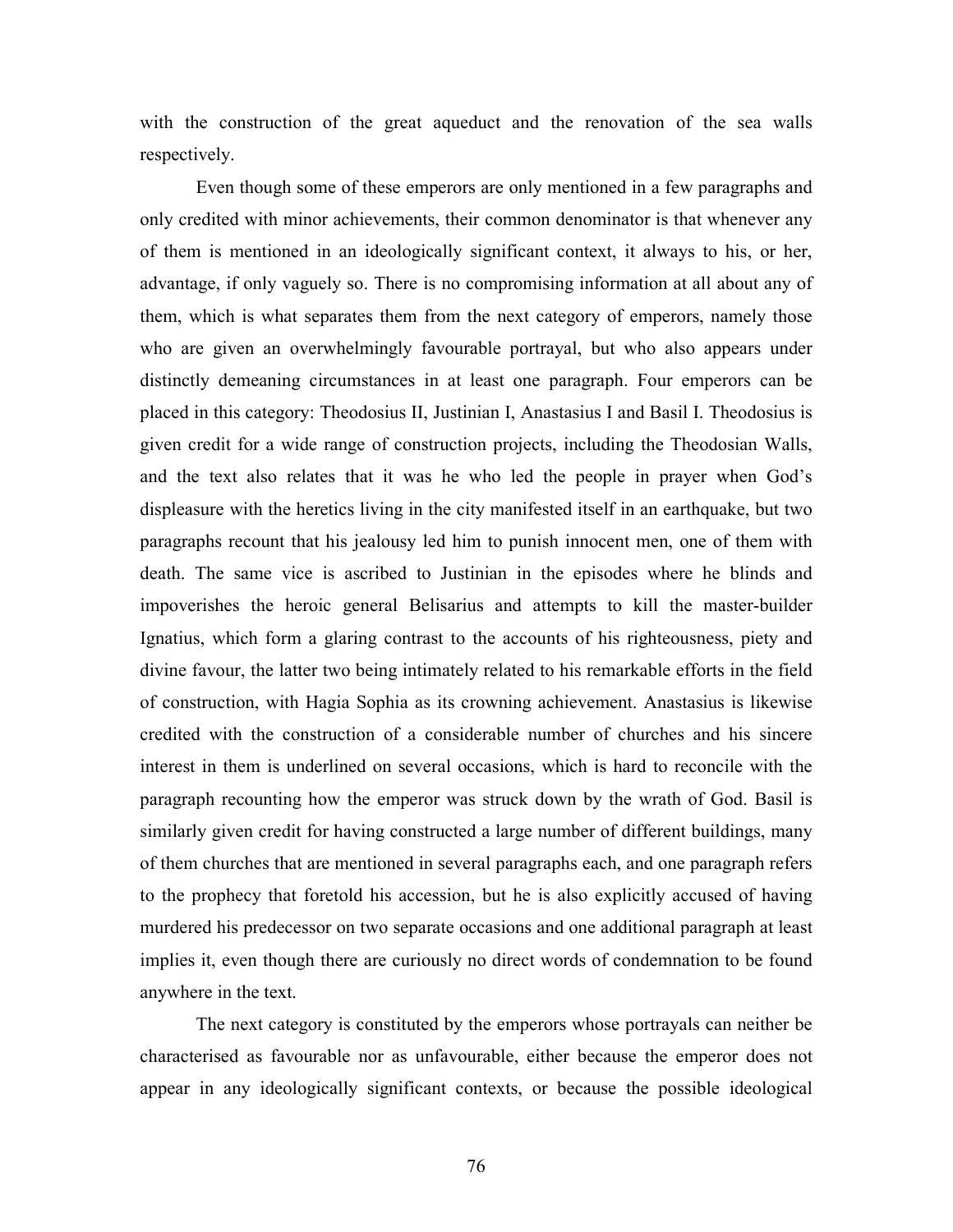with the construction of the great aqueduct and the renovation of the sea walls respectively.

 Even though some of these emperors are only mentioned in a few paragraphs and only credited with minor achievements, their common denominator is that whenever any of them is mentioned in an ideologically significant context, it always to his, or her, advantage, if only vaguely so. There is no compromising information at all about any of them, which is what separates them from the next category of emperors, namely those who are given an overwhelmingly favourable portrayal, but who also appears under distinctly demeaning circumstances in at least one paragraph. Four emperors can be placed in this category: Theodosius II, Justinian I, Anastasius I and Basil I. Theodosius is given credit for a wide range of construction projects, including the Theodosian Walls, and the text also relates that it was he who led the people in prayer when God's displeasure with the heretics living in the city manifested itself in an earthquake, but two paragraphs recount that his jealousy led him to punish innocent men, one of them with death. The same vice is ascribed to Justinian in the episodes where he blinds and impoverishes the heroic general Belisarius and attempts to kill the master-builder Ignatius, which form a glaring contrast to the accounts of his righteousness, piety and divine favour, the latter two being intimately related to his remarkable efforts in the field of construction, with Hagia Sophia as its crowning achievement. Anastasius is likewise credited with the construction of a considerable number of churches and his sincere interest in them is underlined on several occasions, which is hard to reconcile with the paragraph recounting how the emperor was struck down by the wrath of God. Basil is similarly given credit for having constructed a large number of different buildings, many of them churches that are mentioned in several paragraphs each, and one paragraph refers to the prophecy that foretold his accession, but he is also explicitly accused of having murdered his predecessor on two separate occasions and one additional paragraph at least implies it, even though there are curiously no direct words of condemnation to be found anywhere in the text.

The next category is constituted by the emperors whose portrayals can neither be characterised as favourable nor as unfavourable, either because the emperor does not appear in any ideologically significant contexts, or because the possible ideological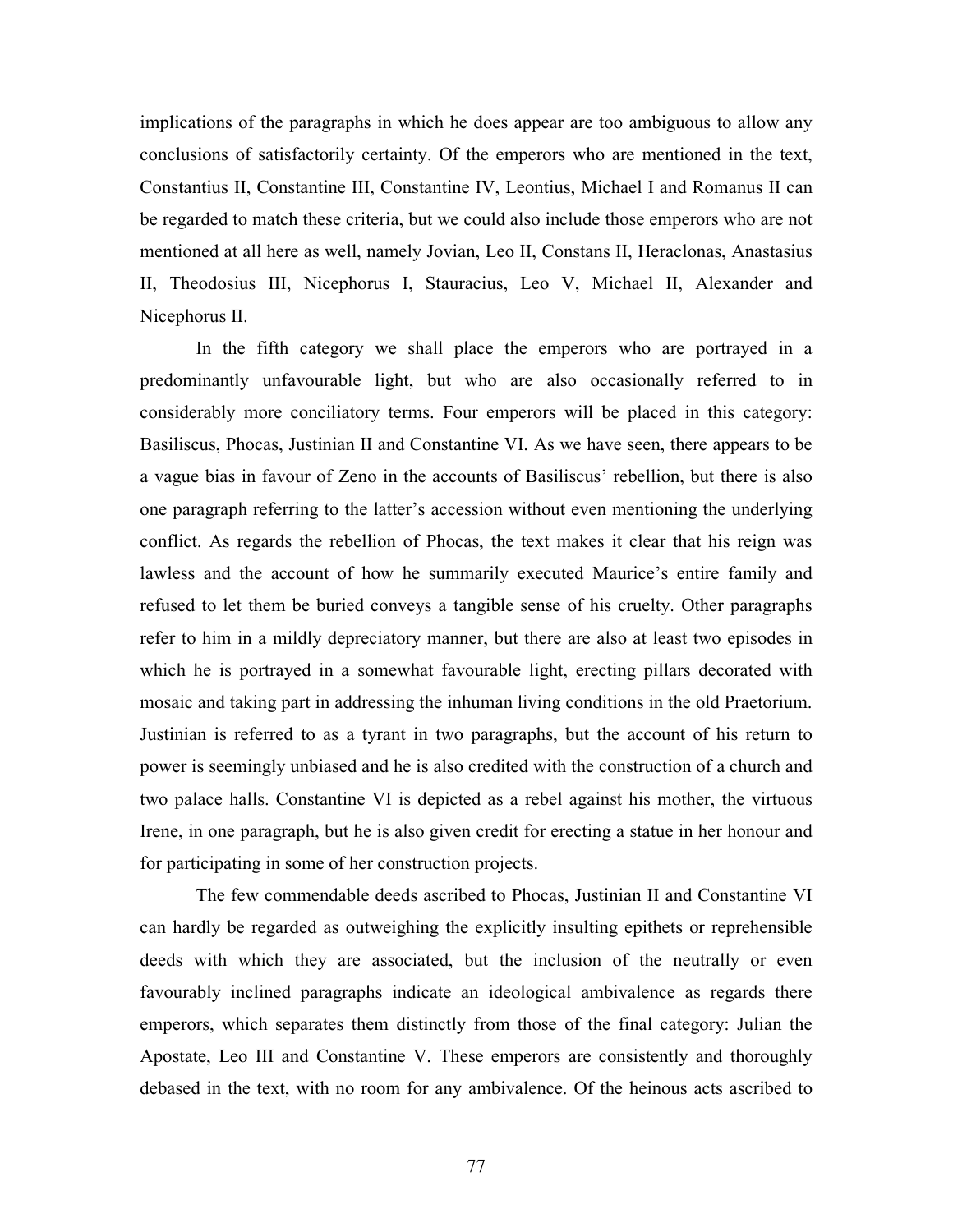implications of the paragraphs in which he does appear are too ambiguous to allow any conclusions of satisfactorily certainty. Of the emperors who are mentioned in the text, Constantius II, Constantine III, Constantine IV, Leontius, Michael I and Romanus II can be regarded to match these criteria, but we could also include those emperors who are not mentioned at all here as well, namely Jovian, Leo II, Constans II, Heraclonas, Anastasius II, Theodosius III, Nicephorus I, Stauracius, Leo V, Michael II, Alexander and Nicephorus II.

 In the fifth category we shall place the emperors who are portrayed in a predominantly unfavourable light, but who are also occasionally referred to in considerably more conciliatory terms. Four emperors will be placed in this category: Basiliscus, Phocas, Justinian II and Constantine VI. As we have seen, there appears to be a vague bias in favour of Zeno in the accounts of Basiliscus' rebellion, but there is also one paragraph referring to the latter's accession without even mentioning the underlying conflict. As regards the rebellion of Phocas, the text makes it clear that his reign was lawless and the account of how he summarily executed Maurice's entire family and refused to let them be buried conveys a tangible sense of his cruelty. Other paragraphs refer to him in a mildly depreciatory manner, but there are also at least two episodes in which he is portrayed in a somewhat favourable light, erecting pillars decorated with mosaic and taking part in addressing the inhuman living conditions in the old Praetorium. Justinian is referred to as a tyrant in two paragraphs, but the account of his return to power is seemingly unbiased and he is also credited with the construction of a church and two palace halls. Constantine VI is depicted as a rebel against his mother, the virtuous Irene, in one paragraph, but he is also given credit for erecting a statue in her honour and for participating in some of her construction projects.

 The few commendable deeds ascribed to Phocas, Justinian II and Constantine VI can hardly be regarded as outweighing the explicitly insulting epithets or reprehensible deeds with which they are associated, but the inclusion of the neutrally or even favourably inclined paragraphs indicate an ideological ambivalence as regards there emperors, which separates them distinctly from those of the final category: Julian the Apostate, Leo III and Constantine V. These emperors are consistently and thoroughly debased in the text, with no room for any ambivalence. Of the heinous acts ascribed to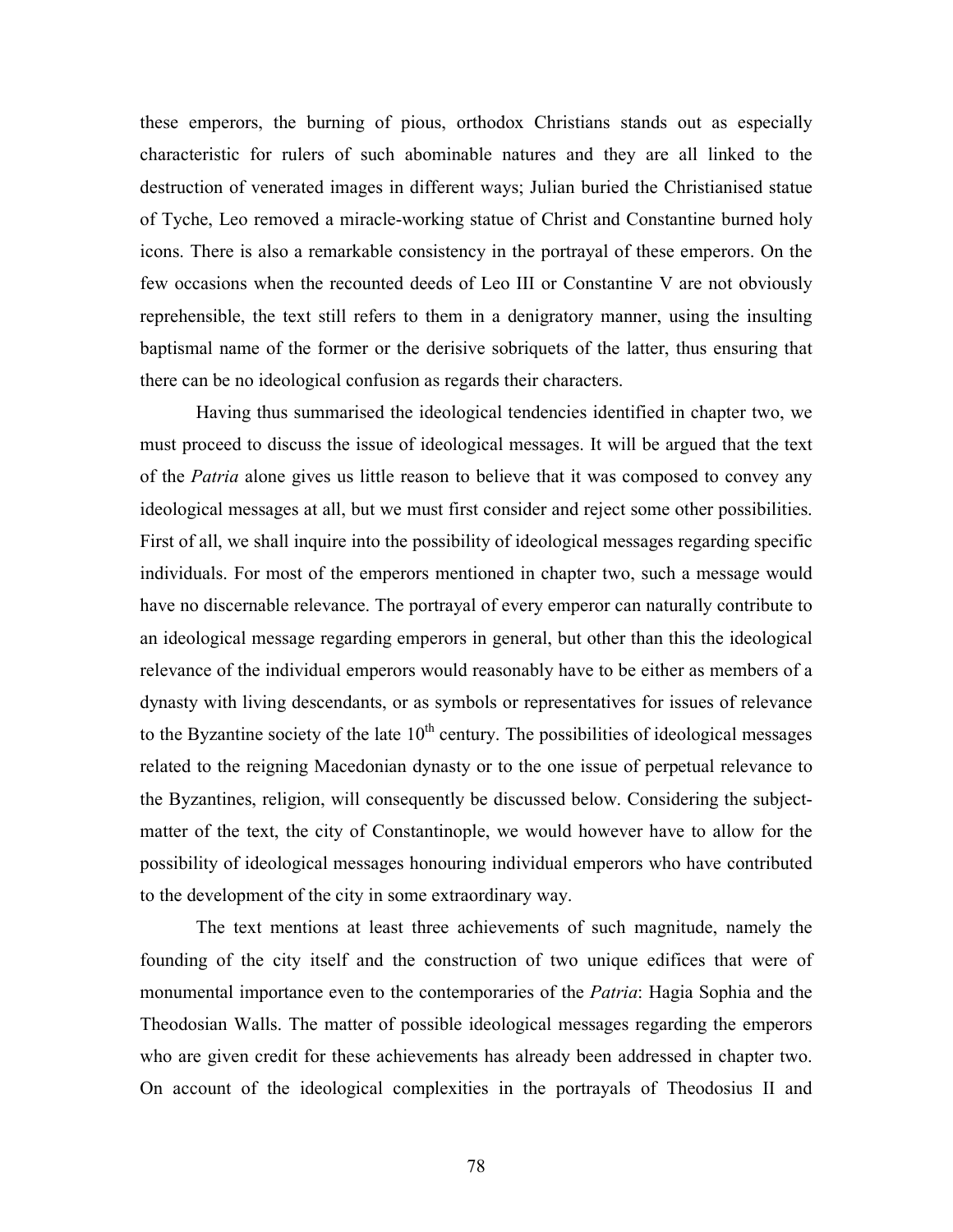these emperors, the burning of pious, orthodox Christians stands out as especially characteristic for rulers of such abominable natures and they are all linked to the destruction of venerated images in different ways; Julian buried the Christianised statue of Tyche, Leo removed a miracle-working statue of Christ and Constantine burned holy icons. There is also a remarkable consistency in the portrayal of these emperors. On the few occasions when the recounted deeds of Leo III or Constantine V are not obviously reprehensible, the text still refers to them in a denigratory manner, using the insulting baptismal name of the former or the derisive sobriquets of the latter, thus ensuring that there can be no ideological confusion as regards their characters.

 Having thus summarised the ideological tendencies identified in chapter two, we must proceed to discuss the issue of ideological messages. It will be argued that the text of the *Patria* alone gives us little reason to believe that it was composed to convey any ideological messages at all, but we must first consider and reject some other possibilities. First of all, we shall inquire into the possibility of ideological messages regarding specific individuals. For most of the emperors mentioned in chapter two, such a message would have no discernable relevance. The portrayal of every emperor can naturally contribute to an ideological message regarding emperors in general, but other than this the ideological relevance of the individual emperors would reasonably have to be either as members of a dynasty with living descendants, or as symbols or representatives for issues of relevance to the Byzantine society of the late  $10<sup>th</sup>$  century. The possibilities of ideological messages related to the reigning Macedonian dynasty or to the one issue of perpetual relevance to the Byzantines, religion, will consequently be discussed below. Considering the subjectmatter of the text, the city of Constantinople, we would however have to allow for the possibility of ideological messages honouring individual emperors who have contributed to the development of the city in some extraordinary way.

The text mentions at least three achievements of such magnitude, namely the founding of the city itself and the construction of two unique edifices that were of monumental importance even to the contemporaries of the Patria: Hagia Sophia and the Theodosian Walls. The matter of possible ideological messages regarding the emperors who are given credit for these achievements has already been addressed in chapter two. On account of the ideological complexities in the portrayals of Theodosius II and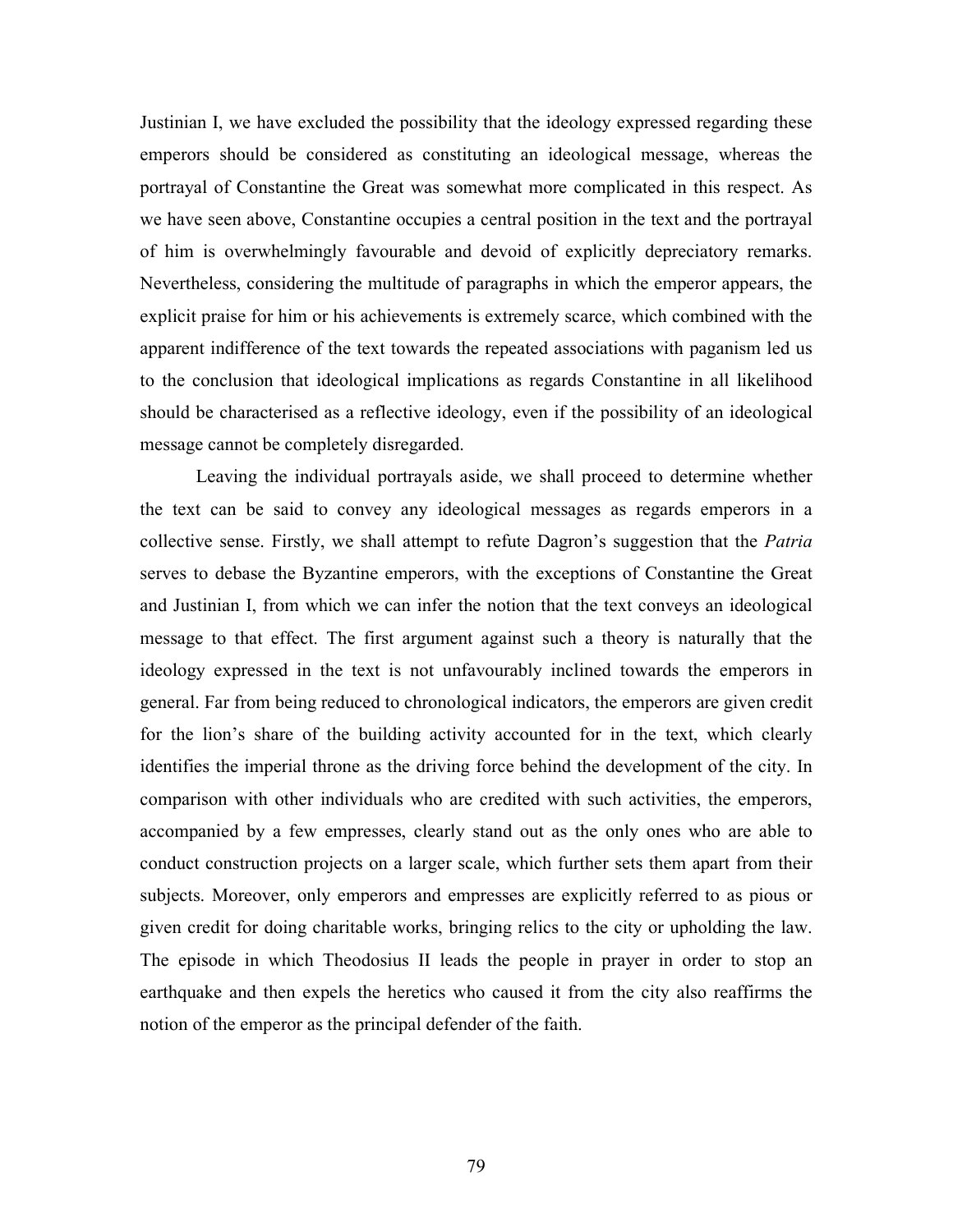Justinian I, we have excluded the possibility that the ideology expressed regarding these emperors should be considered as constituting an ideological message, whereas the portrayal of Constantine the Great was somewhat more complicated in this respect. As we have seen above, Constantine occupies a central position in the text and the portrayal of him is overwhelmingly favourable and devoid of explicitly depreciatory remarks. Nevertheless, considering the multitude of paragraphs in which the emperor appears, the explicit praise for him or his achievements is extremely scarce, which combined with the apparent indifference of the text towards the repeated associations with paganism led us to the conclusion that ideological implications as regards Constantine in all likelihood should be characterised as a reflective ideology, even if the possibility of an ideological message cannot be completely disregarded.

Leaving the individual portrayals aside, we shall proceed to determine whether the text can be said to convey any ideological messages as regards emperors in a collective sense. Firstly, we shall attempt to refute Dagron's suggestion that the *Patria* serves to debase the Byzantine emperors, with the exceptions of Constantine the Great and Justinian I, from which we can infer the notion that the text conveys an ideological message to that effect. The first argument against such a theory is naturally that the ideology expressed in the text is not unfavourably inclined towards the emperors in general. Far from being reduced to chronological indicators, the emperors are given credit for the lion's share of the building activity accounted for in the text, which clearly identifies the imperial throne as the driving force behind the development of the city. In comparison with other individuals who are credited with such activities, the emperors, accompanied by a few empresses, clearly stand out as the only ones who are able to conduct construction projects on a larger scale, which further sets them apart from their subjects. Moreover, only emperors and empresses are explicitly referred to as pious or given credit for doing charitable works, bringing relics to the city or upholding the law. The episode in which Theodosius II leads the people in prayer in order to stop an earthquake and then expels the heretics who caused it from the city also reaffirms the notion of the emperor as the principal defender of the faith.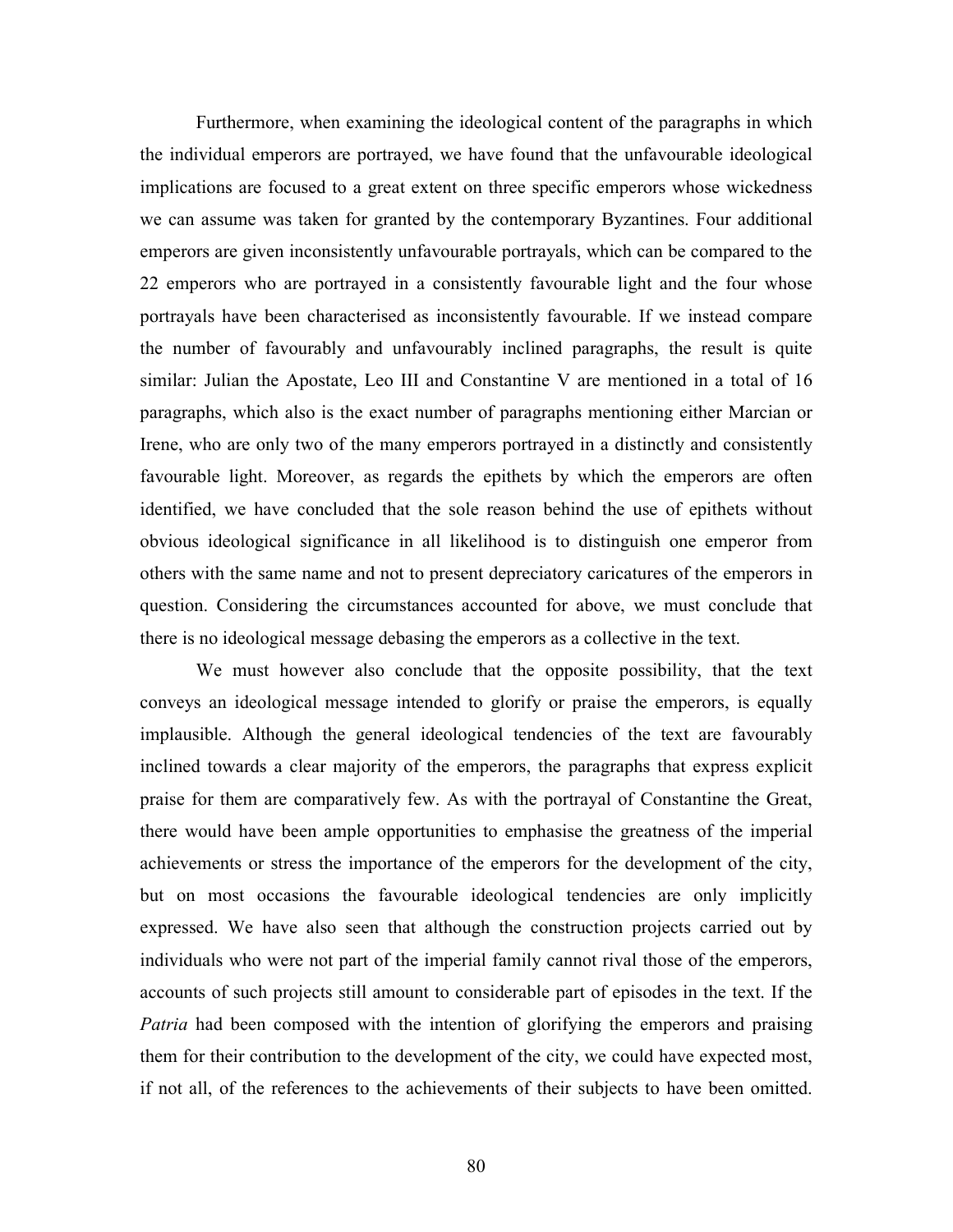Furthermore, when examining the ideological content of the paragraphs in which the individual emperors are portrayed, we have found that the unfavourable ideological implications are focused to a great extent on three specific emperors whose wickedness we can assume was taken for granted by the contemporary Byzantines. Four additional emperors are given inconsistently unfavourable portrayals, which can be compared to the 22 emperors who are portrayed in a consistently favourable light and the four whose portrayals have been characterised as inconsistently favourable. If we instead compare the number of favourably and unfavourably inclined paragraphs, the result is quite similar: Julian the Apostate, Leo III and Constantine V are mentioned in a total of 16 paragraphs, which also is the exact number of paragraphs mentioning either Marcian or Irene, who are only two of the many emperors portrayed in a distinctly and consistently favourable light. Moreover, as regards the epithets by which the emperors are often identified, we have concluded that the sole reason behind the use of epithets without obvious ideological significance in all likelihood is to distinguish one emperor from others with the same name and not to present depreciatory caricatures of the emperors in question. Considering the circumstances accounted for above, we must conclude that there is no ideological message debasing the emperors as a collective in the text.

We must however also conclude that the opposite possibility, that the text conveys an ideological message intended to glorify or praise the emperors, is equally implausible. Although the general ideological tendencies of the text are favourably inclined towards a clear majority of the emperors, the paragraphs that express explicit praise for them are comparatively few. As with the portrayal of Constantine the Great, there would have been ample opportunities to emphasise the greatness of the imperial achievements or stress the importance of the emperors for the development of the city, but on most occasions the favourable ideological tendencies are only implicitly expressed. We have also seen that although the construction projects carried out by individuals who were not part of the imperial family cannot rival those of the emperors, accounts of such projects still amount to considerable part of episodes in the text. If the Patria had been composed with the intention of glorifying the emperors and praising them for their contribution to the development of the city, we could have expected most, if not all, of the references to the achievements of their subjects to have been omitted.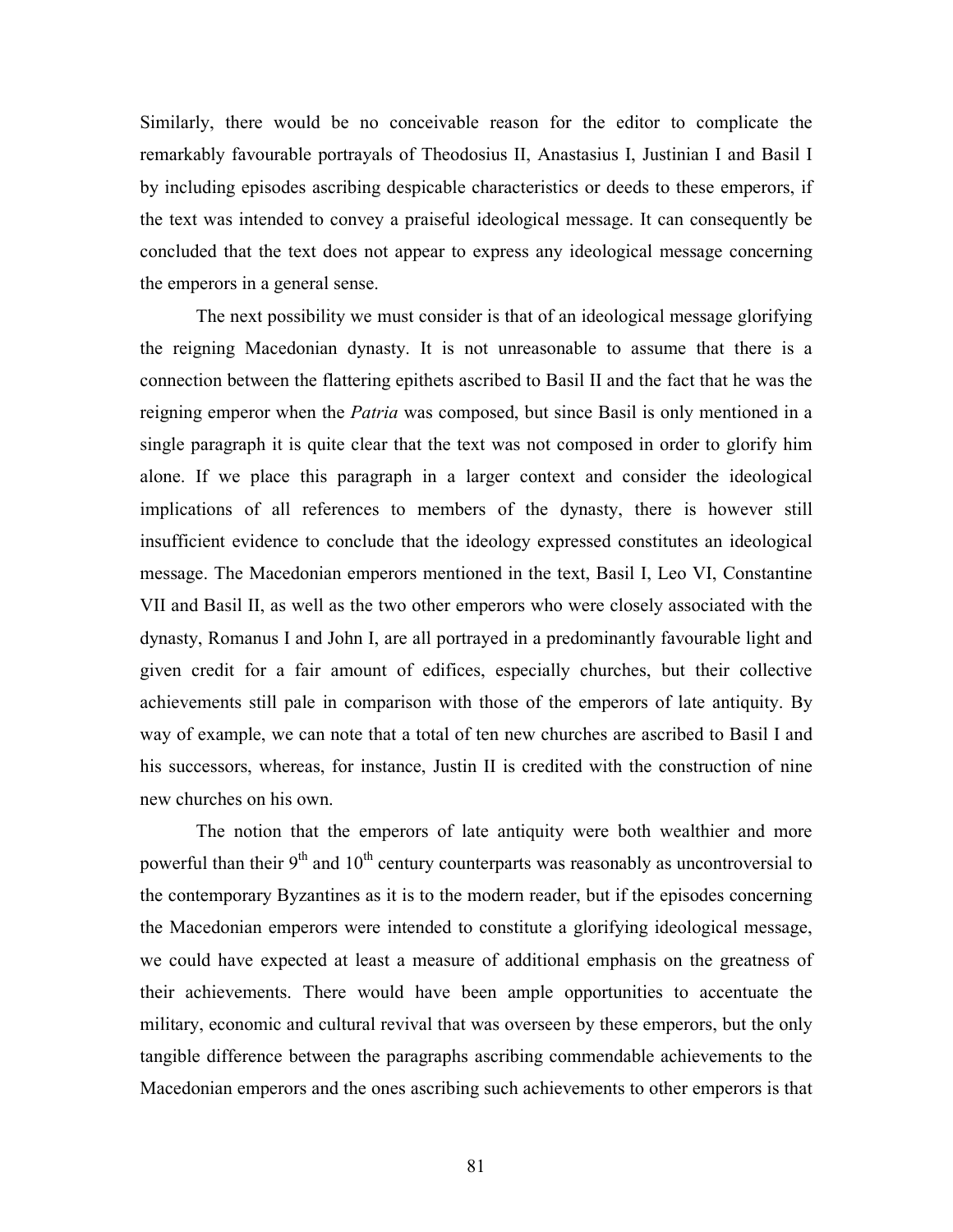Similarly, there would be no conceivable reason for the editor to complicate the remarkably favourable portrayals of Theodosius II, Anastasius I, Justinian I and Basil I by including episodes ascribing despicable characteristics or deeds to these emperors, if the text was intended to convey a praiseful ideological message. It can consequently be concluded that the text does not appear to express any ideological message concerning the emperors in a general sense.

The next possibility we must consider is that of an ideological message glorifying the reigning Macedonian dynasty. It is not unreasonable to assume that there is a connection between the flattering epithets ascribed to Basil II and the fact that he was the reigning emperor when the *Patria* was composed, but since Basil is only mentioned in a single paragraph it is quite clear that the text was not composed in order to glorify him alone. If we place this paragraph in a larger context and consider the ideological implications of all references to members of the dynasty, there is however still insufficient evidence to conclude that the ideology expressed constitutes an ideological message. The Macedonian emperors mentioned in the text, Basil I, Leo VI, Constantine VII and Basil II, as well as the two other emperors who were closely associated with the dynasty, Romanus I and John I, are all portrayed in a predominantly favourable light and given credit for a fair amount of edifices, especially churches, but their collective achievements still pale in comparison with those of the emperors of late antiquity. By way of example, we can note that a total of ten new churches are ascribed to Basil I and his successors, whereas, for instance, Justin II is credited with the construction of nine new churches on his own.

The notion that the emperors of late antiquity were both wealthier and more powerful than their  $9<sup>th</sup>$  and  $10<sup>th</sup>$  century counterparts was reasonably as uncontroversial to the contemporary Byzantines as it is to the modern reader, but if the episodes concerning the Macedonian emperors were intended to constitute a glorifying ideological message, we could have expected at least a measure of additional emphasis on the greatness of their achievements. There would have been ample opportunities to accentuate the military, economic and cultural revival that was overseen by these emperors, but the only tangible difference between the paragraphs ascribing commendable achievements to the Macedonian emperors and the ones ascribing such achievements to other emperors is that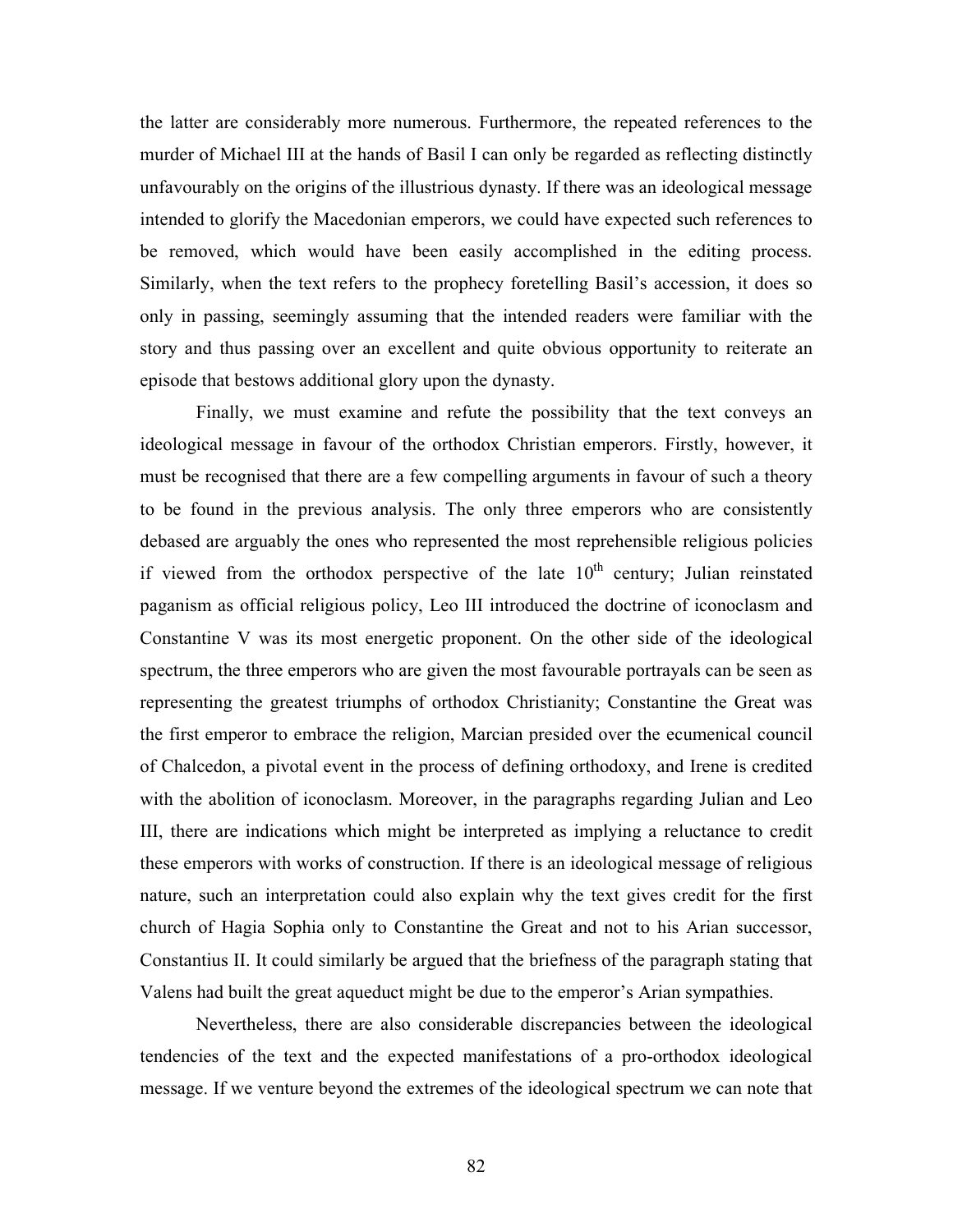the latter are considerably more numerous. Furthermore, the repeated references to the murder of Michael III at the hands of Basil I can only be regarded as reflecting distinctly unfavourably on the origins of the illustrious dynasty. If there was an ideological message intended to glorify the Macedonian emperors, we could have expected such references to be removed, which would have been easily accomplished in the editing process. Similarly, when the text refers to the prophecy foretelling Basil's accession, it does so only in passing, seemingly assuming that the intended readers were familiar with the story and thus passing over an excellent and quite obvious opportunity to reiterate an episode that bestows additional glory upon the dynasty.

Finally, we must examine and refute the possibility that the text conveys an ideological message in favour of the orthodox Christian emperors. Firstly, however, it must be recognised that there are a few compelling arguments in favour of such a theory to be found in the previous analysis. The only three emperors who are consistently debased are arguably the ones who represented the most reprehensible religious policies if viewed from the orthodox perspective of the late  $10<sup>th</sup>$  century; Julian reinstated paganism as official religious policy, Leo III introduced the doctrine of iconoclasm and Constantine V was its most energetic proponent. On the other side of the ideological spectrum, the three emperors who are given the most favourable portrayals can be seen as representing the greatest triumphs of orthodox Christianity; Constantine the Great was the first emperor to embrace the religion, Marcian presided over the ecumenical council of Chalcedon, a pivotal event in the process of defining orthodoxy, and Irene is credited with the abolition of iconoclasm. Moreover, in the paragraphs regarding Julian and Leo III, there are indications which might be interpreted as implying a reluctance to credit these emperors with works of construction. If there is an ideological message of religious nature, such an interpretation could also explain why the text gives credit for the first church of Hagia Sophia only to Constantine the Great and not to his Arian successor, Constantius II. It could similarly be argued that the briefness of the paragraph stating that Valens had built the great aqueduct might be due to the emperor's Arian sympathies.

Nevertheless, there are also considerable discrepancies between the ideological tendencies of the text and the expected manifestations of a pro-orthodox ideological message. If we venture beyond the extremes of the ideological spectrum we can note that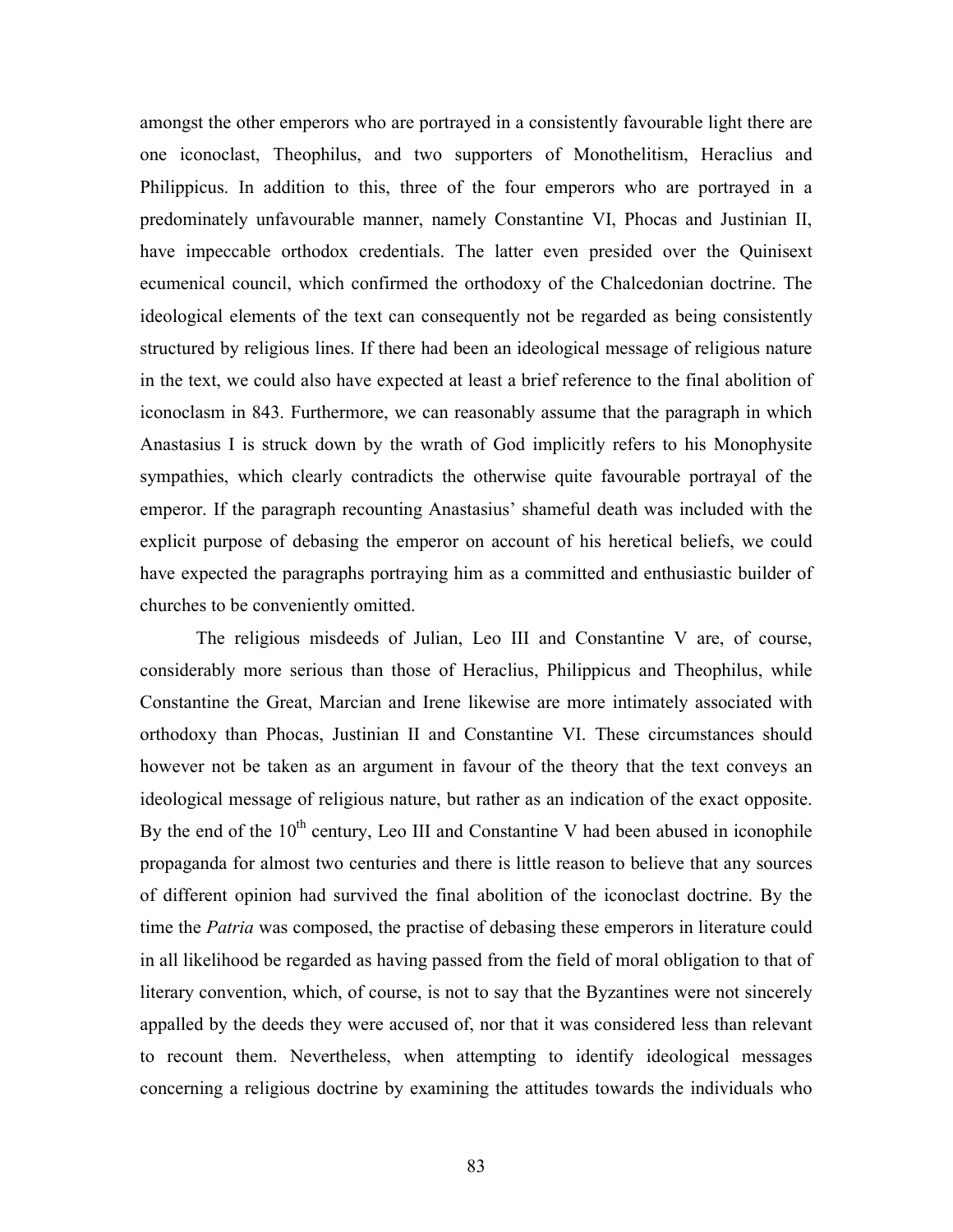amongst the other emperors who are portrayed in a consistently favourable light there are one iconoclast, Theophilus, and two supporters of Monothelitism, Heraclius and Philippicus. In addition to this, three of the four emperors who are portrayed in a predominately unfavourable manner, namely Constantine VI, Phocas and Justinian II, have impeccable orthodox credentials. The latter even presided over the Quinisext ecumenical council, which confirmed the orthodoxy of the Chalcedonian doctrine. The ideological elements of the text can consequently not be regarded as being consistently structured by religious lines. If there had been an ideological message of religious nature in the text, we could also have expected at least a brief reference to the final abolition of iconoclasm in 843. Furthermore, we can reasonably assume that the paragraph in which Anastasius I is struck down by the wrath of God implicitly refers to his Monophysite sympathies, which clearly contradicts the otherwise quite favourable portrayal of the emperor. If the paragraph recounting Anastasius' shameful death was included with the explicit purpose of debasing the emperor on account of his heretical beliefs, we could have expected the paragraphs portraying him as a committed and enthusiastic builder of churches to be conveniently omitted.

The religious misdeeds of Julian, Leo III and Constantine V are, of course, considerably more serious than those of Heraclius, Philippicus and Theophilus, while Constantine the Great, Marcian and Irene likewise are more intimately associated with orthodoxy than Phocas, Justinian II and Constantine VI. These circumstances should however not be taken as an argument in favour of the theory that the text conveys an ideological message of religious nature, but rather as an indication of the exact opposite. By the end of the  $10<sup>th</sup>$  century, Leo III and Constantine V had been abused in iconophile propaganda for almost two centuries and there is little reason to believe that any sources of different opinion had survived the final abolition of the iconoclast doctrine. By the time the Patria was composed, the practise of debasing these emperors in literature could in all likelihood be regarded as having passed from the field of moral obligation to that of literary convention, which, of course, is not to say that the Byzantines were not sincerely appalled by the deeds they were accused of, nor that it was considered less than relevant to recount them. Nevertheless, when attempting to identify ideological messages concerning a religious doctrine by examining the attitudes towards the individuals who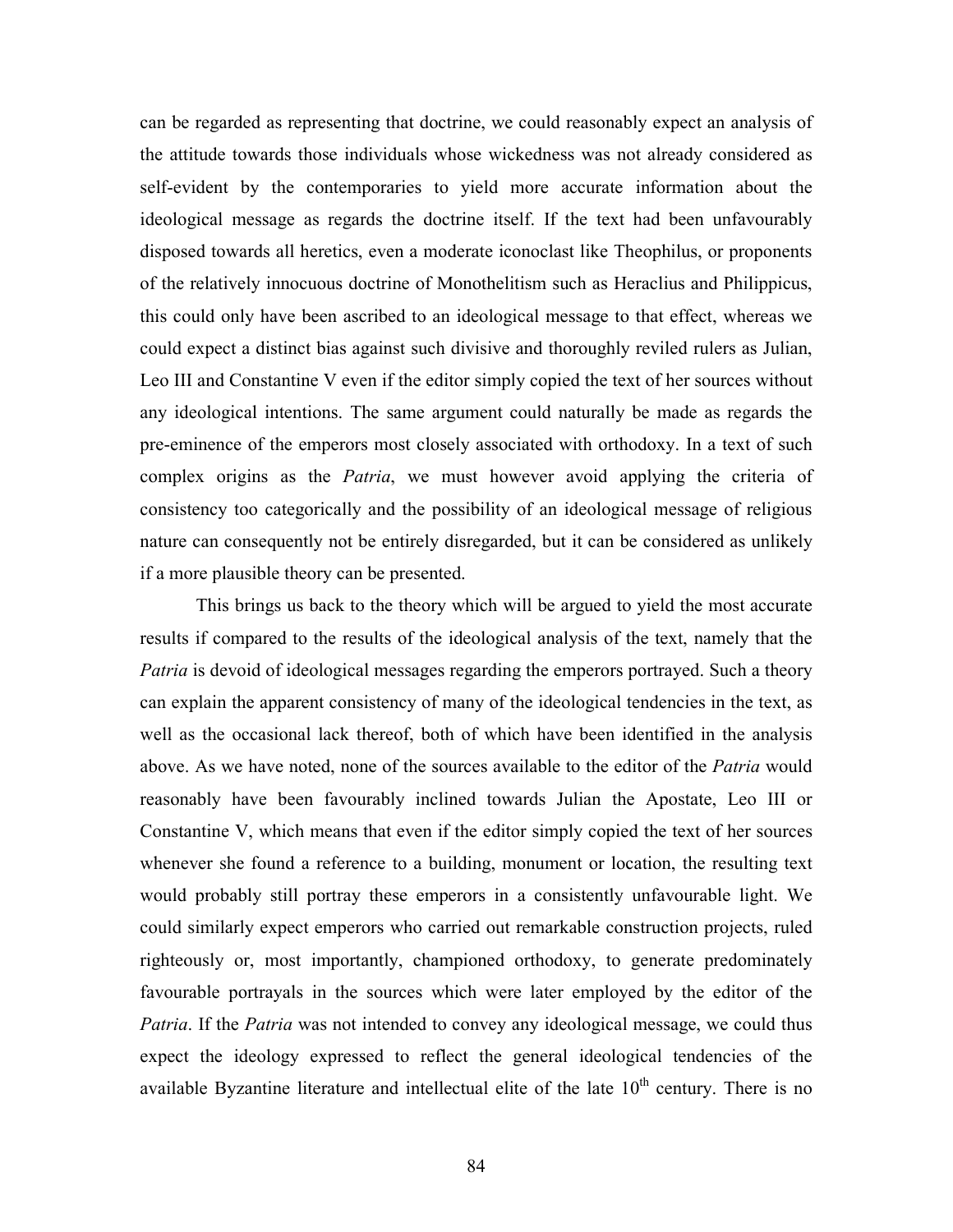can be regarded as representing that doctrine, we could reasonably expect an analysis of the attitude towards those individuals whose wickedness was not already considered as self-evident by the contemporaries to yield more accurate information about the ideological message as regards the doctrine itself. If the text had been unfavourably disposed towards all heretics, even a moderate iconoclast like Theophilus, or proponents of the relatively innocuous doctrine of Monothelitism such as Heraclius and Philippicus, this could only have been ascribed to an ideological message to that effect, whereas we could expect a distinct bias against such divisive and thoroughly reviled rulers as Julian, Leo III and Constantine V even if the editor simply copied the text of her sources without any ideological intentions. The same argument could naturally be made as regards the pre-eminence of the emperors most closely associated with orthodoxy. In a text of such complex origins as the *Patria*, we must however avoid applying the criteria of consistency too categorically and the possibility of an ideological message of religious nature can consequently not be entirely disregarded, but it can be considered as unlikely if a more plausible theory can be presented.

This brings us back to the theory which will be argued to yield the most accurate results if compared to the results of the ideological analysis of the text, namely that the Patria is devoid of ideological messages regarding the emperors portrayed. Such a theory can explain the apparent consistency of many of the ideological tendencies in the text, as well as the occasional lack thereof, both of which have been identified in the analysis above. As we have noted, none of the sources available to the editor of the *Patria* would reasonably have been favourably inclined towards Julian the Apostate, Leo III or Constantine V, which means that even if the editor simply copied the text of her sources whenever she found a reference to a building, monument or location, the resulting text would probably still portray these emperors in a consistently unfavourable light. We could similarly expect emperors who carried out remarkable construction projects, ruled righteously or, most importantly, championed orthodoxy, to generate predominately favourable portrayals in the sources which were later employed by the editor of the Patria. If the Patria was not intended to convey any ideological message, we could thus expect the ideology expressed to reflect the general ideological tendencies of the available Byzantine literature and intellectual elite of the late  $10<sup>th</sup>$  century. There is no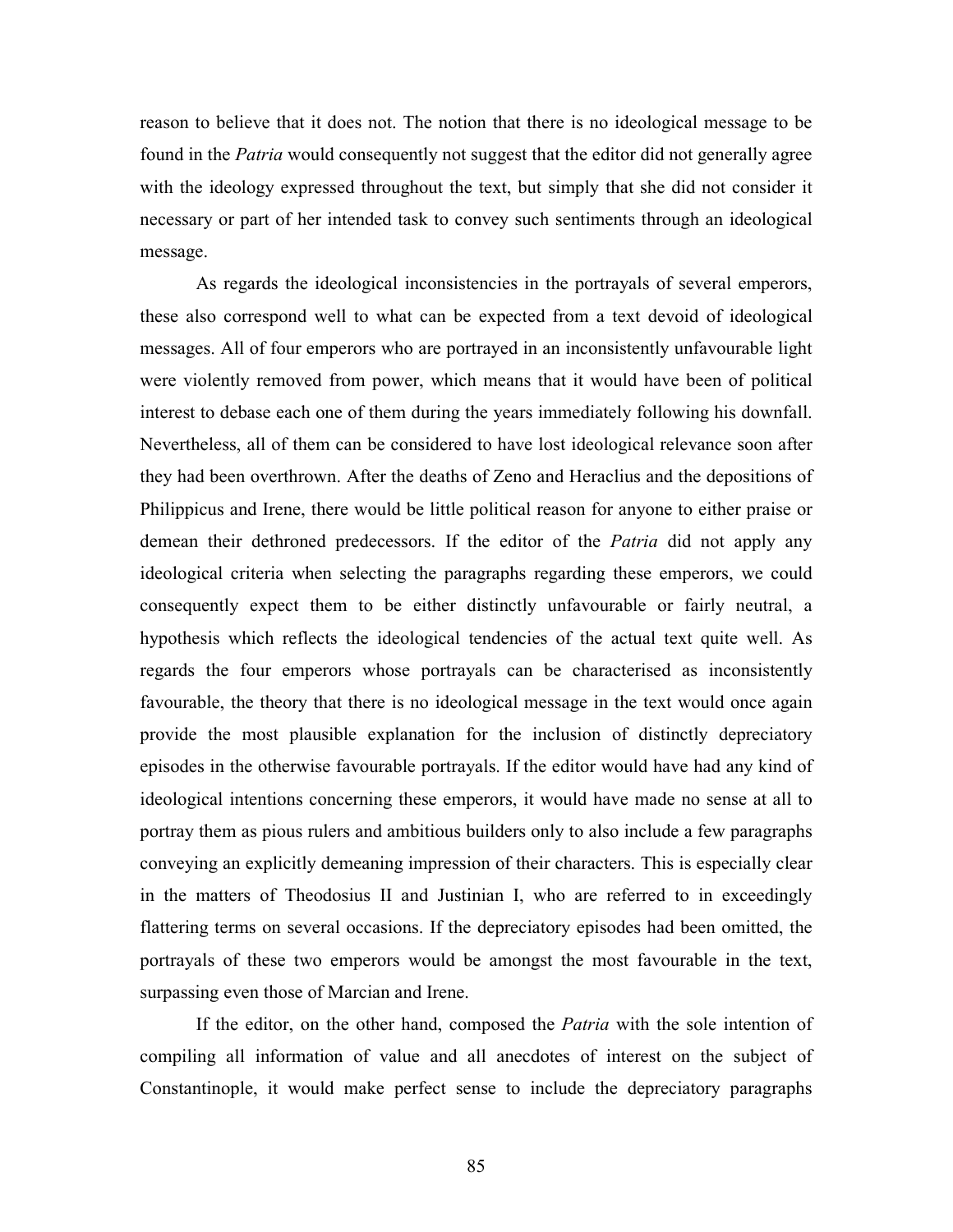reason to believe that it does not. The notion that there is no ideological message to be found in the Patria would consequently not suggest that the editor did not generally agree with the ideology expressed throughout the text, but simply that she did not consider it necessary or part of her intended task to convey such sentiments through an ideological message.

As regards the ideological inconsistencies in the portrayals of several emperors, these also correspond well to what can be expected from a text devoid of ideological messages. All of four emperors who are portrayed in an inconsistently unfavourable light were violently removed from power, which means that it would have been of political interest to debase each one of them during the years immediately following his downfall. Nevertheless, all of them can be considered to have lost ideological relevance soon after they had been overthrown. After the deaths of Zeno and Heraclius and the depositions of Philippicus and Irene, there would be little political reason for anyone to either praise or demean their dethroned predecessors. If the editor of the Patria did not apply any ideological criteria when selecting the paragraphs regarding these emperors, we could consequently expect them to be either distinctly unfavourable or fairly neutral, a hypothesis which reflects the ideological tendencies of the actual text quite well. As regards the four emperors whose portrayals can be characterised as inconsistently favourable, the theory that there is no ideological message in the text would once again provide the most plausible explanation for the inclusion of distinctly depreciatory episodes in the otherwise favourable portrayals. If the editor would have had any kind of ideological intentions concerning these emperors, it would have made no sense at all to portray them as pious rulers and ambitious builders only to also include a few paragraphs conveying an explicitly demeaning impression of their characters. This is especially clear in the matters of Theodosius II and Justinian I, who are referred to in exceedingly flattering terms on several occasions. If the depreciatory episodes had been omitted, the portrayals of these two emperors would be amongst the most favourable in the text, surpassing even those of Marcian and Irene.

If the editor, on the other hand, composed the *Patria* with the sole intention of compiling all information of value and all anecdotes of interest on the subject of Constantinople, it would make perfect sense to include the depreciatory paragraphs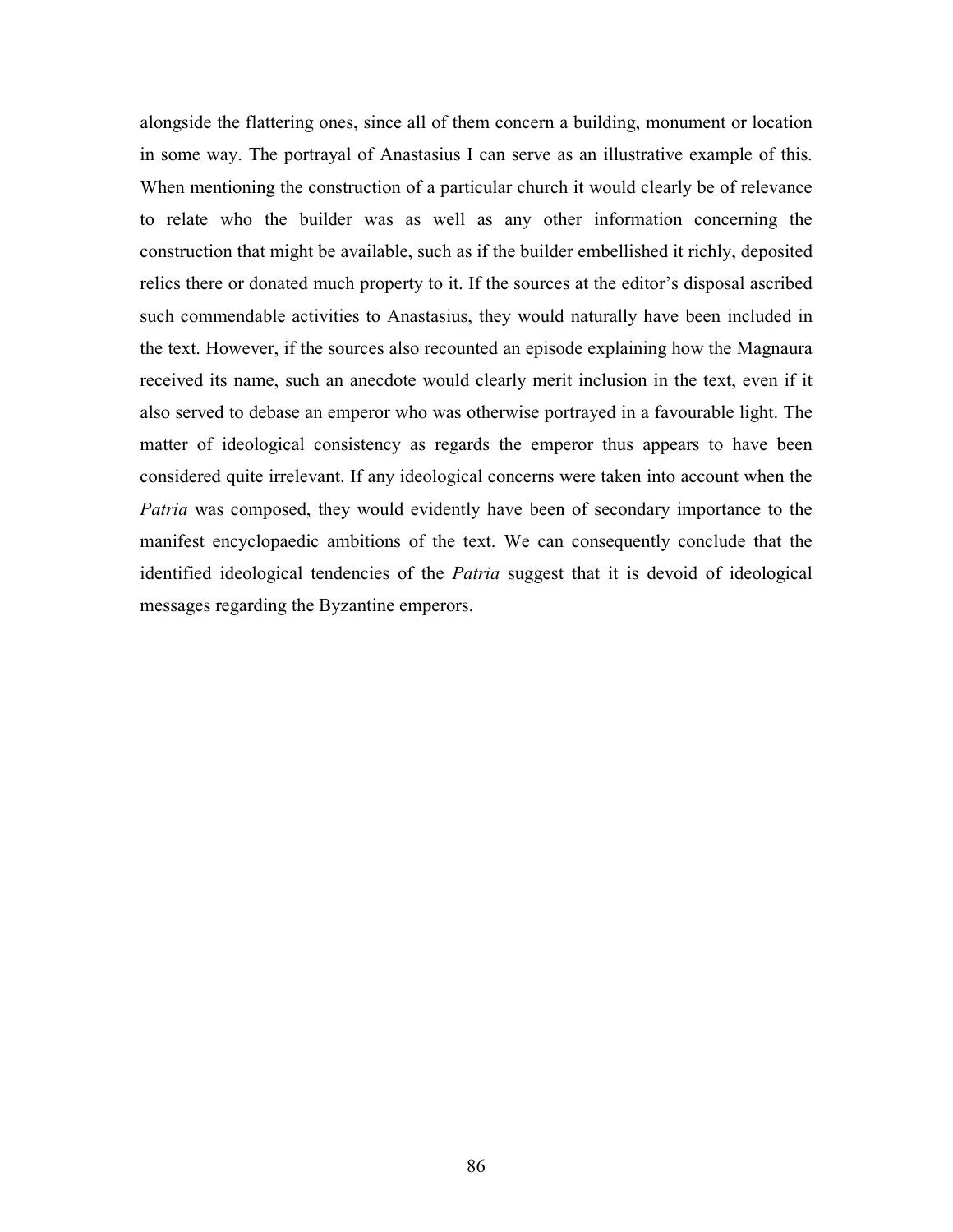alongside the flattering ones, since all of them concern a building, monument or location in some way. The portrayal of Anastasius I can serve as an illustrative example of this. When mentioning the construction of a particular church it would clearly be of relevance to relate who the builder was as well as any other information concerning the construction that might be available, such as if the builder embellished it richly, deposited relics there or donated much property to it. If the sources at the editor's disposal ascribed such commendable activities to Anastasius, they would naturally have been included in the text. However, if the sources also recounted an episode explaining how the Magnaura received its name, such an anecdote would clearly merit inclusion in the text, even if it also served to debase an emperor who was otherwise portrayed in a favourable light. The matter of ideological consistency as regards the emperor thus appears to have been considered quite irrelevant. If any ideological concerns were taken into account when the Patria was composed, they would evidently have been of secondary importance to the manifest encyclopaedic ambitions of the text. We can consequently conclude that the identified ideological tendencies of the *Patria* suggest that it is devoid of ideological messages regarding the Byzantine emperors.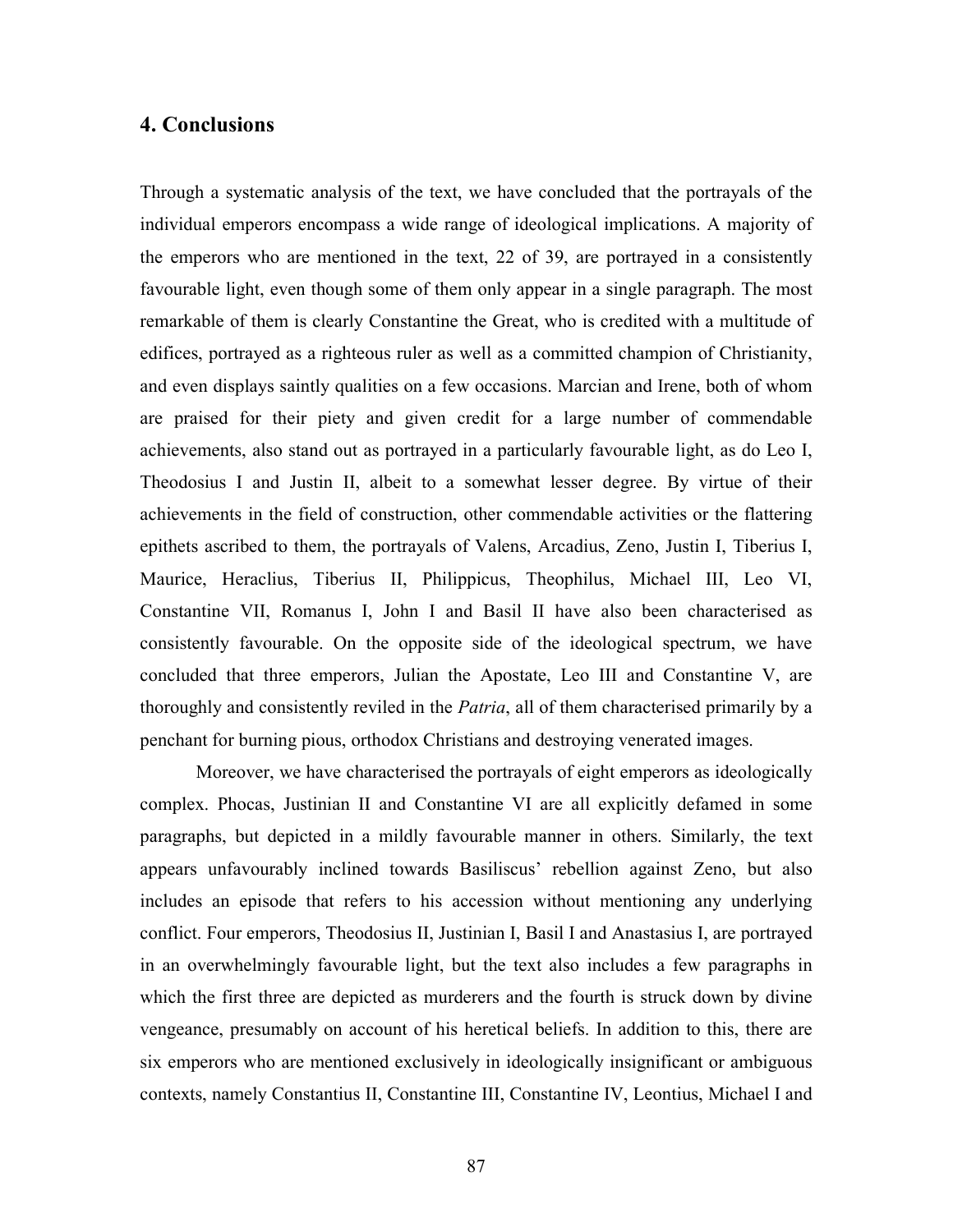### 4. Conclusions

Through a systematic analysis of the text, we have concluded that the portrayals of the individual emperors encompass a wide range of ideological implications. A majority of the emperors who are mentioned in the text, 22 of 39, are portrayed in a consistently favourable light, even though some of them only appear in a single paragraph. The most remarkable of them is clearly Constantine the Great, who is credited with a multitude of edifices, portrayed as a righteous ruler as well as a committed champion of Christianity, and even displays saintly qualities on a few occasions. Marcian and Irene, both of whom are praised for their piety and given credit for a large number of commendable achievements, also stand out as portrayed in a particularly favourable light, as do Leo I, Theodosius I and Justin II, albeit to a somewhat lesser degree. By virtue of their achievements in the field of construction, other commendable activities or the flattering epithets ascribed to them, the portrayals of Valens, Arcadius, Zeno, Justin I, Tiberius I, Maurice, Heraclius, Tiberius II, Philippicus, Theophilus, Michael III, Leo VI, Constantine VII, Romanus I, John I and Basil II have also been characterised as consistently favourable. On the opposite side of the ideological spectrum, we have concluded that three emperors, Julian the Apostate, Leo III and Constantine V, are thoroughly and consistently reviled in the *Patria*, all of them characterised primarily by a penchant for burning pious, orthodox Christians and destroying venerated images.

 Moreover, we have characterised the portrayals of eight emperors as ideologically complex. Phocas, Justinian II and Constantine VI are all explicitly defamed in some paragraphs, but depicted in a mildly favourable manner in others. Similarly, the text appears unfavourably inclined towards Basiliscus' rebellion against Zeno, but also includes an episode that refers to his accession without mentioning any underlying conflict. Four emperors, Theodosius II, Justinian I, Basil I and Anastasius I, are portrayed in an overwhelmingly favourable light, but the text also includes a few paragraphs in which the first three are depicted as murderers and the fourth is struck down by divine vengeance, presumably on account of his heretical beliefs. In addition to this, there are six emperors who are mentioned exclusively in ideologically insignificant or ambiguous contexts, namely Constantius II, Constantine III, Constantine IV, Leontius, Michael I and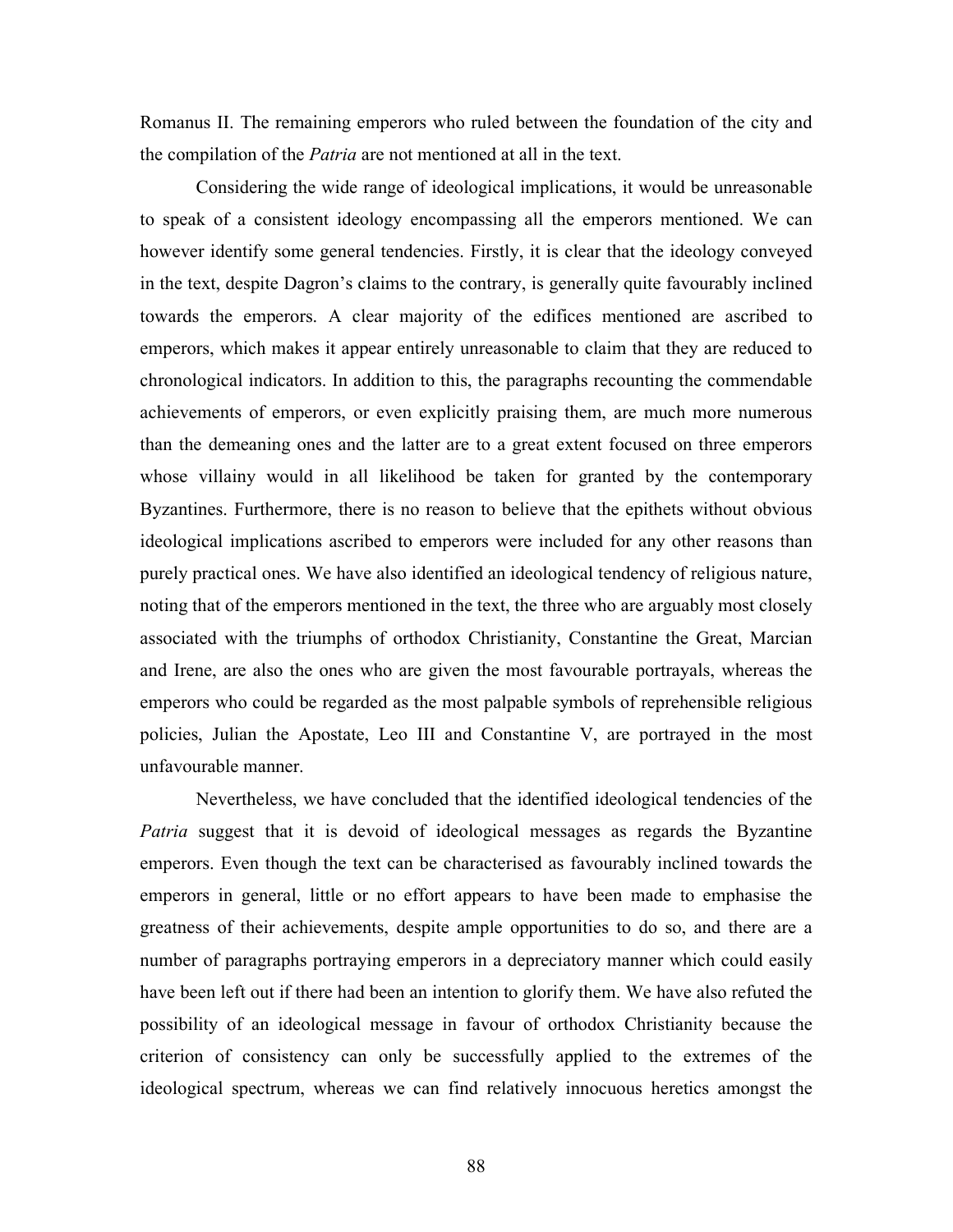Romanus II. The remaining emperors who ruled between the foundation of the city and the compilation of the *Patria* are not mentioned at all in the text.

 Considering the wide range of ideological implications, it would be unreasonable to speak of a consistent ideology encompassing all the emperors mentioned. We can however identify some general tendencies. Firstly, it is clear that the ideology conveyed in the text, despite Dagron's claims to the contrary, is generally quite favourably inclined towards the emperors. A clear majority of the edifices mentioned are ascribed to emperors, which makes it appear entirely unreasonable to claim that they are reduced to chronological indicators. In addition to this, the paragraphs recounting the commendable achievements of emperors, or even explicitly praising them, are much more numerous than the demeaning ones and the latter are to a great extent focused on three emperors whose villainy would in all likelihood be taken for granted by the contemporary Byzantines. Furthermore, there is no reason to believe that the epithets without obvious ideological implications ascribed to emperors were included for any other reasons than purely practical ones. We have also identified an ideological tendency of religious nature, noting that of the emperors mentioned in the text, the three who are arguably most closely associated with the triumphs of orthodox Christianity, Constantine the Great, Marcian and Irene, are also the ones who are given the most favourable portrayals, whereas the emperors who could be regarded as the most palpable symbols of reprehensible religious policies, Julian the Apostate, Leo III and Constantine V, are portrayed in the most unfavourable manner.

 Nevertheless, we have concluded that the identified ideological tendencies of the Patria suggest that it is devoid of ideological messages as regards the Byzantine emperors. Even though the text can be characterised as favourably inclined towards the emperors in general, little or no effort appears to have been made to emphasise the greatness of their achievements, despite ample opportunities to do so, and there are a number of paragraphs portraying emperors in a depreciatory manner which could easily have been left out if there had been an intention to glorify them. We have also refuted the possibility of an ideological message in favour of orthodox Christianity because the criterion of consistency can only be successfully applied to the extremes of the ideological spectrum, whereas we can find relatively innocuous heretics amongst the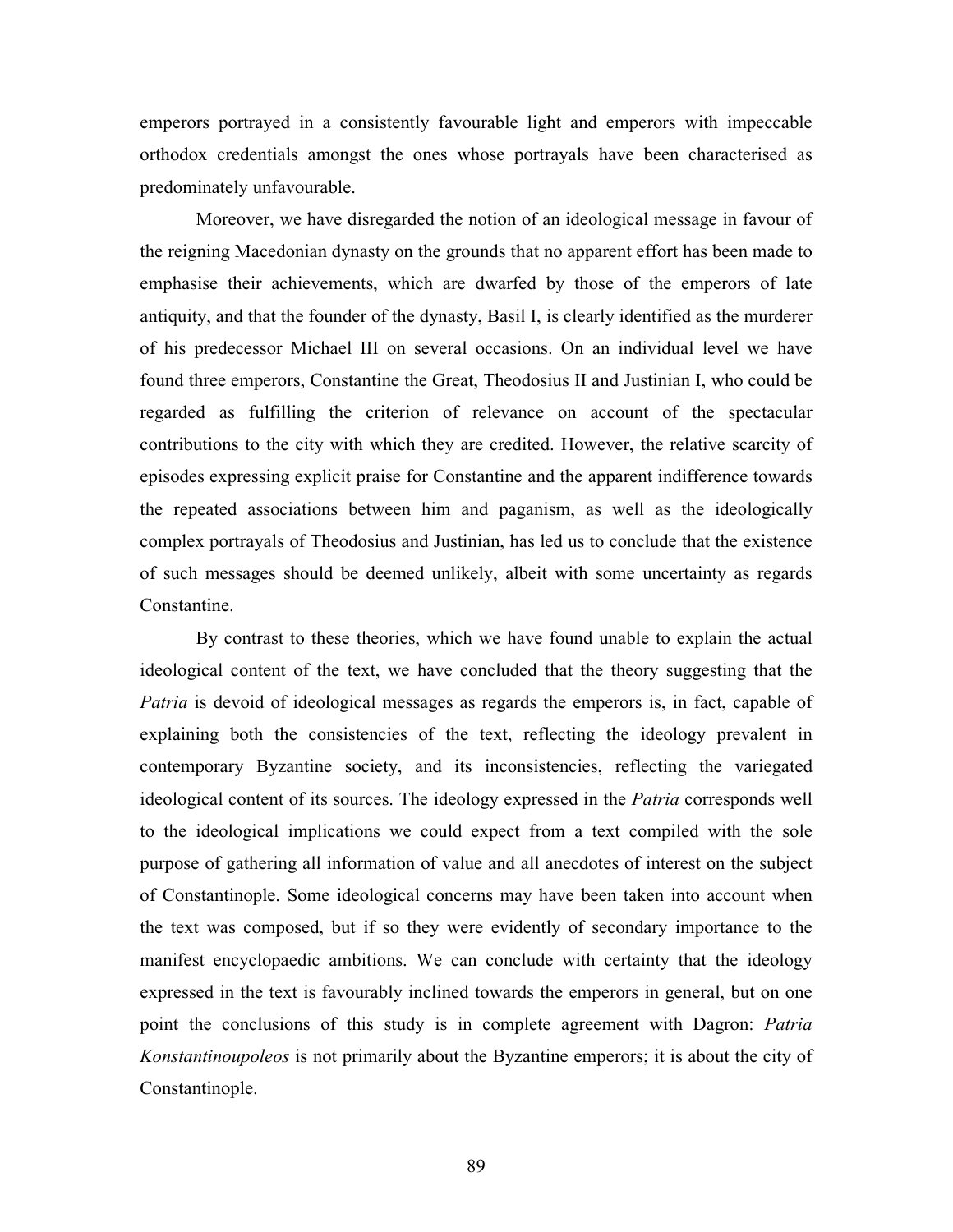emperors portrayed in a consistently favourable light and emperors with impeccable orthodox credentials amongst the ones whose portrayals have been characterised as predominately unfavourable.

 Moreover, we have disregarded the notion of an ideological message in favour of the reigning Macedonian dynasty on the grounds that no apparent effort has been made to emphasise their achievements, which are dwarfed by those of the emperors of late antiquity, and that the founder of the dynasty, Basil I, is clearly identified as the murderer of his predecessor Michael III on several occasions. On an individual level we have found three emperors, Constantine the Great, Theodosius II and Justinian I, who could be regarded as fulfilling the criterion of relevance on account of the spectacular contributions to the city with which they are credited. However, the relative scarcity of episodes expressing explicit praise for Constantine and the apparent indifference towards the repeated associations between him and paganism, as well as the ideologically complex portrayals of Theodosius and Justinian, has led us to conclude that the existence of such messages should be deemed unlikely, albeit with some uncertainty as regards Constantine.

 By contrast to these theories, which we have found unable to explain the actual ideological content of the text, we have concluded that the theory suggesting that the Patria is devoid of ideological messages as regards the emperors is, in fact, capable of explaining both the consistencies of the text, reflecting the ideology prevalent in contemporary Byzantine society, and its inconsistencies, reflecting the variegated ideological content of its sources. The ideology expressed in the Patria corresponds well to the ideological implications we could expect from a text compiled with the sole purpose of gathering all information of value and all anecdotes of interest on the subject of Constantinople. Some ideological concerns may have been taken into account when the text was composed, but if so they were evidently of secondary importance to the manifest encyclopaedic ambitions. We can conclude with certainty that the ideology expressed in the text is favourably inclined towards the emperors in general, but on one point the conclusions of this study is in complete agreement with Dagron: Patria Konstantinoupoleos is not primarily about the Byzantine emperors; it is about the city of Constantinople.